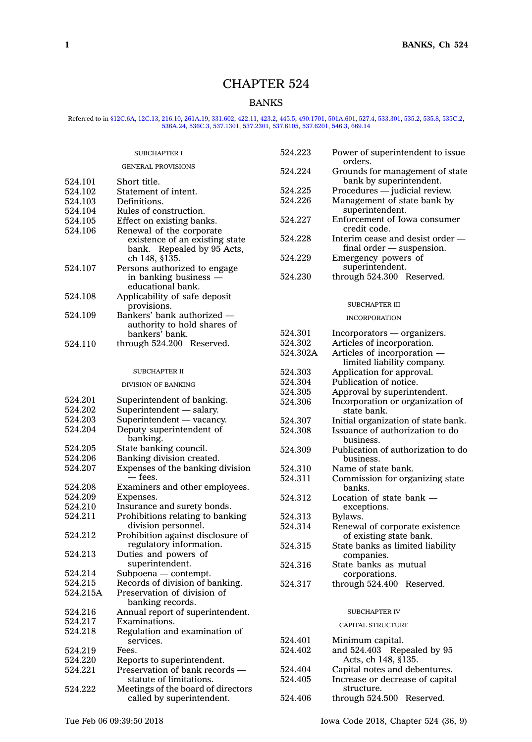# CHAPTER 524

# BANKS

# Referred to in [§12C.6A](https://www.legis.iowa.gov/docs/code/12C.6A.pdf), [12C.13](https://www.legis.iowa.gov/docs/code/12C.13.pdf), [216.10,](https://www.legis.iowa.gov/docs/code/216.10.pdf) [261A.19](https://www.legis.iowa.gov/docs/code/261A.19.pdf), [331.602](https://www.legis.iowa.gov/docs/code/331.602.pdf), [422.11](https://www.legis.iowa.gov/docs/code/422.11.pdf), [423.2](https://www.legis.iowa.gov/docs/code/423.2.pdf), [445.5](https://www.legis.iowa.gov/docs/code/445.5.pdf), [490.1701](https://www.legis.iowa.gov/docs/code/490.1701.pdf), [501A.601](https://www.legis.iowa.gov/docs/code/501A.601.pdf), [527.4](https://www.legis.iowa.gov/docs/code/527.4.pdf), [533.301](https://www.legis.iowa.gov/docs/code/533.301.pdf), [535.2](https://www.legis.iowa.gov/docs/code/535.2.pdf), [535.8](https://www.legis.iowa.gov/docs/code/535.8.pdf), [535C.2](https://www.legis.iowa.gov/docs/code/535C.2.pdf)<br>[536A.24](https://www.legis.iowa.gov/docs/code/536A.24.pdf), [536C.3](https://www.legis.iowa.gov/docs/code/536C.3.pdf), [537.1301](https://www.legis.iowa.gov/docs/code/537.1301.pdf), [537.2301](https://www.legis.iowa.gov/docs/code/537.2301.pdf), [537.6105](https://www.legis.iowa.gov/docs/code/537.6105.pdf), [537.6201](https://www.legis.iowa.gov/docs/code/537.6201.pdf), [546.3](https://www.legis.iowa.gov/docs/code/546.3.pdf), [669.14](https://www.legis.iowa.gov/docs/code/669.14.pdf)

|          | <b>SUBCHAPTER I</b>                                       | 524.223  | Power of superintendent to issue             |
|----------|-----------------------------------------------------------|----------|----------------------------------------------|
|          | <b>GENERAL PROVISIONS</b>                                 | 524.224  | orders.<br>Grounds for management of state   |
| 524.101  | Short title.                                              |          | bank by superintendent.                      |
| 524.102  | Statement of intent.                                      | 524.225  | Procedures - judicial review.                |
| 524.103  | Definitions.                                              | 524.226  | Management of state bank by                  |
| 524.104  | Rules of construction.                                    |          | superintendent.                              |
| 524.105  | Effect on existing banks.                                 | 524.227  | Enforcement of Iowa consumer                 |
| 524.106  | Renewal of the corporate                                  |          | credit code.                                 |
|          | existence of an existing state                            | 524.228  | Interim cease and desist order —             |
|          | bank. Repealed by 95 Acts,                                |          | $final order$ - suspension.                  |
|          | ch 148, §135.                                             | 524.229  | Emergency powers of                          |
| 524.107  | Persons authorized to engage                              |          | superintendent.                              |
|          | in banking business -                                     | 524.230  | through 524.300 Reserved.                    |
|          | educational bank.                                         |          |                                              |
| 524.108  | Applicability of safe deposit                             |          |                                              |
|          | provisions.                                               |          | SUBCHAPTER III                               |
| 524.109  | Bankers' bank authorized -<br>authority to hold shares of |          | <b>INCORPORATION</b>                         |
|          | bankers' bank.                                            | 524.301  | Incorporators — organizers.                  |
| 524.110  | through 524.200 Reserved.                                 | 524.302  | Articles of incorporation.                   |
|          |                                                           | 524.302A | Articles of incorporation -                  |
|          |                                                           |          | limited liability company.                   |
|          | <b>SUBCHAPTER II</b>                                      | 524.303  | Application for approval.                    |
|          | <b>DIVISION OF BANKING</b>                                | 524.304  | Publication of notice.                       |
|          |                                                           | 524.305  | Approval by superintendent.                  |
| 524.201  | Superintendent of banking.                                | 524.306  | Incorporation or organization of             |
| 524.202  | Superintendent - salary.                                  |          | state bank.                                  |
| 524.203  | Superintendent - vacancy.                                 | 524.307  | Initial organization of state bank.          |
| 524.204  | Deputy superintendent of<br>banking.                      | 524.308  | Issuance of authorization to do<br>business. |
| 524.205  | State banking council.                                    | 524.309  | Publication of authorization to do           |
| 524.206  | Banking division created.                                 |          | business.                                    |
| 524.207  | Expenses of the banking division                          | 524.310  | Name of state bank.                          |
|          | — fees.                                                   | 524.311  | Commission for organizing state              |
| 524.208  | Examiners and other employees.                            |          | banks.                                       |
| 524.209  | Expenses.                                                 | 524.312  | Location of state bank $-$                   |
| 524.210  | Insurance and surety bonds.                               |          | exceptions.                                  |
| 524.211  | Prohibitions relating to banking                          | 524.313  | Bylaws.                                      |
|          | division personnel.                                       | 524.314  | Renewal of corporate existence               |
| 524.212  | Prohibition against disclosure of                         |          | of existing state bank.                      |
|          | regulatory information.                                   | 524.315  | State banks as limited liability             |
| 524.213  | Duties and powers of                                      |          | companies.                                   |
|          | superintendent.                                           | 524.316  | State banks as mutual                        |
| 524.214  | Subpoena - contempt.                                      |          | corporations.                                |
| 524.215  | Records of division of banking.                           | 524.317  | through 524.400 Reserved.                    |
| 524.215A | Preservation of division of<br>banking records.           |          |                                              |
| 524.216  | Annual report of superintendent.                          |          | <b>SUBCHAPTER IV</b>                         |
| 524.217  | Examinations.                                             |          |                                              |
| 524.218  | Regulation and examination of                             |          | CAPITAL STRUCTURE                            |
|          | services.                                                 | 524.401  | Minimum capital.                             |
| 524.219  | Fees.                                                     | 524.402  | and 524.403 Repealed by 95                   |
| 524.220  | Reports to superintendent.                                |          | Acts, ch 148, §135.                          |
| 524.221  | Preservation of bank records -                            | 524.404  | Capital notes and debentures.                |
|          | statute of limitations.                                   | 524.405  | Increase or decrease of capital              |
| 524.222  | Meetings of the board of directors                        |          | structure.                                   |
|          | called by superintendent.                                 | 524.406  | through 524.500 Reserved.                    |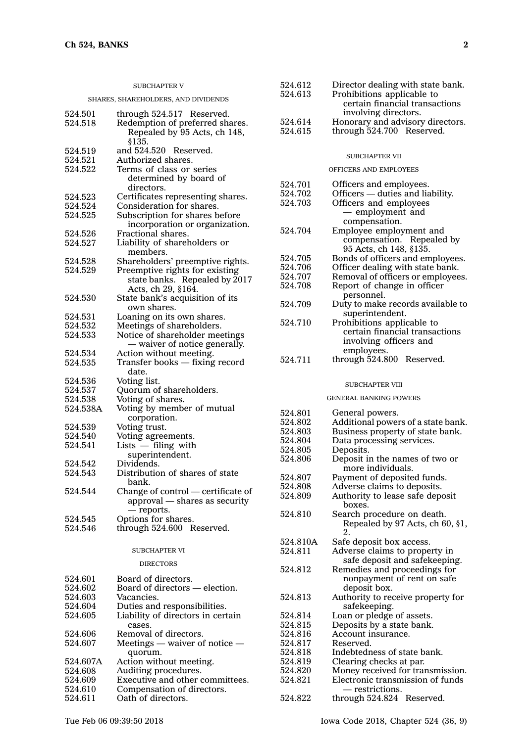| <b>SUBCHAPTER V</b>                 |                                                                                                        |  |  |
|-------------------------------------|--------------------------------------------------------------------------------------------------------|--|--|
| SHARES, SHAREHOLDERS, AND DIVIDENDS |                                                                                                        |  |  |
| 524.501<br>524.518                  | through 524.517 Reserved.<br>Redemption of preferred shares.<br>Repealed by 95 Acts, ch 148,<br>\$135. |  |  |
| 524.519<br>524.521<br>524.522       | and 524.520 Reserved.<br>Authorized shares.<br>Terms of class or series                                |  |  |
|                                     | determined by board of<br>directors.                                                                   |  |  |
| 524.523                             | Certificates representing shares.                                                                      |  |  |
| 524.524                             | Consideration for shares.                                                                              |  |  |
| 524.525                             | Subscription for shares before<br>incorporation or organization.                                       |  |  |
| 524.526<br>524.527                  | Fractional shares.<br>Liability of shareholders or                                                     |  |  |
|                                     | members.                                                                                               |  |  |
| 524.528<br>524.529                  | Shareholders' preemptive rights.                                                                       |  |  |
|                                     | Preemptive rights for existing<br>state banks. Repealed by 2017<br>Acts, ch 29, §164.                  |  |  |
| 524.530                             | State bank's acquisition of its<br>own shares.                                                         |  |  |
| 524.531                             | Loaning on its own shares.                                                                             |  |  |
| 524.532                             | Meetings of shareholders.                                                                              |  |  |
| 524.533                             | Notice of shareholder meetings<br>- waiver of notice generally.                                        |  |  |
| 524.534                             | Action without meeting.                                                                                |  |  |
| 524.535                             | Transfer books - fixing record<br>date.                                                                |  |  |
| 524.536                             | Voting list.                                                                                           |  |  |
| 524.537                             | Quorum of shareholders.                                                                                |  |  |
| 524.538                             | Voting of shares.                                                                                      |  |  |
| 524.538A                            | Voting by member of mutual<br>corporation.                                                             |  |  |
| 524.539<br>524.540                  | Voting trust.                                                                                          |  |  |
| 524.541                             | Voting agreements.<br>$Lists$ - filing with                                                            |  |  |
| 524.542                             | superintendent.<br>Dividends.                                                                          |  |  |
| 524.543                             | Distribution of shares of state<br>bank.                                                               |  |  |
| 524.544                             | Change of control - certificate of<br>approval - shares as security<br>— reports.                      |  |  |
| 524.545                             | Options for shares.                                                                                    |  |  |
| 524.546                             | through 524.600 Reserved.                                                                              |  |  |
| <b>SUBCHAPTER VI</b>                |                                                                                                        |  |  |
| <b>DIRECTORS</b>                    |                                                                                                        |  |  |
| 524.601                             | Board of directors.                                                                                    |  |  |
| 524.602                             | Board of directors - election.                                                                         |  |  |
| 524.603                             | Vacancies.                                                                                             |  |  |
| 524.604                             | Duties and responsibilities.                                                                           |  |  |
| 524.605                             | Liability of directors in certain<br>cases.                                                            |  |  |
| 524.606                             | Removal of directors.                                                                                  |  |  |
| 524.607                             | Meetings $-$ waiver of notice $-$<br>quorum.                                                           |  |  |
| 524.607A                            | Action without meeting.                                                                                |  |  |
| 524.608                             | Auditing procedures.                                                                                   |  |  |
| 524.609<br>524.610                  | Executive and other committees.<br>Compensation of directors.                                          |  |  |
| 524.611                             | Oath of directors.                                                                                     |  |  |
|                                     |                                                                                                        |  |  |

| Director dealing with state bank. |
|-----------------------------------|
| Prohibitions applicable to        |
| certain financial transactions    |
| involving directors.              |
| Honorary and advisory directors.  |
| through 524.700 Reserved.         |
|                                   |

#### SUBCHAPTER VII

# OFFICERS AND EMPLOYEES

| 524.701  | Officers and employees.                                      |
|----------|--------------------------------------------------------------|
| 524.702  | Officers - duties and liability.                             |
| 524.703  | Officers and employees                                       |
|          | - employment and<br>compensation.                            |
| 524.704  | Employee employment and                                      |
|          | compensation. Repealed by                                    |
|          | 95 Acts, ch 148, §135.                                       |
| 524.705  | Bonds of officers and employees.                             |
| 524.706  | Officer dealing with state bank.                             |
| 524.707  | Removal of officers or employees.                            |
| 524.708  | Report of change in officer                                  |
|          | personnel.                                                   |
| 524.709  | Duty to make records available to                            |
| 524.710  | superintendent.                                              |
|          | Prohibitions applicable to<br>certain financial transactions |
|          |                                                              |
|          | involving officers and<br>employees.                         |
| 524.711  | through 524.800 Reserved.                                    |
|          |                                                              |
|          | <b>SUBCHAPTER VIII</b>                                       |
|          | <b>GENERAL BANKING POWERS</b>                                |
| 524.801  | General powers.                                              |
| 524.802  | Additional powers of a state bank.                           |
| 524.803  | Business property of state bank.                             |
| 524.804  | Data processing services.                                    |
| 524.805  | Deposits.                                                    |
| 524.806  | Deposit in the names of two or                               |
|          | more individuals.                                            |
| 524.807  | Payment of deposited funds.                                  |
| 524.808  | Adverse claims to deposits.                                  |
| 524.809  | Authority to lease safe deposit                              |
|          | boxes.                                                       |
| 524.810  | Search procedure on death.                                   |
|          | Repealed by 97 Acts, ch 60, §1,<br>2.                        |
| 524.810A | Safe deposit box access.                                     |
| 524.811  | Adverse claims to property in                                |
|          | safe deposit and safekeeping.                                |
| 524.812  | Remedies and proceedings for                                 |
|          | nonpayment of rent on safe                                   |
|          | deposit box.                                                 |
| 524.813  | Authority to receive property for                            |
|          | safekeeping.                                                 |

524.814 Loan or pledge of assets. 524.815 Deposits by <sup>a</sup> state bank.

- 524.816 Account insurance.
- 524.817 Reserved.
- 524.818 Indebtedness of state bank.
- 524.819 Clearing checks at par.<br>524.820 Money received for tran
- 524.820 Money received for transmission.<br>524.821 Electronic transmission of funds Electronic transmission of funds — restrictions.
- 524.822 through 524.824 Reserved.

Oath of directors.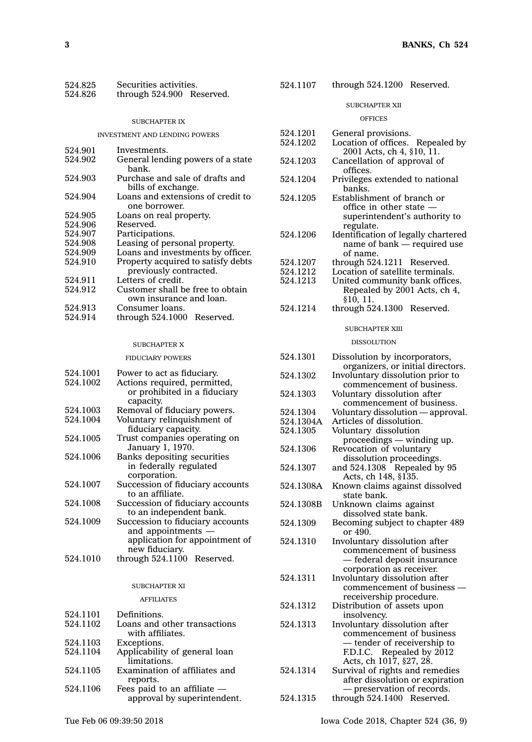| 524.825 | Securities activities.    |  |
|---------|---------------------------|--|
| 524.826 | through 524.900 Reserved. |  |

#### SUBCHAPTER IX

#### INVESTMENT AND LENDING POWERS

| 524.901 | Investments.                                                 |
|---------|--------------------------------------------------------------|
| 524.902 | General lending powers of a state<br>bank.                   |
| 524.903 | Purchase and sale of drafts and<br>bills of exchange.        |
| 524.904 | Loans and extensions of credit to                            |
|         | one borrower.                                                |
| 524.905 | Loans on real property.                                      |
| 524.906 | Reserved.                                                    |
| 524.907 | Participations.                                              |
| 524.908 | Leasing of personal property.                                |
| 524.909 | Loans and investments by officer.                            |
| 524.910 | Property acquired to satisfy debts<br>previously contracted. |
| 524.911 | Letters of credit.                                           |
| 524.912 | Customer shall be free to obtain<br>own insurance and loan.  |
| 524.913 | Consumer loans.                                              |

| 524.914 | through 524.1000 Reserved. |  |
|---------|----------------------------|--|
|         |                            |  |

## SUBCHAPTER X

# FIDUCIARY POWERS

| 524.1001 | Power to act as fiduciary.       |
|----------|----------------------------------|
| 524.1002 | Actions required, permitted,     |
|          | or prohibited in a fiduciary     |
|          | capacity.                        |
| 524.1003 | Removal of fiduciary powers.     |
| 524.1004 | Voluntary relinquishment of      |
|          | fiduciary capacity.              |
| 524.1005 | Trust companies operating on     |
|          | January 1, 1970.                 |
| 524.1006 | Banks depositing securities      |
|          | in federally regulated           |
|          | corporation.                     |
| 524.1007 | Succession of fiduciary accounts |
|          | to an affiliate.                 |
| 524.1008 | Succession of fiduciary accounts |
|          | to an independent bank.          |
| 524.1009 | Succession to fiduciary accounts |
|          | and appointments —               |
|          | application for appointment of   |
|          | new fiduciary.                   |
| 524.1010 | through 524.1100 Reserved.       |
|          |                                  |
|          |                                  |

# SUBCHAPTER XI AFFILIATES

| 524.1101 | Definitions.                  |
|----------|-------------------------------|
| 524.1102 | Loans and other transactions  |
|          | with affiliates.              |
| 524.1103 | Exceptions.                   |
| 524.1104 | Applicability of general loan |
|          | limitations.                  |
| 524.1105 | Examination of affiliates and |
|          | reports.                      |
| 524.1106 | Fees paid to an affiliate -   |
|          | approval by superintendent.   |

| 524.1107 | through 524.1200 Reserved. |  |
|----------|----------------------------|--|
|----------|----------------------------|--|

#### SUBCHAPTER XII

#### OFFICES

| 524.1201<br>524.1202  | General provisions.<br>Location of offices.<br>Repealed by    |
|-----------------------|---------------------------------------------------------------|
| 524.1203              | 2001 Acts, ch 4, §10, 11.<br>Cancellation of approval of      |
| 524.1204              | offices.<br>Privileges extended to national                   |
|                       | banks.                                                        |
| 524.1205              | Establishment of branch or<br>office in other state -         |
|                       | superintendent's authority to<br>regulate.                    |
| 524.1206              | Identification of legally chartered                           |
|                       | name of bank - required use<br>of name.                       |
| 524.1207              | through 524.1211 Reserved.                                    |
| 524.1212              | Location of satellite terminals.                              |
| 524.1213              | United community bank offices.                                |
|                       | Repealed by 2001 Acts, ch 4,                                  |
| 524.1214              | §10, 11.<br>through 524.1300<br>Reserved.                     |
|                       | <b>SUBCHAPTER XIII</b>                                        |
|                       | <b>DISSOLUTION</b>                                            |
| 524.1301              | Dissolution by incorporators,                                 |
|                       | organizers, or initial directors.                             |
| 524.1302              | Involuntary dissolution prior to<br>commencement of business. |
| 524.1303              | Voluntary dissolution after                                   |
| 524.1304              | commencement of business.                                     |
|                       | Voluntary dissolution - approval.                             |
| 524.1304A<br>524.1305 | Articles of dissolution.                                      |
|                       | Voluntary dissolution<br>proceedings - winding up.            |
| 524.1306              | Revocation of voluntary<br>dissolution proceedings.           |
| 524.1307              | and 524.1308 Repealed by 95                                   |
|                       | Acts, ch 148, §135.                                           |
| 524.1308A             | Known claims against dissolved<br>state bank.                 |
| 524.1308B             | Unknown claims against                                        |
| 524.1309              | dissolved state bank.<br>Becoming subject to chapter 489      |
|                       | or 490.                                                       |
| 524.1310              | Involuntary dissolution after<br>commencement of business     |
|                       | — federal deposit insurance                                   |
|                       | corporation as receiver.                                      |
| 524.1311              | Involuntary dissolution after                                 |
|                       | commencement of business                                      |
| 524.1312              | receivership procedure.<br>Distribution of assets upon        |
|                       | insolvency.                                                   |
| 524.1313              | Involuntary dissolution after                                 |
|                       | commencement of business                                      |
|                       | - tender of receivership to<br>F.D.I.C. Repealed by 2012      |
|                       | Acts, ch 1017, §27, 28.                                       |
| 524.1314              | Survival of rights and remedies                               |
|                       | after dissolution or expiration                               |
|                       | - preservation of records.                                    |
| 524.1315              | through 524.1400 Reserved.                                    |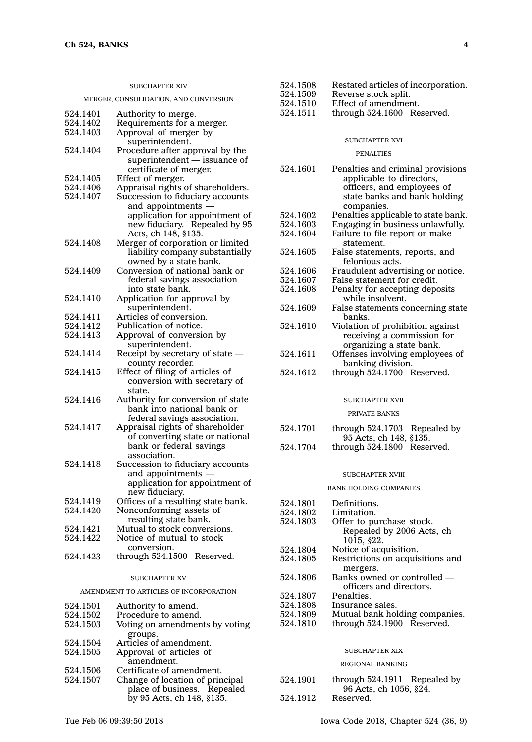# SUBCHAPTER XIV

#### MERGER, CONSOLIDATION, AND CONVERSION

| 524.1401 | Authority to merge.                                    |
|----------|--------------------------------------------------------|
| 524.1402 | Requirements for a merger.                             |
| 524.1403 | Approval of merger by                                  |
|          | superintendent.                                        |
| 524.1404 | Procedure after approval by the                        |
|          | superintendent - issuance of<br>certificate of merger. |
| 524.1405 | Effect of merger.                                      |
| 524.1406 | Appraisal rights of shareholders.                      |
| 524.1407 | Succession to fiduciary accounts                       |
|          | and appointments —                                     |
|          | application for appointment of                         |
|          | new fiduciary. Repealed by 95                          |
|          | Acts, ch 148, §135.                                    |
| 524.1408 | Merger of corporation or limited                       |
|          | liability company substantially                        |
|          | owned by a state bank.                                 |
| 524.1409 | Conversion of national bank or                         |
|          | federal savings association                            |
|          | into state bank.                                       |
| 524.1410 | Application for approval by                            |
| 524.1411 | superintendent.<br>Articles of conversion.             |
| 524.1412 | Publication of notice.                                 |
| 524.1413 | Approval of conversion by                              |
|          | superintendent.                                        |
| 524.1414 | Receipt by secretary of state -                        |
|          | county recorder.                                       |
| 524.1415 | Effect of filing of articles of                        |
|          | conversion with secretary of                           |
|          | state.                                                 |
| 524.1416 | Authority for conversion of state                      |
|          | bank into national bank or                             |
|          | federal savings association.                           |
| 524.1417 | Appraisal rights of shareholder                        |
|          | of converting state or national                        |
|          | bank or federal savings                                |
| 524.1418 | association.                                           |
|          | Succession to fiduciary accounts<br>and appointments - |
|          | application for appointment of                         |
|          | new fiduciary.                                         |
| 524.1419 | Offices of a resulting state bank.                     |
| 524.1420 | Nonconforming assets of                                |
|          | resulting state bank.                                  |
| 524.1421 | Mutual to stock conversions.                           |
| 524.1422 | Notice of mutual to stock                              |
|          | conversion.                                            |
| 524.1423 | through 524.1500 Reserved.                             |
|          |                                                        |
|          | <b>SUBCHAPTER XV</b>                                   |
|          | AMENDMENT TO ARTICLES OF INCORPORATION                 |
| 524.1501 | Authority to amend.                                    |
| 524.1502 | Procedure to amend.                                    |

| 524.1503 | Voting on amendments by voting  |  |  |
|----------|---------------------------------|--|--|
|          | groups.                         |  |  |
| 524.1504 | Articles of amendment.          |  |  |
| 524.1505 | Approval of articles of         |  |  |
|          | amendment.                      |  |  |
| 524.1506 | Certificate of amendment.       |  |  |
| 524.1507 | Change of location of principal |  |  |
|          | place of business. Repealed     |  |  |

by 95 Acts, ch 148, §135.

- 524.1508 Restated articles of incorporation.<br>524.1509 Reverse stock split.
- 524.1509 Reverse stock split.<br>524.1510 Effect of amendmen
- Effect of amendment.
- 524.1511 through 524.1600 Reserved.

#### SUBCHAPTER XVI

#### PENALTIES

| 524.1601 | Penalties and criminal provisions   |  |
|----------|-------------------------------------|--|
|          | applicable to directors,            |  |
|          | officers, and employees of          |  |
|          | state banks and bank holding        |  |
|          | companies.                          |  |
| 524.1602 | Penalties applicable to state bank. |  |
| 524.1603 | Engaging in business unlawfully.    |  |
| 524.1604 | Failure to file report or make      |  |
|          | statement.                          |  |
| 524.1605 | False statements, reports, and      |  |
|          | felonious acts.                     |  |
| 524.1606 | Fraudulent advertising or notice.   |  |
| 524.1607 | False statement for credit.         |  |
| 524.1608 | Penalty for accepting deposits      |  |
|          | while insolvent.                    |  |
| 524.1609 | False statements concerning state   |  |
|          | banks.                              |  |
| 524.1610 | Violation of prohibition against    |  |
|          | receiving a commission for          |  |
|          | organizing a state bank.            |  |
| 524.1611 | Offenses involving employees of     |  |
|          | banking division.                   |  |
| 524.1612 | through 524.1700 Reserved.          |  |
|          |                                     |  |
|          |                                     |  |

# SUBCHAPTER XVII

#### PRIVATE BANKS

| 524.1701 | through 524.1703 Repealed by |  |
|----------|------------------------------|--|
|          | 95 Acts, ch 148, §135.       |  |
| 524.1704 | through 524,1800 Reserved.   |  |

#### SUBCHAPTER XVIII

#### BANK HOLDING COMPANIES

| 524.1801       | Definitions.                     |  |  |  |
|----------------|----------------------------------|--|--|--|
| 524.1802       | Limitation.                      |  |  |  |
| 524.1803       | Offer to purchase stock.         |  |  |  |
|                | Repealed by 2006 Acts, ch        |  |  |  |
|                | 1015, \$22.                      |  |  |  |
| 524.1804       | Notice of acquisition.           |  |  |  |
| 524.1805       | Restrictions on acquisitions and |  |  |  |
|                | mergers.                         |  |  |  |
| 524.1806       | Banks owned or controlled —      |  |  |  |
|                | officers and directors.          |  |  |  |
| 524.1807       | Penalties.                       |  |  |  |
| 524.1808       | Insurance sales.                 |  |  |  |
| 524.1809       | Mutual bank holding companies.   |  |  |  |
| 524.1810       | through 524.1900 Reserved.       |  |  |  |
|                |                                  |  |  |  |
|                |                                  |  |  |  |
| SUBCHAPTER XIX |                                  |  |  |  |

#### REGIONAL BANKING

524.1901 through 524.1911 Repealed by 96 Acts, ch 1056, §24. 524.1912 Reserved.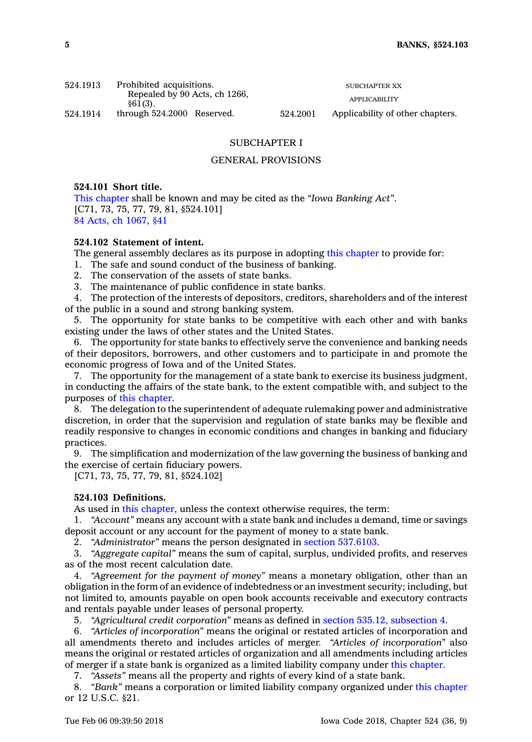| 524.1913 | Prohibited acquisitions.                    |          | <b>SUBCHAPTER XX</b>             |  |
|----------|---------------------------------------------|----------|----------------------------------|--|
|          | Repealed by 90 Acts, ch 1266,<br>$$61(3)$ . |          | APPLICABILITY                    |  |
| 524.1914 | through $524.2000$ Reserved.                | 524.2001 | Applicability of other chapters. |  |

# SUBCHAPTER I

# GENERAL PROVISIONS

# **524.101 Short title.**

This [chapter](https://www.legis.iowa.gov/docs/code//524.pdf) shall be known and may be cited as the *"Iowa Banking Act"*. [C71, 73, 75, 77, 79, 81, §524.101] 84 Acts, ch [1067,](https://www.legis.iowa.gov/docs/acts/1984/CH1067.pdf) §41

# **524.102 Statement of intent.**

The general assembly declares as its purpose in adopting this [chapter](https://www.legis.iowa.gov/docs/code//524.pdf) to provide for:

- 1. The safe and sound conduct of the business of banking.
- 2. The conservation of the assets of state banks.
- 3. The maintenance of public confidence in state banks.

4. The protection of the interests of depositors, creditors, shareholders and of the interest of the public in <sup>a</sup> sound and strong banking system.

5. The opportunity for state banks to be competitive with each other and with banks existing under the laws of other states and the United States.

6. The opportunity for state banks to effectively serve the convenience and banking needs of their depositors, borrowers, and other customers and to participate in and promote the economic progress of Iowa and of the United States.

7. The opportunity for the management of <sup>a</sup> state bank to exercise its business judgment, in conducting the affairs of the state bank, to the extent compatible with, and subject to the purposes of this [chapter](https://www.legis.iowa.gov/docs/code//524.pdf).

8. The delegation to the superintendent of adequate rulemaking power and administrative discretion, in order that the supervision and regulation of state banks may be flexible and readily responsive to changes in economic conditions and changes in banking and fiduciary practices.

9. The simplification and modernization of the law governing the business of banking and the exercise of certain fiduciary powers.

[C71, 73, 75, 77, 79, 81, §524.102]

# **524.103 Definitions.**

As used in this [chapter](https://www.legis.iowa.gov/docs/code//524.pdf), unless the context otherwise requires, the term:

1. *"Account"* means any account with <sup>a</sup> state bank and includes <sup>a</sup> demand, time or savings deposit account or any account for the payment of money to <sup>a</sup> state bank.

2. *"Administrator"* means the person designated in section [537.6103](https://www.legis.iowa.gov/docs/code/537.6103.pdf).

3. *"Aggregate capital"* means the sum of capital, surplus, undivided profits, and reserves as of the most recent calculation date.

4. *"Agreement for the payment of money"* means <sup>a</sup> monetary obligation, other than an obligation in the form of an evidence of indebtedness or an investment security; including, but not limited to, amounts payable on open book accounts receivable and executory contracts and rentals payable under leases of personal property.

5. *"Agricultural credit corporation"* means as defined in section 535.12, [subsection](https://www.legis.iowa.gov/docs/code/535.12.pdf) 4.

6. *"Articles of incorporation"* means the original or restated articles of incorporation and all amendments thereto and includes articles of merger. *"Articles of incorporation"* also means the original or restated articles of organization and all amendments including articles of merger if <sup>a</sup> state bank is organized as <sup>a</sup> limited liability company under this [chapter](https://www.legis.iowa.gov/docs/code//524.pdf).

7. *"Assets"* means all the property and rights of every kind of <sup>a</sup> state bank.

8. *"Bank"* means <sup>a</sup> corporation or limited liability company organized under this [chapter](https://www.legis.iowa.gov/docs/code//524.pdf) or 12 U.S.C. §21.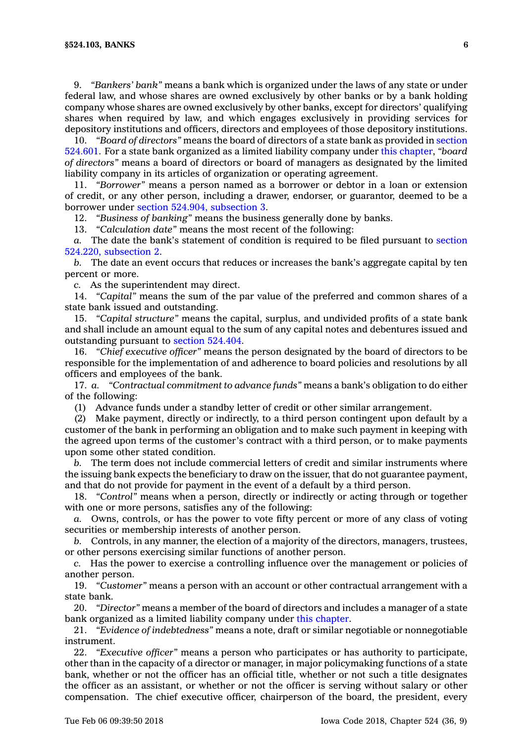9. *"Bankers' bank"* means <sup>a</sup> bank which is organized under the laws of any state or under federal law, and whose shares are owned exclusively by other banks or by <sup>a</sup> bank holding company whose shares are owned exclusively by other banks, except for directors' qualifying shares when required by law, and which engages exclusively in providing services for depository institutions and officers, directors and employees of those depository institutions.

10. *"Board of directors"* means the board of directors of <sup>a</sup> state bank as provided in [section](https://www.legis.iowa.gov/docs/code/524.601.pdf) [524.601](https://www.legis.iowa.gov/docs/code/524.601.pdf). For <sup>a</sup> state bank organized as <sup>a</sup> limited liability company under this [chapter](https://www.legis.iowa.gov/docs/code//524.pdf), *"board of directors"* means <sup>a</sup> board of directors or board of managers as designated by the limited liability company in its articles of organization or operating agreement.

11. *"Borrower"* means <sup>a</sup> person named as <sup>a</sup> borrower or debtor in <sup>a</sup> loan or extension of credit, or any other person, including <sup>a</sup> drawer, endorser, or guarantor, deemed to be <sup>a</sup> borrower under section 524.904, [subsection](https://www.legis.iowa.gov/docs/code/524.904.pdf) 3.

12. *"Business of banking"* means the business generally done by banks.

13. *"Calculation date"* means the most recent of the following:

*a.* The date the bank's statement of condition is required to be filed pursuant to [section](https://www.legis.iowa.gov/docs/code/524.220.pdf) 524.220, [subsection](https://www.legis.iowa.gov/docs/code/524.220.pdf) 2.

*b.* The date an event occurs that reduces or increases the bank's aggregate capital by ten percent or more.

*c.* As the superintendent may direct.

14. *"Capital"* means the sum of the par value of the preferred and common shares of <sup>a</sup> state bank issued and outstanding.

15. *"Capital structure"* means the capital, surplus, and undivided profits of <sup>a</sup> state bank and shall include an amount equal to the sum of any capital notes and debentures issued and outstanding pursuant to section [524.404](https://www.legis.iowa.gov/docs/code/524.404.pdf).

16. *"Chief executive officer"* means the person designated by the board of directors to be responsible for the implementation of and adherence to board policies and resolutions by all officers and employees of the bank.

17. *a. "Contractual commitment to advance funds"* means <sup>a</sup> bank's obligation to do either of the following:

(1) Advance funds under <sup>a</sup> standby letter of credit or other similar arrangement.

(2) Make payment, directly or indirectly, to <sup>a</sup> third person contingent upon default by <sup>a</sup> customer of the bank in performing an obligation and to make such payment in keeping with the agreed upon terms of the customer's contract with <sup>a</sup> third person, or to make payments upon some other stated condition.

*b.* The term does not include commercial letters of credit and similar instruments where the issuing bank expects the beneficiary to draw on the issuer, that do not guarantee payment, and that do not provide for payment in the event of <sup>a</sup> default by <sup>a</sup> third person.

18. *"Control"* means when <sup>a</sup> person, directly or indirectly or acting through or together with one or more persons, satisfies any of the following:

*a.* Owns, controls, or has the power to vote fifty percent or more of any class of voting securities or membership interests of another person.

*b.* Controls, in any manner, the election of <sup>a</sup> majority of the directors, managers, trustees, or other persons exercising similar functions of another person.

*c.* Has the power to exercise <sup>a</sup> controlling influence over the management or policies of another person.

19. *"Customer"* means <sup>a</sup> person with an account or other contractual arrangement with <sup>a</sup> state bank.

20. *"Director"* means <sup>a</sup> member of the board of directors and includes <sup>a</sup> manager of <sup>a</sup> state bank organized as <sup>a</sup> limited liability company under this [chapter](https://www.legis.iowa.gov/docs/code//524.pdf).

21. *"Evidence of indebtedness"* means <sup>a</sup> note, draft or similar negotiable or nonnegotiable instrument.

22. *"Executive officer"* means <sup>a</sup> person who participates or has authority to participate, other than in the capacity of <sup>a</sup> director or manager, in major policymaking functions of <sup>a</sup> state bank, whether or not the officer has an official title, whether or not such <sup>a</sup> title designates the officer as an assistant, or whether or not the officer is serving without salary or other compensation. The chief executive officer, chairperson of the board, the president, every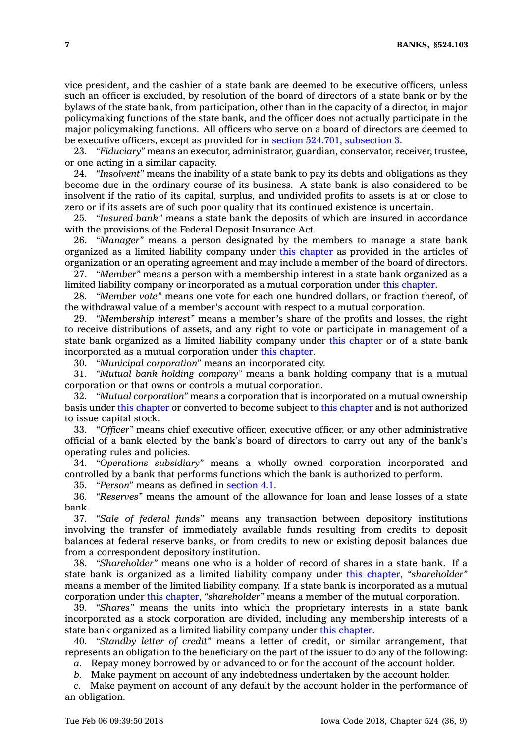vice president, and the cashier of <sup>a</sup> state bank are deemed to be executive officers, unless such an officer is excluded, by resolution of the board of directors of <sup>a</sup> state bank or by the bylaws of the state bank, from participation, other than in the capacity of <sup>a</sup> director, in major policymaking functions of the state bank, and the officer does not actually participate in the major policymaking functions. All officers who serve on <sup>a</sup> board of directors are deemed to be executive officers, except as provided for in section 524.701, [subsection](https://www.legis.iowa.gov/docs/code/524.701.pdf) 3.

23. *"Fiduciary"* means an executor, administrator, guardian, conservator, receiver, trustee, or one acting in <sup>a</sup> similar capacity.

24. *"Insolvent"* means the inability of <sup>a</sup> state bank to pay its debts and obligations as they become due in the ordinary course of its business. A state bank is also considered to be insolvent if the ratio of its capital, surplus, and undivided profits to assets is at or close to zero or if its assets are of such poor quality that its continued existence is uncertain.

25. *"Insured bank"* means <sup>a</sup> state bank the deposits of which are insured in accordance with the provisions of the Federal Deposit Insurance Act.

26. *"Manager"* means <sup>a</sup> person designated by the members to manage <sup>a</sup> state bank organized as <sup>a</sup> limited liability company under this [chapter](https://www.legis.iowa.gov/docs/code//524.pdf) as provided in the articles of organization or an operating agreement and may include <sup>a</sup> member of the board of directors.

27. *"Member"* means <sup>a</sup> person with <sup>a</sup> membership interest in <sup>a</sup> state bank organized as <sup>a</sup> limited liability company or incorporated as <sup>a</sup> mutual corporation under this [chapter](https://www.legis.iowa.gov/docs/code//524.pdf).

28. *"Member vote"* means one vote for each one hundred dollars, or fraction thereof, of the withdrawal value of <sup>a</sup> member's account with respect to <sup>a</sup> mutual corporation.

29. *"Membership interest"* means <sup>a</sup> member's share of the profits and losses, the right to receive distributions of assets, and any right to vote or participate in management of <sup>a</sup> state bank organized as <sup>a</sup> limited liability company under this [chapter](https://www.legis.iowa.gov/docs/code//524.pdf) or of <sup>a</sup> state bank incorporated as <sup>a</sup> mutual corporation under this [chapter](https://www.legis.iowa.gov/docs/code//524.pdf).

30. *"Municipal corporation"* means an incorporated city.

31. *"Mutual bank holding company"* means <sup>a</sup> bank holding company that is <sup>a</sup> mutual corporation or that owns or controls <sup>a</sup> mutual corporation.

32. *"Mutual corporation"* means <sup>a</sup> corporation that is incorporated on <sup>a</sup> mutual ownership basis under this [chapter](https://www.legis.iowa.gov/docs/code//524.pdf) or converted to become subject to this [chapter](https://www.legis.iowa.gov/docs/code//524.pdf) and is not authorized to issue capital stock.

33. *"Officer"* means chief executive officer, executive officer, or any other administrative official of <sup>a</sup> bank elected by the bank's board of directors to carry out any of the bank's operating rules and policies.

34. *"Operations subsidiary"* means <sup>a</sup> wholly owned corporation incorporated and controlled by <sup>a</sup> bank that performs functions which the bank is authorized to perform.

35. *"Person"* means as defined in [section](https://www.legis.iowa.gov/docs/code/4.1.pdf) 4.1.

36. *"Reserves"* means the amount of the allowance for loan and lease losses of <sup>a</sup> state bank.

37. *"Sale of federal funds"* means any transaction between depository institutions involving the transfer of immediately available funds resulting from credits to deposit balances at federal reserve banks, or from credits to new or existing deposit balances due from <sup>a</sup> correspondent depository institution.

38. *"Shareholder"* means one who is <sup>a</sup> holder of record of shares in <sup>a</sup> state bank. If <sup>a</sup> state bank is organized as <sup>a</sup> limited liability company under this [chapter](https://www.legis.iowa.gov/docs/code//524.pdf), *"shareholder"* means <sup>a</sup> member of the limited liability company. If <sup>a</sup> state bank is incorporated as <sup>a</sup> mutual corporation under this [chapter](https://www.legis.iowa.gov/docs/code//524.pdf), *"shareholder"* means <sup>a</sup> member of the mutual corporation.

39. *"Shares"* means the units into which the proprietary interests in <sup>a</sup> state bank incorporated as <sup>a</sup> stock corporation are divided, including any membership interests of <sup>a</sup> state bank organized as <sup>a</sup> limited liability company under this [chapter](https://www.legis.iowa.gov/docs/code//524.pdf).

40. *"Standby letter of credit"* means <sup>a</sup> letter of credit, or similar arrangement, that represents an obligation to the beneficiary on the part of the issuer to do any of the following:

*a.* Repay money borrowed by or advanced to or for the account of the account holder.

*b.* Make payment on account of any indebtedness undertaken by the account holder.

*c.* Make payment on account of any default by the account holder in the performance of an obligation.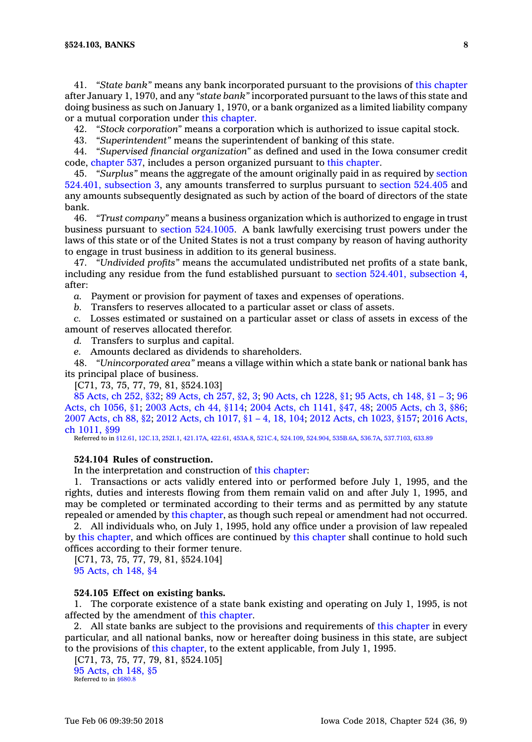41. *"State bank"* means any bank incorporated pursuant to the provisions of this [chapter](https://www.legis.iowa.gov/docs/code//524.pdf) after January 1, 1970, and any *"state bank"* incorporated pursuant to the laws of this state and doing business as such on January 1, 1970, or <sup>a</sup> bank organized as <sup>a</sup> limited liability company or <sup>a</sup> mutual corporation under this [chapter](https://www.legis.iowa.gov/docs/code//524.pdf).

42. *"Stock corporation"* means <sup>a</sup> corporation which is authorized to issue capital stock.

43. *"Superintendent"* means the superintendent of banking of this state.

44. *"Supervised financial organization"* as defined and used in the Iowa consumer credit code, [chapter](https://www.legis.iowa.gov/docs/code//537.pdf) 537, includes <sup>a</sup> person organized pursuant to this [chapter](https://www.legis.iowa.gov/docs/code//524.pdf).

45. *"Surplus"* means the aggregate of the amount originally paid in as required by [section](https://www.legis.iowa.gov/docs/code/524.401.pdf) 524.401, [subsection](https://www.legis.iowa.gov/docs/code/524.401.pdf) 3, any amounts transferred to surplus pursuant to section [524.405](https://www.legis.iowa.gov/docs/code/524.405.pdf) and any amounts subsequently designated as such by action of the board of directors of the state bank.

46. *"Trust company"* means <sup>a</sup> business organization which is authorized to engage in trust business pursuant to section [524.1005](https://www.legis.iowa.gov/docs/code/524.1005.pdf). A bank lawfully exercising trust powers under the laws of this state or of the United States is not <sup>a</sup> trust company by reason of having authority to engage in trust business in addition to its general business.

47. *"Undivided profits"* means the accumulated undistributed net profits of <sup>a</sup> state bank, including any residue from the fund established pursuant to section 524.401, [subsection](https://www.legis.iowa.gov/docs/code/524.401.pdf) 4, after:

*a.* Payment or provision for payment of taxes and expenses of operations.

*b.* Transfers to reserves allocated to <sup>a</sup> particular asset or class of assets.

*c.* Losses estimated or sustained on <sup>a</sup> particular asset or class of assets in excess of the amount of reserves allocated therefor.

*d.* Transfers to surplus and capital.

*e.* Amounts declared as dividends to shareholders.

48. *"Unincorporated area"* means <sup>a</sup> village within which <sup>a</sup> state bank or national bank has its principal place of business.

[C71, 73, 75, 77, 79, 81, §524.103]

85 [Acts,](https://www.legis.iowa.gov/docs/acts/85/CH0252.pdf) ch 252, §32; 89 [Acts,](https://www.legis.iowa.gov/docs/acts/89/CH0257.pdf) ch 257, §2, 3; 90 Acts, ch [1228,](https://www.legis.iowa.gov/docs/acts/90/CH1228.pdf) §1; 95 [Acts,](https://www.legis.iowa.gov/docs/acts/95/CH0148.pdf) ch 148, §1 – 3; [96](https://www.legis.iowa.gov/docs/acts/96/CH1056.pdf) Acts, ch [1056,](https://www.legis.iowa.gov/docs/acts/96/CH1056.pdf) §1; 2003 [Acts,](https://www.legis.iowa.gov/docs/acts/2003/CH0044.pdf) ch 44, §114; 2004 Acts, ch [1141,](https://www.legis.iowa.gov/docs/acts/2004/CH1141.pdf) §47, 48; 2005 [Acts,](https://www.legis.iowa.gov/docs/acts/2005/CH0003.pdf) ch 3, §86; 2007 [Acts,](https://www.legis.iowa.gov/docs/acts/2007/CH0088.pdf) ch 88, §2; 2012 Acts, ch [1017,](https://www.legis.iowa.gov/docs/acts/2012/CH1017.pdf) §1 – 4, 18, 104; 2012 Acts, ch [1023,](https://www.legis.iowa.gov/docs/acts/2012/CH1023.pdf) §157; 2016 [Acts,](https://www.legis.iowa.gov/docs/acts/2016/CH1011.pdf) ch [1011,](https://www.legis.iowa.gov/docs/acts/2016/CH1011.pdf) §99

Referred to in [§12.61](https://www.legis.iowa.gov/docs/code/12.61.pdf), [12C.13,](https://www.legis.iowa.gov/docs/code/12C.13.pdf) [252I.1,](https://www.legis.iowa.gov/docs/code/252I.1.pdf) [421.17A](https://www.legis.iowa.gov/docs/code/421.17A.pdf), [422.61](https://www.legis.iowa.gov/docs/code/422.61.pdf), [453A.8](https://www.legis.iowa.gov/docs/code/453A.8.pdf), [521C.4](https://www.legis.iowa.gov/docs/code/521C.4.pdf), [524.109](https://www.legis.iowa.gov/docs/code/524.109.pdf), [524.904](https://www.legis.iowa.gov/docs/code/524.904.pdf), [535B.6A,](https://www.legis.iowa.gov/docs/code/535B.6A.pdf) [536.7A](https://www.legis.iowa.gov/docs/code/536.7A.pdf), [537.7103](https://www.legis.iowa.gov/docs/code/537.7103.pdf), [633.89](https://www.legis.iowa.gov/docs/code/633.89.pdf)

# **524.104 Rules of construction.**

In the interpretation and construction of this [chapter](https://www.legis.iowa.gov/docs/code//524.pdf):

1. Transactions or acts validly entered into or performed before July 1, 1995, and the rights, duties and interests flowing from them remain valid on and after July 1, 1995, and may be completed or terminated according to their terms and as permitted by any statute repealed or amended by this [chapter](https://www.legis.iowa.gov/docs/code//524.pdf), as though such repeal or amendment had not occurred.

2. All individuals who, on July 1, 1995, hold any office under <sup>a</sup> provision of law repealed by this [chapter](https://www.legis.iowa.gov/docs/code//524.pdf), and which offices are continued by this [chapter](https://www.legis.iowa.gov/docs/code//524.pdf) shall continue to hold such offices according to their former tenure.

[C71, 73, 75, 77, 79, 81, §524.104] 95 [Acts,](https://www.legis.iowa.gov/docs/acts/1995/CH0148.pdf) ch 148, §4

#### **524.105 Effect on existing banks.**

1. The corporate existence of <sup>a</sup> state bank existing and operating on July 1, 1995, is not affected by the amendment of this [chapter](https://www.legis.iowa.gov/docs/code//524.pdf).

2. All state banks are subject to the provisions and requirements of this [chapter](https://www.legis.iowa.gov/docs/code//524.pdf) in every particular, and all national banks, now or hereafter doing business in this state, are subject to the provisions of this [chapter](https://www.legis.iowa.gov/docs/code//524.pdf), to the extent applicable, from July 1, 1995.

[C71, 73, 75, 77, 79, 81, §524.105]

95 [Acts,](https://www.legis.iowa.gov/docs/acts/1995/CH0148.pdf) ch 148, §5 Referred to in [§680.8](https://www.legis.iowa.gov/docs/code/680.8.pdf)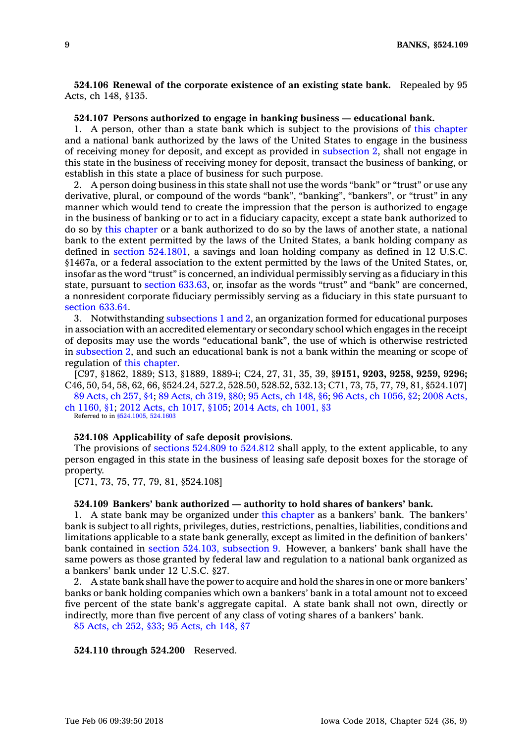**524.106 Renewal of the corporate existence of an existing state bank.** Repealed by 95 Acts, ch 148, §135.

#### **524.107 Persons authorized to engage in banking business — educational bank.**

1. A person, other than <sup>a</sup> state bank which is subject to the provisions of this [chapter](https://www.legis.iowa.gov/docs/code//524.pdf) and <sup>a</sup> national bank authorized by the laws of the United States to engage in the business of receiving money for deposit, and except as provided in [subsection](https://www.legis.iowa.gov/docs/code/524.107.pdf) 2, shall not engage in this state in the business of receiving money for deposit, transact the business of banking, or establish in this state <sup>a</sup> place of business for such purpose.

2. A person doing business in this state shall not use the words "bank" or "trust" or use any derivative, plural, or compound of the words "bank", "banking", "bankers", or "trust" in any manner which would tend to create the impression that the person is authorized to engage in the business of banking or to act in <sup>a</sup> fiduciary capacity, except <sup>a</sup> state bank authorized to do so by this [chapter](https://www.legis.iowa.gov/docs/code//524.pdf) or <sup>a</sup> bank authorized to do so by the laws of another state, <sup>a</sup> national bank to the extent permitted by the laws of the United States, <sup>a</sup> bank holding company as defined in section [524.1801](https://www.legis.iowa.gov/docs/code/524.1801.pdf), <sup>a</sup> savings and loan holding company as defined in 12 U.S.C. §1467a, or <sup>a</sup> federal association to the extent permitted by the laws of the United States, or, insofar as the word "trust" is concerned, an individual permissibly serving as <sup>a</sup> fiduciary in this state, pursuant to section [633.63](https://www.legis.iowa.gov/docs/code/633.63.pdf), or, insofar as the words "trust" and "bank" are concerned, <sup>a</sup> nonresident corporate fiduciary permissibly serving as <sup>a</sup> fiduciary in this state pursuant to [section](https://www.legis.iowa.gov/docs/code/633.64.pdf) 633.64.

3. Notwithstanding [subsections](https://www.legis.iowa.gov/docs/code/524.107.pdf) 1 and 2, an organization formed for educational purposes in association with an accredited elementary or secondary school which engages in the receipt of deposits may use the words "educational bank", the use of which is otherwise restricted in [subsection](https://www.legis.iowa.gov/docs/code/524.107.pdf) 2, and such an educational bank is not <sup>a</sup> bank within the meaning or scope of regulation of this [chapter](https://www.legis.iowa.gov/docs/code//524.pdf).

[C97, §1862, 1889; S13, §1889, 1889-i; C24, 27, 31, 35, 39, §**9151, 9203, 9258, 9259, 9296;** C46, 50, 54, 58, 62, 66, §524.24, 527.2, 528.50, 528.52, 532.13; C71, 73, 75, 77, 79, 81, §524.107]

89 [Acts,](https://www.legis.iowa.gov/docs/acts/89/CH0257.pdf) ch 257, §4; 89 [Acts,](https://www.legis.iowa.gov/docs/acts/89/CH0319.pdf) ch 319, §80; 95 [Acts,](https://www.legis.iowa.gov/docs/acts/95/CH0148.pdf) ch 148, §6; 96 Acts, ch [1056,](https://www.legis.iowa.gov/docs/acts/96/CH1056.pdf) §2; 2008 [Acts,](https://www.legis.iowa.gov/docs/acts/2008/CH1160.pdf) ch [1160,](https://www.legis.iowa.gov/docs/acts/2008/CH1160.pdf) §1; 2012 Acts, ch [1017,](https://www.legis.iowa.gov/docs/acts/2012/CH1017.pdf) §105; 2014 Acts, ch [1001,](https://www.legis.iowa.gov/docs/acts/2014/CH1001.pdf) §3 Referred to in [§524.1005](https://www.legis.iowa.gov/docs/code/524.1005.pdf), [524.1603](https://www.legis.iowa.gov/docs/code/524.1603.pdf)

#### **524.108 Applicability of safe deposit provisions.**

The provisions of [sections](https://www.legis.iowa.gov/docs/code/524.809.pdf) 524.809 to 524.812 shall apply, to the extent applicable, to any person engaged in this state in the business of leasing safe deposit boxes for the storage of property.

[C71, 73, 75, 77, 79, 81, §524.108]

# **524.109 Bankers' bank authorized — authority to hold shares of bankers' bank.**

1. A state bank may be organized under this [chapter](https://www.legis.iowa.gov/docs/code//524.pdf) as <sup>a</sup> bankers' bank. The bankers' bank is subject to all rights, privileges, duties, restrictions, penalties, liabilities, conditions and limitations applicable to <sup>a</sup> state bank generally, except as limited in the definition of bankers' bank contained in section 524.103, [subsection](https://www.legis.iowa.gov/docs/code/524.103.pdf) 9. However, <sup>a</sup> bankers' bank shall have the same powers as those granted by federal law and regulation to <sup>a</sup> national bank organized as <sup>a</sup> bankers' bank under 12 U.S.C. §27.

2. A state bank shall have the power to acquire and hold the shares in one or more bankers' banks or bank holding companies which own <sup>a</sup> bankers' bank in <sup>a</sup> total amount not to exceed five percent of the state bank's aggregate capital. A state bank shall not own, directly or indirectly, more than five percent of any class of voting shares of <sup>a</sup> bankers' bank.

85 [Acts,](https://www.legis.iowa.gov/docs/acts/1985/CH0252.pdf) ch 252, §33; 95 [Acts,](https://www.legis.iowa.gov/docs/acts/1995/CH0148.pdf) ch 148, §7

**524.110 through 524.200** Reserved.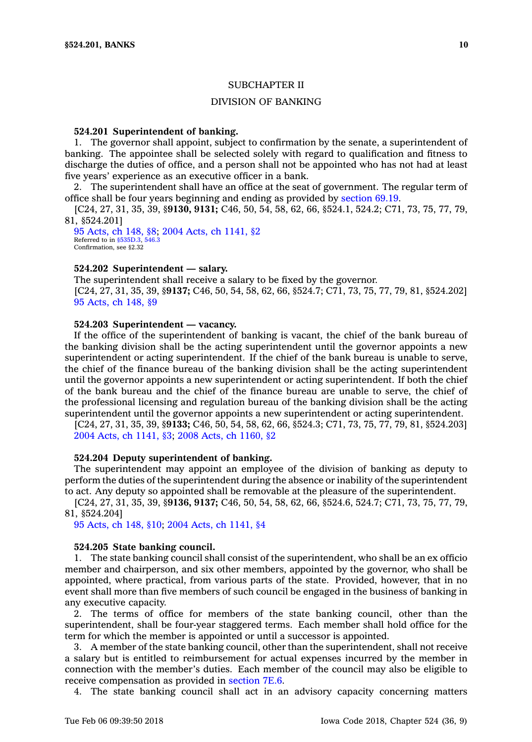# SUBCHAPTER II

# DIVISION OF BANKING

# **524.201 Superintendent of banking.**

1. The governor shall appoint, subject to confirmation by the senate, <sup>a</sup> superintendent of banking. The appointee shall be selected solely with regard to qualification and fitness to discharge the duties of office, and <sup>a</sup> person shall not be appointed who has not had at least five years' experience as an executive officer in <sup>a</sup> bank.

2. The superintendent shall have an office at the seat of government. The regular term of office shall be four years beginning and ending as provided by [section](https://www.legis.iowa.gov/docs/code/69.19.pdf) 69.19.

[C24, 27, 31, 35, 39, §**9130, 9131;** C46, 50, 54, 58, 62, 66, §524.1, 524.2; C71, 73, 75, 77, 79, 81, §524.201]

95 [Acts,](https://www.legis.iowa.gov/docs/acts/1995/CH0148.pdf) ch 148, §8; 2004 Acts, ch [1141,](https://www.legis.iowa.gov/docs/acts/2004/CH1141.pdf) §2 Referred to in [§535D.3](https://www.legis.iowa.gov/docs/code/535D.3.pdf), [546.3](https://www.legis.iowa.gov/docs/code/546.3.pdf) Confirmation, see §2.32

#### **524.202 Superintendent —salary.**

The superintendent shall receive <sup>a</sup> salary to be fixed by the governor. [C24, 27, 31, 35, 39, §**9137;** C46, 50, 54, 58, 62, 66, §524.7; C71, 73, 75, 77, 79, 81, §524.202] 95 [Acts,](https://www.legis.iowa.gov/docs/acts/1995/CH0148.pdf) ch 148, §9

# **524.203 Superintendent —vacancy.**

If the office of the superintendent of banking is vacant, the chief of the bank bureau of the banking division shall be the acting superintendent until the governor appoints <sup>a</sup> new superintendent or acting superintendent. If the chief of the bank bureau is unable to serve, the chief of the finance bureau of the banking division shall be the acting superintendent until the governor appoints <sup>a</sup> new superintendent or acting superintendent. If both the chief of the bank bureau and the chief of the finance bureau are unable to serve, the chief of the professional licensing and regulation bureau of the banking division shall be the acting superintendent until the governor appoints a new superintendent or acting superintendent.

[C24, 27, 31, 35, 39, §**9133;** C46, 50, 54, 58, 62, 66, §524.3; C71, 73, 75, 77, 79, 81, §524.203] 2004 Acts, ch [1141,](https://www.legis.iowa.gov/docs/acts/2004/CH1141.pdf) §3; 2008 Acts, ch [1160,](https://www.legis.iowa.gov/docs/acts/2008/CH1160.pdf) §2

# **524.204 Deputy superintendent of banking.**

The superintendent may appoint an employee of the division of banking as deputy to perform the duties of the superintendent during the absence or inability of the superintendent to act. Any deputy so appointed shall be removable at the pleasure of the superintendent.

[C24, 27, 31, 35, 39, §**9136, 9137;** C46, 50, 54, 58, 62, 66, §524.6, 524.7; C71, 73, 75, 77, 79, 81, §524.204]

95 [Acts,](https://www.legis.iowa.gov/docs/acts/1995/CH0148.pdf) ch 148, §10; 2004 Acts, ch [1141,](https://www.legis.iowa.gov/docs/acts/2004/CH1141.pdf) §4

#### **524.205 State banking council.**

1. The state banking council shall consist of the superintendent, who shall be an ex officio member and chairperson, and six other members, appointed by the governor, who shall be appointed, where practical, from various parts of the state. Provided, however, that in no event shall more than five members of such council be engaged in the business of banking in any executive capacity.

2. The terms of office for members of the state banking council, other than the superintendent, shall be four-year staggered terms. Each member shall hold office for the term for which the member is appointed or until <sup>a</sup> successor is appointed.

3. A member of the state banking council, other than the superintendent, shall not receive <sup>a</sup> salary but is entitled to reimbursement for actual expenses incurred by the member in connection with the member's duties. Each member of the council may also be eligible to receive compensation as provided in [section](https://www.legis.iowa.gov/docs/code/7E.6.pdf) 7E.6.

4. The state banking council shall act in an advisory capacity concerning matters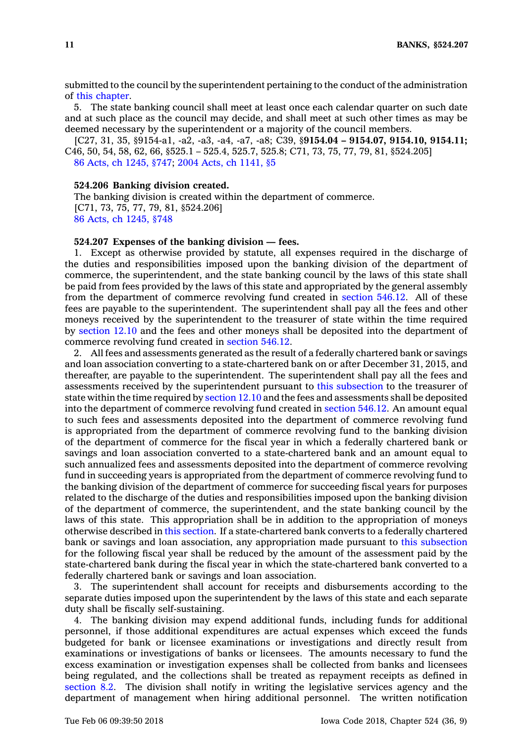submitted to the council by the superintendent pertaining to the conduct of the administration of this [chapter](https://www.legis.iowa.gov/docs/code//524.pdf).

5. The state banking council shall meet at least once each calendar quarter on such date and at such place as the council may decide, and shall meet at such other times as may be deemed necessary by the superintendent or <sup>a</sup> majority of the council members.

[C27, 31, 35, §9154-a1, -a2, -a3, -a4, -a7, -a8; C39, §**9154.04 – 9154.07, 9154.10, 9154.11;** C46, 50, 54, 58, 62, 66, §525.1 – 525.4, 525.7, 525.8; C71, 73, 75, 77, 79, 81, §524.205] 86 Acts, ch [1245,](https://www.legis.iowa.gov/docs/acts/1986/CH1245.pdf) §747; 2004 Acts, ch [1141,](https://www.legis.iowa.gov/docs/acts/2004/CH1141.pdf) §5

#### **524.206 Banking division created.**

The banking division is created within the department of commerce. [C71, 73, 75, 77, 79, 81, §524.206] 86 Acts, ch [1245,](https://www.legis.iowa.gov/docs/acts/1986/CH1245.pdf) §748

#### **524.207 Expenses of the banking division — fees.**

1. Except as otherwise provided by statute, all expenses required in the discharge of the duties and responsibilities imposed upon the banking division of the department of commerce, the superintendent, and the state banking council by the laws of this state shall be paid from fees provided by the laws of this state and appropriated by the general assembly from the department of commerce revolving fund created in [section](https://www.legis.iowa.gov/docs/code/546.12.pdf) 546.12. All of these fees are payable to the superintendent. The superintendent shall pay all the fees and other moneys received by the superintendent to the treasurer of state within the time required by [section](https://www.legis.iowa.gov/docs/code/12.10.pdf) 12.10 and the fees and other moneys shall be deposited into the department of commerce revolving fund created in [section](https://www.legis.iowa.gov/docs/code/546.12.pdf) 546.12.

2. All fees and assessments generated as the result of <sup>a</sup> federally chartered bank or savings and loan association converting to <sup>a</sup> state-chartered bank on or after December 31, 2015, and thereafter, are payable to the superintendent. The superintendent shall pay all the fees and assessments received by the superintendent pursuant to this [subsection](https://www.legis.iowa.gov/docs/code/524.207.pdf) to the treasurer of state within the time required by [section](https://www.legis.iowa.gov/docs/code/12.10.pdf) 12.10 and the fees and assessments shall be deposited into the department of commerce revolving fund created in [section](https://www.legis.iowa.gov/docs/code/546.12.pdf) 546.12. An amount equal to such fees and assessments deposited into the department of commerce revolving fund is appropriated from the department of commerce revolving fund to the banking division of the department of commerce for the fiscal year in which <sup>a</sup> federally chartered bank or savings and loan association converted to <sup>a</sup> state-chartered bank and an amount equal to such annualized fees and assessments deposited into the department of commerce revolving fund in succeeding years is appropriated from the department of commerce revolving fund to the banking division of the department of commerce for succeeding fiscal years for purposes related to the discharge of the duties and responsibilities imposed upon the banking division of the department of commerce, the superintendent, and the state banking council by the laws of this state. This appropriation shall be in addition to the appropriation of moneys otherwise described in this [section](https://www.legis.iowa.gov/docs/code/524.207.pdf). If <sup>a</sup> state-chartered bank converts to <sup>a</sup> federally chartered bank or savings and loan association, any appropriation made pursuant to this [subsection](https://www.legis.iowa.gov/docs/code/524.207.pdf) for the following fiscal year shall be reduced by the amount of the assessment paid by the state-chartered bank during the fiscal year in which the state-chartered bank converted to <sup>a</sup> federally chartered bank or savings and loan association.

3. The superintendent shall account for receipts and disbursements according to the separate duties imposed upon the superintendent by the laws of this state and each separate duty shall be fiscally self-sustaining.

4. The banking division may expend additional funds, including funds for additional personnel, if those additional expenditures are actual expenses which exceed the funds budgeted for bank or licensee examinations or investigations and directly result from examinations or investigations of banks or licensees. The amounts necessary to fund the excess examination or investigation expenses shall be collected from banks and licensees being regulated, and the collections shall be treated as repayment receipts as defined in [section](https://www.legis.iowa.gov/docs/code/8.2.pdf) 8.2. The division shall notify in writing the legislative services agency and the department of management when hiring additional personnel. The written notification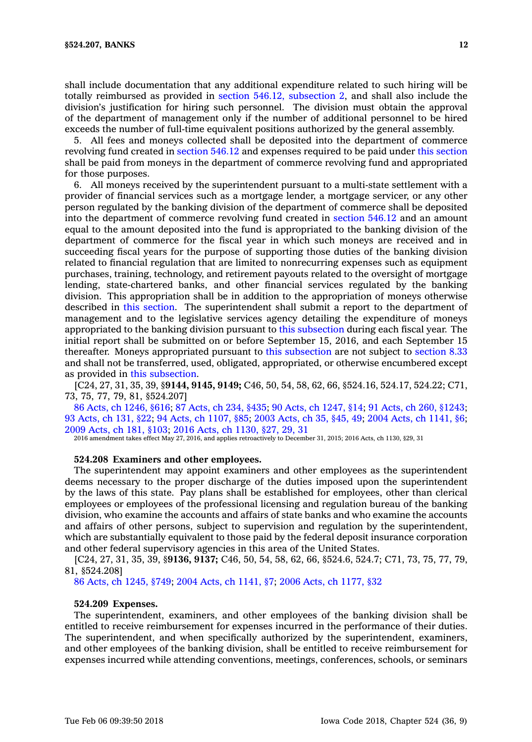shall include documentation that any additional expenditure related to such hiring will be totally reimbursed as provided in section 546.12, [subsection](https://www.legis.iowa.gov/docs/code/546.12.pdf) 2, and shall also include the division's justification for hiring such personnel. The division must obtain the approval of the department of management only if the number of additional personnel to be hired

exceeds the number of full-time equivalent positions authorized by the general assembly. 5. All fees and moneys collected shall be deposited into the department of commerce revolving fund created in [section](https://www.legis.iowa.gov/docs/code/546.12.pdf) 546.12 and expenses required to be paid under this [section](https://www.legis.iowa.gov/docs/code/524.207.pdf) shall be paid from moneys in the department of commerce revolving fund and appropriated for those purposes.

6. All moneys received by the superintendent pursuant to <sup>a</sup> multi-state settlement with <sup>a</sup> provider of financial services such as <sup>a</sup> mortgage lender, <sup>a</sup> mortgage servicer, or any other person regulated by the banking division of the department of commerce shall be deposited into the department of commerce revolving fund created in [section](https://www.legis.iowa.gov/docs/code/546.12.pdf) 546.12 and an amount equal to the amount deposited into the fund is appropriated to the banking division of the department of commerce for the fiscal year in which such moneys are received and in succeeding fiscal years for the purpose of supporting those duties of the banking division related to financial regulation that are limited to nonrecurring expenses such as equipment purchases, training, technology, and retirement payouts related to the oversight of mortgage lending, state-chartered banks, and other financial services regulated by the banking division. This appropriation shall be in addition to the appropriation of moneys otherwise described in this [section](https://www.legis.iowa.gov/docs/code/524.207.pdf). The superintendent shall submit <sup>a</sup> report to the department of management and to the legislative services agency detailing the expenditure of moneys appropriated to the banking division pursuant to this [subsection](https://www.legis.iowa.gov/docs/code/524.207.pdf) during each fiscal year. The initial report shall be submitted on or before September 15, 2016, and each September 15 thereafter. Moneys appropriated pursuant to this [subsection](https://www.legis.iowa.gov/docs/code/524.207.pdf) are not subject to [section](https://www.legis.iowa.gov/docs/code/8.33.pdf) 8.33 and shall not be transferred, used, obligated, appropriated, or otherwise encumbered except as provided in this [subsection](https://www.legis.iowa.gov/docs/code/524.207.pdf).

[C24, 27, 31, 35, 39, §**9144, 9145, 9149;** C46, 50, 54, 58, 62, 66, §524.16, 524.17, 524.22; C71, 73, 75, 77, 79, 81, §524.207]

86 Acts, ch [1246,](https://www.legis.iowa.gov/docs/acts/86/CH1246.pdf) §616; 87 [Acts,](https://www.legis.iowa.gov/docs/acts/87/CH0234.pdf) ch 234, §435; 90 Acts, ch [1247,](https://www.legis.iowa.gov/docs/acts/90/CH1247.pdf) §14; 91 Acts, ch 260, [§1243](https://www.legis.iowa.gov/docs/acts/91/CH0260.pdf); 93 [Acts,](https://www.legis.iowa.gov/docs/acts/93/CH0131.pdf) ch 131, §22; 94 Acts, ch [1107,](https://www.legis.iowa.gov/docs/acts/94/CH1107.pdf) §85; 2003 [Acts,](https://www.legis.iowa.gov/docs/acts/2003/CH0035.pdf) ch 35, §45, 49; 2004 Acts, ch [1141,](https://www.legis.iowa.gov/docs/acts/2004/CH1141.pdf) §6; 2009 [Acts,](https://www.legis.iowa.gov/docs/acts/2009/CH0181.pdf) ch 181, §103; 2016 Acts, ch [1130,](https://www.legis.iowa.gov/docs/acts/2016/CH1130.pdf) §27, 29, 31

2016 amendment takes effect May 27, 2016, and applies retroactively to December 31, 2015; 2016 Acts, ch 1130, §29, 31

#### **524.208 Examiners and other employees.**

The superintendent may appoint examiners and other employees as the superintendent deems necessary to the proper discharge of the duties imposed upon the superintendent by the laws of this state. Pay plans shall be established for employees, other than clerical employees or employees of the professional licensing and regulation bureau of the banking division, who examine the accounts and affairs of state banks and who examine the accounts and affairs of other persons, subject to supervision and regulation by the superintendent, which are substantially equivalent to those paid by the federal deposit insurance corporation and other federal supervisory agencies in this area of the United States.

[C24, 27, 31, 35, 39, §**9136, 9137;** C46, 50, 54, 58, 62, 66, §524.6, 524.7; C71, 73, 75, 77, 79, 81, §524.208]

86 Acts, ch [1245,](https://www.legis.iowa.gov/docs/acts/1986/CH1245.pdf) §749; 2004 Acts, ch [1141,](https://www.legis.iowa.gov/docs/acts/2004/CH1141.pdf) §7; 2006 Acts, ch [1177,](https://www.legis.iowa.gov/docs/acts/2006/CH1177.pdf) §32

#### **524.209 Expenses.**

The superintendent, examiners, and other employees of the banking division shall be entitled to receive reimbursement for expenses incurred in the performance of their duties. The superintendent, and when specifically authorized by the superintendent, examiners, and other employees of the banking division, shall be entitled to receive reimbursement for expenses incurred while attending conventions, meetings, conferences, schools, or seminars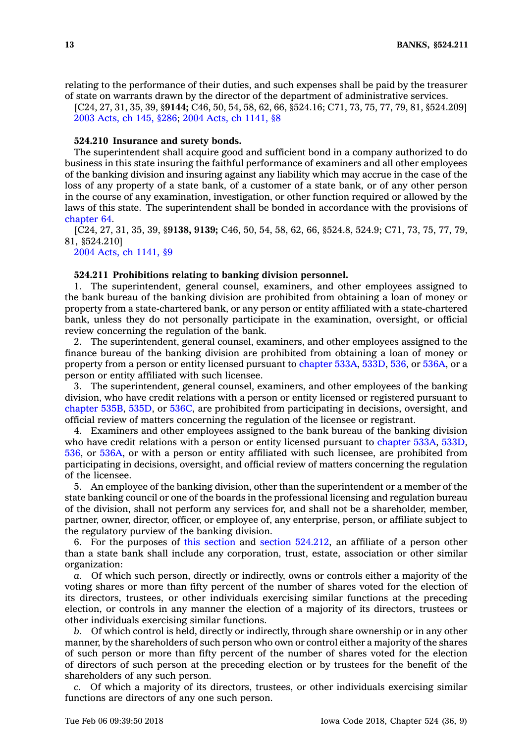relating to the performance of their duties, and such expenses shall be paid by the treasurer of state on warrants drawn by the director of the department of administrative services.

[C24, 27, 31, 35, 39, §**9144;** C46, 50, 54, 58, 62, 66, §524.16; C71, 73, 75, 77, 79, 81, §524.209] 2003 [Acts,](https://www.legis.iowa.gov/docs/acts/2003/CH0145.pdf) ch 145, §286; 2004 Acts, ch [1141,](https://www.legis.iowa.gov/docs/acts/2004/CH1141.pdf) §8

#### **524.210 Insurance and surety bonds.**

The superintendent shall acquire good and sufficient bond in <sup>a</sup> company authorized to do business in this state insuring the faithful performance of examiners and all other employees of the banking division and insuring against any liability which may accrue in the case of the loss of any property of <sup>a</sup> state bank, of <sup>a</sup> customer of <sup>a</sup> state bank, or of any other person in the course of any examination, investigation, or other function required or allowed by the laws of this state. The superintendent shall be bonded in accordance with the provisions of [chapter](https://www.legis.iowa.gov/docs/code//64.pdf) 64.

[C24, 27, 31, 35, 39, §**9138, 9139;** C46, 50, 54, 58, 62, 66, §524.8, 524.9; C71, 73, 75, 77, 79, 81, §524.210]

2004 Acts, ch [1141,](https://www.legis.iowa.gov/docs/acts/2004/CH1141.pdf) §9

# **524.211 Prohibitions relating to banking division personnel.**

1. The superintendent, general counsel, examiners, and other employees assigned to the bank bureau of the banking division are prohibited from obtaining <sup>a</sup> loan of money or property from <sup>a</sup> state-chartered bank, or any person or entity affiliated with <sup>a</sup> state-chartered bank, unless they do not personally participate in the examination, oversight, or official review concerning the regulation of the bank.

2. The superintendent, general counsel, examiners, and other employees assigned to the finance bureau of the banking division are prohibited from obtaining <sup>a</sup> loan of money or property from <sup>a</sup> person or entity licensed pursuant to [chapter](https://www.legis.iowa.gov/docs/code//533A.pdf) 533A, [533D](https://www.legis.iowa.gov/docs/code//533D.pdf), [536](https://www.legis.iowa.gov/docs/code//536.pdf), or [536A](https://www.legis.iowa.gov/docs/code//536A.pdf), or <sup>a</sup> person or entity affiliated with such licensee.

3. The superintendent, general counsel, examiners, and other employees of the banking division, who have credit relations with <sup>a</sup> person or entity licensed or registered pursuant to [chapter](https://www.legis.iowa.gov/docs/code//535B.pdf) 535B, [535D](https://www.legis.iowa.gov/docs/code//535D.pdf), or [536C](https://www.legis.iowa.gov/docs/code//536C.pdf), are prohibited from participating in decisions, oversight, and official review of matters concerning the regulation of the licensee or registrant.

4. Examiners and other employees assigned to the bank bureau of the banking division who have credit relations with <sup>a</sup> person or entity licensed pursuant to [chapter](https://www.legis.iowa.gov/docs/code//533A.pdf) 533A, [533D](https://www.legis.iowa.gov/docs/code//533D.pdf), [536](https://www.legis.iowa.gov/docs/code//536.pdf), or [536A](https://www.legis.iowa.gov/docs/code//536A.pdf), or with <sup>a</sup> person or entity affiliated with such licensee, are prohibited from participating in decisions, oversight, and official review of matters concerning the regulation of the licensee.

5. An employee of the banking division, other than the superintendent or <sup>a</sup> member of the state banking council or one of the boards in the professional licensing and regulation bureau of the division, shall not perform any services for, and shall not be <sup>a</sup> shareholder, member, partner, owner, director, officer, or employee of, any enterprise, person, or affiliate subject to the regulatory purview of the banking division.

6. For the purposes of this [section](https://www.legis.iowa.gov/docs/code/524.211.pdf) and section [524.212](https://www.legis.iowa.gov/docs/code/524.212.pdf), an affiliate of <sup>a</sup> person other than <sup>a</sup> state bank shall include any corporation, trust, estate, association or other similar organization:

*a.* Of which such person, directly or indirectly, owns or controls either <sup>a</sup> majority of the voting shares or more than fifty percent of the number of shares voted for the election of its directors, trustees, or other individuals exercising similar functions at the preceding election, or controls in any manner the election of <sup>a</sup> majority of its directors, trustees or other individuals exercising similar functions.

*b.* Of which control is held, directly or indirectly, through share ownership or in any other manner, by the shareholders of such person who own or control either <sup>a</sup> majority of the shares of such person or more than fifty percent of the number of shares voted for the election of directors of such person at the preceding election or by trustees for the benefit of the shareholders of any such person.

*c.* Of which <sup>a</sup> majority of its directors, trustees, or other individuals exercising similar functions are directors of any one such person.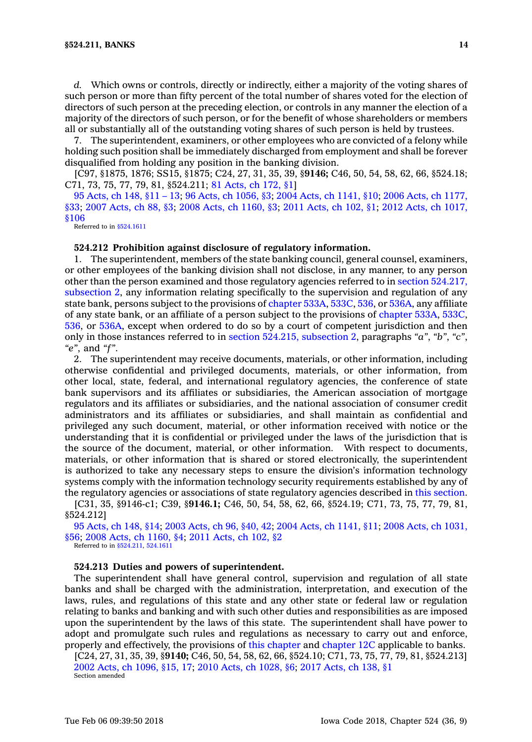d. Which owns or controls, directly or indirectly, either a majority of the voting shares of such person or more than fifty percent of the total number of shares voted for the election of directors of such person at the preceding election, or controls in any manner the election of <sup>a</sup> majority of the directors of such person, or for the benefit of whose shareholders or members all or substantially all of the outstanding voting shares of such person is held by trustees.

7. The superintendent, examiners, or other employees who are convicted of <sup>a</sup> felony while holding such position shall be immediately discharged from employment and shall be forever disqualified from holding any position in the banking division.

[C97, §1875, 1876; SS15, §1875; C24, 27, 31, 35, 39, §**9146;** C46, 50, 54, 58, 62, 66, §524.18; C71, 73, 75, 77, 79, 81, §524.211; 81 [Acts,](https://www.legis.iowa.gov/docs/acts/1981/CH0172.pdf) ch 172, §1]

95 [Acts,](https://www.legis.iowa.gov/docs/acts/95/CH0148.pdf) ch 148, §11 – 13; 96 Acts, ch [1056,](https://www.legis.iowa.gov/docs/acts/96/CH1056.pdf) §3; 2004 Acts, ch [1141,](https://www.legis.iowa.gov/docs/acts/2004/CH1141.pdf) §10; 2006 Acts, ch [1177,](https://www.legis.iowa.gov/docs/acts/2006/CH1177.pdf) [§33](https://www.legis.iowa.gov/docs/acts/2006/CH1177.pdf); 2007 [Acts,](https://www.legis.iowa.gov/docs/acts/2007/CH0088.pdf) ch 88, §3; 2008 Acts, ch [1160,](https://www.legis.iowa.gov/docs/acts/2008/CH1160.pdf) §3; 2011 [Acts,](https://www.legis.iowa.gov/docs/acts/2011/CH0102.pdf) ch 102, §1; 2012 Acts, ch [1017,](https://www.legis.iowa.gov/docs/acts/2012/CH1017.pdf) [§106](https://www.legis.iowa.gov/docs/acts/2012/CH1017.pdf)

Referred to in  $$524.1611$ 

#### **524.212 Prohibition against disclosure of regulatory information.**

1. The superintendent, members of the state banking council, general counsel, examiners, or other employees of the banking division shall not disclose, in any manner, to any person other than the person examined and those regulatory agencies referred to in section [524.217,](https://www.legis.iowa.gov/docs/code/524.217.pdf) [subsection](https://www.legis.iowa.gov/docs/code/524.217.pdf) 2, any information relating specifically to the supervision and regulation of any state bank, persons subject to the provisions of [chapter](https://www.legis.iowa.gov/docs/code//533A.pdf) 533A, [533C](https://www.legis.iowa.gov/docs/code//533C.pdf), [536](https://www.legis.iowa.gov/docs/code//536.pdf), or [536A](https://www.legis.iowa.gov/docs/code//536A.pdf), any affiliate of any state bank, or an affiliate of <sup>a</sup> person subject to the provisions of [chapter](https://www.legis.iowa.gov/docs/code//533A.pdf) 533A, [533C](https://www.legis.iowa.gov/docs/code//533C.pdf), [536](https://www.legis.iowa.gov/docs/code//536.pdf), or [536A](https://www.legis.iowa.gov/docs/code//536A.pdf), except when ordered to do so by <sup>a</sup> court of competent jurisdiction and then only in those instances referred to in section 524.215, [subsection](https://www.legis.iowa.gov/docs/code/524.215.pdf) 2, paragraphs *"a"*, *"b"*, *"c"*, *"e"*, and *"f"*.

2. The superintendent may receive documents, materials, or other information, including otherwise confidential and privileged documents, materials, or other information, from other local, state, federal, and international regulatory agencies, the conference of state bank supervisors and its affiliates or subsidiaries, the American association of mortgage regulators and its affiliates or subsidiaries, and the national association of consumer credit administrators and its affiliates or subsidiaries, and shall maintain as confidential and privileged any such document, material, or other information received with notice or the understanding that it is confidential or privileged under the laws of the jurisdiction that is the source of the document, material, or other information. With respect to documents, materials, or other information that is shared or stored electronically, the superintendent is authorized to take any necessary steps to ensure the division's information technology systems comply with the information technology security requirements established by any of the regulatory agencies or associations of state regulatory agencies described in this [section](https://www.legis.iowa.gov/docs/code/524.212.pdf).

[C31, 35, §9146-c1; C39, §**9146.1;** C46, 50, 54, 58, 62, 66, §524.19; C71, 73, 75, 77, 79, 81, §524.212]

95 [Acts,](https://www.legis.iowa.gov/docs/acts/95/CH0148.pdf) ch 148, §14; 2003 [Acts,](https://www.legis.iowa.gov/docs/acts/2003/CH0096.pdf) ch 96, §40, 42; 2004 Acts, ch [1141,](https://www.legis.iowa.gov/docs/acts/2004/CH1141.pdf) §11; 2008 Acts, ch [1031,](https://www.legis.iowa.gov/docs/acts/2008/CH1031.pdf) [§56](https://www.legis.iowa.gov/docs/acts/2008/CH1031.pdf); 2008 Acts, ch [1160,](https://www.legis.iowa.gov/docs/acts/2008/CH1160.pdf) §4; 2011 [Acts,](https://www.legis.iowa.gov/docs/acts/2011/CH0102.pdf) ch 102, §2 Referred to in [§524.211](https://www.legis.iowa.gov/docs/code/524.211.pdf), [524.1611](https://www.legis.iowa.gov/docs/code/524.1611.pdf)

# **524.213 Duties and powers of superintendent.**

The superintendent shall have general control, supervision and regulation of all state banks and shall be charged with the administration, interpretation, and execution of the laws, rules, and regulations of this state and any other state or federal law or regulation relating to banks and banking and with such other duties and responsibilities as are imposed upon the superintendent by the laws of this state. The superintendent shall have power to adopt and promulgate such rules and regulations as necessary to carry out and enforce, properly and effectively, the provisions of this [chapter](https://www.legis.iowa.gov/docs/code//524.pdf) and [chapter](https://www.legis.iowa.gov/docs/code//12C.pdf) 12C applicable to banks.

[C24, 27, 31, 35, 39, §**9140;** C46, 50, 54, 58, 62, 66, §524.10; C71, 73, 75, 77, 79, 81, §524.213] 2002 Acts, ch [1096,](https://www.legis.iowa.gov/docs/acts/2002/CH1096.pdf) §15, 17; 2010 Acts, ch [1028,](https://www.legis.iowa.gov/docs/acts/2010/CH1028.pdf) §6; 2017 [Acts,](https://www.legis.iowa.gov/docs/acts/2017/CH0138.pdf) ch 138, §1 Section amended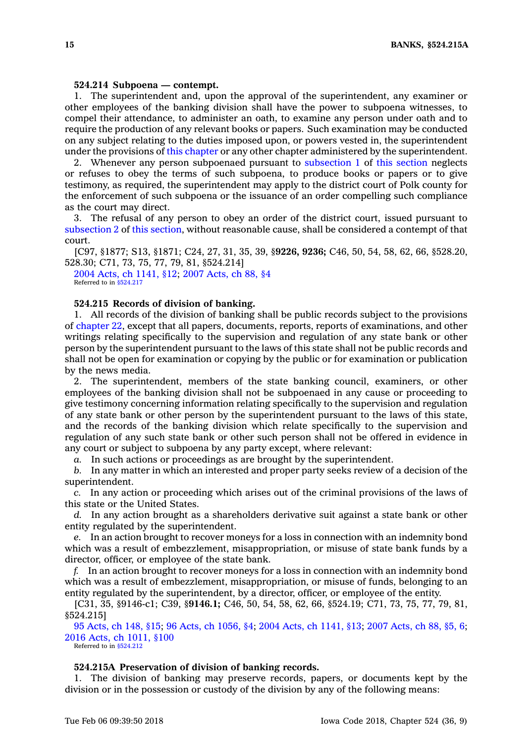#### **524.214 Subpoena — contempt.**

1. The superintendent and, upon the approval of the superintendent, any examiner or other employees of the banking division shall have the power to subpoena witnesses, to compel their attendance, to administer an oath, to examine any person under oath and to require the production of any relevant books or papers. Such examination may be conducted on any subject relating to the duties imposed upon, or powers vested in, the superintendent under the provisions of this [chapter](https://www.legis.iowa.gov/docs/code//524.pdf) or any other chapter administered by the superintendent.

2. Whenever any person subpoenaed pursuant to [subsection](https://www.legis.iowa.gov/docs/code/524.214.pdf) 1 of this [section](https://www.legis.iowa.gov/docs/code/524.214.pdf) neglects or refuses to obey the terms of such subpoena, to produce books or papers or to give testimony, as required, the superintendent may apply to the district court of Polk county for the enforcement of such subpoena or the issuance of an order compelling such compliance as the court may direct.

3. The refusal of any person to obey an order of the district court, issued pursuant to [subsection](https://www.legis.iowa.gov/docs/code/524.214.pdf) 2 of this [section](https://www.legis.iowa.gov/docs/code/524.214.pdf), without reasonable cause, shall be considered <sup>a</sup> contempt of that court.

[C97, §1877; S13, §1871; C24, 27, 31, 35, 39, §**9226, 9236;** C46, 50, 54, 58, 62, 66, §528.20, 528.30; C71, 73, 75, 77, 79, 81, §524.214]

2004 Acts, ch [1141,](https://www.legis.iowa.gov/docs/acts/2004/CH1141.pdf) §12; 2007 [Acts,](https://www.legis.iowa.gov/docs/acts/2007/CH0088.pdf) ch 88, §4 Referred to in \$524,217

# **524.215 Records of division of banking.**

1. All records of the division of banking shall be public records subject to the provisions of [chapter](https://www.legis.iowa.gov/docs/code//22.pdf) 22, except that all papers, documents, reports, reports of examinations, and other writings relating specifically to the supervision and regulation of any state bank or other person by the superintendent pursuant to the laws of this state shall not be public records and shall not be open for examination or copying by the public or for examination or publication by the news media.

2. The superintendent, members of the state banking council, examiners, or other employees of the banking division shall not be subpoenaed in any cause or proceeding to give testimony concerning information relating specifically to the supervision and regulation of any state bank or other person by the superintendent pursuant to the laws of this state, and the records of the banking division which relate specifically to the supervision and regulation of any such state bank or other such person shall not be offered in evidence in any court or subject to subpoena by any party except, where relevant:

*a.* In such actions or proceedings as are brought by the superintendent.

*b.* In any matter in which an interested and proper party seeks review of <sup>a</sup> decision of the superintendent.

*c.* In any action or proceeding which arises out of the criminal provisions of the laws of this state or the United States.

*d.* In any action brought as <sup>a</sup> shareholders derivative suit against <sup>a</sup> state bank or other entity regulated by the superintendent.

*e.* In an action brought to recover moneys for <sup>a</sup> loss in connection with an indemnity bond which was <sup>a</sup> result of embezzlement, misappropriation, or misuse of state bank funds by <sup>a</sup> director, officer, or employee of the state bank.

*f.* In an action brought to recover moneys for <sup>a</sup> loss in connection with an indemnity bond which was <sup>a</sup> result of embezzlement, misappropriation, or misuse of funds, belonging to an entity regulated by the superintendent, by <sup>a</sup> director, officer, or employee of the entity.

[C31, 35, §9146-c1; C39, §**9146.1;** C46, 50, 54, 58, 62, 66, §524.19; C71, 73, 75, 77, 79, 81, §524.215]

95 [Acts,](https://www.legis.iowa.gov/docs/acts/95/CH0148.pdf) ch 148, §15; 96 Acts, ch [1056,](https://www.legis.iowa.gov/docs/acts/96/CH1056.pdf) §4; 2004 Acts, ch [1141,](https://www.legis.iowa.gov/docs/acts/2004/CH1141.pdf) §13; 2007 [Acts,](https://www.legis.iowa.gov/docs/acts/2007/CH0088.pdf) ch 88, §5, 6; 2016 Acts, ch [1011,](https://www.legis.iowa.gov/docs/acts/2016/CH1011.pdf) §100 Referred to in [§524.212](https://www.legis.iowa.gov/docs/code/524.212.pdf)

#### **524.215A Preservation of division of banking records.**

1. The division of banking may preserve records, papers, or documents kept by the division or in the possession or custody of the division by any of the following means: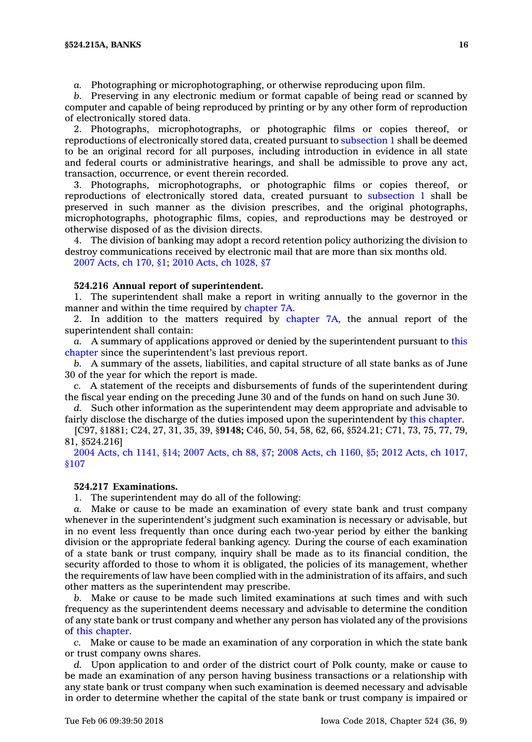*a.* Photographing or microphotographing, or otherwise reproducing upon film.

*b.* Preserving in any electronic medium or format capable of being read or scanned by computer and capable of being reproduced by printing or by any other form of reproduction of electronically stored data.

2. Photographs, microphotographs, or photographic films or copies thereof, or reproductions of electronically stored data, created pursuant to [subsection](https://www.legis.iowa.gov/docs/code/524.215A.pdf) 1 shall be deemed to be an original record for all purposes, including introduction in evidence in all state and federal courts or administrative hearings, and shall be admissible to prove any act, transaction, occurrence, or event therein recorded.

3. Photographs, microphotographs, or photographic films or copies thereof, or reproductions of electronically stored data, created pursuant to [subsection](https://www.legis.iowa.gov/docs/code/524.215A.pdf) 1 shall be preserved in such manner as the division prescribes, and the original photographs, microphotographs, photographic films, copies, and reproductions may be destroyed or otherwise disposed of as the division directs.

4. The division of banking may adopt <sup>a</sup> record retention policy authorizing the division to destroy communications received by electronic mail that are more than six months old.

2007 [Acts,](https://www.legis.iowa.gov/docs/acts/2007/CH0170.pdf) ch 170, §1; 2010 Acts, ch [1028,](https://www.legis.iowa.gov/docs/acts/2010/CH1028.pdf) §7

# **524.216 Annual report of superintendent.**

1. The superintendent shall make <sup>a</sup> report in writing annually to the governor in the manner and within the time required by [chapter](https://www.legis.iowa.gov/docs/code//7A.pdf) 7A.

2. In addition to the matters required by [chapter](https://www.legis.iowa.gov/docs/code//7A.pdf) 7A, the annual report of the superintendent shall contain:

*a.* A summary of applications approved or denied by the superintendent pursuant to [this](https://www.legis.iowa.gov/docs/code//524.pdf) [chapter](https://www.legis.iowa.gov/docs/code//524.pdf) since the superintendent's last previous report.

*b.* A summary of the assets, liabilities, and capital structure of all state banks as of June 30 of the year for which the report is made.

*c.* A statement of the receipts and disbursements of funds of the superintendent during the fiscal year ending on the preceding June 30 and of the funds on hand on such June 30.

*d.* Such other information as the superintendent may deem appropriate and advisable to fairly disclose the discharge of the duties imposed upon the superintendent by this [chapter](https://www.legis.iowa.gov/docs/code//524.pdf).

[C97, §1881; C24, 27, 31, 35, 39, §**9148;** C46, 50, 54, 58, 62, 66, §524.21; C71, 73, 75, 77, 79, 81, §524.216]

2004 Acts, ch [1141,](https://www.legis.iowa.gov/docs/acts/2004/CH1141.pdf) §14; 2007 [Acts,](https://www.legis.iowa.gov/docs/acts/2007/CH0088.pdf) ch 88, §7; 2008 Acts, ch [1160,](https://www.legis.iowa.gov/docs/acts/2008/CH1160.pdf) §5; 2012 Acts, ch [1017,](https://www.legis.iowa.gov/docs/acts/2012/CH1017.pdf) [§107](https://www.legis.iowa.gov/docs/acts/2012/CH1017.pdf)

# **524.217 Examinations.**

1. The superintendent may do all of the following:

*a.* Make or cause to be made an examination of every state bank and trust company whenever in the superintendent's judgment such examination is necessary or advisable, but in no event less frequently than once during each two-year period by either the banking division or the appropriate federal banking agency. During the course of each examination of <sup>a</sup> state bank or trust company, inquiry shall be made as to its financial condition, the security afforded to those to whom it is obligated, the policies of its management, whether the requirements of law have been complied with in the administration of its affairs, and such other matters as the superintendent may prescribe.

*b.* Make or cause to be made such limited examinations at such times and with such frequency as the superintendent deems necessary and advisable to determine the condition of any state bank or trust company and whether any person has violated any of the provisions of this [chapter](https://www.legis.iowa.gov/docs/code//524.pdf).

*c.* Make or cause to be made an examination of any corporation in which the state bank or trust company owns shares.

*d.* Upon application to and order of the district court of Polk county, make or cause to be made an examination of any person having business transactions or <sup>a</sup> relationship with any state bank or trust company when such examination is deemed necessary and advisable in order to determine whether the capital of the state bank or trust company is impaired or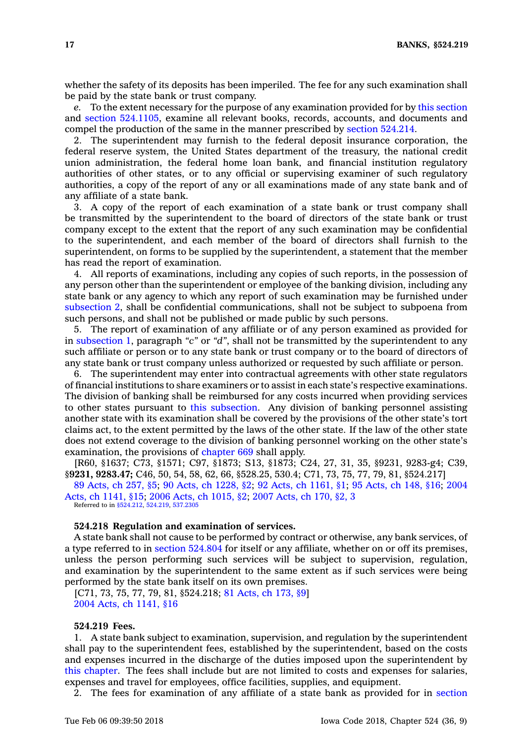whether the safety of its deposits has been imperiled. The fee for any such examination shall be paid by the state bank or trust company.

*e.* To the extent necessary for the purpose of any examination provided for by this [section](https://www.legis.iowa.gov/docs/code/524.217.pdf) and section [524.1105](https://www.legis.iowa.gov/docs/code/524.1105.pdf), examine all relevant books, records, accounts, and documents and compel the production of the same in the manner prescribed by section [524.214](https://www.legis.iowa.gov/docs/code/524.214.pdf).

2. The superintendent may furnish to the federal deposit insurance corporation, the federal reserve system, the United States department of the treasury, the national credit union administration, the federal home loan bank, and financial institution regulatory authorities of other states, or to any official or supervising examiner of such regulatory authorities, <sup>a</sup> copy of the report of any or all examinations made of any state bank and of any affiliate of <sup>a</sup> state bank.

3. A copy of the report of each examination of <sup>a</sup> state bank or trust company shall be transmitted by the superintendent to the board of directors of the state bank or trust company except to the extent that the report of any such examination may be confidential to the superintendent, and each member of the board of directors shall furnish to the superintendent, on forms to be supplied by the superintendent, <sup>a</sup> statement that the member has read the report of examination.

4. All reports of examinations, including any copies of such reports, in the possession of any person other than the superintendent or employee of the banking division, including any state bank or any agency to which any report of such examination may be furnished under [subsection](https://www.legis.iowa.gov/docs/code/524.217.pdf) 2, shall be confidential communications, shall not be subject to subpoena from such persons, and shall not be published or made public by such persons.

5. The report of examination of any affiliate or of any person examined as provided for in [subsection](https://www.legis.iowa.gov/docs/code/524.217.pdf) 1, paragraph *"c"* or *"d"*, shall not be transmitted by the superintendent to any such affiliate or person or to any state bank or trust company or to the board of directors of any state bank or trust company unless authorized or requested by such affiliate or person.

6. The superintendent may enter into contractual agreements with other state regulators of financial institutions to share examiners or to assist in each state's respective examinations. The division of banking shall be reimbursed for any costs incurred when providing services to other states pursuant to this [subsection](https://www.legis.iowa.gov/docs/code/524.217.pdf). Any division of banking personnel assisting another state with its examination shall be covered by the provisions of the other state's tort claims act, to the extent permitted by the laws of the other state. If the law of the other state does not extend coverage to the division of banking personnel working on the other state's examination, the provisions of [chapter](https://www.legis.iowa.gov/docs/code//669.pdf) 669 shall apply.

[R60, §1637; C73, §1571; C97, §1873; S13, §1873; C24, 27, 31, 35, §9231, 9283-g4; C39, §**9231, 9283.47;** C46, 50, 54, 58, 62, 66, §528.25, 530.4; C71, 73, 75, 77, 79, 81, §524.217]

89 [Acts,](https://www.legis.iowa.gov/docs/acts/1989/CH0257.pdf) ch 257, §5; 90 Acts, ch [1228,](https://www.legis.iowa.gov/docs/acts/1990/CH1228.pdf) §2; 92 Acts, ch [1161,](https://www.legis.iowa.gov/docs/acts/1992/CH1161.pdf) §1; 95 [Acts,](https://www.legis.iowa.gov/docs/acts/1995/CH0148.pdf) ch 148, §16; [2004](https://www.legis.iowa.gov/docs/acts/2004/CH1141.pdf) Acts, ch [1141,](https://www.legis.iowa.gov/docs/acts/2004/CH1141.pdf) §15; 2006 Acts, ch [1015,](https://www.legis.iowa.gov/docs/acts/2006/CH1015.pdf) §2; 2007 [Acts,](https://www.legis.iowa.gov/docs/acts/2007/CH0170.pdf) ch 170, §2, 3

Referred to in [§524.212](https://www.legis.iowa.gov/docs/code/524.212.pdf), [524.219](https://www.legis.iowa.gov/docs/code/524.219.pdf), [537.2305](https://www.legis.iowa.gov/docs/code/537.2305.pdf)

#### **524.218 Regulation and examination of services.**

A state bank shall not cause to be performed by contract or otherwise, any bank services, of <sup>a</sup> type referred to in section [524.804](https://www.legis.iowa.gov/docs/code/524.804.pdf) for itself or any affiliate, whether on or off its premises, unless the person performing such services will be subject to supervision, regulation, and examination by the superintendent to the same extent as if such services were being performed by the state bank itself on its own premises.

[C71, 73, 75, 77, 79, 81, §524.218; 81 [Acts,](https://www.legis.iowa.gov/docs/acts/1981/CH0173.pdf) ch 173, §9] 2004 Acts, ch [1141,](https://www.legis.iowa.gov/docs/acts/2004/CH1141.pdf) §16

# **524.219 Fees.**

1. A state bank subject to examination, supervision, and regulation by the superintendent shall pay to the superintendent fees, established by the superintendent, based on the costs and expenses incurred in the discharge of the duties imposed upon the superintendent by this [chapter](https://www.legis.iowa.gov/docs/code//524.pdf). The fees shall include but are not limited to costs and expenses for salaries, expenses and travel for employees, office facilities, supplies, and equipment.

2. The fees for examination of any affiliate of <sup>a</sup> state bank as provided for in [section](https://www.legis.iowa.gov/docs/code/524.1105.pdf)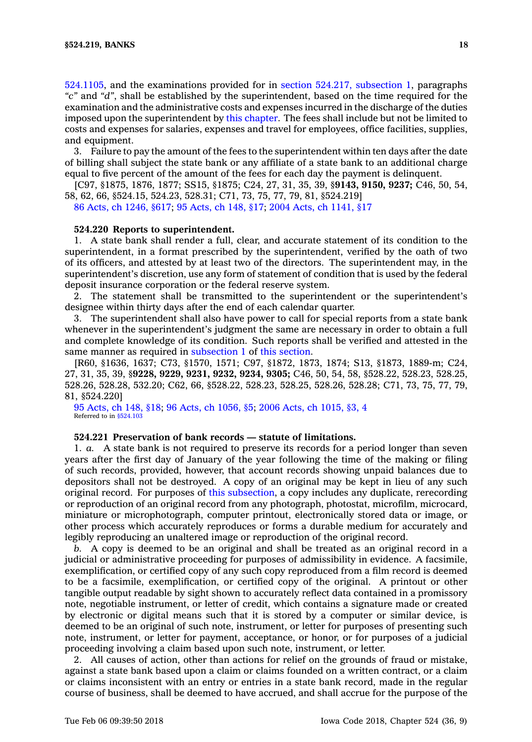[524.1105](https://www.legis.iowa.gov/docs/code/524.1105.pdf), and the examinations provided for in section 524.217, [subsection](https://www.legis.iowa.gov/docs/code/524.217.pdf) 1, paragraphs *"c"* and *"d"*, shall be established by the superintendent, based on the time required for the examination and the administrative costs and expenses incurred in the discharge of the duties imposed upon the superintendent by this [chapter](https://www.legis.iowa.gov/docs/code//524.pdf). The fees shall include but not be limited to costs and expenses for salaries, expenses and travel for employees, office facilities, supplies, and equipment.

3. Failure to pay the amount of the fees to the superintendent within ten days after the date of billing shall subject the state bank or any affiliate of <sup>a</sup> state bank to an additional charge equal to five percent of the amount of the fees for each day the payment is delinquent.

[C97, §1875, 1876, 1877; SS15, §1875; C24, 27, 31, 35, 39, §**9143, 9150, 9237;** C46, 50, 54, 58, 62, 66, §524.15, 524.23, 528.31; C71, 73, 75, 77, 79, 81, §524.219]

86 Acts, ch [1246,](https://www.legis.iowa.gov/docs/acts/1986/CH1246.pdf) §617; 95 [Acts,](https://www.legis.iowa.gov/docs/acts/1995/CH0148.pdf) ch 148, §17; 2004 Acts, ch [1141,](https://www.legis.iowa.gov/docs/acts/2004/CH1141.pdf) §17

# **524.220 Reports to superintendent.**

1. A state bank shall render <sup>a</sup> full, clear, and accurate statement of its condition to the superintendent, in <sup>a</sup> format prescribed by the superintendent, verified by the oath of two of its officers, and attested by at least two of the directors. The superintendent may, in the superintendent's discretion, use any form of statement of condition that is used by the federal deposit insurance corporation or the federal reserve system.

2. The statement shall be transmitted to the superintendent or the superintendent's designee within thirty days after the end of each calendar quarter.

3. The superintendent shall also have power to call for special reports from <sup>a</sup> state bank whenever in the superintendent's judgment the same are necessary in order to obtain <sup>a</sup> full and complete knowledge of its condition. Such reports shall be verified and attested in the same manner as required in [subsection](https://www.legis.iowa.gov/docs/code/524.220.pdf) 1 of this [section](https://www.legis.iowa.gov/docs/code/524.220.pdf).

[R60, §1636, 1637; C73, §1570, 1571; C97, §1872, 1873, 1874; S13, §1873, 1889-m; C24, 27, 31, 35, 39, §**9228, 9229, 9231, 9232, 9234, 9305;** C46, 50, 54, 58, §528.22, 528.23, 528.25, 528.26, 528.28, 532.20; C62, 66, §528.22, 528.23, 528.25, 528.26, 528.28; C71, 73, 75, 77, 79, 81, §524.220]

95 [Acts,](https://www.legis.iowa.gov/docs/acts/1995/CH0148.pdf) ch 148, §18; 96 Acts, ch [1056,](https://www.legis.iowa.gov/docs/acts/1996/CH1056.pdf) §5; 2006 Acts, ch [1015,](https://www.legis.iowa.gov/docs/acts/2006/CH1015.pdf) §3, 4 Referred to in  $$524.10$ 

#### **524.221 Preservation of bank records — statute of limitations.**

1. *a.* A state bank is not required to preserve its records for <sup>a</sup> period longer than seven years after the first day of January of the year following the time of the making or filing of such records, provided, however, that account records showing unpaid balances due to depositors shall not be destroyed. A copy of an original may be kept in lieu of any such original record. For purposes of this [subsection](https://www.legis.iowa.gov/docs/code/524.221.pdf), <sup>a</sup> copy includes any duplicate, rerecording or reproduction of an original record from any photograph, photostat, microfilm, microcard, miniature or microphotograph, computer printout, electronically stored data or image, or other process which accurately reproduces or forms <sup>a</sup> durable medium for accurately and legibly reproducing an unaltered image or reproduction of the original record.

*b.* A copy is deemed to be an original and shall be treated as an original record in <sup>a</sup> judicial or administrative proceeding for purposes of admissibility in evidence. A facsimile, exemplification, or certified copy of any such copy reproduced from <sup>a</sup> film record is deemed to be <sup>a</sup> facsimile, exemplification, or certified copy of the original. A printout or other tangible output readable by sight shown to accurately reflect data contained in <sup>a</sup> promissory note, negotiable instrument, or letter of credit, which contains <sup>a</sup> signature made or created by electronic or digital means such that it is stored by <sup>a</sup> computer or similar device, is deemed to be an original of such note, instrument, or letter for purposes of presenting such note, instrument, or letter for payment, acceptance, or honor, or for purposes of <sup>a</sup> judicial proceeding involving <sup>a</sup> claim based upon such note, instrument, or letter.

2. All causes of action, other than actions for relief on the grounds of fraud or mistake, against <sup>a</sup> state bank based upon <sup>a</sup> claim or claims founded on <sup>a</sup> written contract, or <sup>a</sup> claim or claims inconsistent with an entry or entries in <sup>a</sup> state bank record, made in the regular course of business, shall be deemed to have accrued, and shall accrue for the purpose of the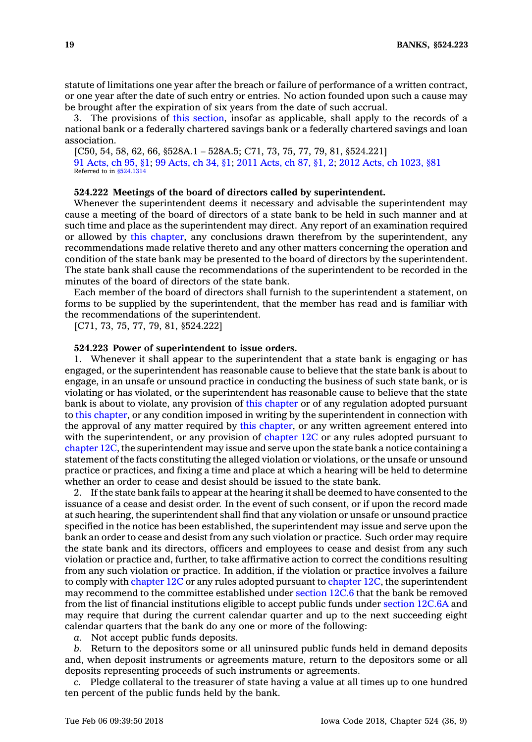statute of limitations one year after the breach or failure of performance of <sup>a</sup> written contract, or one year after the date of such entry or entries. No action founded upon such <sup>a</sup> cause may be brought after the expiration of six years from the date of such accrual.

3. The provisions of this [section](https://www.legis.iowa.gov/docs/code/524.221.pdf), insofar as applicable, shall apply to the records of <sup>a</sup> national bank or <sup>a</sup> federally chartered savings bank or <sup>a</sup> federally chartered savings and loan association.

[C50, 54, 58, 62, 66, §528A.1 – 528A.5; C71, 73, 75, 77, 79, 81, §524.221] 91 [Acts,](https://www.legis.iowa.gov/docs/acts/91/CH0095.pdf) ch 95, §1; 99 [Acts,](https://www.legis.iowa.gov/docs/acts/99/CH0034.pdf) ch 34, §1; 2011 [Acts,](https://www.legis.iowa.gov/docs/acts/2011/CH0087.pdf) ch 87, §1, 2; 2012 Acts, ch [1023,](https://www.legis.iowa.gov/docs/acts/2012/CH1023.pdf) §81 Referred to in [§524.1314](https://www.legis.iowa.gov/docs/code/524.1314.pdf)

#### **524.222 Meetings of the board of directors called by superintendent.**

Whenever the superintendent deems it necessary and advisable the superintendent may cause <sup>a</sup> meeting of the board of directors of <sup>a</sup> state bank to be held in such manner and at such time and place as the superintendent may direct. Any report of an examination required or allowed by this [chapter](https://www.legis.iowa.gov/docs/code//524.pdf), any conclusions drawn therefrom by the superintendent, any recommendations made relative thereto and any other matters concerning the operation and condition of the state bank may be presented to the board of directors by the superintendent. The state bank shall cause the recommendations of the superintendent to be recorded in the minutes of the board of directors of the state bank.

Each member of the board of directors shall furnish to the superintendent <sup>a</sup> statement, on forms to be supplied by the superintendent, that the member has read and is familiar with the recommendations of the superintendent.

[C71, 73, 75, 77, 79, 81, §524.222]

#### **524.223 Power of superintendent to issue orders.**

1. Whenever it shall appear to the superintendent that <sup>a</sup> state bank is engaging or has engaged, or the superintendent has reasonable cause to believe that the state bank is about to engage, in an unsafe or unsound practice in conducting the business of such state bank, or is violating or has violated, or the superintendent has reasonable cause to believe that the state bank is about to violate, any provision of this [chapter](https://www.legis.iowa.gov/docs/code//524.pdf) or of any regulation adopted pursuant to this [chapter](https://www.legis.iowa.gov/docs/code//524.pdf), or any condition imposed in writing by the superintendent in connection with the approval of any matter required by this [chapter](https://www.legis.iowa.gov/docs/code//524.pdf), or any written agreement entered into with the superintendent, or any provision of [chapter](https://www.legis.iowa.gov/docs/code//12C.pdf) 12C or any rules adopted pursuant to [chapter](https://www.legis.iowa.gov/docs/code//12C.pdf) 12C, the superintendent may issue and serve upon the state bank <sup>a</sup> notice containing <sup>a</sup> statement of the facts constituting the alleged violation or violations, or the unsafe or unsound practice or practices, and fixing <sup>a</sup> time and place at which <sup>a</sup> hearing will be held to determine whether an order to cease and desist should be issued to the state bank.

2. If the state bank fails to appear at the hearing it shall be deemed to have consented to the issuance of <sup>a</sup> cease and desist order. In the event of such consent, or if upon the record made at such hearing, the superintendent shall find that any violation or unsafe or unsound practice specified in the notice has been established, the superintendent may issue and serve upon the bank an order to cease and desist from any such violation or practice. Such order may require the state bank and its directors, officers and employees to cease and desist from any such violation or practice and, further, to take affirmative action to correct the conditions resulting from any such violation or practice. In addition, if the violation or practice involves <sup>a</sup> failure to comply with [chapter](https://www.legis.iowa.gov/docs/code//12C.pdf) 12C or any rules adopted pursuant to [chapter](https://www.legis.iowa.gov/docs/code//12C.pdf) 12C, the superintendent may recommend to the committee established under [section](https://www.legis.iowa.gov/docs/code/12C.6.pdf) 12C.6 that the bank be removed from the list of financial institutions eligible to accept public funds under [section](https://www.legis.iowa.gov/docs/code/12C.6A.pdf) 12C.6A and may require that during the current calendar quarter and up to the next succeeding eight calendar quarters that the bank do any one or more of the following:

*a.* Not accept public funds deposits.

*b.* Return to the depositors some or all uninsured public funds held in demand deposits and, when deposit instruments or agreements mature, return to the depositors some or all deposits representing proceeds of such instruments or agreements.

*c.* Pledge collateral to the treasurer of state having <sup>a</sup> value at all times up to one hundred ten percent of the public funds held by the bank.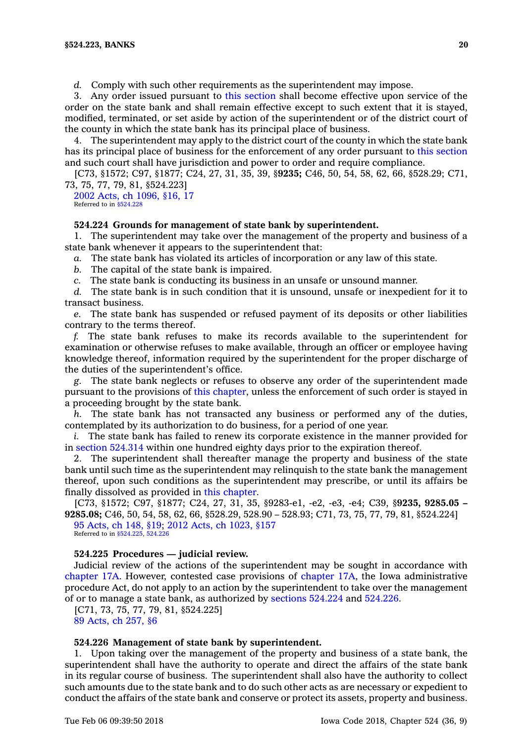*d.* Comply with such other requirements as the superintendent may impose.

3. Any order issued pursuant to this [section](https://www.legis.iowa.gov/docs/code/524.223.pdf) shall become effective upon service of the order on the state bank and shall remain effective except to such extent that it is stayed, modified, terminated, or set aside by action of the superintendent or of the district court of the county in which the state bank has its principal place of business.

4. The superintendent may apply to the district court of the county in which the state bank has its principal place of business for the enforcement of any order pursuant to this [section](https://www.legis.iowa.gov/docs/code/524.223.pdf) and such court shall have jurisdiction and power to order and require compliance.

[C73, §1572; C97, §1877; C24, 27, 31, 35, 39, §**9235;** C46, 50, 54, 58, 62, 66, §528.29; C71, 73, 75, 77, 79, 81, §524.223]

2002 Acts, ch [1096,](https://www.legis.iowa.gov/docs/acts/2002/CH1096.pdf) §16, 17 Referred to in [§524.228](https://www.legis.iowa.gov/docs/code/524.228.pdf)

#### **524.224 Grounds for management of state bank by superintendent.**

1. The superintendent may take over the management of the property and business of <sup>a</sup> state bank whenever it appears to the superintendent that:

*a.* The state bank has violated its articles of incorporation or any law of this state.

*b.* The capital of the state bank is impaired.

*c.* The state bank is conducting its business in an unsafe or unsound manner.

*d.* The state bank is in such condition that it is unsound, unsafe or inexpedient for it to transact business.

*e.* The state bank has suspended or refused payment of its deposits or other liabilities contrary to the terms thereof.

*f.* The state bank refuses to make its records available to the superintendent for examination or otherwise refuses to make available, through an officer or employee having knowledge thereof, information required by the superintendent for the proper discharge of the duties of the superintendent's office.

*g.* The state bank neglects or refuses to observe any order of the superintendent made pursuant to the provisions of this [chapter](https://www.legis.iowa.gov/docs/code//524.pdf), unless the enforcement of such order is stayed in <sup>a</sup> proceeding brought by the state bank.

*h.* The state bank has not transacted any business or performed any of the duties, contemplated by its authorization to do business, for <sup>a</sup> period of one year.

*i.* The state bank has failed to renew its corporate existence in the manner provided for in section [524.314](https://www.legis.iowa.gov/docs/code/524.314.pdf) within one hundred eighty days prior to the expiration thereof.

2. The superintendent shall thereafter manage the property and business of the state bank until such time as the superintendent may relinquish to the state bank the management thereof, upon such conditions as the superintendent may prescribe, or until its affairs be finally dissolved as provided in this [chapter](https://www.legis.iowa.gov/docs/code//524.pdf).

[C73, §1572; C97, §1877; C24, 27, 31, 35, §9283-e1, -e2, -e3, -e4; C39, §**9235, 9285.05 – 9285.08;** C46, 50, 54, 58, 62, 66, §528.29, 528.90 – 528.93; C71, 73, 75, 77, 79, 81, §524.224] 95 [Acts,](https://www.legis.iowa.gov/docs/acts/95/CH0148.pdf) ch 148, §19; 2012 Acts, ch [1023,](https://www.legis.iowa.gov/docs/acts/2012/CH1023.pdf) §157

Referred to in [§524.225](https://www.legis.iowa.gov/docs/code/524.225.pdf), [524.226](https://www.legis.iowa.gov/docs/code/524.226.pdf)

#### **524.225 Procedures — judicial review.**

Judicial review of the actions of the superintendent may be sought in accordance with [chapter](https://www.legis.iowa.gov/docs/code//17A.pdf) 17A. However, contested case provisions of [chapter](https://www.legis.iowa.gov/docs/code//17A.pdf) 17A, the Iowa administrative procedure Act, do not apply to an action by the superintendent to take over the management of or to manage <sup>a</sup> state bank, as authorized by [sections](https://www.legis.iowa.gov/docs/code/524.224.pdf) 524.224 and [524.226](https://www.legis.iowa.gov/docs/code/524.226.pdf).

[C71, 73, 75, 77, 79, 81, §524.225] 89 [Acts,](https://www.legis.iowa.gov/docs/acts/1989/CH0257.pdf) ch 257, §6

#### **524.226 Management of state bank by superintendent.**

1. Upon taking over the management of the property and business of <sup>a</sup> state bank, the superintendent shall have the authority to operate and direct the affairs of the state bank in its regular course of business. The superintendent shall also have the authority to collect such amounts due to the state bank and to do such other acts as are necessary or expedient to conduct the affairs of the state bank and conserve or protect its assets, property and business.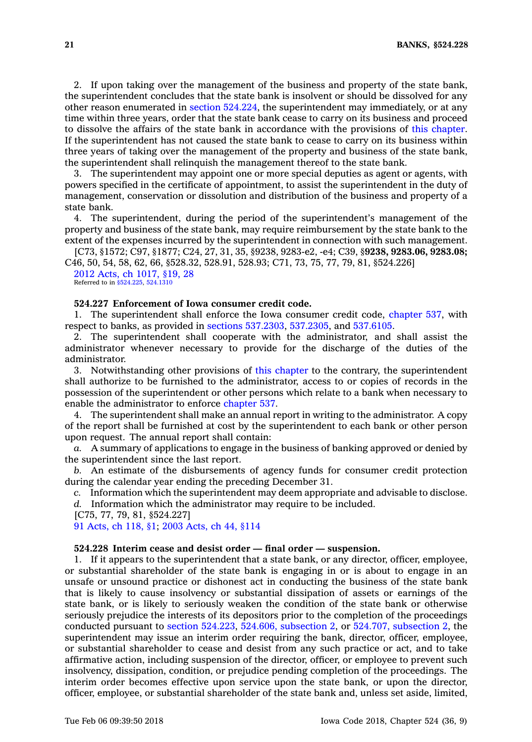2. If upon taking over the management of the business and property of the state bank, the superintendent concludes that the state bank is insolvent or should be dissolved for any other reason enumerated in section [524.224](https://www.legis.iowa.gov/docs/code/524.224.pdf), the superintendent may immediately, or at any time within three years, order that the state bank cease to carry on its business and proceed to dissolve the affairs of the state bank in accordance with the provisions of this [chapter](https://www.legis.iowa.gov/docs/code//524.pdf). If the superintendent has not caused the state bank to cease to carry on its business within three years of taking over the management of the property and business of the state bank, the superintendent shall relinquish the management thereof to the state bank.

3. The superintendent may appoint one or more special deputies as agent or agents, with powers specified in the certificate of appointment, to assist the superintendent in the duty of management, conservation or dissolution and distribution of the business and property of <sup>a</sup> state bank.

4. The superintendent, during the period of the superintendent's management of the property and business of the state bank, may require reimbursement by the state bank to the extent of the expenses incurred by the superintendent in connection with such management.

[C73, §1572; C97, §1877; C24, 27, 31, 35, §9238, 9283-e2, -e4; C39, §**9238, 9283.06, 9283.08;** C46, 50, 54, 58, 62, 66, §528.32, 528.91, 528.93; C71, 73, 75, 77, 79, 81, §524.226]

2012 Acts, ch [1017,](https://www.legis.iowa.gov/docs/acts/2012/CH1017.pdf) §19, 28 Referred to in [§524.225](https://www.legis.iowa.gov/docs/code/524.225.pdf), [524.1310](https://www.legis.iowa.gov/docs/code/524.1310.pdf)

# **524.227 Enforcement of Iowa consumer credit code.**

1. The superintendent shall enforce the Iowa consumer credit code, [chapter](https://www.legis.iowa.gov/docs/code//537.pdf) 537, with respect to banks, as provided in sections [537.2303](https://www.legis.iowa.gov/docs/code/537.2303.pdf), [537.2305](https://www.legis.iowa.gov/docs/code/537.2305.pdf), and [537.6105](https://www.legis.iowa.gov/docs/code/537.6105.pdf).

2. The superintendent shall cooperate with the administrator, and shall assist the administrator whenever necessary to provide for the discharge of the duties of the administrator.

3. Notwithstanding other provisions of this [chapter](https://www.legis.iowa.gov/docs/code//524.pdf) to the contrary, the superintendent shall authorize to be furnished to the administrator, access to or copies of records in the possession of the superintendent or other persons which relate to <sup>a</sup> bank when necessary to enable the administrator to enforce [chapter](https://www.legis.iowa.gov/docs/code//537.pdf) 537.

4. The superintendent shall make an annual report in writing to the administrator. A copy of the report shall be furnished at cost by the superintendent to each bank or other person upon request. The annual report shall contain:

*a.* A summary of applications to engage in the business of banking approved or denied by the superintendent since the last report.

*b.* An estimate of the disbursements of agency funds for consumer credit protection during the calendar year ending the preceding December 31.

*c.* Information which the superintendent may deem appropriate and advisable to disclose.

*d.* Information which the administrator may require to be included.

[C75, 77, 79, 81, §524.227]

91 [Acts,](https://www.legis.iowa.gov/docs/acts/1991/CH0118.pdf) ch 118, §1; 2003 [Acts,](https://www.legis.iowa.gov/docs/acts/2003/CH0044.pdf) ch 44, §114

#### **524.228 Interim cease and desist order — final order — suspension.**

1. If it appears to the superintendent that <sup>a</sup> state bank, or any director, officer, employee, or substantial shareholder of the state bank is engaging in or is about to engage in an unsafe or unsound practice or dishonest act in conducting the business of the state bank that is likely to cause insolvency or substantial dissipation of assets or earnings of the state bank, or is likely to seriously weaken the condition of the state bank or otherwise seriously prejudice the interests of its depositors prior to the completion of the proceedings conducted pursuant to section [524.223](https://www.legis.iowa.gov/docs/code/524.223.pdf), 524.606, [subsection](https://www.legis.iowa.gov/docs/code/524.606.pdf) 2, or 524.707, [subsection](https://www.legis.iowa.gov/docs/code/524.707.pdf) 2, the superintendent may issue an interim order requiring the bank, director, officer, employee, or substantial shareholder to cease and desist from any such practice or act, and to take affirmative action, including suspension of the director, officer, or employee to prevent such insolvency, dissipation, condition, or prejudice pending completion of the proceedings. The interim order becomes effective upon service upon the state bank, or upon the director, officer, employee, or substantial shareholder of the state bank and, unless set aside, limited,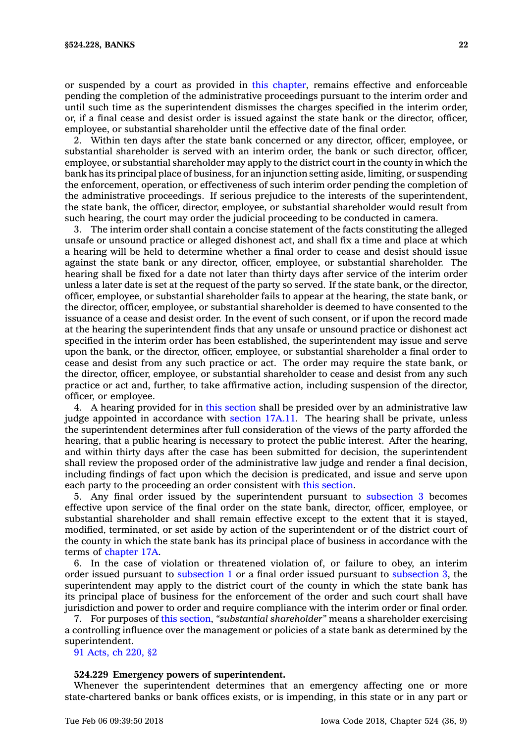or suspended by <sup>a</sup> court as provided in this [chapter](https://www.legis.iowa.gov/docs/code//524.pdf), remains effective and enforceable pending the completion of the administrative proceedings pursuant to the interim order and until such time as the superintendent dismisses the charges specified in the interim order, or, if <sup>a</sup> final cease and desist order is issued against the state bank or the director, officer, employee, or substantial shareholder until the effective date of the final order.

2. Within ten days after the state bank concerned or any director, officer, employee, or substantial shareholder is served with an interim order, the bank or such director, officer, employee, or substantial shareholder may apply to the district court in the county in which the bank has its principal place of business, for an injunction setting aside, limiting, or suspending the enforcement, operation, or effectiveness of such interim order pending the completion of the administrative proceedings. If serious prejudice to the interests of the superintendent, the state bank, the officer, director, employee, or substantial shareholder would result from such hearing, the court may order the judicial proceeding to be conducted in camera.

3. The interim order shall contain <sup>a</sup> concise statement of the facts constituting the alleged unsafe or unsound practice or alleged dishonest act, and shall fix <sup>a</sup> time and place at which <sup>a</sup> hearing will be held to determine whether <sup>a</sup> final order to cease and desist should issue against the state bank or any director, officer, employee, or substantial shareholder. The hearing shall be fixed for <sup>a</sup> date not later than thirty days after service of the interim order unless <sup>a</sup> later date is set at the request of the party so served. If the state bank, or the director, officer, employee, or substantial shareholder fails to appear at the hearing, the state bank, or the director, officer, employee, or substantial shareholder is deemed to have consented to the issuance of <sup>a</sup> cease and desist order. In the event of such consent, or if upon the record made at the hearing the superintendent finds that any unsafe or unsound practice or dishonest act specified in the interim order has been established, the superintendent may issue and serve upon the bank, or the director, officer, employee, or substantial shareholder <sup>a</sup> final order to cease and desist from any such practice or act. The order may require the state bank, or the director, officer, employee, or substantial shareholder to cease and desist from any such practice or act and, further, to take affirmative action, including suspension of the director, officer, or employee.

4. A hearing provided for in this [section](https://www.legis.iowa.gov/docs/code/524.228.pdf) shall be presided over by an administrative law judge appointed in accordance with [section](https://www.legis.iowa.gov/docs/code/17A.11.pdf) 17A.11. The hearing shall be private, unless the superintendent determines after full consideration of the views of the party afforded the hearing, that <sup>a</sup> public hearing is necessary to protect the public interest. After the hearing, and within thirty days after the case has been submitted for decision, the superintendent shall review the proposed order of the administrative law judge and render <sup>a</sup> final decision, including findings of fact upon which the decision is predicated, and issue and serve upon each party to the proceeding an order consistent with this [section](https://www.legis.iowa.gov/docs/code/524.228.pdf).

5. Any final order issued by the superintendent pursuant to [subsection](https://www.legis.iowa.gov/docs/code/524.228.pdf) 3 becomes effective upon service of the final order on the state bank, director, officer, employee, or substantial shareholder and shall remain effective except to the extent that it is stayed, modified, terminated, or set aside by action of the superintendent or of the district court of the county in which the state bank has its principal place of business in accordance with the terms of [chapter](https://www.legis.iowa.gov/docs/code//17A.pdf) 17A.

6. In the case of violation or threatened violation of, or failure to obey, an interim order issued pursuant to [subsection](https://www.legis.iowa.gov/docs/code/524.228.pdf) 1 or <sup>a</sup> final order issued pursuant to [subsection](https://www.legis.iowa.gov/docs/code/524.228.pdf) 3, the superintendent may apply to the district court of the county in which the state bank has its principal place of business for the enforcement of the order and such court shall have jurisdiction and power to order and require compliance with the interim order or final order.

7. For purposes of this [section](https://www.legis.iowa.gov/docs/code/524.228.pdf), *"substantial shareholder"* means <sup>a</sup> shareholder exercising <sup>a</sup> controlling influence over the management or policies of <sup>a</sup> state bank as determined by the superintendent.

91 [Acts,](https://www.legis.iowa.gov/docs/acts/1991/CH0220.pdf) ch 220, §2

### **524.229 Emergency powers of superintendent.**

Whenever the superintendent determines that an emergency affecting one or more state-chartered banks or bank offices exists, or is impending, in this state or in any part or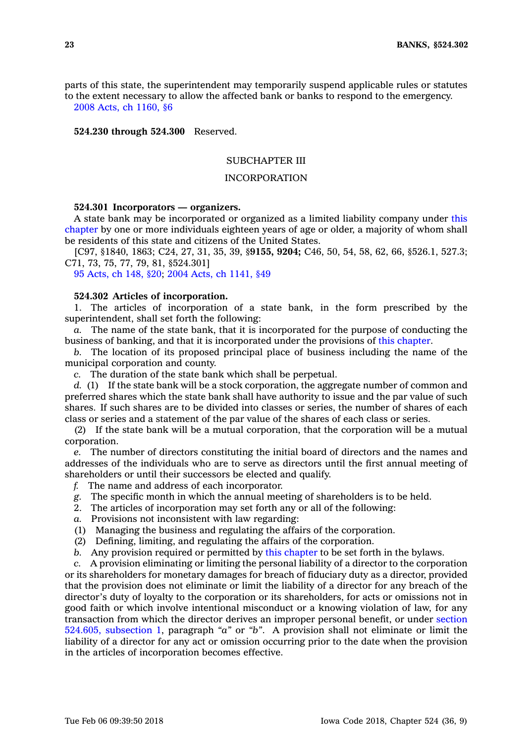parts of this state, the superintendent may temporarily suspend applicable rules or statutes to the extent necessary to allow the affected bank or banks to respond to the emergency. 2008 Acts, ch [1160,](https://www.legis.iowa.gov/docs/acts/2008/CH1160.pdf) §6

**524.230 through 524.300** Reserved.

# SUBCHAPTER III

# INCORPORATION

#### **524.301 Incorporators — organizers.**

A state bank may be incorporated or organized as <sup>a</sup> limited liability company under [this](https://www.legis.iowa.gov/docs/code//524.pdf) [chapter](https://www.legis.iowa.gov/docs/code//524.pdf) by one or more individuals eighteen years of age or older, <sup>a</sup> majority of whom shall be residents of this state and citizens of the United States.

[C97, §1840, 1863; C24, 27, 31, 35, 39, §**9155, 9204;** C46, 50, 54, 58, 62, 66, §526.1, 527.3; C71, 73, 75, 77, 79, 81, §524.301]

95 [Acts,](https://www.legis.iowa.gov/docs/acts/1995/CH0148.pdf) ch 148, §20; 2004 Acts, ch [1141,](https://www.legis.iowa.gov/docs/acts/2004/CH1141.pdf) §49

#### **524.302 Articles of incorporation.**

1. The articles of incorporation of <sup>a</sup> state bank, in the form prescribed by the superintendent, shall set forth the following:

*a.* The name of the state bank, that it is incorporated for the purpose of conducting the business of banking, and that it is incorporated under the provisions of this [chapter](https://www.legis.iowa.gov/docs/code//524.pdf).

*b.* The location of its proposed principal place of business including the name of the municipal corporation and county.

*c.* The duration of the state bank which shall be perpetual.

*d.* (1) If the state bank will be <sup>a</sup> stock corporation, the aggregate number of common and preferred shares which the state bank shall have authority to issue and the par value of such shares. If such shares are to be divided into classes or series, the number of shares of each class or series and <sup>a</sup> statement of the par value of the shares of each class or series.

(2) If the state bank will be <sup>a</sup> mutual corporation, that the corporation will be <sup>a</sup> mutual corporation.

*e.* The number of directors constituting the initial board of directors and the names and addresses of the individuals who are to serve as directors until the first annual meeting of shareholders or until their successors be elected and qualify.

- *f.* The name and address of each incorporator.
- *g.* The specific month in which the annual meeting of shareholders is to be held.
- 2. The articles of incorporation may set forth any or all of the following:
- *a.* Provisions not inconsistent with law regarding:
- (1) Managing the business and regulating the affairs of the corporation.
- (2) Defining, limiting, and regulating the affairs of the corporation.
- *b.* Any provision required or permitted by this [chapter](https://www.legis.iowa.gov/docs/code//524.pdf) to be set forth in the bylaws.

*c.* A provision eliminating or limiting the personal liability of <sup>a</sup> director to the corporation or its shareholders for monetary damages for breach of fiduciary duty as <sup>a</sup> director, provided that the provision does not eliminate or limit the liability of <sup>a</sup> director for any breach of the director's duty of loyalty to the corporation or its shareholders, for acts or omissions not in good faith or which involve intentional misconduct or <sup>a</sup> knowing violation of law, for any transaction from which the director derives an improper personal benefit, or under [section](https://www.legis.iowa.gov/docs/code/524.605.pdf) 524.605, [subsection](https://www.legis.iowa.gov/docs/code/524.605.pdf) 1, paragraph *"a"* or *"b"*. A provision shall not eliminate or limit the liability of <sup>a</sup> director for any act or omission occurring prior to the date when the provision in the articles of incorporation becomes effective.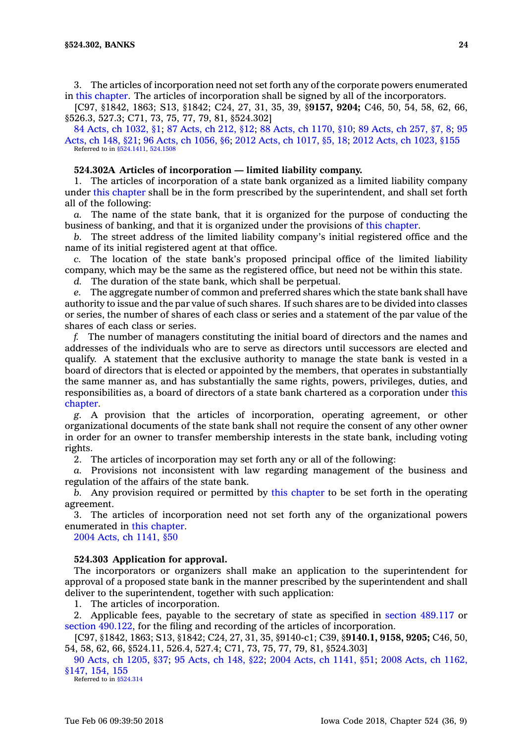3. The articles of incorporation need not set forth any of the corporate powers enumerated in this [chapter](https://www.legis.iowa.gov/docs/code//524.pdf). The articles of incorporation shall be signed by all of the incorporators.

[C97, §1842, 1863; S13, §1842; C24, 27, 31, 35, 39, §**9157, 9204;** C46, 50, 54, 58, 62, 66, §526.3, 527.3; C71, 73, 75, 77, 79, 81, §524.302]

84 Acts, ch [1032,](https://www.legis.iowa.gov/docs/acts/84/CH1032.pdf) §1; 87 [Acts,](https://www.legis.iowa.gov/docs/acts/87/CH0212.pdf) ch 212, §12; 88 Acts, ch [1170,](https://www.legis.iowa.gov/docs/acts/88/CH1170.pdf) §10; 89 [Acts,](https://www.legis.iowa.gov/docs/acts/89/CH0257.pdf) ch 257, §7, 8; [95](https://www.legis.iowa.gov/docs/acts/95/CH0148.pdf) [Acts,](https://www.legis.iowa.gov/docs/acts/95/CH0148.pdf) ch 148, §21; 96 Acts, ch [1056,](https://www.legis.iowa.gov/docs/acts/96/CH1056.pdf) §6; 2012 Acts, ch [1017,](https://www.legis.iowa.gov/docs/acts/2012/CH1017.pdf) §5, 18; 2012 Acts, ch [1023,](https://www.legis.iowa.gov/docs/acts/2012/CH1023.pdf) §155 Referred to in [§524.1411](https://www.legis.iowa.gov/docs/code/524.1411.pdf), [524.1508](https://www.legis.iowa.gov/docs/code/524.1508.pdf)

# **524.302A Articles of incorporation — limited liability company.**

1. The articles of incorporation of <sup>a</sup> state bank organized as <sup>a</sup> limited liability company under this [chapter](https://www.legis.iowa.gov/docs/code//524.pdf) shall be in the form prescribed by the superintendent, and shall set forth all of the following:

*a.* The name of the state bank, that it is organized for the purpose of conducting the business of banking, and that it is organized under the provisions of this [chapter](https://www.legis.iowa.gov/docs/code//524.pdf).

*b.* The street address of the limited liability company's initial registered office and the name of its initial registered agent at that office.

*c.* The location of the state bank's proposed principal office of the limited liability company, which may be the same as the registered office, but need not be within this state.

*d.* The duration of the state bank, which shall be perpetual.

*e.* The aggregate number of common and preferred shares which the state bank shall have authority to issue and the par value of such shares. If such shares are to be divided into classes or series, the number of shares of each class or series and <sup>a</sup> statement of the par value of the shares of each class or series.

*f.* The number of managers constituting the initial board of directors and the names and addresses of the individuals who are to serve as directors until successors are elected and qualify. A statement that the exclusive authority to manage the state bank is vested in <sup>a</sup> board of directors that is elected or appointed by the members, that operates in substantially the same manner as, and has substantially the same rights, powers, privileges, duties, and responsibilities as, <sup>a</sup> board of directors of <sup>a</sup> state bank chartered as <sup>a</sup> corporation under [this](https://www.legis.iowa.gov/docs/code//524.pdf) [chapter](https://www.legis.iowa.gov/docs/code//524.pdf).

*g.* A provision that the articles of incorporation, operating agreement, or other organizational documents of the state bank shall not require the consent of any other owner in order for an owner to transfer membership interests in the state bank, including voting rights.

2. The articles of incorporation may set forth any or all of the following:

*a.* Provisions not inconsistent with law regarding management of the business and regulation of the affairs of the state bank.

*b.* Any provision required or permitted by this [chapter](https://www.legis.iowa.gov/docs/code//524.pdf) to be set forth in the operating agreement.

3. The articles of incorporation need not set forth any of the organizational powers enumerated in this [chapter](https://www.legis.iowa.gov/docs/code//524.pdf).

2004 Acts, ch [1141,](https://www.legis.iowa.gov/docs/acts/2004/CH1141.pdf) §50

# **524.303 Application for approval.**

The incorporators or organizers shall make an application to the superintendent for approval of <sup>a</sup> proposed state bank in the manner prescribed by the superintendent and shall deliver to the superintendent, together with such application:

1. The articles of incorporation.

2. Applicable fees, payable to the secretary of state as specified in section [489.117](https://www.legis.iowa.gov/docs/code/489.117.pdf) or section [490.122](https://www.legis.iowa.gov/docs/code/490.122.pdf), for the filing and recording of the articles of incorporation.

[C97, §1842, 1863; S13, §1842; C24, 27, 31, 35, §9140-c1; C39, §**9140.1, 9158, 9205;** C46, 50, 54, 58, 62, 66, §524.11, 526.4, 527.4; C71, 73, 75, 77, 79, 81, §524.303]

90 Acts, ch [1205,](https://www.legis.iowa.gov/docs/acts/90/CH1205.pdf) §37; 95 [Acts,](https://www.legis.iowa.gov/docs/acts/95/CH0148.pdf) ch 148, §22; 2004 Acts, ch [1141,](https://www.legis.iowa.gov/docs/acts/2004/CH1141.pdf) §51; 2008 Acts, ch [1162,](https://www.legis.iowa.gov/docs/acts/2008/CH1162.pdf) [§147,](https://www.legis.iowa.gov/docs/acts/2008/CH1162.pdf) 154, 155

Referred to in [§524.314](https://www.legis.iowa.gov/docs/code/524.314.pdf)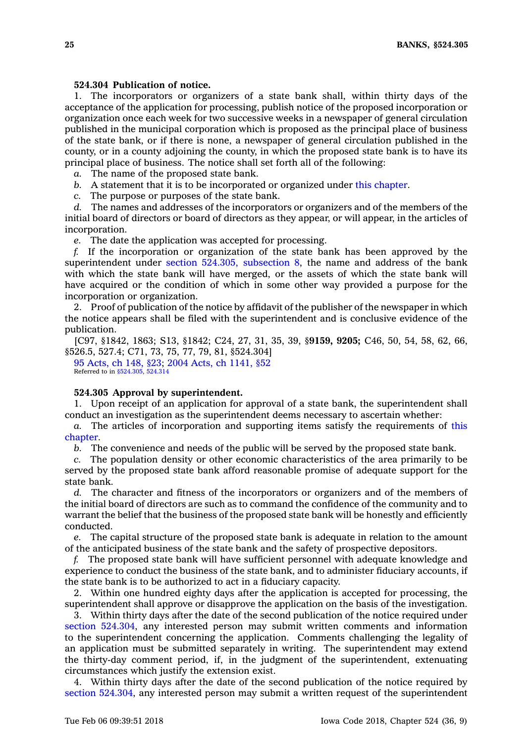# **524.304 Publication of notice.**

1. The incorporators or organizers of <sup>a</sup> state bank shall, within thirty days of the acceptance of the application for processing, publish notice of the proposed incorporation or organization once each week for two successive weeks in <sup>a</sup> newspaper of general circulation published in the municipal corporation which is proposed as the principal place of business of the state bank, or if there is none, <sup>a</sup> newspaper of general circulation published in the county, or in <sup>a</sup> county adjoining the county, in which the proposed state bank is to have its principal place of business. The notice shall set forth all of the following:

*a.* The name of the proposed state bank.

*b.* A statement that it is to be incorporated or organized under this [chapter](https://www.legis.iowa.gov/docs/code//524.pdf).

*c.* The purpose or purposes of the state bank.

*d.* The names and addresses of the incorporators or organizers and of the members of the initial board of directors or board of directors as they appear, or will appear, in the articles of incorporation.

*e.* The date the application was accepted for processing.

*f.* If the incorporation or organization of the state bank has been approved by the superintendent under section 524.305, [subsection](https://www.legis.iowa.gov/docs/code/524.305.pdf) 8, the name and address of the bank with which the state bank will have merged, or the assets of which the state bank will have acquired or the condition of which in some other way provided <sup>a</sup> purpose for the incorporation or organization.

2. Proof of publication of the notice by affidavit of the publisher of the newspaper in which the notice appears shall be filed with the superintendent and is conclusive evidence of the publication.

[C97, §1842, 1863; S13, §1842; C24, 27, 31, 35, 39, §**9159, 9205;** C46, 50, 54, 58, 62, 66, §526.5, 527.4; C71, 73, 75, 77, 79, 81, §524.304]

95 [Acts,](https://www.legis.iowa.gov/docs/acts/1995/CH0148.pdf) ch 148, §23; 2004 Acts, ch [1141,](https://www.legis.iowa.gov/docs/acts/2004/CH1141.pdf) §52 Referred to in [§524.305](https://www.legis.iowa.gov/docs/code/524.305.pdf), [524.314](https://www.legis.iowa.gov/docs/code/524.314.pdf)

# **524.305 Approval by superintendent.**

1. Upon receipt of an application for approval of <sup>a</sup> state bank, the superintendent shall conduct an investigation as the superintendent deems necessary to ascertain whether:

*a.* The articles of incorporation and supporting items satisfy the requirements of [this](https://www.legis.iowa.gov/docs/code//524.pdf) [chapter](https://www.legis.iowa.gov/docs/code//524.pdf).

*b.* The convenience and needs of the public will be served by the proposed state bank.

*c.* The population density or other economic characteristics of the area primarily to be served by the proposed state bank afford reasonable promise of adequate support for the state bank.

*d.* The character and fitness of the incorporators or organizers and of the members of the initial board of directors are such as to command the confidence of the community and to warrant the belief that the business of the proposed state bank will be honestly and efficiently conducted.

*e.* The capital structure of the proposed state bank is adequate in relation to the amount of the anticipated business of the state bank and the safety of prospective depositors.

*f.* The proposed state bank will have sufficient personnel with adequate knowledge and experience to conduct the business of the state bank, and to administer fiduciary accounts, if the state bank is to be authorized to act in <sup>a</sup> fiduciary capacity.

2. Within one hundred eighty days after the application is accepted for processing, the superintendent shall approve or disapprove the application on the basis of the investigation.

3. Within thirty days after the date of the second publication of the notice required under section [524.304](https://www.legis.iowa.gov/docs/code/524.304.pdf), any interested person may submit written comments and information to the superintendent concerning the application. Comments challenging the legality of an application must be submitted separately in writing. The superintendent may extend the thirty-day comment period, if, in the judgment of the superintendent, extenuating circumstances which justify the extension exist.

4. Within thirty days after the date of the second publication of the notice required by section [524.304](https://www.legis.iowa.gov/docs/code/524.304.pdf), any interested person may submit <sup>a</sup> written request of the superintendent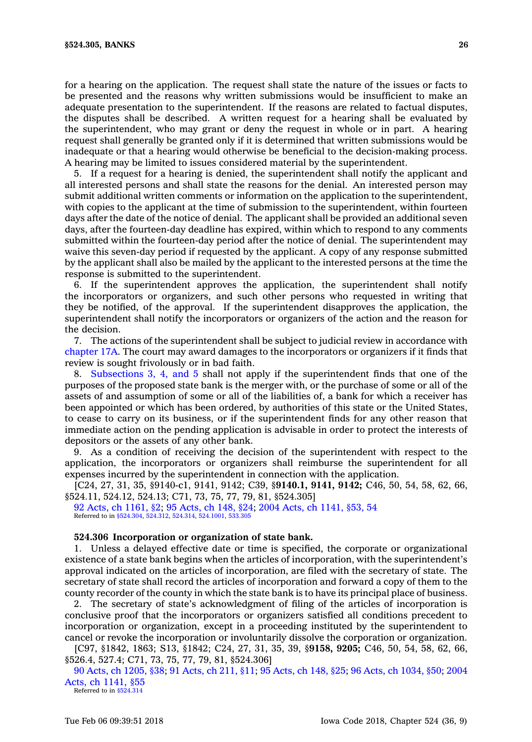for <sup>a</sup> hearing on the application. The request shall state the nature of the issues or facts to be presented and the reasons why written submissions would be insufficient to make an adequate presentation to the superintendent. If the reasons are related to factual disputes, the disputes shall be described. A written request for <sup>a</sup> hearing shall be evaluated by the superintendent, who may grant or deny the request in whole or in part. A hearing request shall generally be granted only if it is determined that written submissions would be inadequate or that <sup>a</sup> hearing would otherwise be beneficial to the decision-making process. A hearing may be limited to issues considered material by the superintendent.

5. If <sup>a</sup> request for <sup>a</sup> hearing is denied, the superintendent shall notify the applicant and all interested persons and shall state the reasons for the denial. An interested person may submit additional written comments or information on the application to the superintendent, with copies to the applicant at the time of submission to the superintendent, within fourteen days after the date of the notice of denial. The applicant shall be provided an additional seven days, after the fourteen-day deadline has expired, within which to respond to any comments submitted within the fourteen-day period after the notice of denial. The superintendent may waive this seven-day period if requested by the applicant. A copy of any response submitted by the applicant shall also be mailed by the applicant to the interested persons at the time the response is submitted to the superintendent.

6. If the superintendent approves the application, the superintendent shall notify the incorporators or organizers, and such other persons who requested in writing that they be notified, of the approval. If the superintendent disapproves the application, the superintendent shall notify the incorporators or organizers of the action and the reason for the decision.

7. The actions of the superintendent shall be subject to judicial review in accordance with [chapter](https://www.legis.iowa.gov/docs/code//17A.pdf) 17A. The court may award damages to the incorporators or organizers if it finds that review is sought frivolously or in bad faith.

8. [Subsections](https://www.legis.iowa.gov/docs/code/524.305.pdf) 3, 4, and 5 shall not apply if the superintendent finds that one of the purposes of the proposed state bank is the merger with, or the purchase of some or all of the assets of and assumption of some or all of the liabilities of, <sup>a</sup> bank for which <sup>a</sup> receiver has been appointed or which has been ordered, by authorities of this state or the United States, to cease to carry on its business, or if the superintendent finds for any other reason that immediate action on the pending application is advisable in order to protect the interests of depositors or the assets of any other bank.

9. As <sup>a</sup> condition of receiving the decision of the superintendent with respect to the application, the incorporators or organizers shall reimburse the superintendent for all expenses incurred by the superintendent in connection with the application.

[C24, 27, 31, 35, §9140-c1, 9141, 9142; C39, §**9140.1, 9141, 9142;** C46, 50, 54, 58, 62, 66, §524.11, 524.12, 524.13; C71, 73, 75, 77, 79, 81, §524.305]

92 Acts, ch [1161,](https://www.legis.iowa.gov/docs/acts/1992/CH1161.pdf) §2; 95 [Acts,](https://www.legis.iowa.gov/docs/acts/1995/CH0148.pdf) ch 148, §24; 2004 Acts, ch [1141,](https://www.legis.iowa.gov/docs/acts/2004/CH1141.pdf) §53, 54 Referred to in [§524.304](https://www.legis.iowa.gov/docs/code/524.304.pdf), [524.312,](https://www.legis.iowa.gov/docs/code/524.312.pdf) [524.314](https://www.legis.iowa.gov/docs/code/524.314.pdf), [524.1001,](https://www.legis.iowa.gov/docs/code/524.1001.pdf) [533.305](https://www.legis.iowa.gov/docs/code/533.305.pdf)

#### **524.306 Incorporation or organization of state bank.**

1. Unless <sup>a</sup> delayed effective date or time is specified, the corporate or organizational existence of <sup>a</sup> state bank begins when the articles of incorporation, with the superintendent's approval indicated on the articles of incorporation, are filed with the secretary of state. The secretary of state shall record the articles of incorporation and forward <sup>a</sup> copy of them to the county recorder of the county in which the state bank is to have its principal place of business.

2. The secretary of state's acknowledgment of filing of the articles of incorporation is conclusive proof that the incorporators or organizers satisfied all conditions precedent to incorporation or organization, except in <sup>a</sup> proceeding instituted by the superintendent to cancel or revoke the incorporation or involuntarily dissolve the corporation or organization.

[C97, §1842, 1863; S13, §1842; C24, 27, 31, 35, 39, §**9158, 9205;** C46, 50, 54, 58, 62, 66, §526.4, 527.4; C71, 73, 75, 77, 79, 81, §524.306]

90 Acts, ch [1205,](https://www.legis.iowa.gov/docs/acts/1990/CH1205.pdf) §38; 91 [Acts,](https://www.legis.iowa.gov/docs/acts/1991/CH0211.pdf) ch 211, §11; 95 [Acts,](https://www.legis.iowa.gov/docs/acts/1995/CH0148.pdf) ch 148, §25; 96 Acts, ch [1034,](https://www.legis.iowa.gov/docs/acts/1996/CH1034.pdf) §50; [2004](https://www.legis.iowa.gov/docs/acts/2004/CH1141.pdf) Acts, ch [1141,](https://www.legis.iowa.gov/docs/acts/2004/CH1141.pdf) §55

Referred to in [§524.314](https://www.legis.iowa.gov/docs/code/524.314.pdf)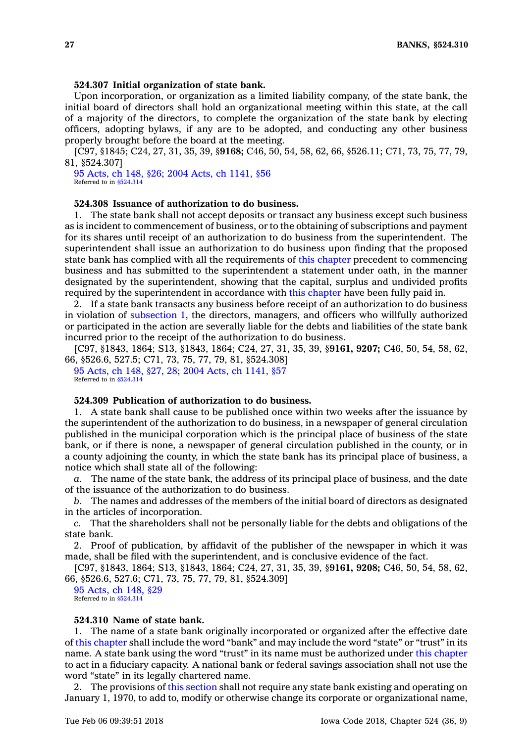#### **524.307 Initial organization of state bank.**

Upon incorporation, or organization as <sup>a</sup> limited liability company, of the state bank, the initial board of directors shall hold an organizational meeting within this state, at the call of <sup>a</sup> majority of the directors, to complete the organization of the state bank by electing officers, adopting bylaws, if any are to be adopted, and conducting any other business properly brought before the board at the meeting.

[C97, §1845; C24, 27, 31, 35, 39, §**9168;** C46, 50, 54, 58, 62, 66, §526.11; C71, 73, 75, 77, 79, 81, §524.307]

95 [Acts,](https://www.legis.iowa.gov/docs/acts/1995/CH0148.pdf) ch 148, §26; 2004 Acts, ch [1141,](https://www.legis.iowa.gov/docs/acts/2004/CH1141.pdf) §56 Referred to in [§524.314](https://www.legis.iowa.gov/docs/code/524.314.pdf)

# **524.308 Issuance of authorization to do business.**

1. The state bank shall not accept deposits or transact any business except such business as is incident to commencement of business, or to the obtaining of subscriptions and payment for its shares until receipt of an authorization to do business from the superintendent. The superintendent shall issue an authorization to do business upon finding that the proposed state bank has complied with all the requirements of this [chapter](https://www.legis.iowa.gov/docs/code//524.pdf) precedent to commencing business and has submitted to the superintendent <sup>a</sup> statement under oath, in the manner designated by the superintendent, showing that the capital, surplus and undivided profits required by the superintendent in accordance with this [chapter](https://www.legis.iowa.gov/docs/code//524.pdf) have been fully paid in.

2. If <sup>a</sup> state bank transacts any business before receipt of an authorization to do business in violation of [subsection](https://www.legis.iowa.gov/docs/code/524.308.pdf) 1, the directors, managers, and officers who willfully authorized or participated in the action are severally liable for the debts and liabilities of the state bank incurred prior to the receipt of the authorization to do business.

[C97, §1843, 1864; S13, §1843, 1864; C24, 27, 31, 35, 39, §**9161, 9207;** C46, 50, 54, 58, 62, 66, §526.6, 527.5; C71, 73, 75, 77, 79, 81, §524.308]

95 [Acts,](https://www.legis.iowa.gov/docs/acts/1995/CH0148.pdf) ch 148, §27, 28; 2004 Acts, ch [1141,](https://www.legis.iowa.gov/docs/acts/2004/CH1141.pdf) §57 Referred to in [§524.314](https://www.legis.iowa.gov/docs/code/524.314.pdf)

# **524.309 Publication of authorization to do business.**

1. A state bank shall cause to be published once within two weeks after the issuance by the superintendent of the authorization to do business, in <sup>a</sup> newspaper of general circulation published in the municipal corporation which is the principal place of business of the state bank, or if there is none, <sup>a</sup> newspaper of general circulation published in the county, or in <sup>a</sup> county adjoining the county, in which the state bank has its principal place of business, <sup>a</sup> notice which shall state all of the following:

*a.* The name of the state bank, the address of its principal place of business, and the date of the issuance of the authorization to do business.

*b.* The names and addresses of the members of the initial board of directors as designated in the articles of incorporation.

*c.* That the shareholders shall not be personally liable for the debts and obligations of the state bank.

2. Proof of publication, by affidavit of the publisher of the newspaper in which it was made, shall be filed with the superintendent, and is conclusive evidence of the fact.

[C97, §1843, 1864; S13, §1843, 1864; C24, 27, 31, 35, 39, §**9161, 9208;** C46, 50, 54, 58, 62, 66, §526.6, 527.6; C71, 73, 75, 77, 79, 81, §524.309]

95 [Acts,](https://www.legis.iowa.gov/docs/acts/1995/CH0148.pdf) ch 148, §29 Referred to in [§524.314](https://www.legis.iowa.gov/docs/code/524.314.pdf)

#### **524.310 Name of state bank.**

1. The name of <sup>a</sup> state bank originally incorporated or organized after the effective date of this [chapter](https://www.legis.iowa.gov/docs/code//524.pdf) shall include the word "bank" and may include the word "state" or "trust" in its name. A state bank using the word "trust" in its name must be authorized under this [chapter](https://www.legis.iowa.gov/docs/code//524.pdf) to act in <sup>a</sup> fiduciary capacity. A national bank or federal savings association shall not use the word "state" in its legally chartered name.

2. The provisions of this [section](https://www.legis.iowa.gov/docs/code/524.310.pdf) shall not require any state bank existing and operating on January 1, 1970, to add to, modify or otherwise change its corporate or organizational name,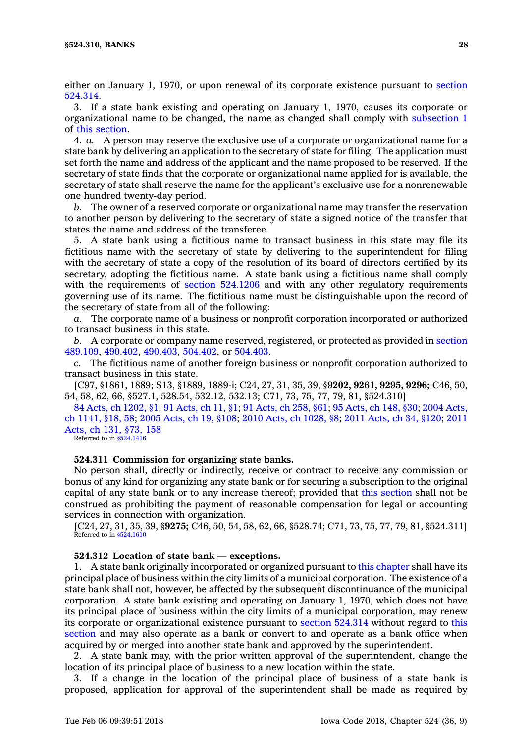either on January 1, 1970, or upon renewal of its corporate existence pursuant to [section](https://www.legis.iowa.gov/docs/code/524.314.pdf) [524.314](https://www.legis.iowa.gov/docs/code/524.314.pdf).

3. If <sup>a</sup> state bank existing and operating on January 1, 1970, causes its corporate or organizational name to be changed, the name as changed shall comply with [subsection](https://www.legis.iowa.gov/docs/code/524.310.pdf) 1 of this [section](https://www.legis.iowa.gov/docs/code/524.310.pdf).

4. *a.* A person may reserve the exclusive use of <sup>a</sup> corporate or organizational name for <sup>a</sup> state bank by delivering an application to the secretary of state for filing. The application must set forth the name and address of the applicant and the name proposed to be reserved. If the secretary of state finds that the corporate or organizational name applied for is available, the secretary of state shall reserve the name for the applicant's exclusive use for <sup>a</sup> nonrenewable one hundred twenty-day period.

*b.* The owner of <sup>a</sup> reserved corporate or organizational name may transfer the reservation to another person by delivering to the secretary of state <sup>a</sup> signed notice of the transfer that states the name and address of the transferee.

5. A state bank using <sup>a</sup> fictitious name to transact business in this state may file its fictitious name with the secretary of state by delivering to the superintendent for filing with the secretary of state <sup>a</sup> copy of the resolution of its board of directors certified by its secretary, adopting the fictitious name. A state bank using <sup>a</sup> fictitious name shall comply with the requirements of section [524.1206](https://www.legis.iowa.gov/docs/code/524.1206.pdf) and with any other regulatory requirements governing use of its name. The fictitious name must be distinguishable upon the record of the secretary of state from all of the following:

*a.* The corporate name of <sup>a</sup> business or nonprofit corporation incorporated or authorized to transact business in this state.

*b.* A corporate or company name reserved, registered, or protected as provided in [section](https://www.legis.iowa.gov/docs/code/489.109.pdf) [489.109](https://www.legis.iowa.gov/docs/code/489.109.pdf), [490.402](https://www.legis.iowa.gov/docs/code/490.402.pdf), [490.403](https://www.legis.iowa.gov/docs/code/490.403.pdf), [504.402](https://www.legis.iowa.gov/docs/code/504.402.pdf), or [504.403](https://www.legis.iowa.gov/docs/code/504.403.pdf).

*c.* The fictitious name of another foreign business or nonprofit corporation authorized to transact business in this state.

[C97, §1861, 1889; S13, §1889, 1889-i; C24, 27, 31, 35, 39, §**9202, 9261, 9295, 9296;** C46, 50, 54, 58, 62, 66, §527.1, 528.54, 532.12, 532.13; C71, 73, 75, 77, 79, 81, §524.310]

84 Acts, ch [1202,](https://www.legis.iowa.gov/docs/acts/84/CH1202.pdf) §1; 91 [Acts,](https://www.legis.iowa.gov/docs/acts/91/CH0011.pdf) ch 11, §1; 91 [Acts,](https://www.legis.iowa.gov/docs/acts/91/CH0258.pdf) ch 258, §61; 95 [Acts,](https://www.legis.iowa.gov/docs/acts/95/CH0148.pdf) ch 148, §30; 2004 [Acts,](https://www.legis.iowa.gov/docs/acts/2004/CH1141.pdf) ch [1141,](https://www.legis.iowa.gov/docs/acts/2004/CH1141.pdf) §18, 58; 2005 [Acts,](https://www.legis.iowa.gov/docs/acts/2005/CH0019.pdf) ch 19, §108; 2010 Acts, ch [1028,](https://www.legis.iowa.gov/docs/acts/2010/CH1028.pdf) §8; 2011 [Acts,](https://www.legis.iowa.gov/docs/acts/2011/CH0034.pdf) ch 34, §120; [2011](https://www.legis.iowa.gov/docs/acts/2011/CH0131.pdf) [Acts,](https://www.legis.iowa.gov/docs/acts/2011/CH0131.pdf) ch 131, §73, 158

Referred to in [§524.1416](https://www.legis.iowa.gov/docs/code/524.1416.pdf)

# **524.311 Commission for organizing state banks.**

No person shall, directly or indirectly, receive or contract to receive any commission or bonus of any kind for organizing any state bank or for securing <sup>a</sup> subscription to the original capital of any state bank or to any increase thereof; provided that this [section](https://www.legis.iowa.gov/docs/code/524.311.pdf) shall not be construed as prohibiting the payment of reasonable compensation for legal or accounting services in connection with organization.

[C24, 27, 31, 35, 39, §**9275;** C46, 50, 54, 58, 62, 66, §528.74; C71, 73, 75, 77, 79, 81, §524.311] Referred to in [§524.1610](https://www.legis.iowa.gov/docs/code/524.1610.pdf)

# **524.312 Location of state bank — exceptions.**

1. A state bank originally incorporated or organized pursuant to this [chapter](https://www.legis.iowa.gov/docs/code//524.pdf) shall have its principal place of business within the city limits of <sup>a</sup> municipal corporation. The existence of <sup>a</sup> state bank shall not, however, be affected by the subsequent discontinuance of the municipal corporation. A state bank existing and operating on January 1, 1970, which does not have its principal place of business within the city limits of <sup>a</sup> municipal corporation, may renew its corporate or organizational existence pursuant to section [524.314](https://www.legis.iowa.gov/docs/code/524.314.pdf) without regard to [this](https://www.legis.iowa.gov/docs/code/524.312.pdf) [section](https://www.legis.iowa.gov/docs/code/524.312.pdf) and may also operate as <sup>a</sup> bank or convert to and operate as <sup>a</sup> bank office when acquired by or merged into another state bank and approved by the superintendent.

2. A state bank may, with the prior written approval of the superintendent, change the location of its principal place of business to <sup>a</sup> new location within the state.

3. If <sup>a</sup> change in the location of the principal place of business of <sup>a</sup> state bank is proposed, application for approval of the superintendent shall be made as required by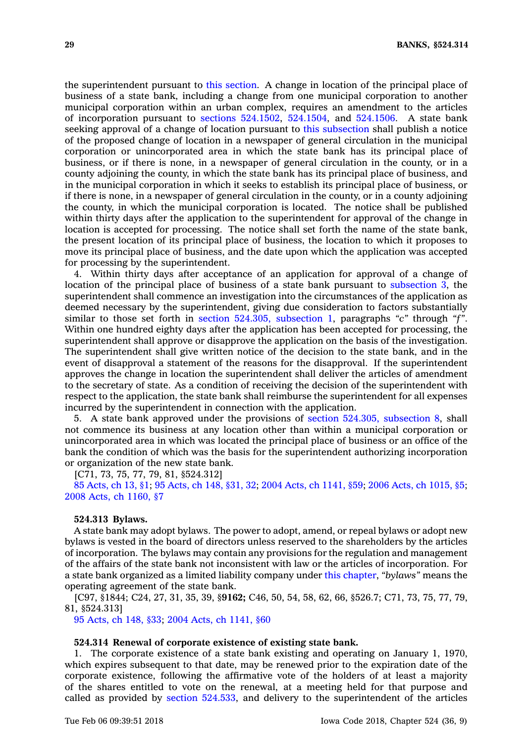the superintendent pursuant to this [section](https://www.legis.iowa.gov/docs/code/524.312.pdf). A change in location of the principal place of business of <sup>a</sup> state bank, including <sup>a</sup> change from one municipal corporation to another municipal corporation within an urban complex, requires an amendment to the articles of incorporation pursuant to sections [524.1502](https://www.legis.iowa.gov/docs/code/524.1502.pdf), [524.1504](https://www.legis.iowa.gov/docs/code/524.1504.pdf), and [524.1506](https://www.legis.iowa.gov/docs/code/524.1506.pdf). A state bank seeking approval of <sup>a</sup> change of location pursuant to this [subsection](https://www.legis.iowa.gov/docs/code/524.312.pdf) shall publish <sup>a</sup> notice of the proposed change of location in <sup>a</sup> newspaper of general circulation in the municipal corporation or unincorporated area in which the state bank has its principal place of business, or if there is none, in <sup>a</sup> newspaper of general circulation in the county, or in <sup>a</sup> county adjoining the county, in which the state bank has its principal place of business, and in the municipal corporation in which it seeks to establish its principal place of business, or if there is none, in <sup>a</sup> newspaper of general circulation in the county, or in <sup>a</sup> county adjoining the county, in which the municipal corporation is located. The notice shall be published within thirty days after the application to the superintendent for approval of the change in location is accepted for processing. The notice shall set forth the name of the state bank, the present location of its principal place of business, the location to which it proposes to move its principal place of business, and the date upon which the application was accepted for processing by the superintendent.

4. Within thirty days after acceptance of an application for approval of <sup>a</sup> change of location of the principal place of business of <sup>a</sup> state bank pursuant to [subsection](https://www.legis.iowa.gov/docs/code/524.312.pdf) 3, the superintendent shall commence an investigation into the circumstances of the application as deemed necessary by the superintendent, giving due consideration to factors substantially similar to those set forth in section 524.305, [subsection](https://www.legis.iowa.gov/docs/code/524.305.pdf) 1, paragraphs *"c"* through *"f"*. Within one hundred eighty days after the application has been accepted for processing, the superintendent shall approve or disapprove the application on the basis of the investigation. The superintendent shall give written notice of the decision to the state bank, and in the event of disapproval <sup>a</sup> statement of the reasons for the disapproval. If the superintendent approves the change in location the superintendent shall deliver the articles of amendment to the secretary of state. As <sup>a</sup> condition of receiving the decision of the superintendent with respect to the application, the state bank shall reimburse the superintendent for all expenses incurred by the superintendent in connection with the application.

5. A state bank approved under the provisions of section 524.305, [subsection](https://www.legis.iowa.gov/docs/code/524.305.pdf) 8, shall not commence its business at any location other than within <sup>a</sup> municipal corporation or unincorporated area in which was located the principal place of business or an office of the bank the condition of which was the basis for the superintendent authorizing incorporation or organization of the new state bank.

[C71, 73, 75, 77, 79, 81, §524.312]

85 [Acts,](https://www.legis.iowa.gov/docs/acts/1985/CH0013.pdf) ch 13, §1; 95 [Acts,](https://www.legis.iowa.gov/docs/acts/1995/CH0148.pdf) ch 148, §31, 32; 2004 Acts, ch [1141,](https://www.legis.iowa.gov/docs/acts/2004/CH1141.pdf) §59; 2006 Acts, ch [1015,](https://www.legis.iowa.gov/docs/acts/2006/CH1015.pdf) §5; 2008 Acts, ch [1160,](https://www.legis.iowa.gov/docs/acts/2008/CH1160.pdf) §7

#### **524.313 Bylaws.**

A state bank may adopt bylaws. The power to adopt, amend, or repeal bylaws or adopt new bylaws is vested in the board of directors unless reserved to the shareholders by the articles of incorporation. The bylaws may contain any provisions for the regulation and management of the affairs of the state bank not inconsistent with law or the articles of incorporation. For <sup>a</sup> state bank organized as <sup>a</sup> limited liability company under this [chapter](https://www.legis.iowa.gov/docs/code//524.pdf), *"bylaws"* means the operating agreement of the state bank.

[C97, §1844; C24, 27, 31, 35, 39, §**9162;** C46, 50, 54, 58, 62, 66, §526.7; C71, 73, 75, 77, 79, 81, §524.313]

95 [Acts,](https://www.legis.iowa.gov/docs/acts/1995/CH0148.pdf) ch 148, §33; 2004 Acts, ch [1141,](https://www.legis.iowa.gov/docs/acts/2004/CH1141.pdf) §60

#### **524.314 Renewal of corporate existence of existing state bank.**

1. The corporate existence of <sup>a</sup> state bank existing and operating on January 1, 1970, which expires subsequent to that date, may be renewed prior to the expiration date of the corporate existence, following the affirmative vote of the holders of at least <sup>a</sup> majority of the shares entitled to vote on the renewal, at <sup>a</sup> meeting held for that purpose and called as provided by section [524.533](https://www.legis.iowa.gov/docs/code/524.533.pdf), and delivery to the superintendent of the articles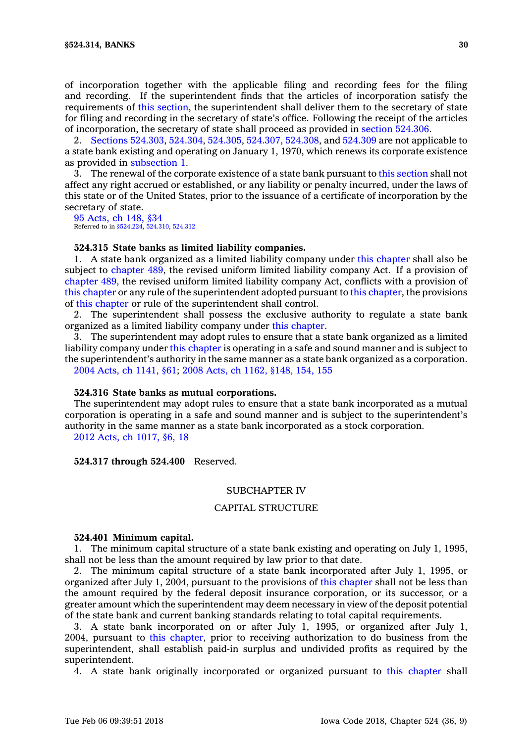of incorporation together with the applicable filing and recording fees for the filing and recording. If the superintendent finds that the articles of incorporation satisfy the requirements of this [section](https://www.legis.iowa.gov/docs/code/524.314.pdf), the superintendent shall deliver them to the secretary of state for filing and recording in the secretary of state's office. Following the receipt of the articles of incorporation, the secretary of state shall proceed as provided in section [524.306](https://www.legis.iowa.gov/docs/code/524.306.pdf).

2. Sections [524.303](https://www.legis.iowa.gov/docs/code/524.303.pdf), [524.304](https://www.legis.iowa.gov/docs/code/524.304.pdf), [524.305](https://www.legis.iowa.gov/docs/code/524.305.pdf), [524.307](https://www.legis.iowa.gov/docs/code/524.307.pdf), [524.308](https://www.legis.iowa.gov/docs/code/524.308.pdf), and [524.309](https://www.legis.iowa.gov/docs/code/524.309.pdf) are not applicable to <sup>a</sup> state bank existing and operating on January 1, 1970, which renews its corporate existence as provided in [subsection](https://www.legis.iowa.gov/docs/code/524.314.pdf) 1.

3. The renewal of the corporate existence of <sup>a</sup> state bank pursuant to this [section](https://www.legis.iowa.gov/docs/code/524.314.pdf) shall not affect any right accrued or established, or any liability or penalty incurred, under the laws of this state or of the United States, prior to the issuance of <sup>a</sup> certificate of incorporation by the secretary of state.

95 [Acts,](https://www.legis.iowa.gov/docs/acts/1995/CH0148.pdf) ch 148, §34 Referred to in [§524.224](https://www.legis.iowa.gov/docs/code/524.224.pdf), [524.310](https://www.legis.iowa.gov/docs/code/524.310.pdf), [524.312](https://www.legis.iowa.gov/docs/code/524.312.pdf)

#### **524.315 State banks as limited liability companies.**

1. A state bank organized as <sup>a</sup> limited liability company under this [chapter](https://www.legis.iowa.gov/docs/code//524.pdf) shall also be subject to [chapter](https://www.legis.iowa.gov/docs/code//489.pdf) 489, the revised uniform limited liability company Act. If <sup>a</sup> provision of [chapter](https://www.legis.iowa.gov/docs/code//489.pdf) 489, the revised uniform limited liability company Act, conflicts with <sup>a</sup> provision of this [chapter](https://www.legis.iowa.gov/docs/code//524.pdf) or any rule of the superintendent adopted pursuant to this [chapter](https://www.legis.iowa.gov/docs/code//524.pdf), the provisions of this [chapter](https://www.legis.iowa.gov/docs/code//524.pdf) or rule of the superintendent shall control.

2. The superintendent shall possess the exclusive authority to regulate <sup>a</sup> state bank organized as <sup>a</sup> limited liability company under this [chapter](https://www.legis.iowa.gov/docs/code//524.pdf).

3. The superintendent may adopt rules to ensure that <sup>a</sup> state bank organized as <sup>a</sup> limited liability company under this [chapter](https://www.legis.iowa.gov/docs/code//524.pdf) is operating in <sup>a</sup> safe and sound manner and is subject to the superintendent's authority in the same manner as <sup>a</sup> state bank organized as <sup>a</sup> corporation. 2004 Acts, ch [1141,](https://www.legis.iowa.gov/docs/acts/2004/CH1141.pdf) §61; 2008 Acts, ch 1162, [§148,](https://www.legis.iowa.gov/docs/acts/2008/CH1162.pdf) 154, 155

#### **524.316 State banks as mutual corporations.**

The superintendent may adopt rules to ensure that <sup>a</sup> state bank incorporated as <sup>a</sup> mutual corporation is operating in <sup>a</sup> safe and sound manner and is subject to the superintendent's authority in the same manner as <sup>a</sup> state bank incorporated as <sup>a</sup> stock corporation.

2012 Acts, ch [1017,](https://www.legis.iowa.gov/docs/acts/2012/CH1017.pdf) §6, 18

#### **524.317 through 524.400** Reserved.

# SUBCHAPTER IV

# CAPITAL STRUCTURE

#### **524.401 Minimum capital.**

1. The minimum capital structure of <sup>a</sup> state bank existing and operating on July 1, 1995, shall not be less than the amount required by law prior to that date.

2. The minimum capital structure of <sup>a</sup> state bank incorporated after July 1, 1995, or organized after July 1, 2004, pursuant to the provisions of this [chapter](https://www.legis.iowa.gov/docs/code//524.pdf) shall not be less than the amount required by the federal deposit insurance corporation, or its successor, or <sup>a</sup> greater amount which the superintendent may deem necessary in view of the deposit potential of the state bank and current banking standards relating to total capital requirements.

3. A state bank incorporated on or after July 1, 1995, or organized after July 1, 2004, pursuant to this [chapter](https://www.legis.iowa.gov/docs/code//524.pdf), prior to receiving authorization to do business from the superintendent, shall establish paid-in surplus and undivided profits as required by the superintendent.

4. A state bank originally incorporated or organized pursuant to this [chapter](https://www.legis.iowa.gov/docs/code//524.pdf) shall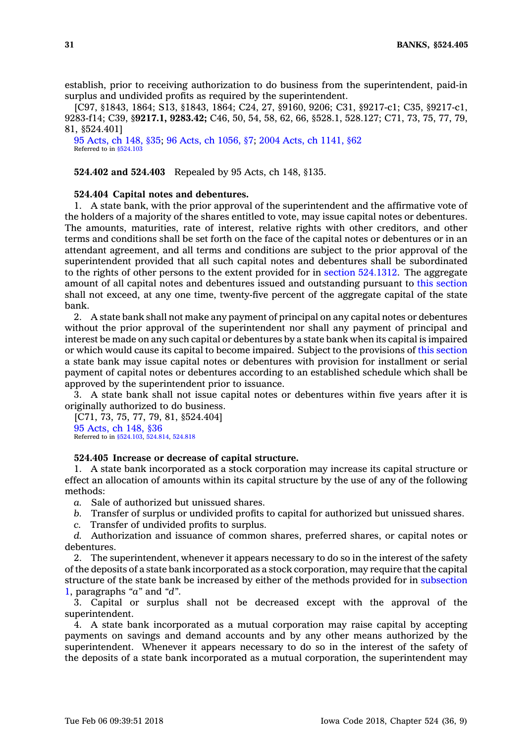establish, prior to receiving authorization to do business from the superintendent, paid-in surplus and undivided profits as required by the superintendent.

[C97, §1843, 1864; S13, §1843, 1864; C24, 27, §9160, 9206; C31, §9217-c1; C35, §9217-c1, 9283-f14; C39, §**9217.1, 9283.42;** C46, 50, 54, 58, 62, 66, §528.1, 528.127; C71, 73, 75, 77, 79, 81, §524.401]

95 [Acts,](https://www.legis.iowa.gov/docs/acts/1995/CH0148.pdf) ch 148, §35; 96 Acts, ch [1056,](https://www.legis.iowa.gov/docs/acts/1996/CH1056.pdf) §7; 2004 Acts, ch [1141,](https://www.legis.iowa.gov/docs/acts/2004/CH1141.pdf) §62 Referred to in [§524.103](https://www.legis.iowa.gov/docs/code/524.103.pdf)

**524.402 and 524.403** Repealed by 95 Acts, ch 148, §135.

#### **524.404 Capital notes and debentures.**

1. A state bank, with the prior approval of the superintendent and the affirmative vote of the holders of <sup>a</sup> majority of the shares entitled to vote, may issue capital notes or debentures. The amounts, maturities, rate of interest, relative rights with other creditors, and other terms and conditions shall be set forth on the face of the capital notes or debentures or in an attendant agreement, and all terms and conditions are subject to the prior approval of the superintendent provided that all such capital notes and debentures shall be subordinated to the rights of other persons to the extent provided for in section [524.1312](https://www.legis.iowa.gov/docs/code/524.1312.pdf). The aggregate amount of all capital notes and debentures issued and outstanding pursuant to this [section](https://www.legis.iowa.gov/docs/code/524.404.pdf) shall not exceed, at any one time, twenty-five percent of the aggregate capital of the state bank.

2. A state bank shall not make any payment of principal on any capital notes or debentures without the prior approval of the superintendent nor shall any payment of principal and interest be made on any such capital or debentures by <sup>a</sup> state bank when its capital is impaired or which would cause its capital to become impaired. Subject to the provisions of this [section](https://www.legis.iowa.gov/docs/code/524.404.pdf) <sup>a</sup> state bank may issue capital notes or debentures with provision for installment or serial payment of capital notes or debentures according to an established schedule which shall be approved by the superintendent prior to issuance.

3. A state bank shall not issue capital notes or debentures within five years after it is originally authorized to do business.

[C71, 73, 75, 77, 79, 81, §524.404] 95 [Acts,](https://www.legis.iowa.gov/docs/acts/1995/CH0148.pdf) ch 148, §36 Referred to in [§524.103](https://www.legis.iowa.gov/docs/code/524.103.pdf), [524.814](https://www.legis.iowa.gov/docs/code/524.814.pdf), [524.818](https://www.legis.iowa.gov/docs/code/524.818.pdf)

# **524.405 Increase or decrease of capital structure.**

1. A state bank incorporated as <sup>a</sup> stock corporation may increase its capital structure or effect an allocation of amounts within its capital structure by the use of any of the following methods:

*a.* Sale of authorized but unissued shares.

- *b.* Transfer of surplus or undivided profits to capital for authorized but unissued shares.
- *c.* Transfer of undivided profits to surplus.

*d.* Authorization and issuance of common shares, preferred shares, or capital notes or debentures.

2. The superintendent, whenever it appears necessary to do so in the interest of the safety of the deposits of <sup>a</sup> state bank incorporated as <sup>a</sup> stock corporation, may require that the capital structure of the state bank be increased by either of the methods provided for in [subsection](https://www.legis.iowa.gov/docs/code/524.405.pdf) [1](https://www.legis.iowa.gov/docs/code/524.405.pdf), paragraphs *"a"* and *"d"*.

3. Capital or surplus shall not be decreased except with the approval of the superintendent.

4. A state bank incorporated as <sup>a</sup> mutual corporation may raise capital by accepting payments on savings and demand accounts and by any other means authorized by the superintendent. Whenever it appears necessary to do so in the interest of the safety of the deposits of <sup>a</sup> state bank incorporated as <sup>a</sup> mutual corporation, the superintendent may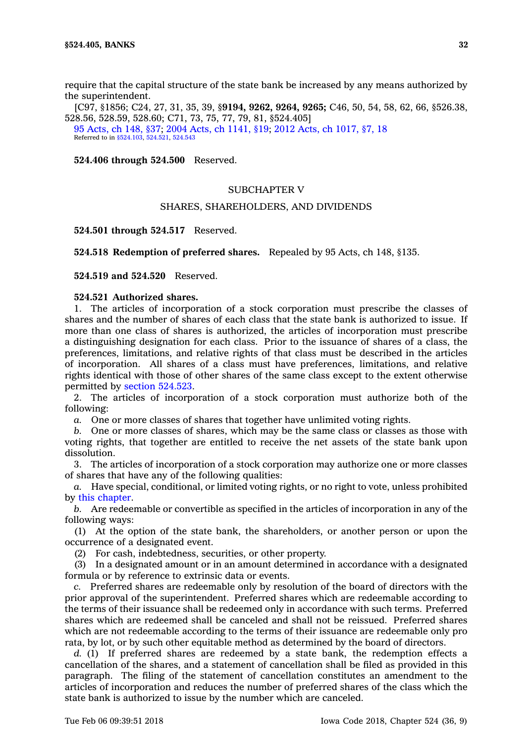require that the capital structure of the state bank be increased by any means authorized by the superintendent.

[C97, §1856; C24, 27, 31, 35, 39, §**9194, 9262, 9264, 9265;** C46, 50, 54, 58, 62, 66, §526.38, 528.56, 528.59, 528.60; C71, 73, 75, 77, 79, 81, §524.405] 95 [Acts,](https://www.legis.iowa.gov/docs/acts/95/CH0148.pdf) ch 148, §37; 2004 Acts, ch [1141,](https://www.legis.iowa.gov/docs/acts/2004/CH1141.pdf) §19; 2012 Acts, ch [1017,](https://www.legis.iowa.gov/docs/acts/2012/CH1017.pdf) §7, 18 Referred to in [§524.103](https://www.legis.iowa.gov/docs/code/524.103.pdf), [524.521](https://www.legis.iowa.gov/docs/code/524.521.pdf), [524.543](https://www.legis.iowa.gov/docs/code/524.543.pdf)

**524.406 through 524.500** Reserved.

# SUBCHAPTER V

# SHARES, SHAREHOLDERS, AND DIVIDENDS

**524.501 through 524.517** Reserved.

**524.518 Redemption of preferred shares.** Repealed by 95 Acts, ch 148, §135.

**524.519 and 524.520** Reserved.

# **524.521 Authorized shares.**

1. The articles of incorporation of <sup>a</sup> stock corporation must prescribe the classes of shares and the number of shares of each class that the state bank is authorized to issue. If more than one class of shares is authorized, the articles of incorporation must prescribe <sup>a</sup> distinguishing designation for each class. Prior to the issuance of shares of <sup>a</sup> class, the preferences, limitations, and relative rights of that class must be described in the articles of incorporation. All shares of <sup>a</sup> class must have preferences, limitations, and relative rights identical with those of other shares of the same class except to the extent otherwise permitted by section [524.523](https://www.legis.iowa.gov/docs/code/524.523.pdf).

2. The articles of incorporation of <sup>a</sup> stock corporation must authorize both of the following:

*a.* One or more classes of shares that together have unlimited voting rights.

*b.* One or more classes of shares, which may be the same class or classes as those with voting rights, that together are entitled to receive the net assets of the state bank upon dissolution.

3. The articles of incorporation of <sup>a</sup> stock corporation may authorize one or more classes of shares that have any of the following qualities:

*a.* Have special, conditional, or limited voting rights, or no right to vote, unless prohibited by this [chapter](https://www.legis.iowa.gov/docs/code//524.pdf).

*b.* Are redeemable or convertible as specified in the articles of incorporation in any of the following ways:

(1) At the option of the state bank, the shareholders, or another person or upon the occurrence of <sup>a</sup> designated event.

(2) For cash, indebtedness, securities, or other property.

(3) In <sup>a</sup> designated amount or in an amount determined in accordance with <sup>a</sup> designated formula or by reference to extrinsic data or events.

*c.* Preferred shares are redeemable only by resolution of the board of directors with the prior approval of the superintendent. Preferred shares which are redeemable according to the terms of their issuance shall be redeemed only in accordance with such terms. Preferred shares which are redeemed shall be canceled and shall not be reissued. Preferred shares which are not redeemable according to the terms of their issuance are redeemable only pro rata, by lot, or by such other equitable method as determined by the board of directors.

*d.* (1) If preferred shares are redeemed by <sup>a</sup> state bank, the redemption effects <sup>a</sup> cancellation of the shares, and <sup>a</sup> statement of cancellation shall be filed as provided in this paragraph. The filing of the statement of cancellation constitutes an amendment to the articles of incorporation and reduces the number of preferred shares of the class which the state bank is authorized to issue by the number which are canceled.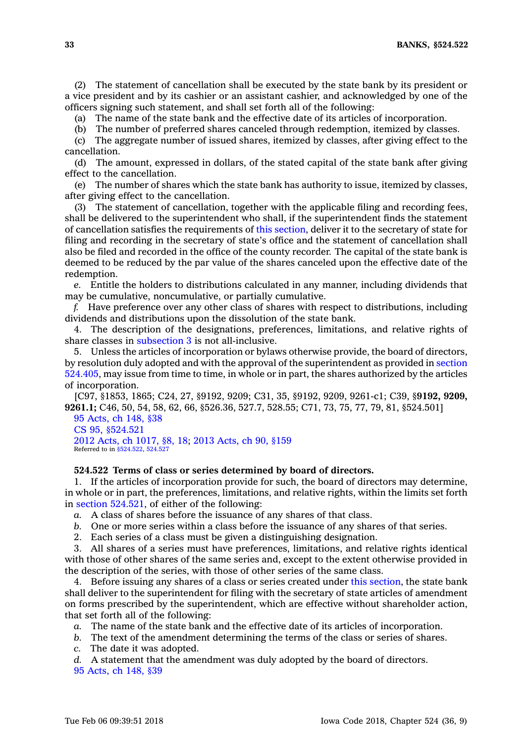**33 BANKS, §524.522**

(2) The statement of cancellation shall be executed by the state bank by its president or <sup>a</sup> vice president and by its cashier or an assistant cashier, and acknowledged by one of the officers signing such statement, and shall set forth all of the following:

(a) The name of the state bank and the effective date of its articles of incorporation.

(b) The number of preferred shares canceled through redemption, itemized by classes.

(c) The aggregate number of issued shares, itemized by classes, after giving effect to the cancellation.

(d) The amount, expressed in dollars, of the stated capital of the state bank after giving effect to the cancellation.

(e) The number of shares which the state bank has authority to issue, itemized by classes, after giving effect to the cancellation.

(3) The statement of cancellation, together with the applicable filing and recording fees, shall be delivered to the superintendent who shall, if the superintendent finds the statement of cancellation satisfies the requirements of this [section](https://www.legis.iowa.gov/docs/code/524.521.pdf), deliver it to the secretary of state for filing and recording in the secretary of state's office and the statement of cancellation shall also be filed and recorded in the office of the county recorder. The capital of the state bank is deemed to be reduced by the par value of the shares canceled upon the effective date of the redemption.

*e.* Entitle the holders to distributions calculated in any manner, including dividends that may be cumulative, noncumulative, or partially cumulative.

*f.* Have preference over any other class of shares with respect to distributions, including dividends and distributions upon the dissolution of the state bank.

4. The description of the designations, preferences, limitations, and relative rights of share classes in [subsection](https://www.legis.iowa.gov/docs/code/524.521.pdf) 3 is not all-inclusive.

5. Unless the articles of incorporation or bylaws otherwise provide, the board of directors, by resolution duly adopted and with the approval of the superintendent as provided in [section](https://www.legis.iowa.gov/docs/code/524.405.pdf) [524.405](https://www.legis.iowa.gov/docs/code/524.405.pdf), may issue from time to time, in whole or in part, the shares authorized by the articles of incorporation.

[C97, §1853, 1865; C24, 27, §9192, 9209; C31, 35, §9192, 9209, 9261-c1; C39, §**9192, 9209, 9261.1;** C46, 50, 54, 58, 62, 66, §526.36, 527.7, 528.55; C71, 73, 75, 77, 79, 81, §524.501]

95 [Acts,](https://www.legis.iowa.gov/docs/acts/95/CH0148.pdf) ch 148, §38 CS 95, [§524.521](https://www.legis.iowa.gov/docs/acts//CH0000.pdf) 2012 Acts, ch [1017,](https://www.legis.iowa.gov/docs/acts/2012/CH1017.pdf) §8, 18; 2013 [Acts,](https://www.legis.iowa.gov/docs/acts/2013/CH0090.pdf) ch 90, §159 Referred to in [§524.522](https://www.legis.iowa.gov/docs/code/524.522.pdf), [524.527](https://www.legis.iowa.gov/docs/code/524.527.pdf)

# **524.522 Terms of class or series determined by board of directors.**

1. If the articles of incorporation provide for such, the board of directors may determine, in whole or in part, the preferences, limitations, and relative rights, within the limits set forth in section [524.521](https://www.legis.iowa.gov/docs/code/524.521.pdf), of either of the following:

*a.* A class of shares before the issuance of any shares of that class.

- *b.* One or more series within <sup>a</sup> class before the issuance of any shares of that series.
- 2. Each series of <sup>a</sup> class must be given <sup>a</sup> distinguishing designation.

3. All shares of <sup>a</sup> series must have preferences, limitations, and relative rights identical with those of other shares of the same series and, except to the extent otherwise provided in the description of the series, with those of other series of the same class.

4. Before issuing any shares of <sup>a</sup> class or series created under this [section](https://www.legis.iowa.gov/docs/code/524.522.pdf), the state bank shall deliver to the superintendent for filing with the secretary of state articles of amendment on forms prescribed by the superintendent, which are effective without shareholder action, that set forth all of the following:

*a.* The name of the state bank and the effective date of its articles of incorporation.

*b.* The text of the amendment determining the terms of the class or series of shares.

*c.* The date it was adopted.

*d.* A statement that the amendment was duly adopted by the board of directors.

95 [Acts,](https://www.legis.iowa.gov/docs/acts/1995/CH0148.pdf) ch 148, §39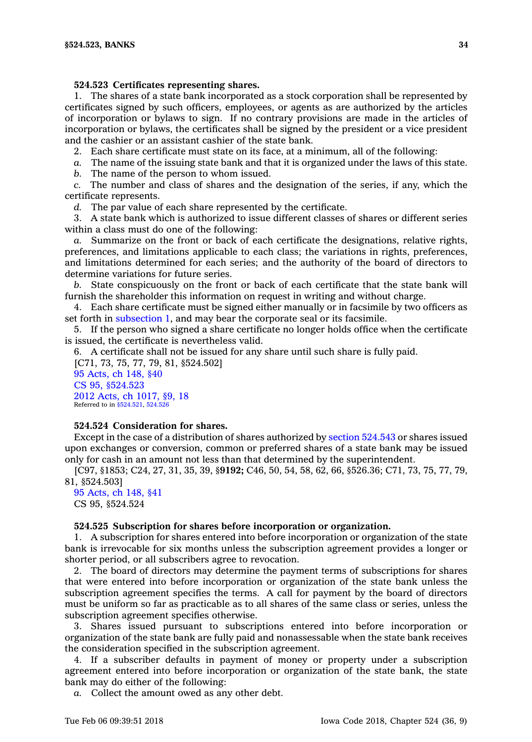# **524.523 Certificates representing shares.**

1. The shares of <sup>a</sup> state bank incorporated as <sup>a</sup> stock corporation shall be represented by certificates signed by such officers, employees, or agents as are authorized by the articles of incorporation or bylaws to sign. If no contrary provisions are made in the articles of incorporation or bylaws, the certificates shall be signed by the president or <sup>a</sup> vice president and the cashier or an assistant cashier of the state bank.

2. Each share certificate must state on its face, at <sup>a</sup> minimum, all of the following:

*a.* The name of the issuing state bank and that it is organized under the laws of this state.

*b.* The name of the person to whom issued.

*c.* The number and class of shares and the designation of the series, if any, which the certificate represents.

*d.* The par value of each share represented by the certificate.

3. A state bank which is authorized to issue different classes of shares or different series within <sup>a</sup> class must do one of the following:

*a.* Summarize on the front or back of each certificate the designations, relative rights, preferences, and limitations applicable to each class; the variations in rights, preferences, and limitations determined for each series; and the authority of the board of directors to determine variations for future series.

*b.* State conspicuously on the front or back of each certificate that the state bank will furnish the shareholder this information on request in writing and without charge.

4. Each share certificate must be signed either manually or in facsimile by two officers as set forth in [subsection](https://www.legis.iowa.gov/docs/code/524.523.pdf) 1, and may bear the corporate seal or its facsimile.

5. If the person who signed <sup>a</sup> share certificate no longer holds office when the certificate is issued, the certificate is nevertheless valid.

6. A certificate shall not be issued for any share until such share is fully paid.

[C71, 73, 75, 77, 79, 81, §524.502] 95 [Acts,](https://www.legis.iowa.gov/docs/acts/95/CH0148.pdf) ch 148, §40 CS 95, [§524.523](https://www.legis.iowa.gov/docs/acts//CH0000.pdf) 2012 Acts, ch [1017,](https://www.legis.iowa.gov/docs/acts/2012/CH1017.pdf) §9, 18 Referred to in [§524.521](https://www.legis.iowa.gov/docs/code/524.521.pdf), [524.526](https://www.legis.iowa.gov/docs/code/524.526.pdf)

# **524.524 Consideration for shares.**

Except in the case of <sup>a</sup> distribution of shares authorized by section [524.543](https://www.legis.iowa.gov/docs/code/524.543.pdf) or shares issued upon exchanges or conversion, common or preferred shares of <sup>a</sup> state bank may be issued only for cash in an amount not less than that determined by the superintendent.

[C97, §1853; C24, 27, 31, 35, 39, §**9192;** C46, 50, 54, 58, 62, 66, §526.36; C71, 73, 75, 77, 79, 81, §524.503]

#### 95 [Acts,](https://www.legis.iowa.gov/docs/acts/1995/CH0148.pdf) ch 148, §41 CS 95, §524.524

#### **524.525 Subscription for shares before incorporation or organization.**

1. A subscription for shares entered into before incorporation or organization of the state bank is irrevocable for six months unless the subscription agreement provides <sup>a</sup> longer or shorter period, or all subscribers agree to revocation.

2. The board of directors may determine the payment terms of subscriptions for shares that were entered into before incorporation or organization of the state bank unless the subscription agreement specifies the terms. A call for payment by the board of directors must be uniform so far as practicable as to all shares of the same class or series, unless the subscription agreement specifies otherwise.

3. Shares issued pursuant to subscriptions entered into before incorporation or organization of the state bank are fully paid and nonassessable when the state bank receives the consideration specified in the subscription agreement.

4. If <sup>a</sup> subscriber defaults in payment of money or property under <sup>a</sup> subscription agreement entered into before incorporation or organization of the state bank, the state bank may do either of the following:

*a.* Collect the amount owed as any other debt.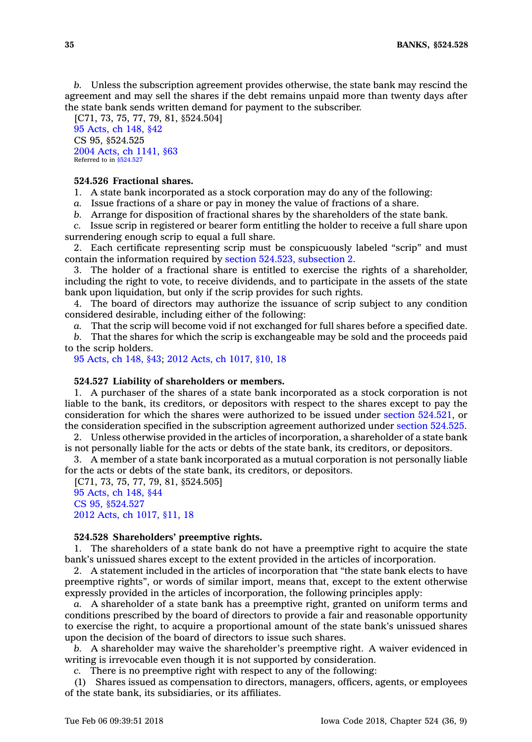*b.* Unless the subscription agreement provides otherwise, the state bank may rescind the agreement and may sell the shares if the debt remains unpaid more than twenty days after the state bank sends written demand for payment to the subscriber.

[C71, 73, 75, 77, 79, 81, §524.504] 95 [Acts,](https://www.legis.iowa.gov/docs/acts/1995/CH0148.pdf) ch 148, §42 CS 95, §524.525 2004 Acts, ch [1141,](https://www.legis.iowa.gov/docs/acts/2004/CH1141.pdf) §63 Referred to in [§524.527](https://www.legis.iowa.gov/docs/code/524.527.pdf)

# **524.526 Fractional shares.**

1. A state bank incorporated as <sup>a</sup> stock corporation may do any of the following:

*a.* Issue fractions of <sup>a</sup> share or pay in money the value of fractions of <sup>a</sup> share.

*b.* Arrange for disposition of fractional shares by the shareholders of the state bank.

*c.* Issue scrip in registered or bearer form entitling the holder to receive <sup>a</sup> full share upon surrendering enough scrip to equal <sup>a</sup> full share.

2. Each certificate representing scrip must be conspicuously labeled "scrip" and must contain the information required by section 524.523, [subsection](https://www.legis.iowa.gov/docs/code/524.523.pdf) 2.

3. The holder of <sup>a</sup> fractional share is entitled to exercise the rights of <sup>a</sup> shareholder, including the right to vote, to receive dividends, and to participate in the assets of the state bank upon liquidation, but only if the scrip provides for such rights.

4. The board of directors may authorize the issuance of scrip subject to any condition considered desirable, including either of the following:

*a.* That the scrip will become void if not exchanged for full shares before <sup>a</sup> specified date.

*b.* That the shares for which the scrip is exchangeable may be sold and the proceeds paid to the scrip holders.

95 [Acts,](https://www.legis.iowa.gov/docs/acts/95/CH0148.pdf) ch 148, §43; 2012 Acts, ch [1017,](https://www.legis.iowa.gov/docs/acts/2012/CH1017.pdf) §10, 18

#### **524.527 Liability of shareholders or members.**

1. A purchaser of the shares of <sup>a</sup> state bank incorporated as <sup>a</sup> stock corporation is not liable to the bank, its creditors, or depositors with respect to the shares except to pay the consideration for which the shares were authorized to be issued under section [524.521](https://www.legis.iowa.gov/docs/code/524.521.pdf), or the consideration specified in the subscription agreement authorized under section [524.525](https://www.legis.iowa.gov/docs/code/524.525.pdf).

2. Unless otherwise provided in the articles of incorporation, <sup>a</sup> shareholder of <sup>a</sup> state bank is not personally liable for the acts or debts of the state bank, its creditors, or depositors.

3. A member of <sup>a</sup> state bank incorporated as <sup>a</sup> mutual corporation is not personally liable for the acts or debts of the state bank, its creditors, or depositors.

[C71, 73, 75, 77, 79, 81, §524.505] 95 [Acts,](https://www.legis.iowa.gov/docs/acts/95/CH0148.pdf) ch 148, §44 CS 95, [§524.527](https://www.legis.iowa.gov/docs/acts//CH0000.pdf) 2012 Acts, ch [1017,](https://www.legis.iowa.gov/docs/acts/2012/CH1017.pdf) §11, 18

# **524.528 Shareholders' preemptive rights.**

1. The shareholders of <sup>a</sup> state bank do not have <sup>a</sup> preemptive right to acquire the state bank's unissued shares except to the extent provided in the articles of incorporation.

2. A statement included in the articles of incorporation that "the state bank elects to have preemptive rights", or words of similar import, means that, except to the extent otherwise expressly provided in the articles of incorporation, the following principles apply:

*a.* A shareholder of <sup>a</sup> state bank has <sup>a</sup> preemptive right, granted on uniform terms and conditions prescribed by the board of directors to provide <sup>a</sup> fair and reasonable opportunity to exercise the right, to acquire <sup>a</sup> proportional amount of the state bank's unissued shares upon the decision of the board of directors to issue such shares.

*b.* A shareholder may waive the shareholder's preemptive right. A waiver evidenced in writing is irrevocable even though it is not supported by consideration.

*c.* There is no preemptive right with respect to any of the following:

(1) Shares issued as compensation to directors, managers, officers, agents, or employees of the state bank, its subsidiaries, or its affiliates.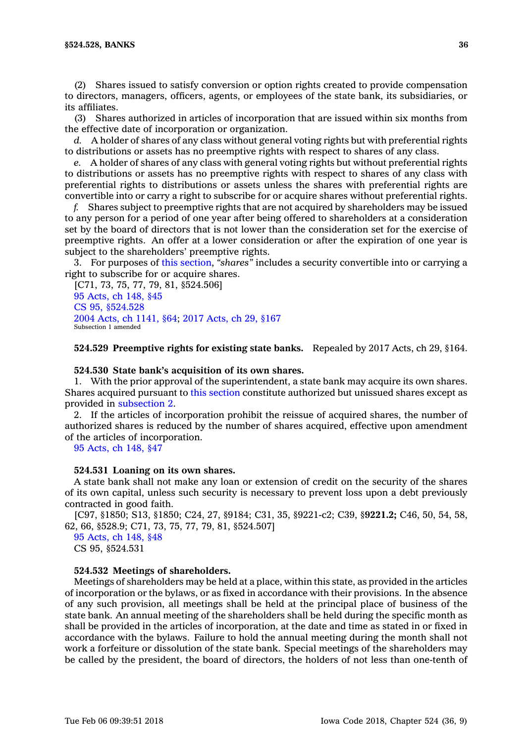(2) Shares issued to satisfy conversion or option rights created to provide compensation to directors, managers, officers, agents, or employees of the state bank, its subsidiaries, or its affiliates.

(3) Shares authorized in articles of incorporation that are issued within six months from the effective date of incorporation or organization.

*d.* A holder of shares of any class without general voting rights but with preferential rights to distributions or assets has no preemptive rights with respect to shares of any class.

*e.* A holder of shares of any class with general voting rights but without preferential rights to distributions or assets has no preemptive rights with respect to shares of any class with preferential rights to distributions or assets unless the shares with preferential rights are convertible into or carry <sup>a</sup> right to subscribe for or acquire shares without preferential rights.

*f.* Shares subject to preemptive rights that are not acquired by shareholders may be issued to any person for <sup>a</sup> period of one year after being offered to shareholders at <sup>a</sup> consideration set by the board of directors that is not lower than the consideration set for the exercise of preemptive rights. An offer at <sup>a</sup> lower consideration or after the expiration of one year is subject to the shareholders' preemptive rights.

3. For purposes of this [section](https://www.legis.iowa.gov/docs/code/524.528.pdf), *"shares"* includes <sup>a</sup> security convertible into or carrying <sup>a</sup> right to subscribe for or acquire shares.

[C71, 73, 75, 77, 79, 81, §524.506] 95 [Acts,](https://www.legis.iowa.gov/docs/acts/95/CH0148.pdf) ch 148, §45 CS 95, [§524.528](https://www.legis.iowa.gov/docs/acts//CH0000.pdf) 2004 Acts, ch [1141,](https://www.legis.iowa.gov/docs/acts/2004/CH1141.pdf) §64; 2017 [Acts,](https://www.legis.iowa.gov/docs/acts/2017/CH0029.pdf) ch 29, §167 Subsection 1 amended

**524.529 Preemptive rights for existing state banks.** Repealed by 2017 Acts, ch 29, §164.

#### **524.530 State bank's acquisition of its own shares.**

1. With the prior approval of the superintendent, <sup>a</sup> state bank may acquire its own shares. Shares acquired pursuant to this [section](https://www.legis.iowa.gov/docs/code/524.530.pdf) constitute authorized but unissued shares except as provided in [subsection](https://www.legis.iowa.gov/docs/code/524.530.pdf) 2.

2. If the articles of incorporation prohibit the reissue of acquired shares, the number of authorized shares is reduced by the number of shares acquired, effective upon amendment of the articles of incorporation.

95 [Acts,](https://www.legis.iowa.gov/docs/acts/1995/CH0148.pdf) ch 148, §47

#### **524.531 Loaning on its own shares.**

A state bank shall not make any loan or extension of credit on the security of the shares of its own capital, unless such security is necessary to prevent loss upon <sup>a</sup> debt previously contracted in good faith.

[C97, §1850; S13, §1850; C24, 27, §9184; C31, 35, §9221-c2; C39, §**9221.2;** C46, 50, 54, 58, 62, 66, §528.9; C71, 73, 75, 77, 79, 81, §524.507]

95 [Acts,](https://www.legis.iowa.gov/docs/acts/1995/CH0148.pdf) ch 148, §48 CS 95, §524.531

#### **524.532 Meetings of shareholders.**

Meetings of shareholders may be held at <sup>a</sup> place, within this state, as provided in the articles of incorporation or the bylaws, or as fixed in accordance with their provisions. In the absence of any such provision, all meetings shall be held at the principal place of business of the state bank. An annual meeting of the shareholders shall be held during the specific month as shall be provided in the articles of incorporation, at the date and time as stated in or fixed in accordance with the bylaws. Failure to hold the annual meeting during the month shall not work <sup>a</sup> forfeiture or dissolution of the state bank. Special meetings of the shareholders may be called by the president, the board of directors, the holders of not less than one-tenth of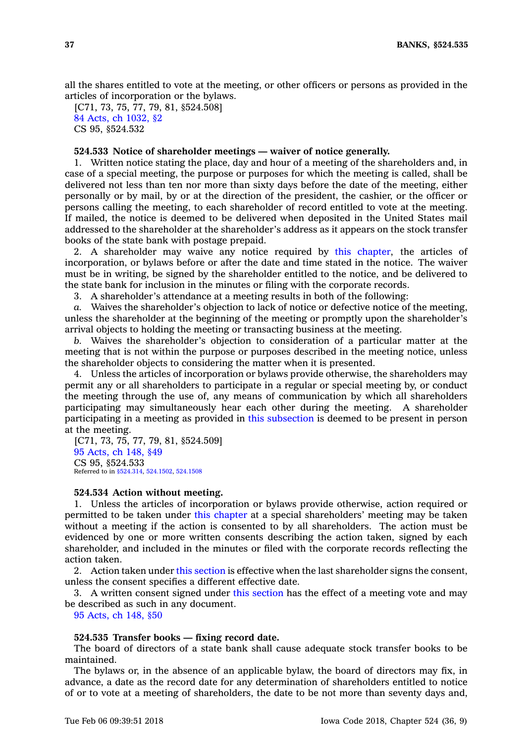all the shares entitled to vote at the meeting, or other officers or persons as provided in the articles of incorporation or the bylaws.

[C71, 73, 75, 77, 79, 81, §524.508] 84 Acts, ch [1032,](https://www.legis.iowa.gov/docs/acts/1984/CH1032.pdf) §2 CS 95, §524.532

## **524.533 Notice of shareholder meetings — waiver of notice generally.**

1. Written notice stating the place, day and hour of <sup>a</sup> meeting of the shareholders and, in case of <sup>a</sup> special meeting, the purpose or purposes for which the meeting is called, shall be delivered not less than ten nor more than sixty days before the date of the meeting, either personally or by mail, by or at the direction of the president, the cashier, or the officer or persons calling the meeting, to each shareholder of record entitled to vote at the meeting. If mailed, the notice is deemed to be delivered when deposited in the United States mail addressed to the shareholder at the shareholder's address as it appears on the stock transfer books of the state bank with postage prepaid.

2. A shareholder may waive any notice required by this [chapter](https://www.legis.iowa.gov/docs/code//524.pdf), the articles of incorporation, or bylaws before or after the date and time stated in the notice. The waiver must be in writing, be signed by the shareholder entitled to the notice, and be delivered to the state bank for inclusion in the minutes or filing with the corporate records.

3. A shareholder's attendance at <sup>a</sup> meeting results in both of the following:

*a.* Waives the shareholder's objection to lack of notice or defective notice of the meeting, unless the shareholder at the beginning of the meeting or promptly upon the shareholder's arrival objects to holding the meeting or transacting business at the meeting.

*b.* Waives the shareholder's objection to consideration of <sup>a</sup> particular matter at the meeting that is not within the purpose or purposes described in the meeting notice, unless the shareholder objects to considering the matter when it is presented.

4. Unless the articles of incorporation or bylaws provide otherwise, the shareholders may permit any or all shareholders to participate in <sup>a</sup> regular or special meeting by, or conduct the meeting through the use of, any means of communication by which all shareholders participating may simultaneously hear each other during the meeting. A shareholder participating in <sup>a</sup> meeting as provided in this [subsection](https://www.legis.iowa.gov/docs/code/524.533.pdf) is deemed to be present in person at the meeting.

[C71, 73, 75, 77, 79, 81, §524.509] 95 [Acts,](https://www.legis.iowa.gov/docs/acts/1995/CH0148.pdf) ch 148, §49 CS 95, §524.533 Referred to in [§524.314](https://www.legis.iowa.gov/docs/code/524.314.pdf), [524.1502](https://www.legis.iowa.gov/docs/code/524.1502.pdf), [524.1508](https://www.legis.iowa.gov/docs/code/524.1508.pdf)

#### **524.534 Action without meeting.**

1. Unless the articles of incorporation or bylaws provide otherwise, action required or permitted to be taken under this [chapter](https://www.legis.iowa.gov/docs/code//524.pdf) at <sup>a</sup> special shareholders' meeting may be taken without <sup>a</sup> meeting if the action is consented to by all shareholders. The action must be evidenced by one or more written consents describing the action taken, signed by each shareholder, and included in the minutes or filed with the corporate records reflecting the action taken.

2. Action taken under this [section](https://www.legis.iowa.gov/docs/code/524.534.pdf) is effective when the last shareholder signs the consent, unless the consent specifies <sup>a</sup> different effective date.

3. A written consent signed under this [section](https://www.legis.iowa.gov/docs/code/524.534.pdf) has the effect of <sup>a</sup> meeting vote and may be described as such in any document.

95 [Acts,](https://www.legis.iowa.gov/docs/acts/1995/CH0148.pdf) ch 148, §50

### **524.535 Transfer books — fixing record date.**

The board of directors of <sup>a</sup> state bank shall cause adequate stock transfer books to be maintained.

The bylaws or, in the absence of an applicable bylaw, the board of directors may fix, in advance, <sup>a</sup> date as the record date for any determination of shareholders entitled to notice of or to vote at <sup>a</sup> meeting of shareholders, the date to be not more than seventy days and,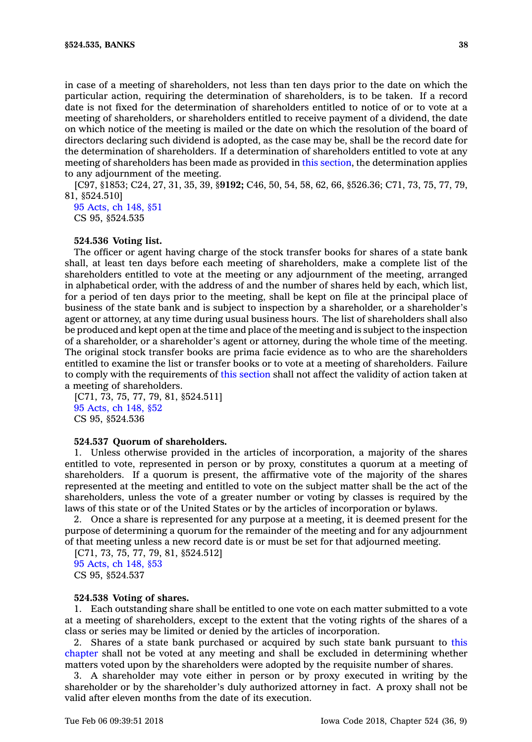in case of <sup>a</sup> meeting of shareholders, not less than ten days prior to the date on which the particular action, requiring the determination of shareholders, is to be taken. If <sup>a</sup> record date is not fixed for the determination of shareholders entitled to notice of or to vote at <sup>a</sup> meeting of shareholders, or shareholders entitled to receive payment of <sup>a</sup> dividend, the date on which notice of the meeting is mailed or the date on which the resolution of the board of directors declaring such dividend is adopted, as the case may be, shall be the record date for the determination of shareholders. If <sup>a</sup> determination of shareholders entitled to vote at any meeting of shareholders has been made as provided in this [section](https://www.legis.iowa.gov/docs/code/524.535.pdf), the determination applies to any adjournment of the meeting.

[C97, §1853; C24, 27, 31, 35, 39, §**9192;** C46, 50, 54, 58, 62, 66, §526.36; C71, 73, 75, 77, 79, 81, §524.510]

95 [Acts,](https://www.legis.iowa.gov/docs/acts/1995/CH0148.pdf) ch 148, §51 CS 95, §524.535

## **524.536 Voting list.**

The officer or agent having charge of the stock transfer books for shares of <sup>a</sup> state bank shall, at least ten days before each meeting of shareholders, make <sup>a</sup> complete list of the shareholders entitled to vote at the meeting or any adjournment of the meeting, arranged in alphabetical order, with the address of and the number of shares held by each, which list, for <sup>a</sup> period of ten days prior to the meeting, shall be kept on file at the principal place of business of the state bank and is subject to inspection by <sup>a</sup> shareholder, or <sup>a</sup> shareholder's agent or attorney, at any time during usual business hours. The list of shareholders shall also be produced and kept open at the time and place of the meeting and is subject to the inspection of <sup>a</sup> shareholder, or <sup>a</sup> shareholder's agent or attorney, during the whole time of the meeting. The original stock transfer books are prima facie evidence as to who are the shareholders entitled to examine the list or transfer books or to vote at <sup>a</sup> meeting of shareholders. Failure to comply with the requirements of this [section](https://www.legis.iowa.gov/docs/code/524.536.pdf) shall not affect the validity of action taken at <sup>a</sup> meeting of shareholders.

[C71, 73, 75, 77, 79, 81, §524.511] 95 [Acts,](https://www.legis.iowa.gov/docs/acts/1995/CH0148.pdf) ch 148, §52 CS 95, §524.536

#### **524.537 Quorum of shareholders.**

1. Unless otherwise provided in the articles of incorporation, <sup>a</sup> majority of the shares entitled to vote, represented in person or by proxy, constitutes <sup>a</sup> quorum at <sup>a</sup> meeting of shareholders. If <sup>a</sup> quorum is present, the affirmative vote of the majority of the shares represented at the meeting and entitled to vote on the subject matter shall be the act of the shareholders, unless the vote of <sup>a</sup> greater number or voting by classes is required by the laws of this state or of the United States or by the articles of incorporation or bylaws.

2. Once <sup>a</sup> share is represented for any purpose at <sup>a</sup> meeting, it is deemed present for the purpose of determining <sup>a</sup> quorum for the remainder of the meeting and for any adjournment of that meeting unless <sup>a</sup> new record date is or must be set for that adjourned meeting.

[C71, 73, 75, 77, 79, 81, §524.512] 95 [Acts,](https://www.legis.iowa.gov/docs/acts/1995/CH0148.pdf) ch 148, §53 CS 95, §524.537

#### **524.538 Voting of shares.**

1. Each outstanding share shall be entitled to one vote on each matter submitted to <sup>a</sup> vote at <sup>a</sup> meeting of shareholders, except to the extent that the voting rights of the shares of <sup>a</sup> class or series may be limited or denied by the articles of incorporation.

2. Shares of <sup>a</sup> state bank purchased or acquired by such state bank pursuant to [this](https://www.legis.iowa.gov/docs/code//524.pdf) [chapter](https://www.legis.iowa.gov/docs/code//524.pdf) shall not be voted at any meeting and shall be excluded in determining whether matters voted upon by the shareholders were adopted by the requisite number of shares.

3. A shareholder may vote either in person or by proxy executed in writing by the shareholder or by the shareholder's duly authorized attorney in fact. A proxy shall not be valid after eleven months from the date of its execution.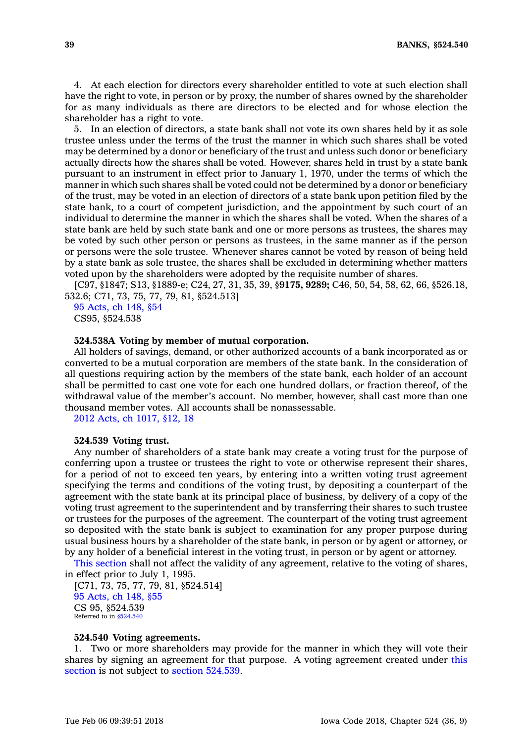4. At each election for directors every shareholder entitled to vote at such election shall have the right to vote, in person or by proxy, the number of shares owned by the shareholder for as many individuals as there are directors to be elected and for whose election the shareholder has <sup>a</sup> right to vote.

5. In an election of directors, <sup>a</sup> state bank shall not vote its own shares held by it as sole trustee unless under the terms of the trust the manner in which such shares shall be voted may be determined by <sup>a</sup> donor or beneficiary of the trust and unless such donor or beneficiary actually directs how the shares shall be voted. However, shares held in trust by <sup>a</sup> state bank pursuant to an instrument in effect prior to January 1, 1970, under the terms of which the manner in which such shares shall be voted could not be determined by <sup>a</sup> donor or beneficiary of the trust, may be voted in an election of directors of <sup>a</sup> state bank upon petition filed by the state bank, to <sup>a</sup> court of competent jurisdiction, and the appointment by such court of an individual to determine the manner in which the shares shall be voted. When the shares of <sup>a</sup> state bank are held by such state bank and one or more persons as trustees, the shares may be voted by such other person or persons as trustees, in the same manner as if the person or persons were the sole trustee. Whenever shares cannot be voted by reason of being held by <sup>a</sup> state bank as sole trustee, the shares shall be excluded in determining whether matters voted upon by the shareholders were adopted by the requisite number of shares.

[C97, §1847; S13, §1889-e; C24, 27, 31, 35, 39, §**9175, 9289;** C46, 50, 54, 58, 62, 66, §526.18, 532.6; C71, 73, 75, 77, 79, 81, §524.513]

95 [Acts,](https://www.legis.iowa.gov/docs/acts/1995/CH0148.pdf) ch 148, §54 CS95, §524.538

### **524.538A Voting by member of mutual corporation.**

All holders of savings, demand, or other authorized accounts of <sup>a</sup> bank incorporated as or converted to be <sup>a</sup> mutual corporation are members of the state bank. In the consideration of all questions requiring action by the members of the state bank, each holder of an account shall be permitted to cast one vote for each one hundred dollars, or fraction thereof, of the withdrawal value of the member's account. No member, however, shall cast more than one thousand member votes. All accounts shall be nonassessable.

2012 Acts, ch [1017,](https://www.legis.iowa.gov/docs/acts/2012/CH1017.pdf) §12, 18

#### **524.539 Voting trust.**

Any number of shareholders of <sup>a</sup> state bank may create <sup>a</sup> voting trust for the purpose of conferring upon <sup>a</sup> trustee or trustees the right to vote or otherwise represent their shares, for <sup>a</sup> period of not to exceed ten years, by entering into <sup>a</sup> written voting trust agreement specifying the terms and conditions of the voting trust, by depositing <sup>a</sup> counterpart of the agreement with the state bank at its principal place of business, by delivery of <sup>a</sup> copy of the voting trust agreement to the superintendent and by transferring their shares to such trustee or trustees for the purposes of the agreement. The counterpart of the voting trust agreement so deposited with the state bank is subject to examination for any proper purpose during usual business hours by <sup>a</sup> shareholder of the state bank, in person or by agent or attorney, or by any holder of <sup>a</sup> beneficial interest in the voting trust, in person or by agent or attorney.

This [section](https://www.legis.iowa.gov/docs/code/524.539.pdf) shall not affect the validity of any agreement, relative to the voting of shares, in effect prior to July 1, 1995.

[C71, 73, 75, 77, 79, 81, §524.514] 95 [Acts,](https://www.legis.iowa.gov/docs/acts/1995/CH0148.pdf) ch 148, §55 CS 95, §524.539 Referred to in [§524.540](https://www.legis.iowa.gov/docs/code/524.540.pdf)

### **524.540 Voting agreements.**

1. Two or more shareholders may provide for the manner in which they will vote their shares by signing an agreement for that purpose. A voting agreement created under [this](https://www.legis.iowa.gov/docs/code/524.540.pdf) [section](https://www.legis.iowa.gov/docs/code/524.540.pdf) is not subject to section [524.539](https://www.legis.iowa.gov/docs/code/524.539.pdf).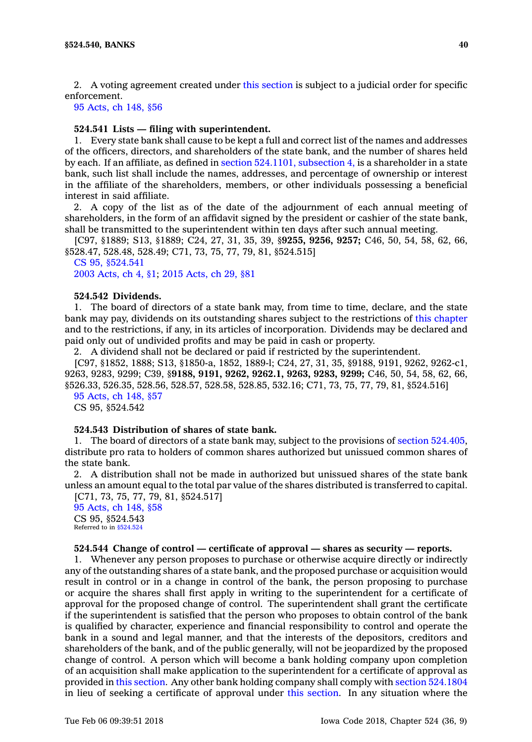2. A voting agreement created under this [section](https://www.legis.iowa.gov/docs/code/524.540.pdf) is subject to <sup>a</sup> judicial order for specific enforcement.

# 95 [Acts,](https://www.legis.iowa.gov/docs/acts/1995/CH0148.pdf) ch 148, §56

### **524.541 Lists — filing with superintendent.**

1. Every state bank shall cause to be kept <sup>a</sup> full and correct list of the names and addresses of the officers, directors, and shareholders of the state bank, and the number of shares held by each. If an affiliate, as defined in section [524.1101,](https://www.legis.iowa.gov/docs/code/524.1101.pdf) subsection 4, is <sup>a</sup> shareholder in <sup>a</sup> state bank, such list shall include the names, addresses, and percentage of ownership or interest in the affiliate of the shareholders, members, or other individuals possessing <sup>a</sup> beneficial interest in said affiliate.

2. A copy of the list as of the date of the adjournment of each annual meeting of shareholders, in the form of an affidavit signed by the president or cashier of the state bank, shall be transmitted to the superintendent within ten days after such annual meeting.

[C97, §1889; S13, §1889; C24, 27, 31, 35, 39, §**9255, 9256, 9257;** C46, 50, 54, 58, 62, 66, §528.47, 528.48, 528.49; C71, 73, 75, 77, 79, 81, §524.515]

CS 95, [§524.541](https://www.legis.iowa.gov/docs/acts//CH0000.pdf) 2003 [Acts,](https://www.legis.iowa.gov/docs/acts/2003/CH0004.pdf) ch 4, §1; 2015 [Acts,](https://www.legis.iowa.gov/docs/acts/2015/CH0029.pdf) ch 29, §81

#### **524.542 Dividends.**

1. The board of directors of <sup>a</sup> state bank may, from time to time, declare, and the state bank may pay, dividends on its outstanding shares subject to the restrictions of this [chapter](https://www.legis.iowa.gov/docs/code//524.pdf) and to the restrictions, if any, in its articles of incorporation. Dividends may be declared and paid only out of undivided profits and may be paid in cash or property.

2. A dividend shall not be declared or paid if restricted by the superintendent.

[C97, §1852, 1888; S13, §1850-a, 1852, 1889-l; C24, 27, 31, 35, §9188, 9191, 9262, 9262-c1, 9263, 9283, 9299; C39, §**9188, 9191, 9262, 9262.1, 9263, 9283, 9299;** C46, 50, 54, 58, 62, 66, §526.33, 526.35, 528.56, 528.57, 528.58, 528.85, 532.16; C71, 73, 75, 77, 79, 81, §524.516]

95 [Acts,](https://www.legis.iowa.gov/docs/acts/1995/CH0148.pdf) ch 148, §57

CS 95, §524.542

### **524.543 Distribution of shares of state bank.**

1. The board of directors of <sup>a</sup> state bank may, subject to the provisions of section [524.405](https://www.legis.iowa.gov/docs/code/524.405.pdf), distribute pro rata to holders of common shares authorized but unissued common shares of the state bank.

2. A distribution shall not be made in authorized but unissued shares of the state bank unless an amount equal to the total par value of the shares distributed is transferred to capital.

[C71, 73, 75, 77, 79, 81, §524.517] 95 [Acts,](https://www.legis.iowa.gov/docs/acts/1995/CH0148.pdf) ch 148, §58 CS 95, §524.543 Referred to in  $$524.524$ 

#### **524.544 Change of control —certificate of approval —shares as security — reports.**

1. Whenever any person proposes to purchase or otherwise acquire directly or indirectly any of the outstanding shares of <sup>a</sup> state bank, and the proposed purchase or acquisition would result in control or in <sup>a</sup> change in control of the bank, the person proposing to purchase or acquire the shares shall first apply in writing to the superintendent for <sup>a</sup> certificate of approval for the proposed change of control. The superintendent shall grant the certificate if the superintendent is satisfied that the person who proposes to obtain control of the bank is qualified by character, experience and financial responsibility to control and operate the bank in <sup>a</sup> sound and legal manner, and that the interests of the depositors, creditors and shareholders of the bank, and of the public generally, will not be jeopardized by the proposed change of control. A person which will become <sup>a</sup> bank holding company upon completion of an acquisition shall make application to the superintendent for <sup>a</sup> certificate of approval as provided in this [section](https://www.legis.iowa.gov/docs/code/524.544.pdf). Any other bank holding company shall comply with section [524.1804](https://www.legis.iowa.gov/docs/code/524.1804.pdf) in lieu of seeking <sup>a</sup> certificate of approval under this [section](https://www.legis.iowa.gov/docs/code/524.544.pdf). In any situation where the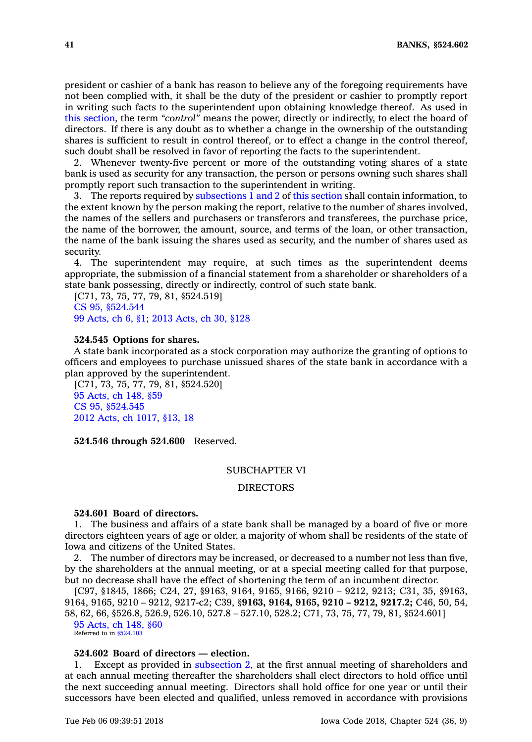president or cashier of <sup>a</sup> bank has reason to believe any of the foregoing requirements have not been complied with, it shall be the duty of the president or cashier to promptly report in writing such facts to the superintendent upon obtaining knowledge thereof. As used in this [section](https://www.legis.iowa.gov/docs/code/524.544.pdf), the term *"control"* means the power, directly or indirectly, to elect the board of directors. If there is any doubt as to whether <sup>a</sup> change in the ownership of the outstanding shares is sufficient to result in control thereof, or to effect <sup>a</sup> change in the control thereof, such doubt shall be resolved in favor of reporting the facts to the superintendent.

2. Whenever twenty-five percent or more of the outstanding voting shares of <sup>a</sup> state bank is used as security for any transaction, the person or persons owning such shares shall promptly report such transaction to the superintendent in writing.

3. The reports required by [subsections](https://www.legis.iowa.gov/docs/code/524.544.pdf) 1 and 2 of this [section](https://www.legis.iowa.gov/docs/code/524.544.pdf) shall contain information, to the extent known by the person making the report, relative to the number of shares involved, the names of the sellers and purchasers or transferors and transferees, the purchase price, the name of the borrower, the amount, source, and terms of the loan, or other transaction, the name of the bank issuing the shares used as security, and the number of shares used as security.

4. The superintendent may require, at such times as the superintendent deems appropriate, the submission of <sup>a</sup> financial statement from <sup>a</sup> shareholder or shareholders of <sup>a</sup> state bank possessing, directly or indirectly, control of such state bank.

[C71, 73, 75, 77, 79, 81, §524.519] CS 95, [§524.544](https://www.legis.iowa.gov/docs/acts//CH0000.pdf) 99 [Acts,](https://www.legis.iowa.gov/docs/acts/99/CH0006.pdf) ch 6, §1; 2013 [Acts,](https://www.legis.iowa.gov/docs/acts/2013/CH0030.pdf) ch 30, §128

#### **524.545 Options for shares.**

A state bank incorporated as <sup>a</sup> stock corporation may authorize the granting of options to officers and employees to purchase unissued shares of the state bank in accordance with <sup>a</sup> plan approved by the superintendent.

[C71, 73, 75, 77, 79, 81, §524.520] 95 [Acts,](https://www.legis.iowa.gov/docs/acts/95/CH0148.pdf) ch 148, §59 CS 95, [§524.545](https://www.legis.iowa.gov/docs/acts//CH0000.pdf) 2012 Acts, ch [1017,](https://www.legis.iowa.gov/docs/acts/2012/CH1017.pdf) §13, 18

**524.546 through 524.600** Reserved.

### SUBCHAPTER VI

## DIRECTORS

#### **524.601 Board of directors.**

1. The business and affairs of <sup>a</sup> state bank shall be managed by <sup>a</sup> board of five or more directors eighteen years of age or older, <sup>a</sup> majority of whom shall be residents of the state of Iowa and citizens of the United States.

2. The number of directors may be increased, or decreased to <sup>a</sup> number not less than five, by the shareholders at the annual meeting, or at <sup>a</sup> special meeting called for that purpose, but no decrease shall have the effect of shortening the term of an incumbent director.

[C97, §1845, 1866; C24, 27, §9163, 9164, 9165, 9166, 9210 – 9212, 9213; C31, 35, §9163, 9164, 9165, 9210 – 9212, 9217-c2; C39, §**9163, 9164, 9165, 9210 – 9212, 9217.2;** C46, 50, 54, 58, 62, 66, §526.8, 526.9, 526.10, 527.8 – 527.10, 528.2; C71, 73, 75, 77, 79, 81, §524.601] 95 [Acts,](https://www.legis.iowa.gov/docs/acts/1995/CH0148.pdf) ch 148, §60

Referred to in [§524.103](https://www.legis.iowa.gov/docs/code/524.103.pdf)

### **524.602 Board of directors — election.**

1. Except as provided in [subsection](https://www.legis.iowa.gov/docs/code/524.602.pdf) 2, at the first annual meeting of shareholders and at each annual meeting thereafter the shareholders shall elect directors to hold office until the next succeeding annual meeting. Directors shall hold office for one year or until their successors have been elected and qualified, unless removed in accordance with provisions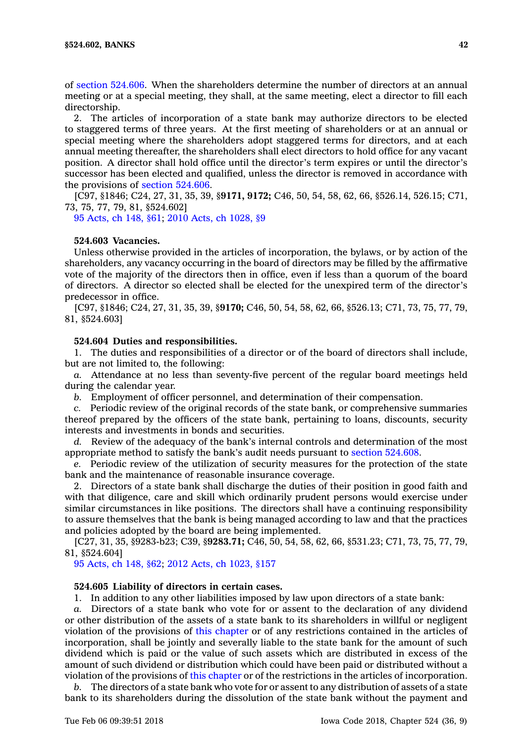of section [524.606](https://www.legis.iowa.gov/docs/code/524.606.pdf). When the shareholders determine the number of directors at an annual meeting or at <sup>a</sup> special meeting, they shall, at the same meeting, elect <sup>a</sup> director to fill each directorship.

2. The articles of incorporation of <sup>a</sup> state bank may authorize directors to be elected to staggered terms of three years. At the first meeting of shareholders or at an annual or special meeting where the shareholders adopt staggered terms for directors, and at each annual meeting thereafter, the shareholders shall elect directors to hold office for any vacant position. A director shall hold office until the director's term expires or until the director's successor has been elected and qualified, unless the director is removed in accordance with the provisions of section [524.606](https://www.legis.iowa.gov/docs/code/524.606.pdf).

[C97, §1846; C24, 27, 31, 35, 39, §**9171, 9172;** C46, 50, 54, 58, 62, 66, §526.14, 526.15; C71, 73, 75, 77, 79, 81, §524.602]

95 [Acts,](https://www.legis.iowa.gov/docs/acts/95/CH0148.pdf) ch 148, §61; 2010 Acts, ch [1028,](https://www.legis.iowa.gov/docs/acts/2010/CH1028.pdf) §9

## **524.603 Vacancies.**

Unless otherwise provided in the articles of incorporation, the bylaws, or by action of the shareholders, any vacancy occurring in the board of directors may be filled by the affirmative vote of the majority of the directors then in office, even if less than <sup>a</sup> quorum of the board of directors. A director so elected shall be elected for the unexpired term of the director's predecessor in office.

[C97, §1846; C24, 27, 31, 35, 39, §**9170;** C46, 50, 54, 58, 62, 66, §526.13; C71, 73, 75, 77, 79, 81, §524.603]

## **524.604 Duties and responsibilities.**

1. The duties and responsibilities of <sup>a</sup> director or of the board of directors shall include, but are not limited to, the following:

*a.* Attendance at no less than seventy-five percent of the regular board meetings held during the calendar year.

*b.* Employment of officer personnel, and determination of their compensation.

*c.* Periodic review of the original records of the state bank, or comprehensive summaries thereof prepared by the officers of the state bank, pertaining to loans, discounts, security interests and investments in bonds and securities.

*d.* Review of the adequacy of the bank's internal controls and determination of the most appropriate method to satisfy the bank's audit needs pursuant to section [524.608](https://www.legis.iowa.gov/docs/code/524.608.pdf).

*e.* Periodic review of the utilization of security measures for the protection of the state bank and the maintenance of reasonable insurance coverage.

2. Directors of <sup>a</sup> state bank shall discharge the duties of their position in good faith and with that diligence, care and skill which ordinarily prudent persons would exercise under similar circumstances in like positions. The directors shall have <sup>a</sup> continuing responsibility to assure themselves that the bank is being managed according to law and that the practices and policies adopted by the board are being implemented.

[C27, 31, 35, §9283-b23; C39, §**9283.71;** C46, 50, 54, 58, 62, 66, §531.23; C71, 73, 75, 77, 79, 81, §524.604]

95 [Acts,](https://www.legis.iowa.gov/docs/acts/95/CH0148.pdf) ch 148, §62; 2012 Acts, ch [1023,](https://www.legis.iowa.gov/docs/acts/2012/CH1023.pdf) §157

### **524.605 Liability of directors in certain cases.**

1. In addition to any other liabilities imposed by law upon directors of <sup>a</sup> state bank:

Directors of a state bank who vote for or assent to the declaration of any dividend or other distribution of the assets of <sup>a</sup> state bank to its shareholders in willful or negligent violation of the provisions of this [chapter](https://www.legis.iowa.gov/docs/code//524.pdf) or of any restrictions contained in the articles of incorporation, shall be jointly and severally liable to the state bank for the amount of such dividend which is paid or the value of such assets which are distributed in excess of the amount of such dividend or distribution which could have been paid or distributed without <sup>a</sup> violation of the provisions of this [chapter](https://www.legis.iowa.gov/docs/code//524.pdf) or of the restrictions in the articles of incorporation.

*b.* The directors of <sup>a</sup> state bank who vote for or assent to any distribution of assets of <sup>a</sup> state bank to its shareholders during the dissolution of the state bank without the payment and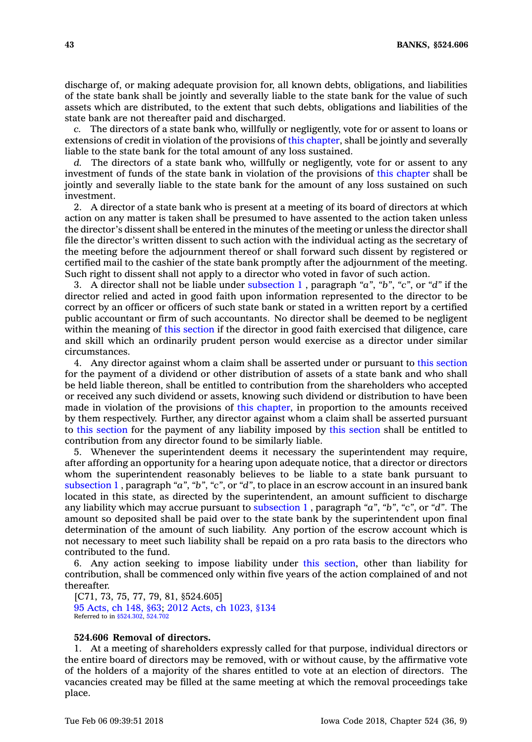discharge of, or making adequate provision for, all known debts, obligations, and liabilities of the state bank shall be jointly and severally liable to the state bank for the value of such assets which are distributed, to the extent that such debts, obligations and liabilities of the state bank are not thereafter paid and discharged.

*c.* The directors of <sup>a</sup> state bank who, willfully or negligently, vote for or assent to loans or extensions of credit in violation of the provisions of this [chapter](https://www.legis.iowa.gov/docs/code//524.pdf), shall be jointly and severally liable to the state bank for the total amount of any loss sustained.

*d.* The directors of <sup>a</sup> state bank who, willfully or negligently, vote for or assent to any investment of funds of the state bank in violation of the provisions of this [chapter](https://www.legis.iowa.gov/docs/code//524.pdf) shall be jointly and severally liable to the state bank for the amount of any loss sustained on such investment.

2. A director of <sup>a</sup> state bank who is present at <sup>a</sup> meeting of its board of directors at which action on any matter is taken shall be presumed to have assented to the action taken unless the director's dissent shall be entered in the minutes of the meeting or unless the director shall file the director's written dissent to such action with the individual acting as the secretary of the meeting before the adjournment thereof or shall forward such dissent by registered or certified mail to the cashier of the state bank promptly after the adjournment of the meeting. Such right to dissent shall not apply to a director who voted in favor of such action.

3. A director shall not be liable under [subsection](https://www.legis.iowa.gov/docs/code/524.605.pdf) 1 , paragraph *"a"*, *"b"*, *"c"*, or *"d"* if the director relied and acted in good faith upon information represented to the director to be correct by an officer or officers of such state bank or stated in <sup>a</sup> written report by <sup>a</sup> certified public accountant or firm of such accountants. No director shall be deemed to be negligent within the meaning of this [section](https://www.legis.iowa.gov/docs/code/524.605.pdf) if the director in good faith exercised that diligence, care and skill which an ordinarily prudent person would exercise as <sup>a</sup> director under similar circumstances.

4. Any director against whom <sup>a</sup> claim shall be asserted under or pursuant to this [section](https://www.legis.iowa.gov/docs/code/524.605.pdf) for the payment of <sup>a</sup> dividend or other distribution of assets of <sup>a</sup> state bank and who shall be held liable thereon, shall be entitled to contribution from the shareholders who accepted or received any such dividend or assets, knowing such dividend or distribution to have been made in violation of the provisions of this [chapter](https://www.legis.iowa.gov/docs/code//524.pdf), in proportion to the amounts received by them respectively. Further, any director against whom <sup>a</sup> claim shall be asserted pursuant to this [section](https://www.legis.iowa.gov/docs/code/524.605.pdf) for the payment of any liability imposed by this [section](https://www.legis.iowa.gov/docs/code/524.605.pdf) shall be entitled to contribution from any director found to be similarly liable.

5. Whenever the superintendent deems it necessary the superintendent may require, after affording an opportunity for <sup>a</sup> hearing upon adequate notice, that <sup>a</sup> director or directors whom the superintendent reasonably believes to be liable to <sup>a</sup> state bank pursuant to [subsection](https://www.legis.iowa.gov/docs/code/524.605.pdf) 1 , paragraph *"a"*, *"b"*, *"c"*, or *"d"*, to place in an escrow account in an insured bank located in this state, as directed by the superintendent, an amount sufficient to discharge any liability which may accrue pursuant to [subsection](https://www.legis.iowa.gov/docs/code/524.605.pdf) 1 , paragraph *"a"*, *"b"*, *"c"*, or *"d"*. The amount so deposited shall be paid over to the state bank by the superintendent upon final determination of the amount of such liability. Any portion of the escrow account which is not necessary to meet such liability shall be repaid on <sup>a</sup> pro rata basis to the directors who contributed to the fund.

6. Any action seeking to impose liability under this [section](https://www.legis.iowa.gov/docs/code/524.605.pdf), other than liability for contribution, shall be commenced only within five years of the action complained of and not thereafter.

[C71, 73, 75, 77, 79, 81, §524.605] 95 [Acts,](https://www.legis.iowa.gov/docs/acts/95/CH0148.pdf) ch 148, §63; 2012 Acts, ch [1023,](https://www.legis.iowa.gov/docs/acts/2012/CH1023.pdf) §134 Referred to in [§524.302](https://www.legis.iowa.gov/docs/code/524.302.pdf), [524.702](https://www.legis.iowa.gov/docs/code/524.702.pdf)

## **524.606 Removal of directors.**

1. At <sup>a</sup> meeting of shareholders expressly called for that purpose, individual directors or the entire board of directors may be removed, with or without cause, by the affirmative vote of the holders of <sup>a</sup> majority of the shares entitled to vote at an election of directors. The vacancies created may be filled at the same meeting at which the removal proceedings take place.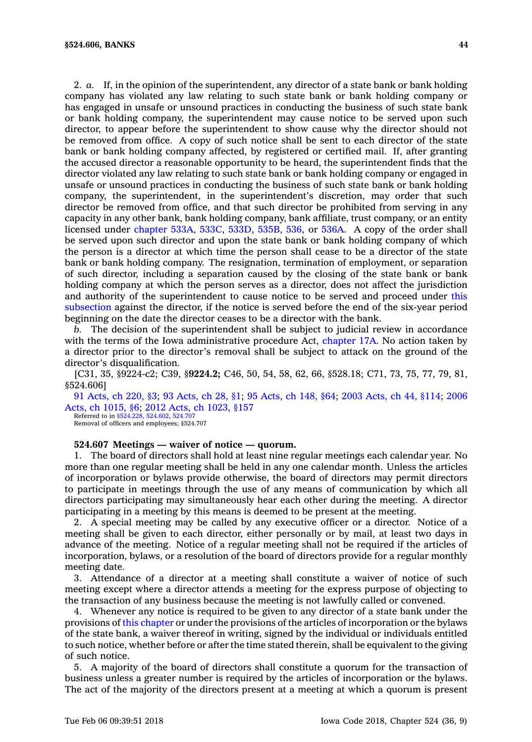2. *a.* If, in the opinion of the superintendent, any director of <sup>a</sup> state bank or bank holding company has violated any law relating to such state bank or bank holding company or has engaged in unsafe or unsound practices in conducting the business of such state bank or bank holding company, the superintendent may cause notice to be served upon such director, to appear before the superintendent to show cause why the director should not be removed from office. A copy of such notice shall be sent to each director of the state bank or bank holding company affected, by registered or certified mail. If, after granting the accused director <sup>a</sup> reasonable opportunity to be heard, the superintendent finds that the director violated any law relating to such state bank or bank holding company or engaged in unsafe or unsound practices in conducting the business of such state bank or bank holding company, the superintendent, in the superintendent's discretion, may order that such director be removed from office, and that such director be prohibited from serving in any capacity in any other bank, bank holding company, bank affiliate, trust company, or an entity licensed under [chapter](https://www.legis.iowa.gov/docs/code//533A.pdf) 533A, [533C](https://www.legis.iowa.gov/docs/code//533C.pdf), [533D](https://www.legis.iowa.gov/docs/code//533D.pdf), [535B](https://www.legis.iowa.gov/docs/code//535B.pdf), [536](https://www.legis.iowa.gov/docs/code//536.pdf), or [536A](https://www.legis.iowa.gov/docs/code//536A.pdf). A copy of the order shall be served upon such director and upon the state bank or bank holding company of which the person is <sup>a</sup> director at which time the person shall cease to be <sup>a</sup> director of the state bank or bank holding company. The resignation, termination of employment, or separation of such director, including <sup>a</sup> separation caused by the closing of the state bank or bank holding company at which the person serves as <sup>a</sup> director, does not affect the jurisdiction and authority of the superintendent to cause notice to be served and proceed under [this](https://www.legis.iowa.gov/docs/code/524.606.pdf) [subsection](https://www.legis.iowa.gov/docs/code/524.606.pdf) against the director, if the notice is served before the end of the six-year period beginning on the date the director ceases to be <sup>a</sup> director with the bank.

*b.* The decision of the superintendent shall be subject to judicial review in accordance with the terms of the Iowa administrative procedure Act, [chapter](https://www.legis.iowa.gov/docs/code//17A.pdf) 17A. No action taken by <sup>a</sup> director prior to the director's removal shall be subject to attack on the ground of the director's disqualification.

[C31, 35, §9224-c2; C39, §**9224.2;** C46, 50, 54, 58, 62, 66, §528.18; C71, 73, 75, 77, 79, 81, §524.606]

91 [Acts,](https://www.legis.iowa.gov/docs/acts/91/CH0220.pdf) ch 220, §3; 93 [Acts,](https://www.legis.iowa.gov/docs/acts/93/CH0028.pdf) ch 28, §1; 95 [Acts,](https://www.legis.iowa.gov/docs/acts/95/CH0148.pdf) ch 148, §64; 2003 [Acts,](https://www.legis.iowa.gov/docs/acts/2003/CH0044.pdf) ch 44, §114; [2006](https://www.legis.iowa.gov/docs/acts/2006/CH1015.pdf) Acts, ch [1015,](https://www.legis.iowa.gov/docs/acts/2006/CH1015.pdf) §6; 2012 Acts, ch [1023,](https://www.legis.iowa.gov/docs/acts/2012/CH1023.pdf) §157

Referred to in \$524,228, 524,602, 524.70 Removal of officers and employees; §524.707

## **524.607 Meetings — waiver of notice — quorum.**

1. The board of directors shall hold at least nine regular meetings each calendar year. No more than one regular meeting shall be held in any one calendar month. Unless the articles of incorporation or bylaws provide otherwise, the board of directors may permit directors to participate in meetings through the use of any means of communication by which all directors participating may simultaneously hear each other during the meeting. A director participating in <sup>a</sup> meeting by this means is deemed to be present at the meeting.

2. A special meeting may be called by any executive officer or <sup>a</sup> director. Notice of <sup>a</sup> meeting shall be given to each director, either personally or by mail, at least two days in advance of the meeting. Notice of <sup>a</sup> regular meeting shall not be required if the articles of incorporation, bylaws, or <sup>a</sup> resolution of the board of directors provide for <sup>a</sup> regular monthly meeting date.

3. Attendance of <sup>a</sup> director at <sup>a</sup> meeting shall constitute <sup>a</sup> waiver of notice of such meeting except where <sup>a</sup> director attends <sup>a</sup> meeting for the express purpose of objecting to the transaction of any business because the meeting is not lawfully called or convened.

4. Whenever any notice is required to be given to any director of <sup>a</sup> state bank under the provisions of this [chapter](https://www.legis.iowa.gov/docs/code//524.pdf) or under the provisions of the articles of incorporation or the bylaws of the state bank, <sup>a</sup> waiver thereof in writing, signed by the individual or individuals entitled to such notice, whether before or after the time stated therein, shall be equivalent to the giving of such notice.

5. A majority of the board of directors shall constitute <sup>a</sup> quorum for the transaction of business unless <sup>a</sup> greater number is required by the articles of incorporation or the bylaws. The act of the majority of the directors present at <sup>a</sup> meeting at which <sup>a</sup> quorum is present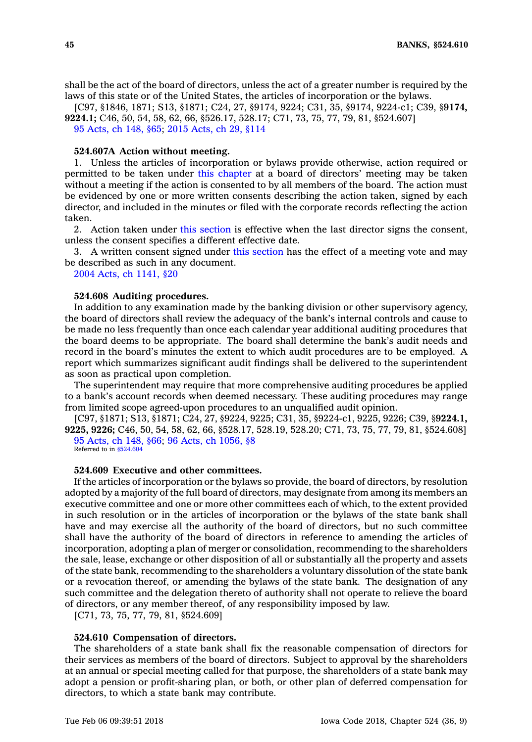shall be the act of the board of directors, unless the act of <sup>a</sup> greater number is required by the laws of this state or of the United States, the articles of incorporation or the bylaws.

[C97, §1846, 1871; S13, §1871; C24, 27, §9174, 9224; C31, 35, §9174, 9224-c1; C39, §**9174, 9224.1;** C46, 50, 54, 58, 62, 66, §526.17, 528.17; C71, 73, 75, 77, 79, 81, §524.607]

95 [Acts,](https://www.legis.iowa.gov/docs/acts/95/CH0148.pdf) ch 148, §65; 2015 [Acts,](https://www.legis.iowa.gov/docs/acts/2015/CH0029.pdf) ch 29, §114

# **524.607A Action without meeting.**

1. Unless the articles of incorporation or bylaws provide otherwise, action required or permitted to be taken under this [chapter](https://www.legis.iowa.gov/docs/code//524.pdf) at <sup>a</sup> board of directors' meeting may be taken without <sup>a</sup> meeting if the action is consented to by all members of the board. The action must be evidenced by one or more written consents describing the action taken, signed by each director, and included in the minutes or filed with the corporate records reflecting the action taken.

2. Action taken under this [section](https://www.legis.iowa.gov/docs/code/524.607A.pdf) is effective when the last director signs the consent, unless the consent specifies <sup>a</sup> different effective date.

3. A written consent signed under this [section](https://www.legis.iowa.gov/docs/code/524.607A.pdf) has the effect of <sup>a</sup> meeting vote and may be described as such in any document.

2004 Acts, ch [1141,](https://www.legis.iowa.gov/docs/acts/2004/CH1141.pdf) §20

#### **524.608 Auditing procedures.**

In addition to any examination made by the banking division or other supervisory agency, the board of directors shall review the adequacy of the bank's internal controls and cause to be made no less frequently than once each calendar year additional auditing procedures that the board deems to be appropriate. The board shall determine the bank's audit needs and record in the board's minutes the extent to which audit procedures are to be employed. A report which summarizes significant audit findings shall be delivered to the superintendent as soon as practical upon completion.

The superintendent may require that more comprehensive auditing procedures be applied to <sup>a</sup> bank's account records when deemed necessary. These auditing procedures may range from limited scope agreed-upon procedures to an unqualified audit opinion.

[C97, §1871; S13, §1871; C24, 27, §9224, 9225; C31, 35, §9224-c1, 9225, 9226; C39, §**9224.1, 9225, 9226;** C46, 50, 54, 58, 62, 66, §528.17, 528.19, 528.20; C71, 73, 75, 77, 79, 81, §524.608] 95 [Acts,](https://www.legis.iowa.gov/docs/acts/1995/CH0148.pdf) ch 148, §66; 96 Acts, ch [1056,](https://www.legis.iowa.gov/docs/acts/1996/CH1056.pdf) §8 Referred to in [§524.604](https://www.legis.iowa.gov/docs/code/524.604.pdf)

#### **524.609 Executive and other committees.**

If the articles of incorporation or the bylaws so provide, the board of directors, by resolution adopted by <sup>a</sup> majority of the full board of directors, may designate from among its members an executive committee and one or more other committees each of which, to the extent provided in such resolution or in the articles of incorporation or the bylaws of the state bank shall have and may exercise all the authority of the board of directors, but no such committee shall have the authority of the board of directors in reference to amending the articles of incorporation, adopting <sup>a</sup> plan of merger or consolidation, recommending to the shareholders the sale, lease, exchange or other disposition of all or substantially all the property and assets of the state bank, recommending to the shareholders <sup>a</sup> voluntary dissolution of the state bank or <sup>a</sup> revocation thereof, or amending the bylaws of the state bank. The designation of any such committee and the delegation thereto of authority shall not operate to relieve the board of directors, or any member thereof, of any responsibility imposed by law.

[C71, 73, 75, 77, 79, 81, §524.609]

#### **524.610 Compensation of directors.**

The shareholders of <sup>a</sup> state bank shall fix the reasonable compensation of directors for their services as members of the board of directors. Subject to approval by the shareholders at an annual or special meeting called for that purpose, the shareholders of <sup>a</sup> state bank may adopt <sup>a</sup> pension or profit-sharing plan, or both, or other plan of deferred compensation for directors, to which <sup>a</sup> state bank may contribute.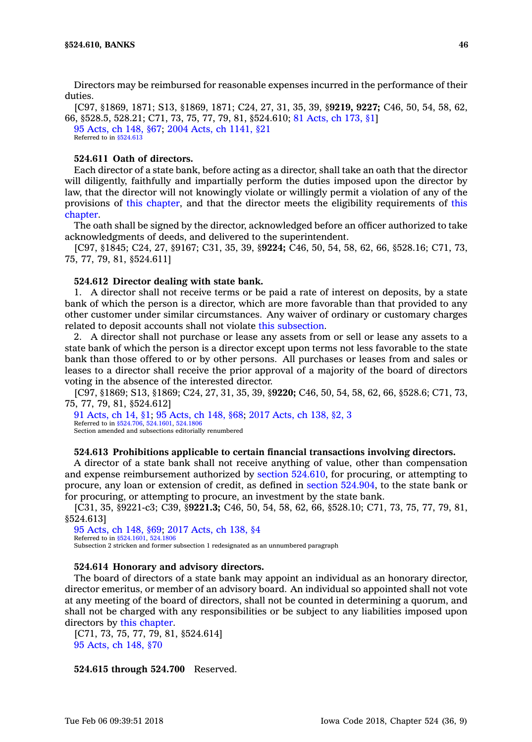Directors may be reimbursed for reasonable expenses incurred in the performance of their duties.

[C97, §1869, 1871; S13, §1869, 1871; C24, 27, 31, 35, 39, §**9219, 9227;** C46, 50, 54, 58, 62, 66, §528.5, 528.21; C71, 73, 75, 77, 79, 81, §524.610; 81 [Acts,](https://www.legis.iowa.gov/docs/acts/1981/CH0173.pdf) ch 173, §1] 95 [Acts,](https://www.legis.iowa.gov/docs/acts/1995/CH0148.pdf) ch 148, §67; 2004 Acts, ch [1141,](https://www.legis.iowa.gov/docs/acts/2004/CH1141.pdf) §21 Referred to in [§524.613](https://www.legis.iowa.gov/docs/code/524.613.pdf)

## **524.611 Oath of directors.**

Each director of <sup>a</sup> state bank, before acting as <sup>a</sup> director, shall take an oath that the director will diligently, faithfully and impartially perform the duties imposed upon the director by law, that the director will not knowingly violate or willingly permit <sup>a</sup> violation of any of the provisions of this [chapter](https://www.legis.iowa.gov/docs/code//524.pdf), and that the director meets the eligibility requirements of [this](https://www.legis.iowa.gov/docs/code//524.pdf) [chapter](https://www.legis.iowa.gov/docs/code//524.pdf).

The oath shall be signed by the director, acknowledged before an officer authorized to take acknowledgments of deeds, and delivered to the superintendent.

[C97, §1845; C24, 27, §9167; C31, 35, 39, §**9224;** C46, 50, 54, 58, 62, 66, §528.16; C71, 73, 75, 77, 79, 81, §524.611]

#### **524.612 Director dealing with state bank.**

1. A director shall not receive terms or be paid <sup>a</sup> rate of interest on deposits, by <sup>a</sup> state bank of which the person is <sup>a</sup> director, which are more favorable than that provided to any other customer under similar circumstances. Any waiver of ordinary or customary charges related to deposit accounts shall not violate this [subsection](https://www.legis.iowa.gov/docs/code/524.612.pdf).

2. A director shall not purchase or lease any assets from or sell or lease any assets to <sup>a</sup> state bank of which the person is <sup>a</sup> director except upon terms not less favorable to the state bank than those offered to or by other persons. All purchases or leases from and sales or leases to <sup>a</sup> director shall receive the prior approval of <sup>a</sup> majority of the board of directors voting in the absence of the interested director.

[C97, §1869; S13, §1869; C24, 27, 31, 35, 39, §**9220;** C46, 50, 54, 58, 62, 66, §528.6; C71, 73, 75, 77, 79, 81, §524.612]

91 [Acts,](https://www.legis.iowa.gov/docs/acts/91/CH0014.pdf) ch 14, §1; 95 [Acts,](https://www.legis.iowa.gov/docs/acts/95/CH0148.pdf) ch 148, §68; 2017 [Acts,](https://www.legis.iowa.gov/docs/acts/2017/CH0138.pdf) ch 138, §2, 3 Referred to in [§524.706](https://www.legis.iowa.gov/docs/code/524.706.pdf), [524.1601](https://www.legis.iowa.gov/docs/code/524.1601.pdf), [524.1806](https://www.legis.iowa.gov/docs/code/524.1806.pdf) Section amended and subsections editorially renumbered

#### **524.613 Prohibitions applicable to certain financial transactions involving directors.**

A director of <sup>a</sup> state bank shall not receive anything of value, other than compensation and expense reimbursement authorized by section [524.610](https://www.legis.iowa.gov/docs/code/524.610.pdf), for procuring, or attempting to procure, any loan or extension of credit, as defined in section [524.904](https://www.legis.iowa.gov/docs/code/524.904.pdf), to the state bank or for procuring, or attempting to procure, an investment by the state bank.

[C31, 35, §9221-c3; C39, §**9221.3;** C46, 50, 54, 58, 62, 66, §528.10; C71, 73, 75, 77, 79, 81, §524.613]

95 [Acts,](https://www.legis.iowa.gov/docs/acts/95/CH0148.pdf) ch 148, §69; 2017 [Acts,](https://www.legis.iowa.gov/docs/acts/2017/CH0138.pdf) ch 138, §4 Referred to in [§524.1601](https://www.legis.iowa.gov/docs/code/524.1601.pdf), [524.1806](https://www.legis.iowa.gov/docs/code/524.1806.pdf) Subsection 2 stricken and former subsection 1 redesignated as an unnumbered paragraph

### **524.614 Honorary and advisory directors.**

The board of directors of <sup>a</sup> state bank may appoint an individual as an honorary director, director emeritus, or member of an advisory board. An individual so appointed shall not vote at any meeting of the board of directors, shall not be counted in determining <sup>a</sup> quorum, and shall not be charged with any responsibilities or be subject to any liabilities imposed upon directors by this [chapter](https://www.legis.iowa.gov/docs/code//524.pdf).

[C71, 73, 75, 77, 79, 81, §524.614] 95 [Acts,](https://www.legis.iowa.gov/docs/acts/1995/CH0148.pdf) ch 148, §70

#### **524.615 through 524.700** Reserved.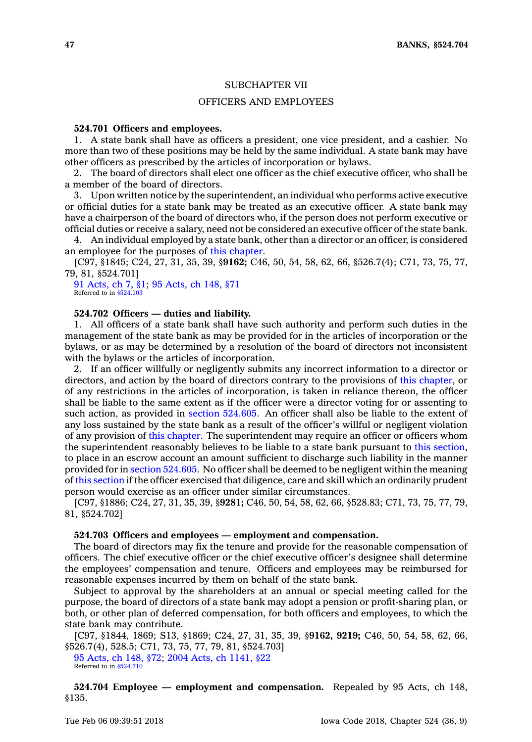### SUBCHAPTER VII

## OFFICERS AND EMPLOYEES

## **524.701 Officers and employees.**

1. A state bank shall have as officers <sup>a</sup> president, one vice president, and <sup>a</sup> cashier. No more than two of these positions may be held by the same individual. A state bank may have other officers as prescribed by the articles of incorporation or bylaws.

2. The board of directors shall elect one officer as the chief executive officer, who shall be <sup>a</sup> member of the board of directors.

3. Upon written notice by the superintendent, an individual who performs active executive or official duties for <sup>a</sup> state bank may be treated as an executive officer. A state bank may have <sup>a</sup> chairperson of the board of directors who, if the person does not perform executive or official duties or receive <sup>a</sup> salary, need not be considered an executive officer of the state bank.

4. An individual employed by <sup>a</sup> state bank, other than <sup>a</sup> director or an officer, is considered an employee for the purposes of this [chapter](https://www.legis.iowa.gov/docs/code//524.pdf).

[C97, §1845; C24, 27, 31, 35, 39, §**9162;** C46, 50, 54, 58, 62, 66, §526.7(4); C71, 73, 75, 77, 79, 81, §524.701]

91 [Acts,](https://www.legis.iowa.gov/docs/acts/1991/CH0007.pdf) ch 7, §1; 95 [Acts,](https://www.legis.iowa.gov/docs/acts/1995/CH0148.pdf) ch 148, §71 Referred to in [§524.103](https://www.legis.iowa.gov/docs/code/524.103.pdf)

#### **524.702 Officers — duties and liability.**

1. All officers of <sup>a</sup> state bank shall have such authority and perform such duties in the management of the state bank as may be provided for in the articles of incorporation or the bylaws, or as may be determined by <sup>a</sup> resolution of the board of directors not inconsistent with the bylaws or the articles of incorporation.

2. If an officer willfully or negligently submits any incorrect information to <sup>a</sup> director or directors, and action by the board of directors contrary to the provisions of this [chapter](https://www.legis.iowa.gov/docs/code//524.pdf), or of any restrictions in the articles of incorporation, is taken in reliance thereon, the officer shall be liable to the same extent as if the officer were <sup>a</sup> director voting for or assenting to such action, as provided in section [524.605](https://www.legis.iowa.gov/docs/code/524.605.pdf). An officer shall also be liable to the extent of any loss sustained by the state bank as <sup>a</sup> result of the officer's willful or negligent violation of any provision of this [chapter](https://www.legis.iowa.gov/docs/code//524.pdf). The superintendent may require an officer or officers whom the superintendent reasonably believes to be liable to <sup>a</sup> state bank pursuant to this [section](https://www.legis.iowa.gov/docs/code/524.702.pdf), to place in an escrow account an amount sufficient to discharge such liability in the manner provided for in section [524.605](https://www.legis.iowa.gov/docs/code/524.605.pdf). No officer shall be deemed to be negligent within the meaning of this [section](https://www.legis.iowa.gov/docs/code/524.702.pdf) if the officer exercised that diligence, care and skill which an ordinarily prudent person would exercise as an officer under similar circumstances.

[C97, §1886; C24, 27, 31, 35, 39, §**9281;** C46, 50, 54, 58, 62, 66, §528.83; C71, 73, 75, 77, 79, 81, §524.702]

### **524.703 Officers and employees — employment and compensation.**

The board of directors may fix the tenure and provide for the reasonable compensation of officers. The chief executive officer or the chief executive officer's designee shall determine the employees' compensation and tenure. Officers and employees may be reimbursed for reasonable expenses incurred by them on behalf of the state bank.

Subject to approval by the shareholders at an annual or special meeting called for the purpose, the board of directors of <sup>a</sup> state bank may adopt <sup>a</sup> pension or profit-sharing plan, or both, or other plan of deferred compensation, for both officers and employees, to which the state bank may contribute.

[C97, §1844, 1869; S13, §1869; C24, 27, 31, 35, 39, §**9162, 9219;** C46, 50, 54, 58, 62, 66, §526.7(4), 528.5; C71, 73, 75, 77, 79, 81, §524.703]

95 [Acts,](https://www.legis.iowa.gov/docs/acts/1995/CH0148.pdf) ch 148, §72; 2004 Acts, ch [1141,](https://www.legis.iowa.gov/docs/acts/2004/CH1141.pdf) §22 Referred to in [§524.710](https://www.legis.iowa.gov/docs/code/524.710.pdf)

**524.704 Employee — employment and compensation.** Repealed by 95 Acts, ch 148, §135.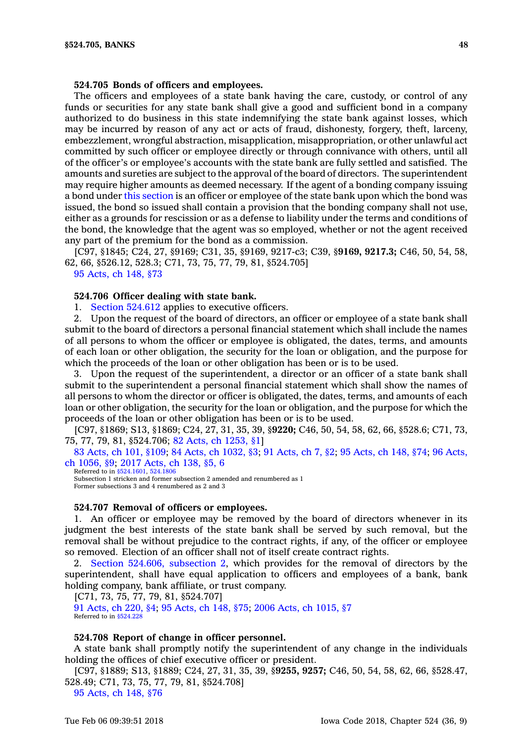### **524.705 Bonds of officers and employees.**

The officers and employees of <sup>a</sup> state bank having the care, custody, or control of any funds or securities for any state bank shall give <sup>a</sup> good and sufficient bond in <sup>a</sup> company authorized to do business in this state indemnifying the state bank against losses, which may be incurred by reason of any act or acts of fraud, dishonesty, forgery, theft, larceny, embezzlement, wrongful abstraction, misapplication, misappropriation, or other unlawful act committed by such officer or employee directly or through connivance with others, until all of the officer's or employee's accounts with the state bank are fully settled and satisfied. The amounts and sureties are subject to the approval of the board of directors. The superintendent may require higher amounts as deemed necessary. If the agent of <sup>a</sup> bonding company issuing <sup>a</sup> bond under this [section](https://www.legis.iowa.gov/docs/code/524.705.pdf) is an officer or employee of the state bank upon which the bond was issued, the bond so issued shall contain <sup>a</sup> provision that the bonding company shall not use, either as <sup>a</sup> grounds for rescission or as <sup>a</sup> defense to liability under the terms and conditions of the bond, the knowledge that the agent was so employed, whether or not the agent received any part of the premium for the bond as <sup>a</sup> commission.

[C97, §1845; C24, 27, §9169; C31, 35, §9169, 9217-c3; C39, §**9169, 9217.3;** C46, 50, 54, 58, 62, 66, §526.12, 528.3; C71, 73, 75, 77, 79, 81, §524.705]

95 [Acts,](https://www.legis.iowa.gov/docs/acts/1995/CH0148.pdf) ch 148, §73

### **524.706 Officer dealing with state bank.**

1. Section [524.612](https://www.legis.iowa.gov/docs/code/524.612.pdf) applies to executive officers.

2. Upon the request of the board of directors, an officer or employee of <sup>a</sup> state bank shall submit to the board of directors <sup>a</sup> personal financial statement which shall include the names of all persons to whom the officer or employee is obligated, the dates, terms, and amounts of each loan or other obligation, the security for the loan or obligation, and the purpose for which the proceeds of the loan or other obligation has been or is to be used.

3. Upon the request of the superintendent, <sup>a</sup> director or an officer of <sup>a</sup> state bank shall submit to the superintendent <sup>a</sup> personal financial statement which shall show the names of all persons to whom the director or officer is obligated, the dates, terms, and amounts of each loan or other obligation, the security for the loan or obligation, and the purpose for which the proceeds of the loan or other obligation has been or is to be used.

[C97, §1869; S13, §1869; C24, 27, 31, 35, 39, §**9220;** C46, 50, 54, 58, 62, 66, §528.6; C71, 73, 75, 77, 79, 81, §524.706; 82 Acts, ch [1253,](https://www.legis.iowa.gov/docs/acts/1982/CH1253.pdf) §1]

83 [Acts,](https://www.legis.iowa.gov/docs/acts/83/CH0101.pdf) ch 101, §109; 84 Acts, ch [1032,](https://www.legis.iowa.gov/docs/acts/84/CH1032.pdf) §3; 91 [Acts,](https://www.legis.iowa.gov/docs/acts/91/CH0007.pdf) ch 7, §2; 95 [Acts,](https://www.legis.iowa.gov/docs/acts/95/CH0148.pdf) ch 148, §74; 96 [Acts,](https://www.legis.iowa.gov/docs/acts/96/CH1056.pdf) ch [1056,](https://www.legis.iowa.gov/docs/acts/96/CH1056.pdf) §9; 2017 [Acts,](https://www.legis.iowa.gov/docs/acts/2017/CH0138.pdf) ch 138, §5, 6

Referred to in [§524.1601](https://www.legis.iowa.gov/docs/code/524.1601.pdf), [524.1806](https://www.legis.iowa.gov/docs/code/524.1806.pdf) Subsection 1 stricken and former subsection 2 amended and renumbered as 1 Former subsections 3 and 4 renumbered as 2 and 3

#### **524.707 Removal of officers or employees.**

1. An officer or employee may be removed by the board of directors whenever in its judgment the best interests of the state bank shall be served by such removal, but the removal shall be without prejudice to the contract rights, if any, of the officer or employee so removed. Election of an officer shall not of itself create contract rights.

2. Section 524.606, [subsection](https://www.legis.iowa.gov/docs/code/524.606.pdf) 2, which provides for the removal of directors by the superintendent, shall have equal application to officers and employees of <sup>a</sup> bank, bank holding company, bank affiliate, or trust company.

[C71, 73, 75, 77, 79, 81, §524.707]

91 [Acts,](https://www.legis.iowa.gov/docs/acts/1991/CH0220.pdf) ch 220, §4; 95 [Acts,](https://www.legis.iowa.gov/docs/acts/1995/CH0148.pdf) ch 148, §75; 2006 Acts, ch [1015,](https://www.legis.iowa.gov/docs/acts/2006/CH1015.pdf) §7 Referred to in [§524.228](https://www.legis.iowa.gov/docs/code/524.228.pdf)

## **524.708 Report of change in officer personnel.**

A state bank shall promptly notify the superintendent of any change in the individuals holding the offices of chief executive officer or president.

[C97, §1889; S13, §1889; C24, 27, 31, 35, 39, §**9255, 9257;** C46, 50, 54, 58, 62, 66, §528.47, 528.49; C71, 73, 75, 77, 79, 81, §524.708]

95 [Acts,](https://www.legis.iowa.gov/docs/acts/1995/CH0148.pdf) ch 148, §76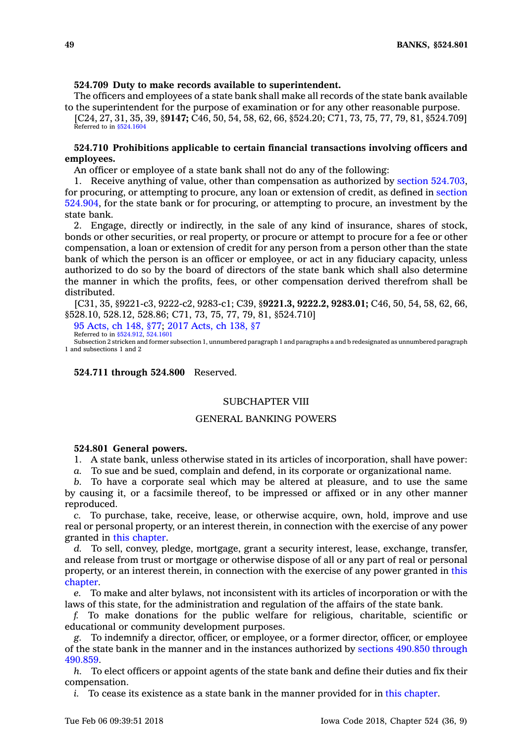### **524.709 Duty to make records available to superintendent.**

The officers and employees of <sup>a</sup> state bank shall make all records of the state bank available to the superintendent for the purpose of examination or for any other reasonable purpose.

[C24, 27, 31, 35, 39, §**9147;** C46, 50, 54, 58, 62, 66, §524.20; C71, 73, 75, 77, 79, 81, §524.709] Referred to in [§524.1604](https://www.legis.iowa.gov/docs/code/524.1604.pdf)

## **524.710 Prohibitions applicable to certain financial transactions involving officers and employees.**

An officer or employee of <sup>a</sup> state bank shall not do any of the following:

1. Receive anything of value, other than compensation as authorized by section [524.703](https://www.legis.iowa.gov/docs/code/524.703.pdf), for procuring, or attempting to procure, any loan or extension of credit, as defined in [section](https://www.legis.iowa.gov/docs/code/524.904.pdf) [524.904](https://www.legis.iowa.gov/docs/code/524.904.pdf), for the state bank or for procuring, or attempting to procure, an investment by the state bank.

2. Engage, directly or indirectly, in the sale of any kind of insurance, shares of stock, bonds or other securities, or real property, or procure or attempt to procure for <sup>a</sup> fee or other compensation, <sup>a</sup> loan or extension of credit for any person from <sup>a</sup> person other than the state bank of which the person is an officer or employee, or act in any fiduciary capacity, unless authorized to do so by the board of directors of the state bank which shall also determine the manner in which the profits, fees, or other compensation derived therefrom shall be distributed.

[C31, 35, §9221-c3, 9222-c2, 9283-c1; C39, §**9221.3, 9222.2, 9283.01;** C46, 50, 54, 58, 62, 66, §528.10, 528.12, 528.86; C71, 73, 75, 77, 79, 81, §524.710]

95 [Acts,](https://www.legis.iowa.gov/docs/acts/95/CH0148.pdf) ch 148, §77; 2017 [Acts,](https://www.legis.iowa.gov/docs/acts/2017/CH0138.pdf) ch 138, §7 Referred to in [§524.912](https://www.legis.iowa.gov/docs/code/524.912.pdf), [524.1601](https://www.legis.iowa.gov/docs/code/524.1601.pdf)

Subsection 2 stricken and former subsection 1, unnumbered paragraph 1 and paragraphs <sup>a</sup> and b redesignated as unnumbered paragraph 1 and subsections 1 and 2

**524.711 through 524.800** Reserved.

## SUBCHAPTER VIII

## GENERAL BANKING POWERS

#### **524.801 General powers.**

1. A state bank, unless otherwise stated in its articles of incorporation, shall have power:

*a.* To sue and be sued, complain and defend, in its corporate or organizational name.

*b.* To have <sup>a</sup> corporate seal which may be altered at pleasure, and to use the same by causing it, or <sup>a</sup> facsimile thereof, to be impressed or affixed or in any other manner reproduced.

*c.* To purchase, take, receive, lease, or otherwise acquire, own, hold, improve and use real or personal property, or an interest therein, in connection with the exercise of any power granted in this [chapter](https://www.legis.iowa.gov/docs/code//524.pdf).

*d.* To sell, convey, pledge, mortgage, grant <sup>a</sup> security interest, lease, exchange, transfer, and release from trust or mortgage or otherwise dispose of all or any part of real or personal property, or an interest therein, in connection with the exercise of any power granted in [this](https://www.legis.iowa.gov/docs/code//524.pdf) [chapter](https://www.legis.iowa.gov/docs/code//524.pdf).

*e.* To make and alter bylaws, not inconsistent with its articles of incorporation or with the laws of this state, for the administration and regulation of the affairs of the state bank.

*f.* To make donations for the public welfare for religious, charitable, scientific or educational or community development purposes.

*g.* To indemnify <sup>a</sup> director, officer, or employee, or <sup>a</sup> former director, officer, or employee of the state bank in the manner and in the instances authorized by sections 490.850 [through](https://www.legis.iowa.gov/docs/code/490.850.pdf) [490.859](https://www.legis.iowa.gov/docs/code/490.850.pdf).

*h.* To elect officers or appoint agents of the state bank and define their duties and fix their compensation.

*i.* To cease its existence as a state bank in the manner provided for in this [chapter](https://www.legis.iowa.gov/docs/code//524.pdf).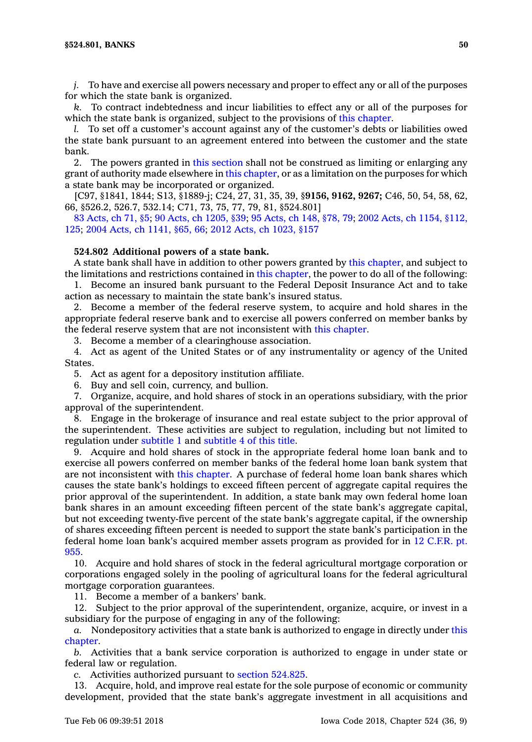*j.* To have and exercise all powers necessary and proper to effect any or all of the purposes for which the state bank is organized.

*k.* To contract indebtedness and incur liabilities to effect any or all of the purposes for which the state bank is organized, subject to the provisions of this [chapter](https://www.legis.iowa.gov/docs/code//524.pdf).

*l.* To set off <sup>a</sup> customer's account against any of the customer's debts or liabilities owed the state bank pursuant to an agreement entered into between the customer and the state bank.

2. The powers granted in this [section](https://www.legis.iowa.gov/docs/code/524.801.pdf) shall not be construed as limiting or enlarging any grant of authority made elsewhere in this [chapter](https://www.legis.iowa.gov/docs/code//524.pdf), or as <sup>a</sup> limitation on the purposes for which <sup>a</sup> state bank may be incorporated or organized.

[C97, §1841, 1844; S13, §1889-j; C24, 27, 31, 35, 39, §**9156, 9162, 9267;** C46, 50, 54, 58, 62, 66, §526.2, 526.7, 532.14; C71, 73, 75, 77, 79, 81, §524.801]

83 [Acts,](https://www.legis.iowa.gov/docs/acts/83/CH0071.pdf) ch 71, §5; 90 Acts, ch [1205,](https://www.legis.iowa.gov/docs/acts/90/CH1205.pdf) §39; 95 [Acts,](https://www.legis.iowa.gov/docs/acts/95/CH0148.pdf) ch 148, §78, 79; 2002 Acts, ch 1154, [§112,](https://www.legis.iowa.gov/docs/acts/2002/CH1154.pdf) [125](https://www.legis.iowa.gov/docs/acts/2002/CH1154.pdf); 2004 Acts, ch [1141,](https://www.legis.iowa.gov/docs/acts/2004/CH1141.pdf) §65, 66; 2012 Acts, ch [1023,](https://www.legis.iowa.gov/docs/acts/2012/CH1023.pdf) §157

### **524.802 Additional powers of <sup>a</sup> state bank.**

A state bank shall have in addition to other powers granted by this [chapter](https://www.legis.iowa.gov/docs/code//524.pdf), and subject to the limitations and restrictions contained in this [chapter](https://www.legis.iowa.gov/docs/code//524.pdf), the power to do all of the following:

1. Become an insured bank pursuant to the Federal Deposit Insurance Act and to take action as necessary to maintain the state bank's insured status.

2. Become <sup>a</sup> member of the federal reserve system, to acquire and hold shares in the appropriate federal reserve bank and to exercise all powers conferred on member banks by the federal reserve system that are not inconsistent with this [chapter](https://www.legis.iowa.gov/docs/code//524.pdf).

3. Become <sup>a</sup> member of <sup>a</sup> clearinghouse association.

4. Act as agent of the United States or of any instrumentality or agency of the United States.

5. Act as agent for <sup>a</sup> depository institution affiliate.

6. Buy and sell coin, currency, and bullion.

7. Organize, acquire, and hold shares of stock in an operations subsidiary, with the prior approval of the superintendent.

8. Engage in the brokerage of insurance and real estate subject to the prior approval of the superintendent. These activities are subject to regulation, including but not limited to regulation under subtitle 1 and subtitle 4 of this title.

9. Acquire and hold shares of stock in the appropriate federal home loan bank and to exercise all powers conferred on member banks of the federal home loan bank system that are not inconsistent with this [chapter](https://www.legis.iowa.gov/docs/code//524.pdf). A purchase of federal home loan bank shares which causes the state bank's holdings to exceed fifteen percent of aggregate capital requires the prior approval of the superintendent. In addition, <sup>a</sup> state bank may own federal home loan bank shares in an amount exceeding fifteen percent of the state bank's aggregate capital, but not exceeding twenty-five percent of the state bank's aggregate capital, if the ownership of shares exceeding fifteen percent is needed to support the state bank's participation in the federal home loan bank's acquired member assets program as provided for in 12 C.F.R. pt. 955.

10. Acquire and hold shares of stock in the federal agricultural mortgage corporation or corporations engaged solely in the pooling of agricultural loans for the federal agricultural mortgage corporation guarantees.

11. Become <sup>a</sup> member of <sup>a</sup> bankers' bank.

12. Subject to the prior approval of the superintendent, organize, acquire, or invest in <sup>a</sup> subsidiary for the purpose of engaging in any of the following:

*a.* Nondepository activities that <sup>a</sup> state bank is authorized to engage in directly under [this](https://www.legis.iowa.gov/docs/code//524.pdf) [chapter](https://www.legis.iowa.gov/docs/code//524.pdf).

*b.* Activities that <sup>a</sup> bank service corporation is authorized to engage in under state or federal law or regulation.

*c.* Activities authorized pursuant to section [524.825](https://www.legis.iowa.gov/docs/code/524.825.pdf).

13. Acquire, hold, and improve real estate for the sole purpose of economic or community development, provided that the state bank's aggregate investment in all acquisitions and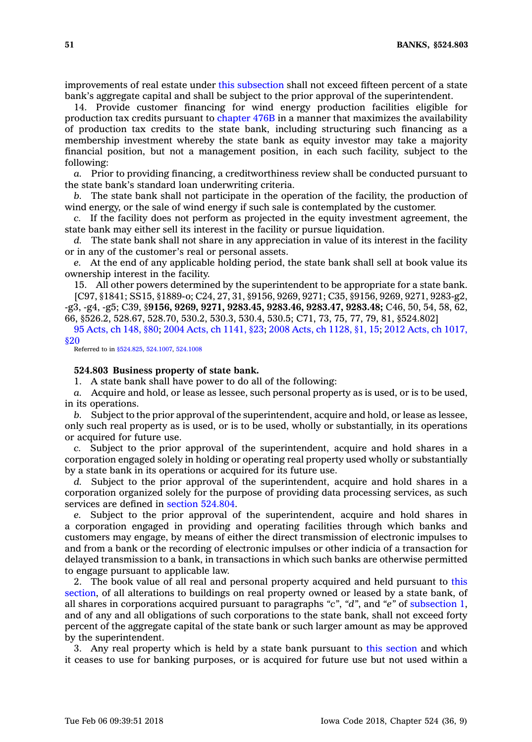improvements of real estate under this [subsection](https://www.legis.iowa.gov/docs/code/524.802.pdf) shall not exceed fifteen percent of <sup>a</sup> state bank's aggregate capital and shall be subject to the prior approval of the superintendent.

14. Provide customer financing for wind energy production facilities eligible for production tax credits pursuant to [chapter](https://www.legis.iowa.gov/docs/code//476B.pdf) 476B in <sup>a</sup> manner that maximizes the availability of production tax credits to the state bank, including structuring such financing as <sup>a</sup> membership investment whereby the state bank as equity investor may take <sup>a</sup> majority financial position, but not <sup>a</sup> management position, in each such facility, subject to the following:

*a.* Prior to providing financing, <sup>a</sup> creditworthiness review shall be conducted pursuant to the state bank's standard loan underwriting criteria.

*b.* The state bank shall not participate in the operation of the facility, the production of wind energy, or the sale of wind energy if such sale is contemplated by the customer.

*c.* If the facility does not perform as projected in the equity investment agreement, the state bank may either sell its interest in the facility or pursue liquidation.

*d.* The state bank shall not share in any appreciation in value of its interest in the facility or in any of the customer's real or personal assets.

*e.* At the end of any applicable holding period, the state bank shall sell at book value its ownership interest in the facility.

15. All other powers determined by the superintendent to be appropriate for <sup>a</sup> state bank.

[C97, §1841; SS15, §1889-o; C24, 27, 31, §9156, 9269, 9271; C35, §9156, 9269, 9271, 9283-g2, -g3, -g4, -g5; C39, §**9156, 9269, 9271, 9283.45, 9283.46, 9283.47, 9283.48;** C46, 50, 54, 58, 62, 66, §526.2, 528.67, 528.70, 530.2, 530.3, 530.4, 530.5; C71, 73, 75, 77, 79, 81, §524.802]

95 [Acts,](https://www.legis.iowa.gov/docs/acts/95/CH0148.pdf) ch 148, §80; 2004 Acts, ch [1141,](https://www.legis.iowa.gov/docs/acts/2004/CH1141.pdf) §23; 2008 Acts, ch [1128,](https://www.legis.iowa.gov/docs/acts/2008/CH1128.pdf) §1, 15; 2012 Acts, ch [1017,](https://www.legis.iowa.gov/docs/acts/2012/CH1017.pdf) [§20](https://www.legis.iowa.gov/docs/acts/2012/CH1017.pdf)

Referred to in [§524.825](https://www.legis.iowa.gov/docs/code/524.825.pdf), [524.1007](https://www.legis.iowa.gov/docs/code/524.1007.pdf), [524.1008](https://www.legis.iowa.gov/docs/code/524.1008.pdf)

### **524.803 Business property of state bank.**

1. A state bank shall have power to do all of the following:

*a.* Acquire and hold, or lease as lessee, such personal property as is used, or is to be used, in its operations.

*b.* Subject to the prior approval of the superintendent, acquire and hold, or lease as lessee, only such real property as is used, or is to be used, wholly or substantially, in its operations or acquired for future use.

*c.* Subject to the prior approval of the superintendent, acquire and hold shares in <sup>a</sup> corporation engaged solely in holding or operating real property used wholly or substantially by <sup>a</sup> state bank in its operations or acquired for its future use.

*d.* Subject to the prior approval of the superintendent, acquire and hold shares in <sup>a</sup> corporation organized solely for the purpose of providing data processing services, as such services are defined in section [524.804](https://www.legis.iowa.gov/docs/code/524.804.pdf).

*e.* Subject to the prior approval of the superintendent, acquire and hold shares in <sup>a</sup> corporation engaged in providing and operating facilities through which banks and customers may engage, by means of either the direct transmission of electronic impulses to and from <sup>a</sup> bank or the recording of electronic impulses or other indicia of <sup>a</sup> transaction for delayed transmission to <sup>a</sup> bank, in transactions in which such banks are otherwise permitted to engage pursuant to applicable law.

2. The book value of all real and personal property acquired and held pursuant to [this](https://www.legis.iowa.gov/docs/code/524.803.pdf) [section](https://www.legis.iowa.gov/docs/code/524.803.pdf), of all alterations to buildings on real property owned or leased by <sup>a</sup> state bank, of all shares in corporations acquired pursuant to paragraphs *"c"*, *"d"*, and *"e"* of [subsection](https://www.legis.iowa.gov/docs/code/524.803.pdf) 1, and of any and all obligations of such corporations to the state bank, shall not exceed forty percent of the aggregate capital of the state bank or such larger amount as may be approved by the superintendent.

3. Any real property which is held by <sup>a</sup> state bank pursuant to this [section](https://www.legis.iowa.gov/docs/code/524.803.pdf) and which it ceases to use for banking purposes, or is acquired for future use but not used within <sup>a</sup>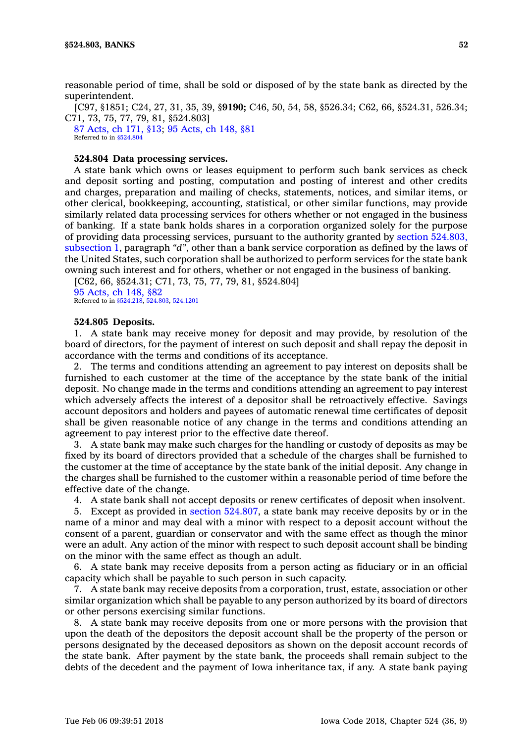[C97, §1851; C24, 27, 31, 35, 39, §**9190;** C46, 50, 54, 58, §526.34; C62, 66, §524.31, 526.34; C71, 73, 75, 77, 79, 81, §524.803]

87 [Acts,](https://www.legis.iowa.gov/docs/acts/1987/CH0171.pdf) ch 171, §13; 95 [Acts,](https://www.legis.iowa.gov/docs/acts/1995/CH0148.pdf) ch 148, §81 Referred to in [§524.804](https://www.legis.iowa.gov/docs/code/524.804.pdf)

### **524.804 Data processing services.**

A state bank which owns or leases equipment to perform such bank services as check and deposit sorting and posting, computation and posting of interest and other credits and charges, preparation and mailing of checks, statements, notices, and similar items, or other clerical, bookkeeping, accounting, statistical, or other similar functions, may provide similarly related data processing services for others whether or not engaged in the business of banking. If <sup>a</sup> state bank holds shares in <sup>a</sup> corporation organized solely for the purpose of providing data processing services, pursuant to the authority granted by section [524.803,](https://www.legis.iowa.gov/docs/code/524.803.pdf) [subsection](https://www.legis.iowa.gov/docs/code/524.803.pdf) 1, paragraph *"d"*, other than <sup>a</sup> bank service corporation as defined by the laws of the United States, such corporation shall be authorized to perform services for the state bank owning such interest and for others, whether or not engaged in the business of banking.

[C62, 66, §524.31; C71, 73, 75, 77, 79, 81, §524.804] 95 [Acts,](https://www.legis.iowa.gov/docs/acts/1995/CH0148.pdf) ch 148, §82

Referred to in [§524.218](https://www.legis.iowa.gov/docs/code/524.218.pdf), [524.803](https://www.legis.iowa.gov/docs/code/524.803.pdf), [524.1201](https://www.legis.iowa.gov/docs/code/524.1201.pdf)

### **524.805 Deposits.**

1. A state bank may receive money for deposit and may provide, by resolution of the board of directors, for the payment of interest on such deposit and shall repay the deposit in accordance with the terms and conditions of its acceptance.

2. The terms and conditions attending an agreement to pay interest on deposits shall be furnished to each customer at the time of the acceptance by the state bank of the initial deposit. No change made in the terms and conditions attending an agreement to pay interest which adversely affects the interest of <sup>a</sup> depositor shall be retroactively effective. Savings account depositors and holders and payees of automatic renewal time certificates of deposit shall be given reasonable notice of any change in the terms and conditions attending an agreement to pay interest prior to the effective date thereof.

3. A state bank may make such charges for the handling or custody of deposits as may be fixed by its board of directors provided that <sup>a</sup> schedule of the charges shall be furnished to the customer at the time of acceptance by the state bank of the initial deposit. Any change in the charges shall be furnished to the customer within <sup>a</sup> reasonable period of time before the effective date of the change.

4. A state bank shall not accept deposits or renew certificates of deposit when insolvent.

5. Except as provided in section [524.807](https://www.legis.iowa.gov/docs/code/524.807.pdf), <sup>a</sup> state bank may receive deposits by or in the name of <sup>a</sup> minor and may deal with <sup>a</sup> minor with respect to <sup>a</sup> deposit account without the consent of <sup>a</sup> parent, guardian or conservator and with the same effect as though the minor were an adult. Any action of the minor with respect to such deposit account shall be binding on the minor with the same effect as though an adult.

6. A state bank may receive deposits from <sup>a</sup> person acting as fiduciary or in an official capacity which shall be payable to such person in such capacity.

7. A state bank may receive deposits from <sup>a</sup> corporation, trust, estate, association or other similar organization which shall be payable to any person authorized by its board of directors or other persons exercising similar functions.

8. A state bank may receive deposits from one or more persons with the provision that upon the death of the depositors the deposit account shall be the property of the person or persons designated by the deceased depositors as shown on the deposit account records of the state bank. After payment by the state bank, the proceeds shall remain subject to the debts of the decedent and the payment of Iowa inheritance tax, if any. A state bank paying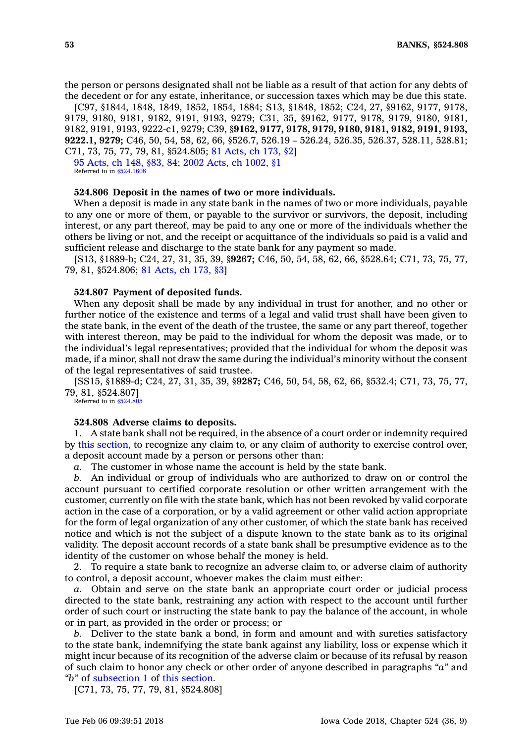the person or persons designated shall not be liable as <sup>a</sup> result of that action for any debts of the decedent or for any estate, inheritance, or succession taxes which may be due this state.

[C97, §1844, 1848, 1849, 1852, 1854, 1884; S13, §1848, 1852; C24, 27, §9162, 9177, 9178, 9179, 9180, 9181, 9182, 9191, 9193, 9279; C31, 35, §9162, 9177, 9178, 9179, 9180, 9181, 9182, 9191, 9193, 9222-c1, 9279; C39, §**9162, 9177, 9178, 9179, 9180, 9181, 9182, 9191, 9193, 9222.1, 9279;** C46, 50, 54, 58, 62, 66, §526.7, 526.19 – 526.24, 526.35, 526.37, 528.11, 528.81; C71, 73, 75, 77, 79, 81, §524.805; 81 [Acts,](https://www.legis.iowa.gov/docs/acts/1981/CH0173.pdf) ch 173, §2]

95 [Acts,](https://www.legis.iowa.gov/docs/acts/1995/CH0148.pdf) ch 148, §83, 84; 2002 Acts, ch [1002,](https://www.legis.iowa.gov/docs/acts/2002/CH1002.pdf) §1 Referred to in  $§524.160$ 

#### **524.806 Deposit in the names of two or more individuals.**

When <sup>a</sup> deposit is made in any state bank in the names of two or more individuals, payable to any one or more of them, or payable to the survivor or survivors, the deposit, including interest, or any part thereof, may be paid to any one or more of the individuals whether the others be living or not, and the receipt or acquittance of the individuals so paid is <sup>a</sup> valid and sufficient release and discharge to the state bank for any payment so made.

[S13, §1889-b; C24, 27, 31, 35, 39, §**9267;** C46, 50, 54, 58, 62, 66, §528.64; C71, 73, 75, 77, 79, 81, §524.806; 81 [Acts,](https://www.legis.iowa.gov/docs/acts/1981/CH0173.pdf) ch 173, §3]

## **524.807 Payment of deposited funds.**

When any deposit shall be made by any individual in trust for another, and no other or further notice of the existence and terms of <sup>a</sup> legal and valid trust shall have been given to the state bank, in the event of the death of the trustee, the same or any part thereof, together with interest thereon, may be paid to the individual for whom the deposit was made, or to the individual's legal representatives; provided that the individual for whom the deposit was made, if <sup>a</sup> minor, shall not draw the same during the individual's minority without the consent of the legal representatives of said trustee.

[SS15, §1889-d; C24, 27, 31, 35, 39, §**9287;** C46, 50, 54, 58, 62, 66, §532.4; C71, 73, 75, 77, 79, 81, §524.807]

Referred to in [§524.805](https://www.legis.iowa.gov/docs/code/524.805.pdf)

### **524.808 Adverse claims to deposits.**

1. A state bank shall not be required, in the absence of <sup>a</sup> court order or indemnity required by this [section](https://www.legis.iowa.gov/docs/code/524.808.pdf), to recognize any claim to, or any claim of authority to exercise control over, <sup>a</sup> deposit account made by <sup>a</sup> person or persons other than:

*a.* The customer in whose name the account is held by the state bank.

*b.* An individual or group of individuals who are authorized to draw on or control the account pursuant to certified corporate resolution or other written arrangement with the customer, currently on file with the state bank, which has not been revoked by valid corporate action in the case of <sup>a</sup> corporation, or by <sup>a</sup> valid agreement or other valid action appropriate for the form of legal organization of any other customer, of which the state bank has received notice and which is not the subject of <sup>a</sup> dispute known to the state bank as to its original validity. The deposit account records of <sup>a</sup> state bank shall be presumptive evidence as to the identity of the customer on whose behalf the money is held.

2. To require <sup>a</sup> state bank to recognize an adverse claim to, or adverse claim of authority to control, <sup>a</sup> deposit account, whoever makes the claim must either:

*a.* Obtain and serve on the state bank an appropriate court order or judicial process directed to the state bank, restraining any action with respect to the account until further order of such court or instructing the state bank to pay the balance of the account, in whole or in part, as provided in the order or process; or

*b.* Deliver to the state bank <sup>a</sup> bond, in form and amount and with sureties satisfactory to the state bank, indemnifying the state bank against any liability, loss or expense which it might incur because of its recognition of the adverse claim or because of its refusal by reason of such claim to honor any check or other order of anyone described in paragraphs *"a"* and *"b"* of [subsection](https://www.legis.iowa.gov/docs/code/524.808.pdf) 1 of this [section](https://www.legis.iowa.gov/docs/code/524.808.pdf).

[C71, 73, 75, 77, 79, 81, §524.808]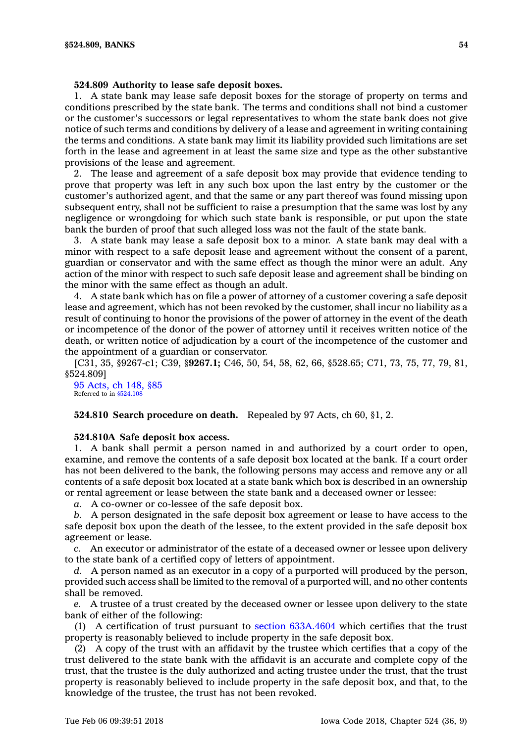### **524.809 Authority to lease safe deposit boxes.**

1. A state bank may lease safe deposit boxes for the storage of property on terms and conditions prescribed by the state bank. The terms and conditions shall not bind <sup>a</sup> customer or the customer's successors or legal representatives to whom the state bank does not give notice of such terms and conditions by delivery of <sup>a</sup> lease and agreement in writing containing the terms and conditions. A state bank may limit its liability provided such limitations are set forth in the lease and agreement in at least the same size and type as the other substantive provisions of the lease and agreement.

2. The lease and agreement of <sup>a</sup> safe deposit box may provide that evidence tending to prove that property was left in any such box upon the last entry by the customer or the customer's authorized agent, and that the same or any part thereof was found missing upon subsequent entry, shall not be sufficient to raise <sup>a</sup> presumption that the same was lost by any negligence or wrongdoing for which such state bank is responsible, or put upon the state bank the burden of proof that such alleged loss was not the fault of the state bank.

3. A state bank may lease <sup>a</sup> safe deposit box to <sup>a</sup> minor. A state bank may deal with <sup>a</sup> minor with respect to <sup>a</sup> safe deposit lease and agreement without the consent of <sup>a</sup> parent, guardian or conservator and with the same effect as though the minor were an adult. Any action of the minor with respect to such safe deposit lease and agreement shall be binding on the minor with the same effect as though an adult.

4. A state bank which has on file <sup>a</sup> power of attorney of <sup>a</sup> customer covering <sup>a</sup> safe deposit lease and agreement, which has not been revoked by the customer, shall incur no liability as <sup>a</sup> result of continuing to honor the provisions of the power of attorney in the event of the death or incompetence of the donor of the power of attorney until it receives written notice of the death, or written notice of adjudication by <sup>a</sup> court of the incompetence of the customer and the appointment of <sup>a</sup> guardian or conservator.

[C31, 35, §9267-c1; C39, §**9267.1;** C46, 50, 54, 58, 62, 66, §528.65; C71, 73, 75, 77, 79, 81, §524.809]

95 [Acts,](https://www.legis.iowa.gov/docs/acts/1995/CH0148.pdf) ch 148, §85 Referred to in [§524.108](https://www.legis.iowa.gov/docs/code/524.108.pdf)

## **524.810 Search procedure on death.** Repealed by 97 Acts, ch 60, §1, 2.

### **524.810A Safe deposit box access.**

1. A bank shall permit <sup>a</sup> person named in and authorized by <sup>a</sup> court order to open, examine, and remove the contents of <sup>a</sup> safe deposit box located at the bank. If <sup>a</sup> court order has not been delivered to the bank, the following persons may access and remove any or all contents of <sup>a</sup> safe deposit box located at <sup>a</sup> state bank which box is described in an ownership or rental agreement or lease between the state bank and <sup>a</sup> deceased owner or lessee:

*a.* A co-owner or co-lessee of the safe deposit box.

*b.* A person designated in the safe deposit box agreement or lease to have access to the safe deposit box upon the death of the lessee, to the extent provided in the safe deposit box agreement or lease.

*c.* An executor or administrator of the estate of <sup>a</sup> deceased owner or lessee upon delivery to the state bank of <sup>a</sup> certified copy of letters of appointment.

*d.* A person named as an executor in <sup>a</sup> copy of <sup>a</sup> purported will produced by the person, provided such access shall be limited to the removal of <sup>a</sup> purported will, and no other contents shall be removed.

*e.* A trustee of <sup>a</sup> trust created by the deceased owner or lessee upon delivery to the state bank of either of the following:

(1) A certification of trust pursuant to section [633A.4604](https://www.legis.iowa.gov/docs/code/633A.4604.pdf) which certifies that the trust property is reasonably believed to include property in the safe deposit box.

(2) A copy of the trust with an affidavit by the trustee which certifies that <sup>a</sup> copy of the trust delivered to the state bank with the affidavit is an accurate and complete copy of the trust, that the trustee is the duly authorized and acting trustee under the trust, that the trust property is reasonably believed to include property in the safe deposit box, and that, to the knowledge of the trustee, the trust has not been revoked.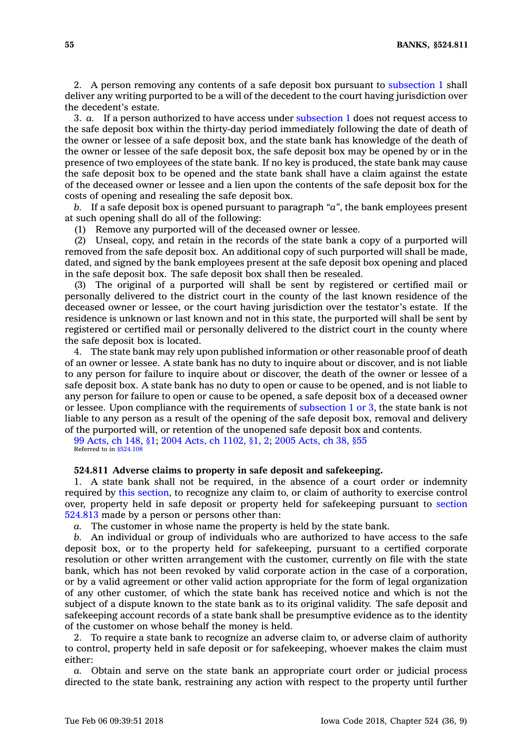2. A person removing any contents of <sup>a</sup> safe deposit box pursuant to [subsection](https://www.legis.iowa.gov/docs/code/524.810A.pdf) 1 shall deliver any writing purported to be <sup>a</sup> will of the decedent to the court having jurisdiction over the decedent's estate.

3. *a.* If <sup>a</sup> person authorized to have access under [subsection](https://www.legis.iowa.gov/docs/code/524.810A.pdf) 1 does not request access to the safe deposit box within the thirty-day period immediately following the date of death of the owner or lessee of <sup>a</sup> safe deposit box, and the state bank has knowledge of the death of the owner or lessee of the safe deposit box, the safe deposit box may be opened by or in the presence of two employees of the state bank. If no key is produced, the state bank may cause the safe deposit box to be opened and the state bank shall have <sup>a</sup> claim against the estate of the deceased owner or lessee and <sup>a</sup> lien upon the contents of the safe deposit box for the costs of opening and resealing the safe deposit box.

*b.* If <sup>a</sup> safe deposit box is opened pursuant to paragraph *"a"*, the bank employees present at such opening shall do all of the following:

(1) Remove any purported will of the deceased owner or lessee.

(2) Unseal, copy, and retain in the records of the state bank <sup>a</sup> copy of <sup>a</sup> purported will removed from the safe deposit box. An additional copy of such purported will shall be made, dated, and signed by the bank employees present at the safe deposit box opening and placed in the safe deposit box. The safe deposit box shall then be resealed.

(3) The original of <sup>a</sup> purported will shall be sent by registered or certified mail or personally delivered to the district court in the county of the last known residence of the deceased owner or lessee, or the court having jurisdiction over the testator's estate. If the residence is unknown or last known and not in this state, the purported will shall be sent by registered or certified mail or personally delivered to the district court in the county where the safe deposit box is located.

4. The state bank may rely upon published information or other reasonable proof of death of an owner or lessee. A state bank has no duty to inquire about or discover, and is not liable to any person for failure to inquire about or discover, the death of the owner or lessee of <sup>a</sup> safe deposit box. A state bank has no duty to open or cause to be opened, and is not liable to any person for failure to open or cause to be opened, <sup>a</sup> safe deposit box of <sup>a</sup> deceased owner or lessee. Upon compliance with the requirements of [subsection](https://www.legis.iowa.gov/docs/code/524.810A.pdf) 1 or 3, the state bank is not liable to any person as <sup>a</sup> result of the opening of the safe deposit box, removal and delivery of the purported will, or retention of the unopened safe deposit box and contents.

99 [Acts,](https://www.legis.iowa.gov/docs/acts/1999/CH0148.pdf) ch 148, §1; 2004 Acts, ch [1102,](https://www.legis.iowa.gov/docs/acts/2004/CH1102.pdf) §1, 2; 2005 [Acts,](https://www.legis.iowa.gov/docs/acts/2005/CH0038.pdf) ch 38, §55 Referred to in [§524.108](https://www.legis.iowa.gov/docs/code/524.108.pdf)

### **524.811 Adverse claims to property in safe deposit and safekeeping.**

1. A state bank shall not be required, in the absence of <sup>a</sup> court order or indemnity required by this [section](https://www.legis.iowa.gov/docs/code/524.811.pdf), to recognize any claim to, or claim of authority to exercise control over, property held in safe deposit or property held for safekeeping pursuant to [section](https://www.legis.iowa.gov/docs/code/524.813.pdf) [524.813](https://www.legis.iowa.gov/docs/code/524.813.pdf) made by <sup>a</sup> person or persons other than:

*a.* The customer in whose name the property is held by the state bank.

*b.* An individual or group of individuals who are authorized to have access to the safe deposit box, or to the property held for safekeeping, pursuant to <sup>a</sup> certified corporate resolution or other written arrangement with the customer, currently on file with the state bank, which has not been revoked by valid corporate action in the case of <sup>a</sup> corporation, or by <sup>a</sup> valid agreement or other valid action appropriate for the form of legal organization of any other customer, of which the state bank has received notice and which is not the subject of <sup>a</sup> dispute known to the state bank as to its original validity. The safe deposit and safekeeping account records of <sup>a</sup> state bank shall be presumptive evidence as to the identity of the customer on whose behalf the money is held.

2. To require <sup>a</sup> state bank to recognize an adverse claim to, or adverse claim of authority to control, property held in safe deposit or for safekeeping, whoever makes the claim must either:

*a.* Obtain and serve on the state bank an appropriate court order or judicial process directed to the state bank, restraining any action with respect to the property until further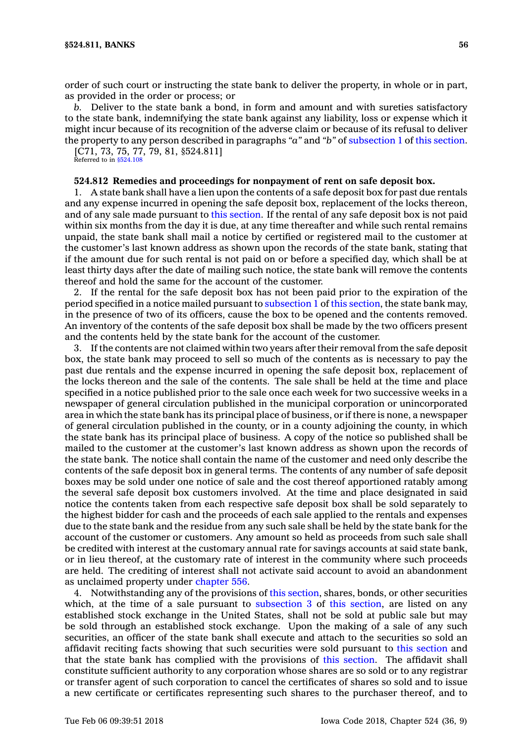order of such court or instructing the state bank to deliver the property, in whole or in part, as provided in the order or process; or

*b.* Deliver to the state bank <sup>a</sup> bond, in form and amount and with sureties satisfactory to the state bank, indemnifying the state bank against any liability, loss or expense which it might incur because of its recognition of the adverse claim or because of its refusal to deliver the property to any person described in paragraphs *"a"* and *"b"* of [subsection](https://www.legis.iowa.gov/docs/code/524.811.pdf) 1 of this [section](https://www.legis.iowa.gov/docs/code/524.811.pdf).

[C71, 73, 75, 77, 79, 81, §524.811] Referred to in [§524.108](https://www.legis.iowa.gov/docs/code/524.108.pdf)

### **524.812 Remedies and proceedings for nonpayment of rent on safe deposit box.**

1. A state bank shall have <sup>a</sup> lien upon the contents of <sup>a</sup> safe deposit box for past due rentals and any expense incurred in opening the safe deposit box, replacement of the locks thereon, and of any sale made pursuant to this [section](https://www.legis.iowa.gov/docs/code/524.812.pdf). If the rental of any safe deposit box is not paid within six months from the day it is due, at any time thereafter and while such rental remains unpaid, the state bank shall mail <sup>a</sup> notice by certified or registered mail to the customer at the customer's last known address as shown upon the records of the state bank, stating that if the amount due for such rental is not paid on or before <sup>a</sup> specified day, which shall be at least thirty days after the date of mailing such notice, the state bank will remove the contents thereof and hold the same for the account of the customer.

2. If the rental for the safe deposit box has not been paid prior to the expiration of the period specified in <sup>a</sup> notice mailed pursuant to [subsection](https://www.legis.iowa.gov/docs/code/524.812.pdf) 1 of this [section](https://www.legis.iowa.gov/docs/code/524.812.pdf), the state bank may, in the presence of two of its officers, cause the box to be opened and the contents removed. An inventory of the contents of the safe deposit box shall be made by the two officers present and the contents held by the state bank for the account of the customer.

3. If the contents are not claimed within two years after their removal from the safe deposit box, the state bank may proceed to sell so much of the contents as is necessary to pay the past due rentals and the expense incurred in opening the safe deposit box, replacement of the locks thereon and the sale of the contents. The sale shall be held at the time and place specified in <sup>a</sup> notice published prior to the sale once each week for two successive weeks in <sup>a</sup> newspaper of general circulation published in the municipal corporation or unincorporated area in which the state bank has its principal place of business, or if there is none, <sup>a</sup> newspaper of general circulation published in the county, or in <sup>a</sup> county adjoining the county, in which the state bank has its principal place of business. A copy of the notice so published shall be mailed to the customer at the customer's last known address as shown upon the records of the state bank. The notice shall contain the name of the customer and need only describe the contents of the safe deposit box in general terms. The contents of any number of safe deposit boxes may be sold under one notice of sale and the cost thereof apportioned ratably among the several safe deposit box customers involved. At the time and place designated in said notice the contents taken from each respective safe deposit box shall be sold separately to the highest bidder for cash and the proceeds of each sale applied to the rentals and expenses due to the state bank and the residue from any such sale shall be held by the state bank for the account of the customer or customers. Any amount so held as proceeds from such sale shall be credited with interest at the customary annual rate for savings accounts at said state bank, or in lieu thereof, at the customary rate of interest in the community where such proceeds are held. The crediting of interest shall not activate said account to avoid an abandonment as unclaimed property under [chapter](https://www.legis.iowa.gov/docs/code//556.pdf) 556.

4. Notwithstanding any of the provisions of this [section](https://www.legis.iowa.gov/docs/code/524.812.pdf), shares, bonds, or other securities which, at the time of a sale pursuant to [subsection](https://www.legis.iowa.gov/docs/code/524.812.pdf) 3 of this [section](https://www.legis.iowa.gov/docs/code/524.812.pdf), are listed on any established stock exchange in the United States, shall not be sold at public sale but may be sold through an established stock exchange. Upon the making of <sup>a</sup> sale of any such securities, an officer of the state bank shall execute and attach to the securities so sold an affidavit reciting facts showing that such securities were sold pursuant to this [section](https://www.legis.iowa.gov/docs/code/524.812.pdf) and that the state bank has complied with the provisions of this [section](https://www.legis.iowa.gov/docs/code/524.812.pdf). The affidavit shall constitute sufficient authority to any corporation whose shares are so sold or to any registrar or transfer agent of such corporation to cancel the certificates of shares so sold and to issue <sup>a</sup> new certificate or certificates representing such shares to the purchaser thereof, and to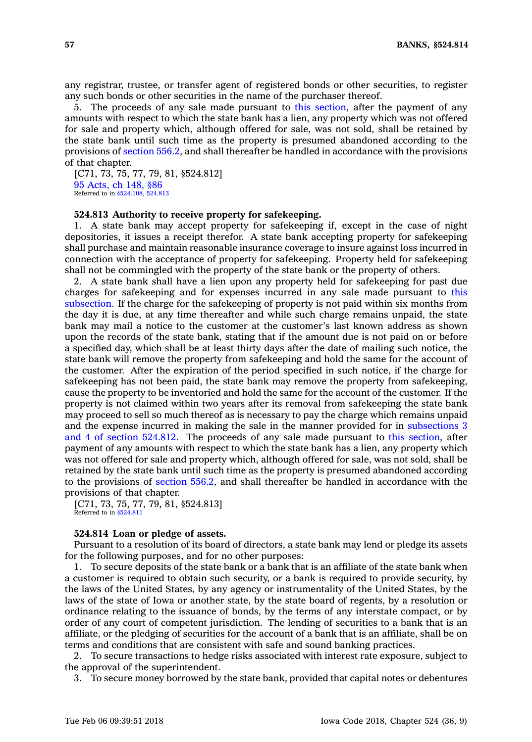any registrar, trustee, or transfer agent of registered bonds or other securities, to register any such bonds or other securities in the name of the purchaser thereof.

5. The proceeds of any sale made pursuant to this [section](https://www.legis.iowa.gov/docs/code/524.812.pdf), after the payment of any amounts with respect to which the state bank has <sup>a</sup> lien, any property which was not offered for sale and property which, although offered for sale, was not sold, shall be retained by the state bank until such time as the property is presumed abandoned according to the provisions of [section](https://www.legis.iowa.gov/docs/code/556.2.pdf) 556.2, and shall thereafter be handled in accordance with the provisions of that chapter.

[C71, 73, 75, 77, 79, 81, §524.812] 95 [Acts,](https://www.legis.iowa.gov/docs/acts/1995/CH0148.pdf) ch 148, §86 Referred to in [§524.108](https://www.legis.iowa.gov/docs/code/524.108.pdf), [524.813](https://www.legis.iowa.gov/docs/code/524.813.pdf)

### **524.813 Authority to receive property for safekeeping.**

1. A state bank may accept property for safekeeping if, except in the case of night depositories, it issues <sup>a</sup> receipt therefor. A state bank accepting property for safekeeping shall purchase and maintain reasonable insurance coverage to insure against loss incurred in connection with the acceptance of property for safekeeping. Property held for safekeeping shall not be commingled with the property of the state bank or the property of others.

2. A state bank shall have <sup>a</sup> lien upon any property held for safekeeping for past due charges for safekeeping and for expenses incurred in any sale made pursuant to [this](https://www.legis.iowa.gov/docs/code/524.813.pdf) [subsection](https://www.legis.iowa.gov/docs/code/524.813.pdf). If the charge for the safekeeping of property is not paid within six months from the day it is due, at any time thereafter and while such charge remains unpaid, the state bank may mail <sup>a</sup> notice to the customer at the customer's last known address as shown upon the records of the state bank, stating that if the amount due is not paid on or before <sup>a</sup> specified day, which shall be at least thirty days after the date of mailing such notice, the state bank will remove the property from safekeeping and hold the same for the account of the customer. After the expiration of the period specified in such notice, if the charge for safekeeping has not been paid, the state bank may remove the property from safekeeping, cause the property to be inventoried and hold the same for the account of the customer. If the property is not claimed within two years after its removal from safekeeping the state bank may proceed to sell so much thereof as is necessary to pay the charge which remains unpaid and the expense incurred in making the sale in the manner provided for in [subsections](https://www.legis.iowa.gov/docs/code/524.812.pdf) 3 and 4 of section [524.812](https://www.legis.iowa.gov/docs/code/524.812.pdf). The proceeds of any sale made pursuant to this [section](https://www.legis.iowa.gov/docs/code/524.813.pdf), after payment of any amounts with respect to which the state bank has <sup>a</sup> lien, any property which was not offered for sale and property which, although offered for sale, was not sold, shall be retained by the state bank until such time as the property is presumed abandoned according to the provisions of [section](https://www.legis.iowa.gov/docs/code/556.2.pdf) 556.2, and shall thereafter be handled in accordance with the provisions of that chapter.

[C71, 73, 75, 77, 79, 81, §524.813] Referred to in [§524.811](https://www.legis.iowa.gov/docs/code/524.811.pdf)

### **524.814 Loan or pledge of assets.**

Pursuant to <sup>a</sup> resolution of its board of directors, <sup>a</sup> state bank may lend or pledge its assets for the following purposes, and for no other purposes:

1. To secure deposits of the state bank or <sup>a</sup> bank that is an affiliate of the state bank when <sup>a</sup> customer is required to obtain such security, or <sup>a</sup> bank is required to provide security, by the laws of the United States, by any agency or instrumentality of the United States, by the laws of the state of Iowa or another state, by the state board of regents, by <sup>a</sup> resolution or ordinance relating to the issuance of bonds, by the terms of any interstate compact, or by order of any court of competent jurisdiction. The lending of securities to <sup>a</sup> bank that is an affiliate, or the pledging of securities for the account of <sup>a</sup> bank that is an affiliate, shall be on terms and conditions that are consistent with safe and sound banking practices.

2. To secure transactions to hedge risks associated with interest rate exposure, subject to the approval of the superintendent.

3. To secure money borrowed by the state bank, provided that capital notes or debentures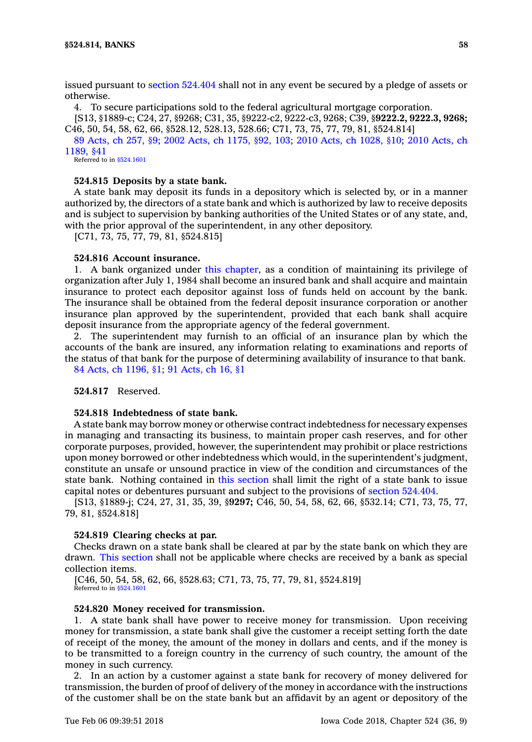issued pursuant to section [524.404](https://www.legis.iowa.gov/docs/code/524.404.pdf) shall not in any event be secured by <sup>a</sup> pledge of assets or otherwise.

4. To secure participations sold to the federal agricultural mortgage corporation.

[S13, §1889-c; C24, 27, §9268; C31, 35, §9222-c2, 9222-c3, 9268; C39, §**9222.2, 9222.3, 9268;** C46, 50, 54, 58, 62, 66, §528.12, 528.13, 528.66; C71, 73, 75, 77, 79, 81, §524.814]

89 [Acts,](https://www.legis.iowa.gov/docs/acts/89/CH0257.pdf) ch 257, §9; 2002 Acts, ch [1175,](https://www.legis.iowa.gov/docs/acts/2002/CH1175.pdf) §92, 103; 2010 Acts, ch [1028,](https://www.legis.iowa.gov/docs/acts/2010/CH1028.pdf) §10; 2010 [Acts,](https://www.legis.iowa.gov/docs/acts/2010/CH1189.pdf) ch [1189,](https://www.legis.iowa.gov/docs/acts/2010/CH1189.pdf) §41

Referred to in [§524.1601](https://www.legis.iowa.gov/docs/code/524.1601.pdf)

### **524.815 Deposits by <sup>a</sup> state bank.**

A state bank may deposit its funds in <sup>a</sup> depository which is selected by, or in <sup>a</sup> manner authorized by, the directors of <sup>a</sup> state bank and which is authorized by law to receive deposits and is subject to supervision by banking authorities of the United States or of any state, and, with the prior approval of the superintendent, in any other depository.

[C71, 73, 75, 77, 79, 81, §524.815]

#### **524.816 Account insurance.**

1. A bank organized under this [chapter](https://www.legis.iowa.gov/docs/code//524.pdf), as <sup>a</sup> condition of maintaining its privilege of organization after July 1, 1984 shall become an insured bank and shall acquire and maintain insurance to protect each depositor against loss of funds held on account by the bank. The insurance shall be obtained from the federal deposit insurance corporation or another insurance plan approved by the superintendent, provided that each bank shall acquire deposit insurance from the appropriate agency of the federal government.

2. The superintendent may furnish to an official of an insurance plan by which the accounts of the bank are insured, any information relating to examinations and reports of the status of that bank for the purpose of determining availability of insurance to that bank. 84 Acts, ch [1196,](https://www.legis.iowa.gov/docs/acts/1984/CH1196.pdf) §1; 91 [Acts,](https://www.legis.iowa.gov/docs/acts/1991/CH0016.pdf) ch 16, §1

**524.817** Reserved.

## **524.818 Indebtedness of state bank.**

A state bank may borrow money or otherwise contract indebtedness for necessary expenses in managing and transacting its business, to maintain proper cash reserves, and for other corporate purposes, provided, however, the superintendent may prohibit or place restrictions upon money borrowed or other indebtedness which would, in the superintendent's judgment, constitute an unsafe or unsound practice in view of the condition and circumstances of the state bank. Nothing contained in this [section](https://www.legis.iowa.gov/docs/code/524.818.pdf) shall limit the right of <sup>a</sup> state bank to issue capital notes or debentures pursuant and subject to the provisions of section [524.404](https://www.legis.iowa.gov/docs/code/524.404.pdf).

[S13, §1889-j; C24, 27, 31, 35, 39, §**9297;** C46, 50, 54, 58, 62, 66, §532.14; C71, 73, 75, 77, 79, 81, §524.818]

#### **524.819 Clearing checks at par.**

Checks drawn on <sup>a</sup> state bank shall be cleared at par by the state bank on which they are drawn. This [section](https://www.legis.iowa.gov/docs/code/524.819.pdf) shall not be applicable where checks are received by <sup>a</sup> bank as special collection items.

[C46, 50, 54, 58, 62, 66, §528.63; C71, 73, 75, 77, 79, 81, §524.819] Referred to in [§524.1601](https://www.legis.iowa.gov/docs/code/524.1601.pdf)

## **524.820 Money received for transmission.**

1. A state bank shall have power to receive money for transmission. Upon receiving money for transmission, <sup>a</sup> state bank shall give the customer <sup>a</sup> receipt setting forth the date of receipt of the money, the amount of the money in dollars and cents, and if the money is to be transmitted to <sup>a</sup> foreign country in the currency of such country, the amount of the money in such currency.

2. In an action by <sup>a</sup> customer against <sup>a</sup> state bank for recovery of money delivered for transmission, the burden of proof of delivery of the money in accordance with the instructions of the customer shall be on the state bank but an affidavit by an agent or depository of the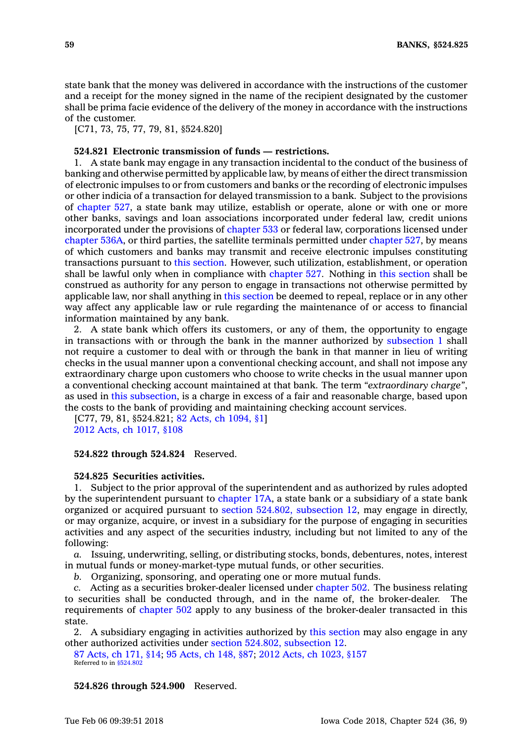state bank that the money was delivered in accordance with the instructions of the customer and <sup>a</sup> receipt for the money signed in the name of the recipient designated by the customer shall be prima facie evidence of the delivery of the money in accordance with the instructions of the customer.

[C71, 73, 75, 77, 79, 81, §524,820]

## **524.821 Electronic transmission of funds — restrictions.**

1. A state bank may engage in any transaction incidental to the conduct of the business of banking and otherwise permitted by applicable law, by means of either the direct transmission of electronic impulses to or from customers and banks or the recording of electronic impulses or other indicia of <sup>a</sup> transaction for delayed transmission to <sup>a</sup> bank. Subject to the provisions of [chapter](https://www.legis.iowa.gov/docs/code//527.pdf) 527, <sup>a</sup> state bank may utilize, establish or operate, alone or with one or more other banks, savings and loan associations incorporated under federal law, credit unions incorporated under the provisions of [chapter](https://www.legis.iowa.gov/docs/code//533.pdf) 533 or federal law, corporations licensed under [chapter](https://www.legis.iowa.gov/docs/code//536A.pdf) 536A, or third parties, the satellite terminals permitted under [chapter](https://www.legis.iowa.gov/docs/code//527.pdf) 527, by means of which customers and banks may transmit and receive electronic impulses constituting transactions pursuant to this [section](https://www.legis.iowa.gov/docs/code/524.821.pdf). However, such utilization, establishment, or operation shall be lawful only when in compliance with [chapter](https://www.legis.iowa.gov/docs/code//527.pdf) 527. Nothing in this [section](https://www.legis.iowa.gov/docs/code/524.821.pdf) shall be construed as authority for any person to engage in transactions not otherwise permitted by applicable law, nor shall anything in this [section](https://www.legis.iowa.gov/docs/code/524.821.pdf) be deemed to repeal, replace or in any other way affect any applicable law or rule regarding the maintenance of or access to financial information maintained by any bank.

2. A state bank which offers its customers, or any of them, the opportunity to engage in transactions with or through the bank in the manner authorized by [subsection](https://www.legis.iowa.gov/docs/code/524.821.pdf) 1 shall not require <sup>a</sup> customer to deal with or through the bank in that manner in lieu of writing checks in the usual manner upon <sup>a</sup> conventional checking account, and shall not impose any extraordinary charge upon customers who choose to write checks in the usual manner upon <sup>a</sup> conventional checking account maintained at that bank. The term *"extraordinary charge"*, as used in this [subsection](https://www.legis.iowa.gov/docs/code/524.821.pdf), is <sup>a</sup> charge in excess of <sup>a</sup> fair and reasonable charge, based upon the costs to the bank of providing and maintaining checking account services.

[C77, 79, 81, §524.821; 82 Acts, ch [1094,](https://www.legis.iowa.gov/docs/acts/1982/CH1094.pdf) §1] 2012 Acts, ch [1017,](https://www.legis.iowa.gov/docs/acts/2012/CH1017.pdf) §108

### **524.822 through 524.824** Reserved.

#### **524.825 Securities activities.**

1. Subject to the prior approval of the superintendent and as authorized by rules adopted by the superintendent pursuant to [chapter](https://www.legis.iowa.gov/docs/code//17A.pdf) 17A, <sup>a</sup> state bank or <sup>a</sup> subsidiary of <sup>a</sup> state bank organized or acquired pursuant to section 524.802, [subsection](https://www.legis.iowa.gov/docs/code/524.802.pdf) 12, may engage in directly, or may organize, acquire, or invest in <sup>a</sup> subsidiary for the purpose of engaging in securities activities and any aspect of the securities industry, including but not limited to any of the following:

*a.* Issuing, underwriting, selling, or distributing stocks, bonds, debentures, notes, interest in mutual funds or money-market-type mutual funds, or other securities.

*b.* Organizing, sponsoring, and operating one or more mutual funds.

*c.* Acting as <sup>a</sup> securities broker-dealer licensed under [chapter](https://www.legis.iowa.gov/docs/code//502.pdf) 502. The business relating to securities shall be conducted through, and in the name of, the broker-dealer. The requirements of [chapter](https://www.legis.iowa.gov/docs/code//502.pdf) 502 apply to any business of the broker-dealer transacted in this state.

2. A subsidiary engaging in activities authorized by this [section](https://www.legis.iowa.gov/docs/code/524.825.pdf) may also engage in any other authorized activities under section 524.802, [subsection](https://www.legis.iowa.gov/docs/code/524.802.pdf) 12.

87 [Acts,](https://www.legis.iowa.gov/docs/acts/87/CH0171.pdf) ch 171, §14; 95 [Acts,](https://www.legis.iowa.gov/docs/acts/95/CH0148.pdf) ch 148, §87; 2012 Acts, ch [1023,](https://www.legis.iowa.gov/docs/acts/2012/CH1023.pdf) §157 Referred to in [§524.802](https://www.legis.iowa.gov/docs/code/524.802.pdf)

**524.826 through 524.900** Reserved.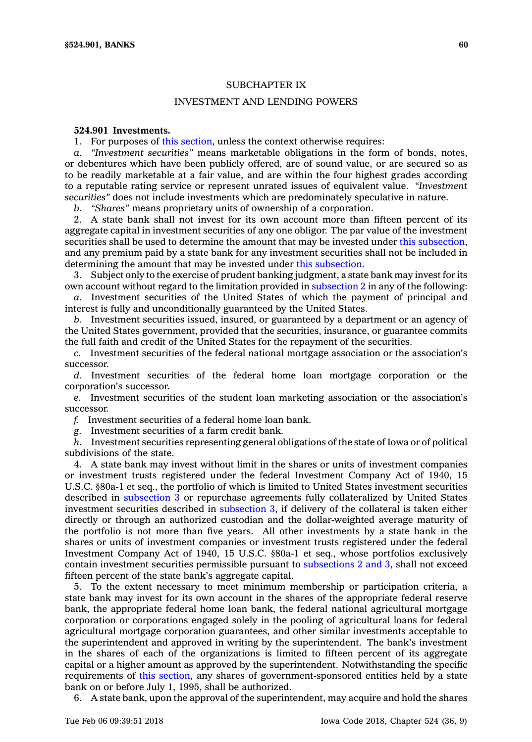## SUBCHAPTER IX

## INVESTMENT AND LENDING POWERS

## **524.901 Investments.**

1. For purposes of this [section](https://www.legis.iowa.gov/docs/code/524.901.pdf), unless the context otherwise requires:

*a. "Investment securities"* means marketable obligations in the form of bonds, notes, or debentures which have been publicly offered, are of sound value, or are secured so as to be readily marketable at <sup>a</sup> fair value, and are within the four highest grades according to <sup>a</sup> reputable rating service or represent unrated issues of equivalent value. *"Investment securities"* does not include investments which are predominately speculative in nature.

*b. "Shares"* means proprietary units of ownership of <sup>a</sup> corporation.

2. A state bank shall not invest for its own account more than fifteen percent of its aggregate capital in investment securities of any one obligor. The par value of the investment securities shall be used to determine the amount that may be invested under this [subsection](https://www.legis.iowa.gov/docs/code/524.901.pdf), and any premium paid by <sup>a</sup> state bank for any investment securities shall not be included in determining the amount that may be invested under this [subsection](https://www.legis.iowa.gov/docs/code/524.901.pdf).

3. Subject only to the exercise of prudent banking judgment, <sup>a</sup> state bank may invest for its own account without regard to the limitation provided in [subsection](https://www.legis.iowa.gov/docs/code/524.901.pdf) 2 in any of the following:

*a.* Investment securities of the United States of which the payment of principal and interest is fully and unconditionally guaranteed by the United States.

*b.* Investment securities issued, insured, or guaranteed by <sup>a</sup> department or an agency of the United States government, provided that the securities, insurance, or guarantee commits the full faith and credit of the United States for the repayment of the securities.

*c.* Investment securities of the federal national mortgage association or the association's successor.

*d.* Investment securities of the federal home loan mortgage corporation or the corporation's successor.

*e.* Investment securities of the student loan marketing association or the association's successor.

*f.* Investment securities of <sup>a</sup> federal home loan bank.

*g.* Investment securities of <sup>a</sup> farm credit bank.

*h.* Investment securities representing general obligations of the state of Iowa or of political subdivisions of the state.

4. A state bank may invest without limit in the shares or units of investment companies or investment trusts registered under the federal Investment Company Act of 1940, 15 U.S.C. §80a-1 et seq., the portfolio of which is limited to United States investment securities described in [subsection](https://www.legis.iowa.gov/docs/code/524.901.pdf) 3 or repurchase agreements fully collateralized by United States investment securities described in [subsection](https://www.legis.iowa.gov/docs/code/524.901.pdf) 3, if delivery of the collateral is taken either directly or through an authorized custodian and the dollar-weighted average maturity of the portfolio is not more than five years. All other investments by <sup>a</sup> state bank in the shares or units of investment companies or investment trusts registered under the federal Investment Company Act of 1940, 15 U.S.C. §80a-1 et seq., whose portfolios exclusively contain investment securities permissible pursuant to [subsections](https://www.legis.iowa.gov/docs/code/524.901.pdf) 2 and 3, shall not exceed fifteen percent of the state bank's aggregate capital.

5. To the extent necessary to meet minimum membership or participation criteria, <sup>a</sup> state bank may invest for its own account in the shares of the appropriate federal reserve bank, the appropriate federal home loan bank, the federal national agricultural mortgage corporation or corporations engaged solely in the pooling of agricultural loans for federal agricultural mortgage corporation guarantees, and other similar investments acceptable to the superintendent and approved in writing by the superintendent. The bank's investment in the shares of each of the organizations is limited to fifteen percent of its aggregate capital or <sup>a</sup> higher amount as approved by the superintendent. Notwithstanding the specific requirements of this [section](https://www.legis.iowa.gov/docs/code/524.901.pdf), any shares of government-sponsored entities held by <sup>a</sup> state bank on or before July 1, 1995, shall be authorized.

6. A state bank, upon the approval of the superintendent, may acquire and hold the shares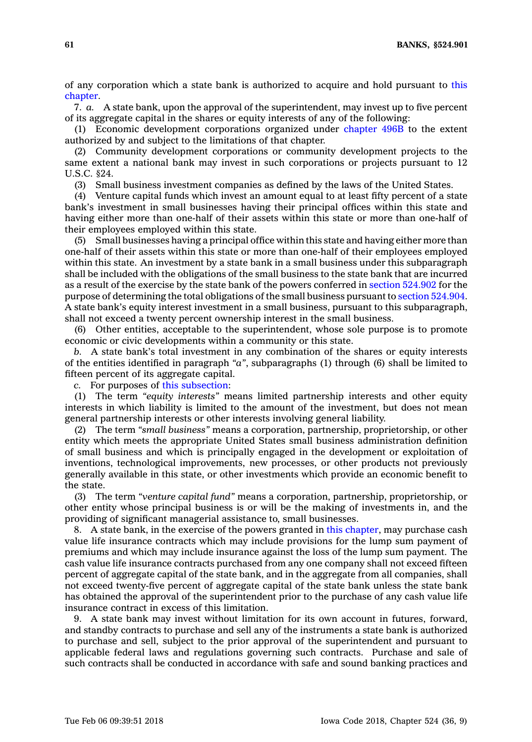**61 BANKS, §524.901**

of any corporation which <sup>a</sup> state bank is authorized to acquire and hold pursuant to [this](https://www.legis.iowa.gov/docs/code//524.pdf) [chapter](https://www.legis.iowa.gov/docs/code//524.pdf).

7. *a.* A state bank, upon the approval of the superintendent, may invest up to five percent of its aggregate capital in the shares or equity interests of any of the following:

(1) Economic development corporations organized under [chapter](https://www.legis.iowa.gov/docs/code//496B.pdf) 496B to the extent authorized by and subject to the limitations of that chapter.

(2) Community development corporations or community development projects to the same extent <sup>a</sup> national bank may invest in such corporations or projects pursuant to 12 U.S.C. §24.

(3) Small business investment companies as defined by the laws of the United States.

(4) Venture capital funds which invest an amount equal to at least fifty percent of <sup>a</sup> state bank's investment in small businesses having their principal offices within this state and having either more than one-half of their assets within this state or more than one-half of their employees employed within this state.

(5) Small businesses having <sup>a</sup> principal office within this state and having either more than one-half of their assets within this state or more than one-half of their employees employed within this state. An investment by <sup>a</sup> state bank in <sup>a</sup> small business under this subparagraph shall be included with the obligations of the small business to the state bank that are incurred as <sup>a</sup> result of the exercise by the state bank of the powers conferred in section [524.902](https://www.legis.iowa.gov/docs/code/524.902.pdf) for the purpose of determining the total obligations of the small business pursuant to section [524.904](https://www.legis.iowa.gov/docs/code/524.904.pdf). A state bank's equity interest investment in <sup>a</sup> small business, pursuant to this subparagraph, shall not exceed <sup>a</sup> twenty percent ownership interest in the small business.

(6) Other entities, acceptable to the superintendent, whose sole purpose is to promote economic or civic developments within <sup>a</sup> community or this state.

*b.* A state bank's total investment in any combination of the shares or equity interests of the entities identified in paragraph *"a"*, subparagraphs (1) through (6) shall be limited to fifteen percent of its aggregate capital.

*c.* For purposes of this [subsection](https://www.legis.iowa.gov/docs/code/524.901.pdf):

(1) The term *"equity interests"* means limited partnership interests and other equity interests in which liability is limited to the amount of the investment, but does not mean general partnership interests or other interests involving general liability.

(2) The term *"small business"* means <sup>a</sup> corporation, partnership, proprietorship, or other entity which meets the appropriate United States small business administration definition of small business and which is principally engaged in the development or exploitation of inventions, technological improvements, new processes, or other products not previously generally available in this state, or other investments which provide an economic benefit to the state.

(3) The term *"venture capital fund"* means <sup>a</sup> corporation, partnership, proprietorship, or other entity whose principal business is or will be the making of investments in, and the providing of significant managerial assistance to, small businesses.

8. A state bank, in the exercise of the powers granted in this [chapter](https://www.legis.iowa.gov/docs/code//524.pdf), may purchase cash value life insurance contracts which may include provisions for the lump sum payment of premiums and which may include insurance against the loss of the lump sum payment. The cash value life insurance contracts purchased from any one company shall not exceed fifteen percent of aggregate capital of the state bank, and in the aggregate from all companies, shall not exceed twenty-five percent of aggregate capital of the state bank unless the state bank has obtained the approval of the superintendent prior to the purchase of any cash value life insurance contract in excess of this limitation.

9. A state bank may invest without limitation for its own account in futures, forward, and standby contracts to purchase and sell any of the instruments <sup>a</sup> state bank is authorized to purchase and sell, subject to the prior approval of the superintendent and pursuant to applicable federal laws and regulations governing such contracts. Purchase and sale of such contracts shall be conducted in accordance with safe and sound banking practices and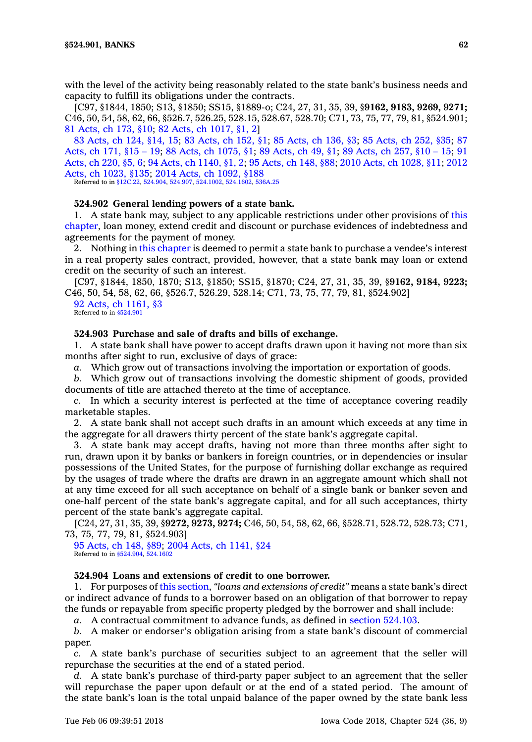with the level of the activity being reasonably related to the state bank's business needs and capacity to fulfill its obligations under the contracts.

[C97, §1844, 1850; S13, §1850; SS15, §1889-o; C24, 27, 31, 35, 39, §**9162, 9183, 9269, 9271;** C46, 50, 54, 58, 62, 66, §526.7, 526.25, 528.15, 528.67, 528.70; C71, 73, 75, 77, 79, 81, §524.901; 81 [Acts,](https://www.legis.iowa.gov/docs/acts/1981/CH0173.pdf) ch 173, §10; 82 Acts, ch [1017,](https://www.legis.iowa.gov/docs/acts/1982/CH1017.pdf) §1, 2]

83 [Acts,](https://www.legis.iowa.gov/docs/acts/83/CH0124.pdf) ch 124, §14, 15; 83 [Acts,](https://www.legis.iowa.gov/docs/acts/83/CH0152.pdf) ch 152, §1; 85 [Acts,](https://www.legis.iowa.gov/docs/acts/85/CH0136.pdf) ch 136, §3; 85 [Acts,](https://www.legis.iowa.gov/docs/acts/85/CH0252.pdf) ch 252, §35; [87](https://www.legis.iowa.gov/docs/acts/87/CH0171.pdf) [Acts,](https://www.legis.iowa.gov/docs/acts/87/CH0171.pdf) ch 171, §15 – 19; 88 Acts, ch [1075,](https://www.legis.iowa.gov/docs/acts/88/CH1075.pdf) §1; 89 [Acts,](https://www.legis.iowa.gov/docs/acts/89/CH0049.pdf) ch 49, §1; 89 [Acts,](https://www.legis.iowa.gov/docs/acts/89/CH0257.pdf) ch 257, §10 – 15; [91](https://www.legis.iowa.gov/docs/acts/91/CH0220.pdf) [Acts,](https://www.legis.iowa.gov/docs/acts/91/CH0220.pdf) ch 220, §5, 6; 94 Acts, ch [1140,](https://www.legis.iowa.gov/docs/acts/94/CH1140.pdf) §1, 2; 95 [Acts,](https://www.legis.iowa.gov/docs/acts/95/CH0148.pdf) ch 148, §88; 2010 Acts, ch [1028,](https://www.legis.iowa.gov/docs/acts/2010/CH1028.pdf) §11; [2012](https://www.legis.iowa.gov/docs/acts/2012/CH1023.pdf) Acts, ch [1023,](https://www.legis.iowa.gov/docs/acts/2012/CH1023.pdf) §135; 2014 Acts, ch [1092,](https://www.legis.iowa.gov/docs/acts/2014/CH1092.pdf) §188

Referred to in [§12C.22](https://www.legis.iowa.gov/docs/code/12C.22.pdf), [524.904](https://www.legis.iowa.gov/docs/code/524.904.pdf), [524.907](https://www.legis.iowa.gov/docs/code/524.907.pdf), [524.1002](https://www.legis.iowa.gov/docs/code/524.1002.pdf), [524.1602](https://www.legis.iowa.gov/docs/code/524.1602.pdf), [536A.25](https://www.legis.iowa.gov/docs/code/536A.25.pdf)

### **524.902 General lending powers of <sup>a</sup> state bank.**

1. A state bank may, subject to any applicable restrictions under other provisions of [this](https://www.legis.iowa.gov/docs/code//524.pdf) [chapter](https://www.legis.iowa.gov/docs/code//524.pdf), loan money, extend credit and discount or purchase evidences of indebtedness and agreements for the payment of money.

2. Nothing in this [chapter](https://www.legis.iowa.gov/docs/code//524.pdf) is deemed to permit <sup>a</sup> state bank to purchase <sup>a</sup> vendee's interest in <sup>a</sup> real property sales contract, provided, however, that <sup>a</sup> state bank may loan or extend credit on the security of such an interest.

[C97, §1844, 1850, 1870; S13, §1850; SS15, §1870; C24, 27, 31, 35, 39, §**9162, 9184, 9223;** C46, 50, 54, 58, 62, 66, §526.7, 526.29, 528.14; C71, 73, 75, 77, 79, 81, §524.902]

92 Acts, ch [1161,](https://www.legis.iowa.gov/docs/acts/1992/CH1161.pdf) §3 Referred to in [§524.901](https://www.legis.iowa.gov/docs/code/524.901.pdf)

## **524.903 Purchase and sale of drafts and bills of exchange.**

1. A state bank shall have power to accept drafts drawn upon it having not more than six months after sight to run, exclusive of days of grace:

*a.* Which grow out of transactions involving the importation or exportation of goods.

*b.* Which grow out of transactions involving the domestic shipment of goods, provided documents of title are attached thereto at the time of acceptance.

*c.* In which <sup>a</sup> security interest is perfected at the time of acceptance covering readily marketable staples.

2. A state bank shall not accept such drafts in an amount which exceeds at any time in the aggregate for all drawers thirty percent of the state bank's aggregate capital.

3. A state bank may accept drafts, having not more than three months after sight to run, drawn upon it by banks or bankers in foreign countries, or in dependencies or insular possessions of the United States, for the purpose of furnishing dollar exchange as required by the usages of trade where the drafts are drawn in an aggregate amount which shall not at any time exceed for all such acceptance on behalf of <sup>a</sup> single bank or banker seven and one-half percent of the state bank's aggregate capital, and for all such acceptances, thirty percent of the state bank's aggregate capital.

[C24, 27, 31, 35, 39, §**9272, 9273, 9274;** C46, 50, 54, 58, 62, 66, §528.71, 528.72, 528.73; C71, 73, 75, 77, 79, 81, §524.903]

95 [Acts,](https://www.legis.iowa.gov/docs/acts/1995/CH0148.pdf) ch 148, §89; 2004 Acts, ch [1141,](https://www.legis.iowa.gov/docs/acts/2004/CH1141.pdf) §24 Referred to in [§524.904](https://www.legis.iowa.gov/docs/code/524.904.pdf), [524.1602](https://www.legis.iowa.gov/docs/code/524.1602.pdf)

### **524.904 Loans and extensions of credit to one borrower.**

1. For purposes of this [section](https://www.legis.iowa.gov/docs/code/524.904.pdf), *"loans and extensions of credit"* means <sup>a</sup> state bank's direct or indirect advance of funds to <sup>a</sup> borrower based on an obligation of that borrower to repay the funds or repayable from specific property pledged by the borrower and shall include:

*a.* A contractual commitment to advance funds, as defined in section [524.103](https://www.legis.iowa.gov/docs/code/524.103.pdf).

*b.* A maker or endorser's obligation arising from <sup>a</sup> state bank's discount of commercial paper.

*c.* A state bank's purchase of securities subject to an agreement that the seller will repurchase the securities at the end of <sup>a</sup> stated period.

*d.* A state bank's purchase of third-party paper subject to an agreement that the seller will repurchase the paper upon default or at the end of <sup>a</sup> stated period. The amount of the state bank's loan is the total unpaid balance of the paper owned by the state bank less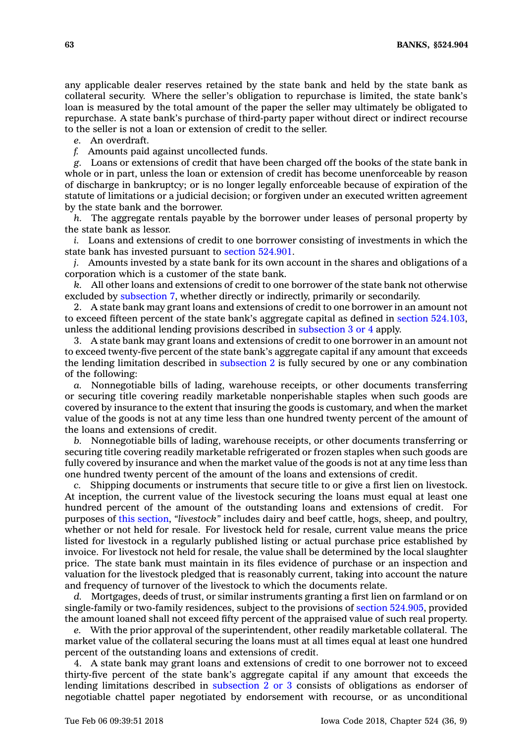any applicable dealer reserves retained by the state bank and held by the state bank as collateral security. Where the seller's obligation to repurchase is limited, the state bank's loan is measured by the total amount of the paper the seller may ultimately be obligated to repurchase. A state bank's purchase of third-party paper without direct or indirect recourse to the seller is not <sup>a</sup> loan or extension of credit to the seller.

*e.* An overdraft.

*f.* Amounts paid against uncollected funds.

*g.* Loans or extensions of credit that have been charged off the books of the state bank in whole or in part, unless the loan or extension of credit has become unenforceable by reason of discharge in bankruptcy; or is no longer legally enforceable because of expiration of the statute of limitations or <sup>a</sup> judicial decision; or forgiven under an executed written agreement by the state bank and the borrower.

*h.* The aggregate rentals payable by the borrower under leases of personal property by the state bank as lessor.

*i.* Loans and extensions of credit to one borrower consisting of investments in which the state bank has invested pursuant to section [524.901](https://www.legis.iowa.gov/docs/code/524.901.pdf).

*j.* Amounts invested by <sup>a</sup> state bank for its own account in the shares and obligations of <sup>a</sup> corporation which is <sup>a</sup> customer of the state bank.

*k.* All other loans and extensions of credit to one borrower of the state bank not otherwise excluded by [subsection](https://www.legis.iowa.gov/docs/code/524.904.pdf) 7, whether directly or indirectly, primarily or secondarily.

2. A state bank may grant loans and extensions of credit to one borrower in an amount not to exceed fifteen percent of the state bank's aggregate capital as defined in section [524.103](https://www.legis.iowa.gov/docs/code/524.103.pdf), unless the additional lending provisions described in [subsection](https://www.legis.iowa.gov/docs/code/524.904.pdf) 3 or 4 apply.

3. A state bank may grant loans and extensions of credit to one borrower in an amount not to exceed twenty-five percent of the state bank's aggregate capital if any amount that exceeds the lending limitation described in [subsection](https://www.legis.iowa.gov/docs/code/524.904.pdf) 2 is fully secured by one or any combination of the following:

*a.* Nonnegotiable bills of lading, warehouse receipts, or other documents transferring or securing title covering readily marketable nonperishable staples when such goods are covered by insurance to the extent that insuring the goods is customary, and when the market value of the goods is not at any time less than one hundred twenty percent of the amount of the loans and extensions of credit.

*b.* Nonnegotiable bills of lading, warehouse receipts, or other documents transferring or securing title covering readily marketable refrigerated or frozen staples when such goods are fully covered by insurance and when the market value of the goods is not at any time less than one hundred twenty percent of the amount of the loans and extensions of credit.

*c.* Shipping documents or instruments that secure title to or give <sup>a</sup> first lien on livestock. At inception, the current value of the livestock securing the loans must equal at least one hundred percent of the amount of the outstanding loans and extensions of credit. For purposes of this [section](https://www.legis.iowa.gov/docs/code/524.904.pdf), *"livestock"* includes dairy and beef cattle, hogs, sheep, and poultry, whether or not held for resale. For livestock held for resale, current value means the price listed for livestock in <sup>a</sup> regularly published listing or actual purchase price established by invoice. For livestock not held for resale, the value shall be determined by the local slaughter price. The state bank must maintain in its files evidence of purchase or an inspection and valuation for the livestock pledged that is reasonably current, taking into account the nature and frequency of turnover of the livestock to which the documents relate.

*d.* Mortgages, deeds of trust, or similar instruments granting <sup>a</sup> first lien on farmland or on single-family or two-family residences, subject to the provisions of section [524.905](https://www.legis.iowa.gov/docs/code/524.905.pdf), provided the amount loaned shall not exceed fifty percent of the appraised value of such real property.

*e.* With the prior approval of the superintendent, other readily marketable collateral. The market value of the collateral securing the loans must at all times equal at least one hundred percent of the outstanding loans and extensions of credit.

4. A state bank may grant loans and extensions of credit to one borrower not to exceed thirty-five percent of the state bank's aggregate capital if any amount that exceeds the lending limitations described in [subsection](https://www.legis.iowa.gov/docs/code/524.904.pdf) 2 or 3 consists of obligations as endorser of negotiable chattel paper negotiated by endorsement with recourse, or as unconditional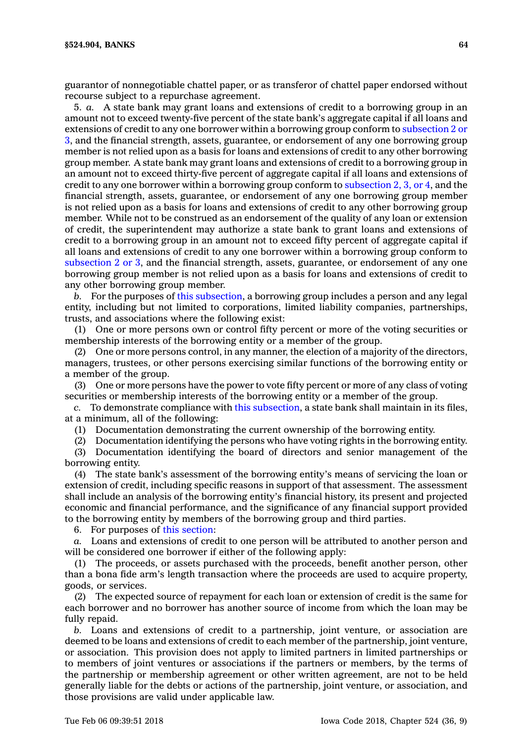guarantor of nonnegotiable chattel paper, or as transferor of chattel paper endorsed without recourse subject to <sup>a</sup> repurchase agreement.

5. *a.* A state bank may grant loans and extensions of credit to <sup>a</sup> borrowing group in an amount not to exceed twenty-five percent of the state bank's aggregate capital if all loans and extensions of credit to any one borrower within <sup>a</sup> borrowing group conform to [subsection](https://www.legis.iowa.gov/docs/code/524.904.pdf) 2 or [3](https://www.legis.iowa.gov/docs/code/524.904.pdf), and the financial strength, assets, guarantee, or endorsement of any one borrowing group member is not relied upon as <sup>a</sup> basis for loans and extensions of credit to any other borrowing group member. A state bank may grant loans and extensions of credit to <sup>a</sup> borrowing group in an amount not to exceed thirty-five percent of aggregate capital if all loans and extensions of credit to any one borrower within a borrowing group conform to [subsection](https://www.legis.iowa.gov/docs/code/524.904.pdf) 2, 3, or 4, and the financial strength, assets, guarantee, or endorsement of any one borrowing group member is not relied upon as <sup>a</sup> basis for loans and extensions of credit to any other borrowing group member. While not to be construed as an endorsement of the quality of any loan or extension of credit, the superintendent may authorize <sup>a</sup> state bank to grant loans and extensions of credit to <sup>a</sup> borrowing group in an amount not to exceed fifty percent of aggregate capital if all loans and extensions of credit to any one borrower within <sup>a</sup> borrowing group conform to [subsection](https://www.legis.iowa.gov/docs/code/524.904.pdf) 2 or 3, and the financial strength, assets, guarantee, or endorsement of any one borrowing group member is not relied upon as <sup>a</sup> basis for loans and extensions of credit to any other borrowing group member.

*b.* For the purposes of this [subsection](https://www.legis.iowa.gov/docs/code/524.904.pdf), <sup>a</sup> borrowing group includes <sup>a</sup> person and any legal entity, including but not limited to corporations, limited liability companies, partnerships, trusts, and associations where the following exist:

(1) One or more persons own or control fifty percent or more of the voting securities or membership interests of the borrowing entity or <sup>a</sup> member of the group.

(2) One or more persons control, in any manner, the election of <sup>a</sup> majority of the directors, managers, trustees, or other persons exercising similar functions of the borrowing entity or <sup>a</sup> member of the group.

(3) One or more persons have the power to vote fifty percent or more of any class of voting securities or membership interests of the borrowing entity or <sup>a</sup> member of the group.

*c.* To demonstrate compliance with this [subsection](https://www.legis.iowa.gov/docs/code/524.904.pdf), <sup>a</sup> state bank shall maintain in its files, at <sup>a</sup> minimum, all of the following:

(1) Documentation demonstrating the current ownership of the borrowing entity.

(2) Documentation identifying the persons who have voting rights in the borrowing entity. (3) Documentation identifying the board of directors and senior management of the

borrowing entity.

(4) The state bank's assessment of the borrowing entity's means of servicing the loan or extension of credit, including specific reasons in support of that assessment. The assessment shall include an analysis of the borrowing entity's financial history, its present and projected economic and financial performance, and the significance of any financial support provided to the borrowing entity by members of the borrowing group and third parties.

6. For purposes of this [section](https://www.legis.iowa.gov/docs/code/524.904.pdf):

*a.* Loans and extensions of credit to one person will be attributed to another person and will be considered one borrower if either of the following apply:

(1) The proceeds, or assets purchased with the proceeds, benefit another person, other than <sup>a</sup> bona fide arm's length transaction where the proceeds are used to acquire property, goods, or services.

(2) The expected source of repayment for each loan or extension of credit is the same for each borrower and no borrower has another source of income from which the loan may be fully repaid.

*b.* Loans and extensions of credit to <sup>a</sup> partnership, joint venture, or association are deemed to be loans and extensions of credit to each member of the partnership, joint venture, or association. This provision does not apply to limited partners in limited partnerships or to members of joint ventures or associations if the partners or members, by the terms of the partnership or membership agreement or other written agreement, are not to be held generally liable for the debts or actions of the partnership, joint venture, or association, and those provisions are valid under applicable law.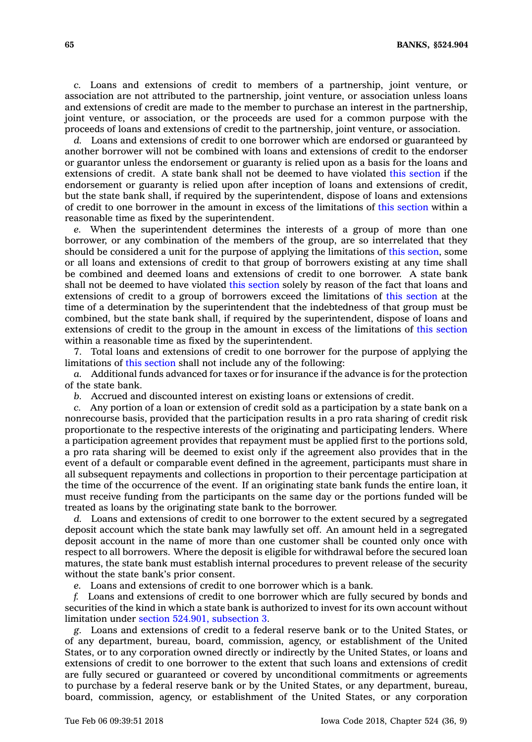*c.* Loans and extensions of credit to members of <sup>a</sup> partnership, joint venture, or association are not attributed to the partnership, joint venture, or association unless loans and extensions of credit are made to the member to purchase an interest in the partnership, joint venture, or association, or the proceeds are used for <sup>a</sup> common purpose with the proceeds of loans and extensions of credit to the partnership, joint venture, or association.

*d.* Loans and extensions of credit to one borrower which are endorsed or guaranteed by another borrower will not be combined with loans and extensions of credit to the endorser or guarantor unless the endorsement or guaranty is relied upon as <sup>a</sup> basis for the loans and extensions of credit. A state bank shall not be deemed to have violated this [section](https://www.legis.iowa.gov/docs/code/524.904.pdf) if the endorsement or guaranty is relied upon after inception of loans and extensions of credit, but the state bank shall, if required by the superintendent, dispose of loans and extensions of credit to one borrower in the amount in excess of the limitations of this [section](https://www.legis.iowa.gov/docs/code/524.904.pdf) within <sup>a</sup> reasonable time as fixed by the superintendent.

*e.* When the superintendent determines the interests of <sup>a</sup> group of more than one borrower, or any combination of the members of the group, are so interrelated that they should be considered <sup>a</sup> unit for the purpose of applying the limitations of this [section](https://www.legis.iowa.gov/docs/code/524.904.pdf), some or all loans and extensions of credit to that group of borrowers existing at any time shall be combined and deemed loans and extensions of credit to one borrower. A state bank shall not be deemed to have violated this [section](https://www.legis.iowa.gov/docs/code/524.904.pdf) solely by reason of the fact that loans and extensions of credit to <sup>a</sup> group of borrowers exceed the limitations of this [section](https://www.legis.iowa.gov/docs/code/524.904.pdf) at the time of <sup>a</sup> determination by the superintendent that the indebtedness of that group must be combined, but the state bank shall, if required by the superintendent, dispose of loans and extensions of credit to the group in the amount in excess of the limitations of this [section](https://www.legis.iowa.gov/docs/code/524.904.pdf) within <sup>a</sup> reasonable time as fixed by the superintendent.

7. Total loans and extensions of credit to one borrower for the purpose of applying the limitations of this [section](https://www.legis.iowa.gov/docs/code/524.904.pdf) shall not include any of the following:

*a.* Additional funds advanced for taxes or for insurance if the advance is for the protection of the state bank.

*b.* Accrued and discounted interest on existing loans or extensions of credit.

*c.* Any portion of <sup>a</sup> loan or extension of credit sold as <sup>a</sup> participation by <sup>a</sup> state bank on <sup>a</sup> nonrecourse basis, provided that the participation results in <sup>a</sup> pro rata sharing of credit risk proportionate to the respective interests of the originating and participating lenders. Where <sup>a</sup> participation agreement provides that repayment must be applied first to the portions sold, <sup>a</sup> pro rata sharing will be deemed to exist only if the agreement also provides that in the event of <sup>a</sup> default or comparable event defined in the agreement, participants must share in all subsequent repayments and collections in proportion to their percentage participation at the time of the occurrence of the event. If an originating state bank funds the entire loan, it must receive funding from the participants on the same day or the portions funded will be treated as loans by the originating state bank to the borrower.

*d.* Loans and extensions of credit to one borrower to the extent secured by <sup>a</sup> segregated deposit account which the state bank may lawfully set off. An amount held in <sup>a</sup> segregated deposit account in the name of more than one customer shall be counted only once with respect to all borrowers. Where the deposit is eligible for withdrawal before the secured loan matures, the state bank must establish internal procedures to prevent release of the security without the state bank's prior consent.

*e.* Loans and extensions of credit to one borrower which is <sup>a</sup> bank.

*f.* Loans and extensions of credit to one borrower which are fully secured by bonds and securities of the kind in which <sup>a</sup> state bank is authorized to invest for its own account without limitation under section 524.901, [subsection](https://www.legis.iowa.gov/docs/code/524.901.pdf) 3.

*g.* Loans and extensions of credit to <sup>a</sup> federal reserve bank or to the United States, or of any department, bureau, board, commission, agency, or establishment of the United States, or to any corporation owned directly or indirectly by the United States, or loans and extensions of credit to one borrower to the extent that such loans and extensions of credit are fully secured or guaranteed or covered by unconditional commitments or agreements to purchase by <sup>a</sup> federal reserve bank or by the United States, or any department, bureau, board, commission, agency, or establishment of the United States, or any corporation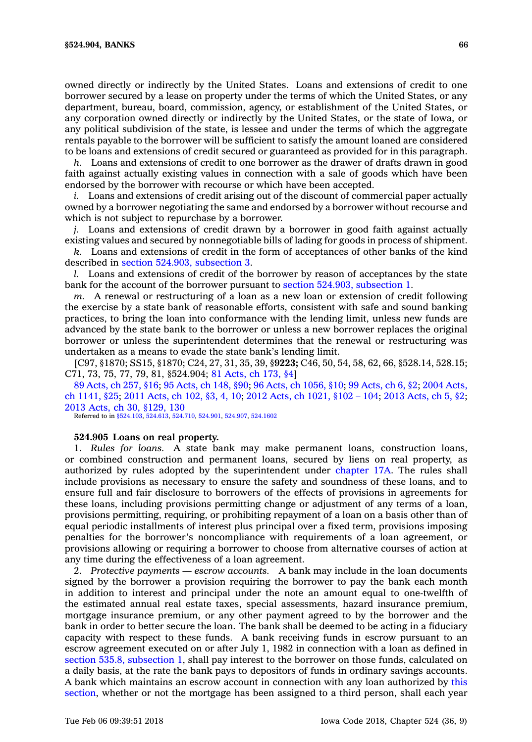owned directly or indirectly by the United States. Loans and extensions of credit to one borrower secured by <sup>a</sup> lease on property under the terms of which the United States, or any department, bureau, board, commission, agency, or establishment of the United States, or any corporation owned directly or indirectly by the United States, or the state of Iowa, or any political subdivision of the state, is lessee and under the terms of which the aggregate rentals payable to the borrower will be sufficient to satisfy the amount loaned are considered to be loans and extensions of credit secured or guaranteed as provided for in this paragraph.

*h.* Loans and extensions of credit to one borrower as the drawer of drafts drawn in good faith against actually existing values in connection with <sup>a</sup> sale of goods which have been endorsed by the borrower with recourse or which have been accepted.

*i.* Loans and extensions of credit arising out of the discount of commercial paper actually owned by <sup>a</sup> borrower negotiating the same and endorsed by <sup>a</sup> borrower without recourse and which is not subject to repurchase by <sup>a</sup> borrower.

*j.* Loans and extensions of credit drawn by <sup>a</sup> borrower in good faith against actually existing values and secured by nonnegotiable bills of lading for goods in process of shipment.

*k.* Loans and extensions of credit in the form of acceptances of other banks of the kind described in section 524.903, [subsection](https://www.legis.iowa.gov/docs/code/524.903.pdf) 3.

*l.* Loans and extensions of credit of the borrower by reason of acceptances by the state bank for the account of the borrower pursuant to section 524.903, [subsection](https://www.legis.iowa.gov/docs/code/524.903.pdf) 1.

*m.* A renewal or restructuring of <sup>a</sup> loan as <sup>a</sup> new loan or extension of credit following the exercise by <sup>a</sup> state bank of reasonable efforts, consistent with safe and sound banking practices, to bring the loan into conformance with the lending limit, unless new funds are advanced by the state bank to the borrower or unless <sup>a</sup> new borrower replaces the original borrower or unless the superintendent determines that the renewal or restructuring was undertaken as <sup>a</sup> means to evade the state bank's lending limit.

[C97, §1870; SS15, §1870; C24, 27, 31, 35, 39, §**9223;** C46, 50, 54, 58, 62, 66, §528.14, 528.15; C71, 73, 75, 77, 79, 81, §524.904; 81 [Acts,](https://www.legis.iowa.gov/docs/acts/1981/CH0173.pdf) ch 173, §4]

89 [Acts,](https://www.legis.iowa.gov/docs/acts/89/CH0257.pdf) ch 257, §16; 95 [Acts,](https://www.legis.iowa.gov/docs/acts/95/CH0148.pdf) ch 148, §90; 96 Acts, ch [1056,](https://www.legis.iowa.gov/docs/acts/96/CH1056.pdf) §10; 99 [Acts,](https://www.legis.iowa.gov/docs/acts/99/CH0006.pdf) ch 6, §2; 2004 [Acts,](https://www.legis.iowa.gov/docs/acts/2004/CH1141.pdf) ch [1141,](https://www.legis.iowa.gov/docs/acts/2004/CH1141.pdf) §25; 2011 [Acts,](https://www.legis.iowa.gov/docs/acts/2011/CH0102.pdf) ch 102, §3, 4, 10; 2012 Acts, ch [1021,](https://www.legis.iowa.gov/docs/acts/2012/CH1021.pdf) §102 – 104; 2013 [Acts,](https://www.legis.iowa.gov/docs/acts/2013/CH0005.pdf) ch 5, §2; 2013 Acts, ch 30, [§129,](https://www.legis.iowa.gov/docs/acts/2013/CH0030.pdf) 130

Referred to in [§524.103](https://www.legis.iowa.gov/docs/code/524.103.pdf), [524.613](https://www.legis.iowa.gov/docs/code/524.613.pdf), [524.710](https://www.legis.iowa.gov/docs/code/524.710.pdf), [524.901](https://www.legis.iowa.gov/docs/code/524.901.pdf), [524.907](https://www.legis.iowa.gov/docs/code/524.907.pdf), [524.1602](https://www.legis.iowa.gov/docs/code/524.1602.pdf)

### **524.905 Loans on real property.**

1. *Rules for loans.* A state bank may make permanent loans, construction loans, or combined construction and permanent loans, secured by liens on real property, as authorized by rules adopted by the superintendent under [chapter](https://www.legis.iowa.gov/docs/code//17A.pdf) 17A. The rules shall include provisions as necessary to ensure the safety and soundness of these loans, and to ensure full and fair disclosure to borrowers of the effects of provisions in agreements for these loans, including provisions permitting change or adjustment of any terms of <sup>a</sup> loan, provisions permitting, requiring, or prohibiting repayment of <sup>a</sup> loan on <sup>a</sup> basis other than of equal periodic installments of interest plus principal over <sup>a</sup> fixed term, provisions imposing penalties for the borrower's noncompliance with requirements of <sup>a</sup> loan agreement, or provisions allowing or requiring <sup>a</sup> borrower to choose from alternative courses of action at any time during the effectiveness of <sup>a</sup> loan agreement.

2. *Protective payments — escrow accounts.* A bank may include in the loan documents signed by the borrower <sup>a</sup> provision requiring the borrower to pay the bank each month in addition to interest and principal under the note an amount equal to one-twelfth of the estimated annual real estate taxes, special assessments, hazard insurance premium, mortgage insurance premium, or any other payment agreed to by the borrower and the bank in order to better secure the loan. The bank shall be deemed to be acting in <sup>a</sup> fiduciary capacity with respect to these funds. A bank receiving funds in escrow pursuant to an escrow agreement executed on or after July 1, 1982 in connection with <sup>a</sup> loan as defined in section 535.8, [subsection](https://www.legis.iowa.gov/docs/code/535.8.pdf) 1, shall pay interest to the borrower on those funds, calculated on <sup>a</sup> daily basis, at the rate the bank pays to depositors of funds in ordinary savings accounts. A bank which maintains an escrow account in connection with any loan authorized by [this](https://www.legis.iowa.gov/docs/code/524.905.pdf) [section](https://www.legis.iowa.gov/docs/code/524.905.pdf), whether or not the mortgage has been assigned to <sup>a</sup> third person, shall each year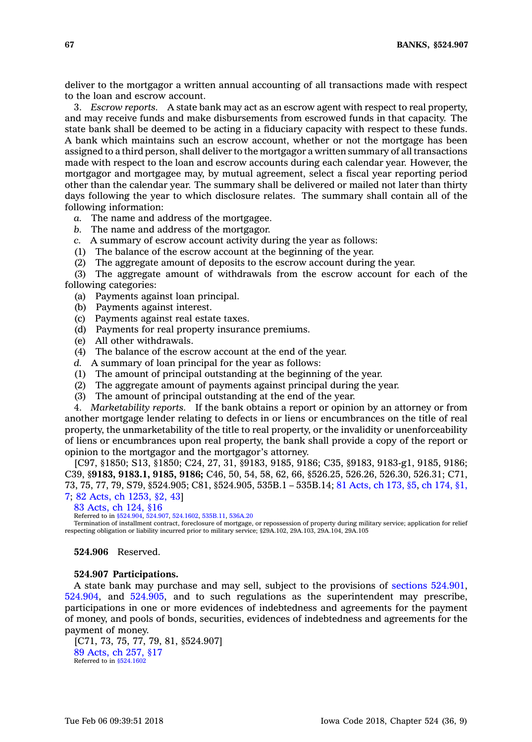deliver to the mortgagor <sup>a</sup> written annual accounting of all transactions made with respect to the loan and escrow account.

3. *Escrow reports.* A state bank may act as an escrow agent with respect to real property, and may receive funds and make disbursements from escrowed funds in that capacity. The state bank shall be deemed to be acting in <sup>a</sup> fiduciary capacity with respect to these funds. A bank which maintains such an escrow account, whether or not the mortgage has been assigned to <sup>a</sup> third person, shall deliver to the mortgagor <sup>a</sup> written summary of all transactions made with respect to the loan and escrow accounts during each calendar year. However, the mortgagor and mortgagee may, by mutual agreement, select <sup>a</sup> fiscal year reporting period other than the calendar year. The summary shall be delivered or mailed not later than thirty days following the year to which disclosure relates. The summary shall contain all of the following information:

*a.* The name and address of the mortgagee.

- *b.* The name and address of the mortgagor.
- *c.* A summary of escrow account activity during the year as follows:
- (1) The balance of the escrow account at the beginning of the year.
- (2) The aggregate amount of deposits to the escrow account during the year.

(3) The aggregate amount of withdrawals from the escrow account for each of the following categories:

- (a) Payments against loan principal.
- (b) Payments against interest.
- (c) Payments against real estate taxes.
- (d) Payments for real property insurance premiums.
- (e) All other withdrawals.
- (4) The balance of the escrow account at the end of the year.
- *d.* A summary of loan principal for the year as follows:
- (1) The amount of principal outstanding at the beginning of the year.
- $(2)$  The aggregate amount of payments against principal during the year.
- (3) The amount of principal outstanding at the end of the year.

4. *Marketability reports.* If the bank obtains <sup>a</sup> report or opinion by an attorney or from another mortgage lender relating to defects in or liens or encumbrances on the title of real property, the unmarketability of the title to real property, or the invalidity or unenforceability of liens or encumbrances upon real property, the bank shall provide <sup>a</sup> copy of the report or opinion to the mortgagor and the mortgagor's attorney.

[C97, §1850; S13, §1850; C24, 27, 31, §9183, 9185, 9186; C35, §9183, 9183-g1, 9185, 9186; C39, §**9183, 9183.1, 9185, 9186;** C46, 50, 54, 58, 62, 66, §526.25, 526.26, 526.30, 526.31; C71, 73, 75, 77, 79, S79, §524.905; C81, §524.905, 535B.1 – 535B.14; 81 [Acts,](https://www.legis.iowa.gov/docs/acts/1981/CH0173.pdf) ch 173, §5, ch [174,](https://www.legis.iowa.gov/docs/acts/1981/CH0174.pdf) §1, [7](https://www.legis.iowa.gov/docs/acts/1981/CH0174.pdf); 82 Acts, ch [1253,](https://www.legis.iowa.gov/docs/acts/1982/CH1253.pdf) §2, 43]

83 [Acts,](https://www.legis.iowa.gov/docs/acts/1983/CH0124.pdf) ch 124, §16

Referred to in [§524.904](https://www.legis.iowa.gov/docs/code/524.904.pdf), [524.907,](https://www.legis.iowa.gov/docs/code/524.907.pdf) [524.1602](https://www.legis.iowa.gov/docs/code/524.1602.pdf), [535B.11](https://www.legis.iowa.gov/docs/code/535B.11.pdf), [536A.20](https://www.legis.iowa.gov/docs/code/536A.20.pdf)

Termination of installment contract, foreclosure of mortgage, or repossession of property during military service; application for relief respecting obligation or liability incurred prior to military service; §29A.102, 29A.103, 29A.104, 29A.105

**524.906** Reserved.

#### **524.907 Participations.**

A state bank may purchase and may sell, subject to the provisions of sections [524.901](https://www.legis.iowa.gov/docs/code/524.901.pdf), [524.904](https://www.legis.iowa.gov/docs/code/524.904.pdf), and [524.905](https://www.legis.iowa.gov/docs/code/524.905.pdf), and to such regulations as the superintendent may prescribe, participations in one or more evidences of indebtedness and agreements for the payment of money, and pools of bonds, securities, evidences of indebtedness and agreements for the payment of money.

[C71, 73, 75, 77, 79, 81, §524.907] 89 [Acts,](https://www.legis.iowa.gov/docs/acts/1989/CH0257.pdf) ch 257, §17 Referred to in  $§524.1602$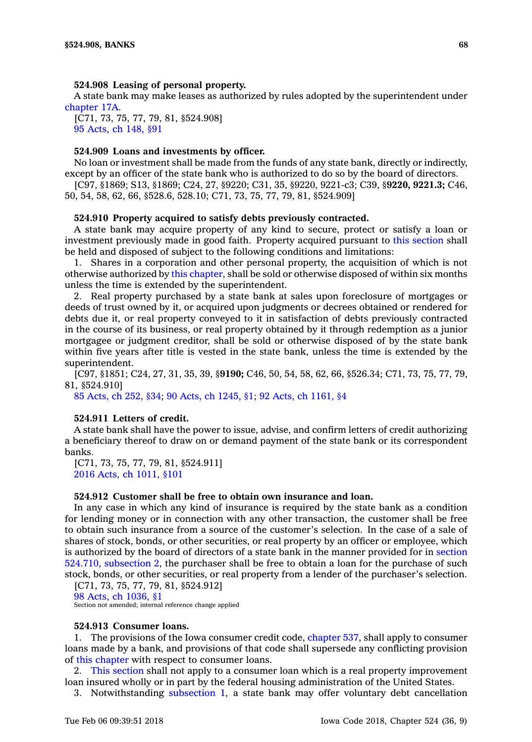### **524.908 Leasing of personal property.**

A state bank may make leases as authorized by rules adopted by the superintendent under [chapter](https://www.legis.iowa.gov/docs/code//17A.pdf) 17A.

[C71, 73, 75, 77, 79, 81, §524.908] 95 [Acts,](https://www.legis.iowa.gov/docs/acts/1995/CH0148.pdf) ch 148, §91

# **524.909 Loans and investments by officer.**

No loan or investment shall be made from the funds of any state bank, directly or indirectly, except by an officer of the state bank who is authorized to do so by the board of directors.

[C97, §1869; S13, §1869; C24, 27, §9220; C31, 35, §9220, 9221-c3; C39, §**9220, 9221.3;** C46, 50, 54, 58, 62, 66, §528.6, 528.10; C71, 73, 75, 77, 79, 81, §524.909]

## **524.910 Property acquired to satisfy debts previously contracted.**

A state bank may acquire property of any kind to secure, protect or satisfy <sup>a</sup> loan or investment previously made in good faith. Property acquired pursuant to this [section](https://www.legis.iowa.gov/docs/code/524.910.pdf) shall be held and disposed of subject to the following conditions and limitations:

1. Shares in <sup>a</sup> corporation and other personal property, the acquisition of which is not otherwise authorized by this [chapter](https://www.legis.iowa.gov/docs/code//524.pdf), shall be sold or otherwise disposed of within six months unless the time is extended by the superintendent.

2. Real property purchased by <sup>a</sup> state bank at sales upon foreclosure of mortgages or deeds of trust owned by it, or acquired upon judgments or decrees obtained or rendered for debts due it, or real property conveyed to it in satisfaction of debts previously contracted in the course of its business, or real property obtained by it through redemption as <sup>a</sup> junior mortgagee or judgment creditor, shall be sold or otherwise disposed of by the state bank within five years after title is vested in the state bank, unless the time is extended by the superintendent.

[C97, §1851; C24, 27, 31, 35, 39, §**9190;** C46, 50, 54, 58, 62, 66, §526.34; C71, 73, 75, 77, 79, 81, §524.910]

85 [Acts,](https://www.legis.iowa.gov/docs/acts/1985/CH0252.pdf) ch 252, §34; 90 Acts, ch [1245,](https://www.legis.iowa.gov/docs/acts/1990/CH1245.pdf) §1; 92 Acts, ch [1161,](https://www.legis.iowa.gov/docs/acts/1992/CH1161.pdf) §4

### **524.911 Letters of credit.**

A state bank shall have the power to issue, advise, and confirm letters of credit authorizing <sup>a</sup> beneficiary thereof to draw on or demand payment of the state bank or its correspondent banks.

[C71, 73, 75, 77, 79, 81, §524.911] 2016 Acts, ch [1011,](https://www.legis.iowa.gov/docs/acts/2016/CH1011.pdf) §101

### **524.912 Customer shall be free to obtain own insurance and loan.**

In any case in which any kind of insurance is required by the state bank as <sup>a</sup> condition for lending money or in connection with any other transaction, the customer shall be free to obtain such insurance from <sup>a</sup> source of the customer's selection. In the case of <sup>a</sup> sale of shares of stock, bonds, or other securities, or real property by an officer or employee, which is authorized by the board of directors of <sup>a</sup> state bank in the manner provided for in [section](https://www.legis.iowa.gov/docs/code/524.710.pdf) 524.710, [subsection](https://www.legis.iowa.gov/docs/code/524.710.pdf) 2, the purchaser shall be free to obtain <sup>a</sup> loan for the purchase of such stock, bonds, or other securities, or real property from <sup>a</sup> lender of the purchaser's selection.

[C71, 73, 75, 77, 79, 81, §524.912] 98 Acts, ch [1036,](https://www.legis.iowa.gov/docs/acts/1998/CH1036.pdf) §1 Section not amended; internal reference change applied

#### **524.913 Consumer loans.**

1. The provisions of the Iowa consumer credit code, [chapter](https://www.legis.iowa.gov/docs/code//537.pdf) 537, shall apply to consumer loans made by <sup>a</sup> bank, and provisions of that code shall supersede any conflicting provision of this [chapter](https://www.legis.iowa.gov/docs/code//524.pdf) with respect to consumer loans.

2. This [section](https://www.legis.iowa.gov/docs/code/524.913.pdf) shall not apply to <sup>a</sup> consumer loan which is <sup>a</sup> real property improvement loan insured wholly or in part by the federal housing administration of the United States.

3. Notwithstanding [subsection](https://www.legis.iowa.gov/docs/code/524.913.pdf) 1, <sup>a</sup> state bank may offer voluntary debt cancellation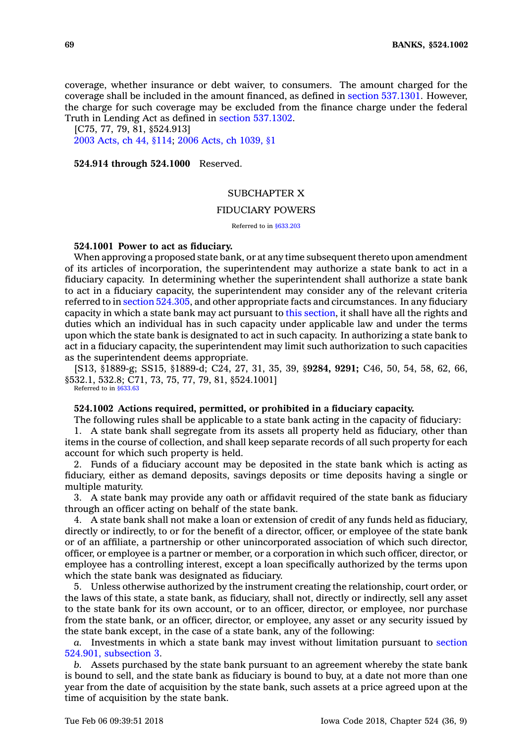coverage, whether insurance or debt waiver, to consumers. The amount charged for the coverage shall be included in the amount financed, as defined in section [537.1301](https://www.legis.iowa.gov/docs/code/537.1301.pdf). However, the charge for such coverage may be excluded from the finance charge under the federal Truth in Lending Act as defined in section [537.1302](https://www.legis.iowa.gov/docs/code/537.1302.pdf).

[C75, 77, 79, 81, §524.913] 2003 [Acts,](https://www.legis.iowa.gov/docs/acts/2003/CH0044.pdf) ch 44, §114; 2006 Acts, ch [1039,](https://www.legis.iowa.gov/docs/acts/2006/CH1039.pdf) §1

**524.914 through 524.1000** Reserved.

### SUBCHAPTER X

### FIDUCIARY POWERS

Referred to in [§633.203](https://www.legis.iowa.gov/docs/code/633.203.pdf)

### **524.1001 Power to act as fiduciary.**

When approving <sup>a</sup> proposed state bank, or at any time subsequent thereto upon amendment of its articles of incorporation, the superintendent may authorize <sup>a</sup> state bank to act in <sup>a</sup> fiduciary capacity. In determining whether the superintendent shall authorize <sup>a</sup> state bank to act in <sup>a</sup> fiduciary capacity, the superintendent may consider any of the relevant criteria referred to in section [524.305](https://www.legis.iowa.gov/docs/code/524.305.pdf), and other appropriate facts and circumstances. In any fiduciary capacity in which <sup>a</sup> state bank may act pursuant to this [section](https://www.legis.iowa.gov/docs/code/524.1001.pdf), it shall have all the rights and duties which an individual has in such capacity under applicable law and under the terms upon which the state bank is designated to act in such capacity. In authorizing <sup>a</sup> state bank to act in <sup>a</sup> fiduciary capacity, the superintendent may limit such authorization to such capacities as the superintendent deems appropriate.

[S13, §1889-g; SS15, §1889-d; C24, 27, 31, 35, 39, §**9284, 9291;** C46, 50, 54, 58, 62, 66, §532.1, 532.8; C71, 73, 75, 77, 79, 81, §524.1001] Referred to in [§633.63](https://www.legis.iowa.gov/docs/code/633.63.pdf)

#### **524.1002 Actions required, permitted, or prohibited in <sup>a</sup> fiduciary capacity.**

The following rules shall be applicable to <sup>a</sup> state bank acting in the capacity of fiduciary:

1. A state bank shall segregate from its assets all property held as fiduciary, other than items in the course of collection, and shall keep separate records of all such property for each account for which such property is held.

2. Funds of <sup>a</sup> fiduciary account may be deposited in the state bank which is acting as fiduciary, either as demand deposits, savings deposits or time deposits having <sup>a</sup> single or multiple maturity.

3. A state bank may provide any oath or affidavit required of the state bank as fiduciary through an officer acting on behalf of the state bank.

4. A state bank shall not make <sup>a</sup> loan or extension of credit of any funds held as fiduciary, directly or indirectly, to or for the benefit of <sup>a</sup> director, officer, or employee of the state bank or of an affiliate, <sup>a</sup> partnership or other unincorporated association of which such director, officer, or employee is <sup>a</sup> partner or member, or <sup>a</sup> corporation in which such officer, director, or employee has <sup>a</sup> controlling interest, except <sup>a</sup> loan specifically authorized by the terms upon which the state bank was designated as fiduciary.

5. Unless otherwise authorized by the instrument creating the relationship, court order, or the laws of this state, <sup>a</sup> state bank, as fiduciary, shall not, directly or indirectly, sell any asset to the state bank for its own account, or to an officer, director, or employee, nor purchase from the state bank, or an officer, director, or employee, any asset or any security issued by the state bank except, in the case of <sup>a</sup> state bank, any of the following:

*a.* Investments in which <sup>a</sup> state bank may invest without limitation pursuant to [section](https://www.legis.iowa.gov/docs/code/524.901.pdf) 524.901, [subsection](https://www.legis.iowa.gov/docs/code/524.901.pdf) 3.

*b.* Assets purchased by the state bank pursuant to an agreement whereby the state bank is bound to sell, and the state bank as fiduciary is bound to buy, at <sup>a</sup> date not more than one year from the date of acquisition by the state bank, such assets at <sup>a</sup> price agreed upon at the time of acquisition by the state bank.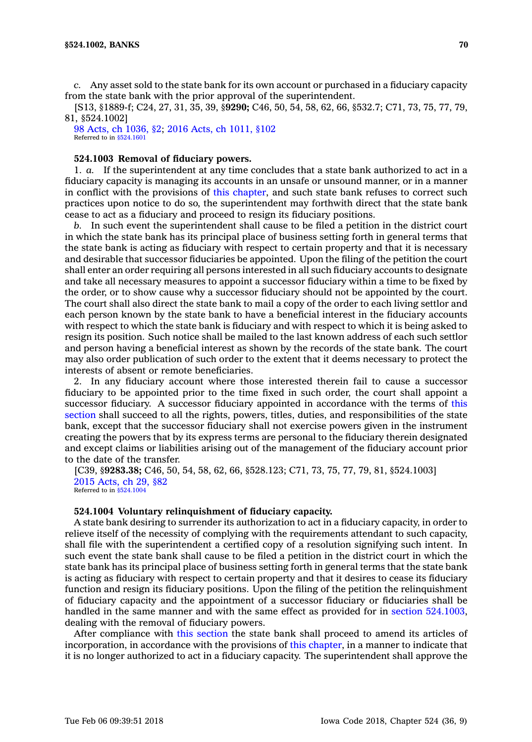*c.* Any asset sold to the state bank for its own account or purchased in <sup>a</sup> fiduciary capacity from the state bank with the prior approval of the superintendent.

[S13, §1889-f; C24, 27, 31, 35, 39, §**9290;** C46, 50, 54, 58, 62, 66, §532.7; C71, 73, 75, 77, 79, 81, §524.1002]

98 Acts, ch [1036,](https://www.legis.iowa.gov/docs/acts/98/CH1036.pdf) §2; 2016 Acts, ch [1011,](https://www.legis.iowa.gov/docs/acts/2016/CH1011.pdf) §102 Referred to in [§524.1601](https://www.legis.iowa.gov/docs/code/524.1601.pdf)

## **524.1003 Removal of fiduciary powers.**

1. *a.* If the superintendent at any time concludes that <sup>a</sup> state bank authorized to act in <sup>a</sup> fiduciary capacity is managing its accounts in an unsafe or unsound manner, or in <sup>a</sup> manner in conflict with the provisions of this [chapter](https://www.legis.iowa.gov/docs/code//524.pdf), and such state bank refuses to correct such practices upon notice to do so, the superintendent may forthwith direct that the state bank cease to act as <sup>a</sup> fiduciary and proceed to resign its fiduciary positions.

*b.* In such event the superintendent shall cause to be filed <sup>a</sup> petition in the district court in which the state bank has its principal place of business setting forth in general terms that the state bank is acting as fiduciary with respect to certain property and that it is necessary and desirable that successor fiduciaries be appointed. Upon the filing of the petition the court shall enter an order requiring all persons interested in all such fiduciary accounts to designate and take all necessary measures to appoint <sup>a</sup> successor fiduciary within <sup>a</sup> time to be fixed by the order, or to show cause why <sup>a</sup> successor fiduciary should not be appointed by the court. The court shall also direct the state bank to mail <sup>a</sup> copy of the order to each living settlor and each person known by the state bank to have <sup>a</sup> beneficial interest in the fiduciary accounts with respect to which the state bank is fiduciary and with respect to which it is being asked to resign its position. Such notice shall be mailed to the last known address of each such settlor and person having <sup>a</sup> beneficial interest as shown by the records of the state bank. The court may also order publication of such order to the extent that it deems necessary to protect the interests of absent or remote beneficiaries.

2. In any fiduciary account where those interested therein fail to cause <sup>a</sup> successor fiduciary to be appointed prior to the time fixed in such order, the court shall appoint <sup>a</sup> successor fiduciary. A successor fiduciary appointed in accordance with the terms of [this](https://www.legis.iowa.gov/docs/code/524.1003.pdf) [section](https://www.legis.iowa.gov/docs/code/524.1003.pdf) shall succeed to all the rights, powers, titles, duties, and responsibilities of the state bank, except that the successor fiduciary shall not exercise powers given in the instrument creating the powers that by its express terms are personal to the fiduciary therein designated and except claims or liabilities arising out of the management of the fiduciary account prior to the date of the transfer.

[C39, §**9283.38;** C46, 50, 54, 58, 62, 66, §528.123; C71, 73, 75, 77, 79, 81, §524.1003] 2015 [Acts,](https://www.legis.iowa.gov/docs/acts/2015/CH0029.pdf) ch 29, §82 Referred to in [§524.1004](https://www.legis.iowa.gov/docs/code/524.1004.pdf)

### **524.1004 Voluntary relinquishment of fiduciary capacity.**

A state bank desiring to surrender its authorization to act in <sup>a</sup> fiduciary capacity, in order to relieve itself of the necessity of complying with the requirements attendant to such capacity, shall file with the superintendent <sup>a</sup> certified copy of <sup>a</sup> resolution signifying such intent. In such event the state bank shall cause to be filed <sup>a</sup> petition in the district court in which the state bank has its principal place of business setting forth in general terms that the state bank is acting as fiduciary with respect to certain property and that it desires to cease its fiduciary function and resign its fiduciary positions. Upon the filing of the petition the relinquishment of fiduciary capacity and the appointment of <sup>a</sup> successor fiduciary or fiduciaries shall be handled in the same manner and with the same effect as provided for in section [524.1003](https://www.legis.iowa.gov/docs/code/524.1003.pdf), dealing with the removal of fiduciary powers.

After compliance with this [section](https://www.legis.iowa.gov/docs/code/524.1004.pdf) the state bank shall proceed to amend its articles of incorporation, in accordance with the provisions of this [chapter](https://www.legis.iowa.gov/docs/code//524.pdf), in <sup>a</sup> manner to indicate that it is no longer authorized to act in <sup>a</sup> fiduciary capacity. The superintendent shall approve the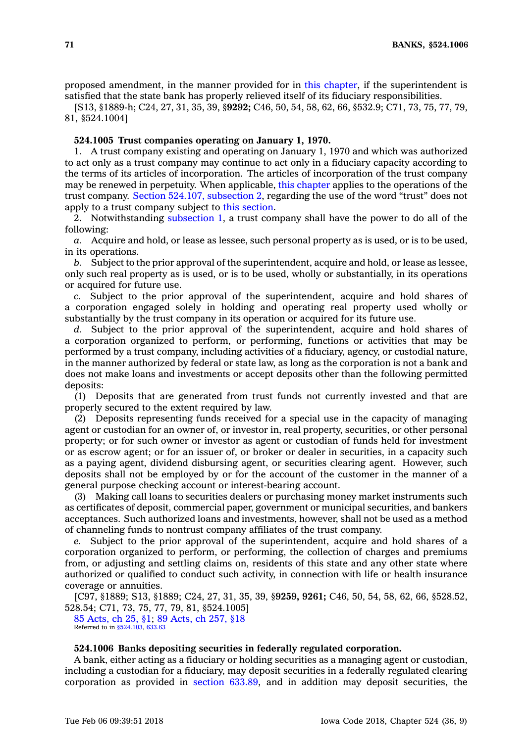proposed amendment, in the manner provided for in this [chapter](https://www.legis.iowa.gov/docs/code//524.pdf), if the superintendent is satisfied that the state bank has properly relieved itself of its fiduciary responsibilities.

[S13, §1889-h; C24, 27, 31, 35, 39, §**9292;** C46, 50, 54, 58, 62, 66, §532.9; C71, 73, 75, 77, 79, 81, §524.1004]

### **524.1005 Trust companies operating on January 1, 1970.**

1. A trust company existing and operating on January 1, 1970 and which was authorized to act only as <sup>a</sup> trust company may continue to act only in <sup>a</sup> fiduciary capacity according to the terms of its articles of incorporation. The articles of incorporation of the trust company may be renewed in perpetuity. When applicable, this [chapter](https://www.legis.iowa.gov/docs/code//524.pdf) applies to the operations of the trust company. Section 524.107, [subsection](https://www.legis.iowa.gov/docs/code/524.107.pdf) 2, regarding the use of the word "trust" does not apply to <sup>a</sup> trust company subject to this [section](https://www.legis.iowa.gov/docs/code/524.1005.pdf).

2. Notwithstanding [subsection](https://www.legis.iowa.gov/docs/code/524.1005.pdf) 1, <sup>a</sup> trust company shall have the power to do all of the following:

*a.* Acquire and hold, or lease as lessee, such personal property as is used, or is to be used, in its operations.

*b.* Subject to the prior approval of the superintendent, acquire and hold, or lease as lessee, only such real property as is used, or is to be used, wholly or substantially, in its operations or acquired for future use.

*c.* Subject to the prior approval of the superintendent, acquire and hold shares of <sup>a</sup> corporation engaged solely in holding and operating real property used wholly or substantially by the trust company in its operation or acquired for its future use.

*d.* Subject to the prior approval of the superintendent, acquire and hold shares of <sup>a</sup> corporation organized to perform, or performing, functions or activities that may be performed by <sup>a</sup> trust company, including activities of <sup>a</sup> fiduciary, agency, or custodial nature, in the manner authorized by federal or state law, as long as the corporation is not <sup>a</sup> bank and does not make loans and investments or accept deposits other than the following permitted deposits:

(1) Deposits that are generated from trust funds not currently invested and that are properly secured to the extent required by law.

(2) Deposits representing funds received for <sup>a</sup> special use in the capacity of managing agent or custodian for an owner of, or investor in, real property, securities, or other personal property; or for such owner or investor as agent or custodian of funds held for investment or as escrow agent; or for an issuer of, or broker or dealer in securities, in <sup>a</sup> capacity such as <sup>a</sup> paying agent, dividend disbursing agent, or securities clearing agent. However, such deposits shall not be employed by or for the account of the customer in the manner of <sup>a</sup> general purpose checking account or interest-bearing account.

(3) Making call loans to securities dealers or purchasing money market instruments such as certificates of deposit, commercial paper, government or municipal securities, and bankers acceptances. Such authorized loans and investments, however, shall not be used as <sup>a</sup> method of channeling funds to nontrust company affiliates of the trust company.

Subject to the prior approval of the superintendent, acquire and hold shares of a corporation organized to perform, or performing, the collection of charges and premiums from, or adjusting and settling claims on, residents of this state and any other state where authorized or qualified to conduct such activity, in connection with life or health insurance coverage or annuities.

[C97, §1889; S13, §1889; C24, 27, 31, 35, 39, §**9259, 9261;** C46, 50, 54, 58, 62, 66, §528.52, 528.54; C71, 73, 75, 77, 79, 81, §524.1005]

85 [Acts,](https://www.legis.iowa.gov/docs/acts/1985/CH0025.pdf) ch 25, §1; 89 [Acts,](https://www.legis.iowa.gov/docs/acts/1989/CH0257.pdf) ch 257, §18 Referred to in [§524.103](https://www.legis.iowa.gov/docs/code/524.103.pdf), [633.63](https://www.legis.iowa.gov/docs/code/633.63.pdf)

## **524.1006 Banks depositing securities in federally regulated corporation.**

A bank, either acting as <sup>a</sup> fiduciary or holding securities as <sup>a</sup> managing agent or custodian, including <sup>a</sup> custodian for <sup>a</sup> fiduciary, may deposit securities in <sup>a</sup> federally regulated clearing corporation as provided in section [633.89](https://www.legis.iowa.gov/docs/code/633.89.pdf), and in addition may deposit securities, the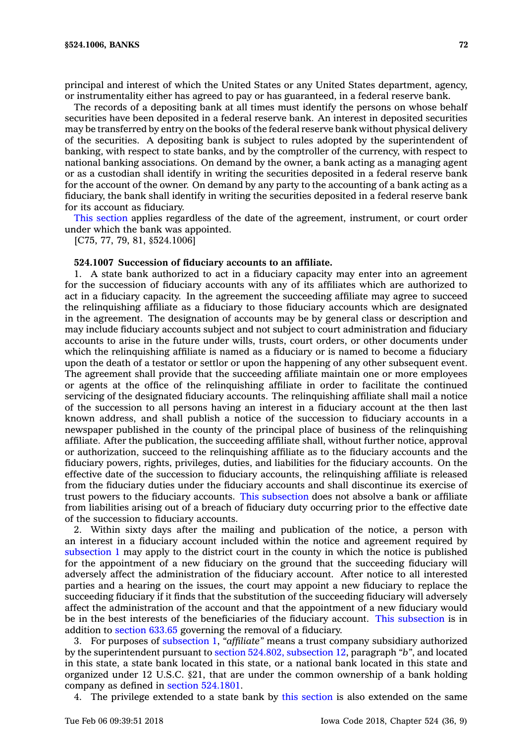principal and interest of which the United States or any United States department, agency, or instrumentality either has agreed to pay or has guaranteed, in <sup>a</sup> federal reserve bank.

The records of <sup>a</sup> depositing bank at all times must identify the persons on whose behalf securities have been deposited in <sup>a</sup> federal reserve bank. An interest in deposited securities may be transferred by entry on the books of the federal reserve bank without physical delivery of the securities. A depositing bank is subject to rules adopted by the superintendent of banking, with respect to state banks, and by the comptroller of the currency, with respect to national banking associations. On demand by the owner, <sup>a</sup> bank acting as <sup>a</sup> managing agent or as <sup>a</sup> custodian shall identify in writing the securities deposited in <sup>a</sup> federal reserve bank for the account of the owner. On demand by any party to the accounting of <sup>a</sup> bank acting as <sup>a</sup> fiduciary, the bank shall identify in writing the securities deposited in <sup>a</sup> federal reserve bank for its account as fiduciary.

This [section](https://www.legis.iowa.gov/docs/code/524.1006.pdf) applies regardless of the date of the agreement, instrument, or court order under which the bank was appointed.

[C75, 77, 79, 81, §524.1006]

## **524.1007 Succession of fiduciary accounts to an affiliate.**

1. A state bank authorized to act in <sup>a</sup> fiduciary capacity may enter into an agreement for the succession of fiduciary accounts with any of its affiliates which are authorized to act in <sup>a</sup> fiduciary capacity. In the agreement the succeeding affiliate may agree to succeed the relinquishing affiliate as <sup>a</sup> fiduciary to those fiduciary accounts which are designated in the agreement. The designation of accounts may be by general class or description and may include fiduciary accounts subject and not subject to court administration and fiduciary accounts to arise in the future under wills, trusts, court orders, or other documents under which the relinquishing affiliate is named as <sup>a</sup> fiduciary or is named to become <sup>a</sup> fiduciary upon the death of <sup>a</sup> testator or settlor or upon the happening of any other subsequent event. The agreement shall provide that the succeeding affiliate maintain one or more employees or agents at the office of the relinquishing affiliate in order to facilitate the continued servicing of the designated fiduciary accounts. The relinquishing affiliate shall mail <sup>a</sup> notice of the succession to all persons having an interest in <sup>a</sup> fiduciary account at the then last known address, and shall publish <sup>a</sup> notice of the succession to fiduciary accounts in <sup>a</sup> newspaper published in the county of the principal place of business of the relinquishing affiliate. After the publication, the succeeding affiliate shall, without further notice, approval or authorization, succeed to the relinquishing affiliate as to the fiduciary accounts and the fiduciary powers, rights, privileges, duties, and liabilities for the fiduciary accounts. On the effective date of the succession to fiduciary accounts, the relinquishing affiliate is released from the fiduciary duties under the fiduciary accounts and shall discontinue its exercise of trust powers to the fiduciary accounts. This [subsection](https://www.legis.iowa.gov/docs/code/524.1007.pdf) does not absolve <sup>a</sup> bank or affiliate from liabilities arising out of <sup>a</sup> breach of fiduciary duty occurring prior to the effective date of the succession to fiduciary accounts.

2. Within sixty days after the mailing and publication of the notice, <sup>a</sup> person with an interest in <sup>a</sup> fiduciary account included within the notice and agreement required by [subsection](https://www.legis.iowa.gov/docs/code/524.1007.pdf) 1 may apply to the district court in the county in which the notice is published for the appointment of <sup>a</sup> new fiduciary on the ground that the succeeding fiduciary will adversely affect the administration of the fiduciary account. After notice to all interested parties and <sup>a</sup> hearing on the issues, the court may appoint <sup>a</sup> new fiduciary to replace the succeeding fiduciary if it finds that the substitution of the succeeding fiduciary will adversely affect the administration of the account and that the appointment of <sup>a</sup> new fiduciary would be in the best interests of the beneficiaries of the fiduciary account. This [subsection](https://www.legis.iowa.gov/docs/code/524.1007.pdf) is in addition to [section](https://www.legis.iowa.gov/docs/code/633.65.pdf) 633.65 governing the removal of <sup>a</sup> fiduciary.

3. For purposes of [subsection](https://www.legis.iowa.gov/docs/code/524.1007.pdf) 1, *"affiliate"* means <sup>a</sup> trust company subsidiary authorized by the superintendent pursuant to section 524.802, [subsection](https://www.legis.iowa.gov/docs/code/524.802.pdf) 12, paragraph *"b"*, and located in this state, <sup>a</sup> state bank located in this state, or <sup>a</sup> national bank located in this state and organized under 12 U.S.C. §21, that are under the common ownership of <sup>a</sup> bank holding company as defined in section [524.1801](https://www.legis.iowa.gov/docs/code/524.1801.pdf).

4. The privilege extended to <sup>a</sup> state bank by this [section](https://www.legis.iowa.gov/docs/code/524.1007.pdf) is also extended on the same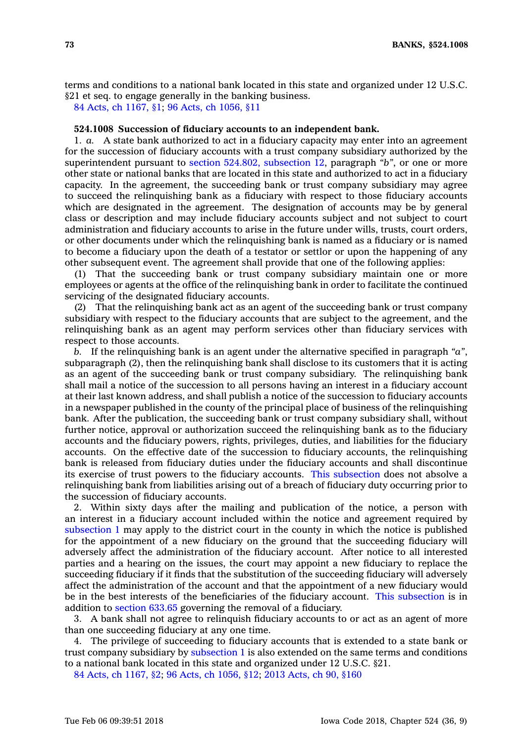terms and conditions to <sup>a</sup> national bank located in this state and organized under 12 U.S.C. §21 et seq. to engage generally in the banking business.

84 Acts, ch [1167,](https://www.legis.iowa.gov/docs/acts/1984/CH1167.pdf) §1; 96 Acts, ch [1056,](https://www.legis.iowa.gov/docs/acts/1996/CH1056.pdf) §11

## **524.1008 Succession of fiduciary accounts to an independent bank.**

1. *a.* A state bank authorized to act in <sup>a</sup> fiduciary capacity may enter into an agreement for the succession of fiduciary accounts with <sup>a</sup> trust company subsidiary authorized by the superintendent pursuant to section 524.802, [subsection](https://www.legis.iowa.gov/docs/code/524.802.pdf) 12, paragraph *"b"*, or one or more other state or national banks that are located in this state and authorized to act in <sup>a</sup> fiduciary capacity. In the agreement, the succeeding bank or trust company subsidiary may agree to succeed the relinquishing bank as <sup>a</sup> fiduciary with respect to those fiduciary accounts which are designated in the agreement. The designation of accounts may be by general class or description and may include fiduciary accounts subject and not subject to court administration and fiduciary accounts to arise in the future under wills, trusts, court orders, or other documents under which the relinquishing bank is named as <sup>a</sup> fiduciary or is named to become <sup>a</sup> fiduciary upon the death of <sup>a</sup> testator or settlor or upon the happening of any other subsequent event. The agreement shall provide that one of the following applies:

(1) That the succeeding bank or trust company subsidiary maintain one or more employees or agents at the office of the relinquishing bank in order to facilitate the continued servicing of the designated fiduciary accounts.

(2) That the relinquishing bank act as an agent of the succeeding bank or trust company subsidiary with respect to the fiduciary accounts that are subject to the agreement, and the relinquishing bank as an agent may perform services other than fiduciary services with respect to those accounts.

*b.* If the relinquishing bank is an agent under the alternative specified in paragraph *"a"*, subparagraph (2), then the relinquishing bank shall disclose to its customers that it is acting as an agent of the succeeding bank or trust company subsidiary. The relinquishing bank shall mail <sup>a</sup> notice of the succession to all persons having an interest in <sup>a</sup> fiduciary account at their last known address, and shall publish <sup>a</sup> notice of the succession to fiduciary accounts in <sup>a</sup> newspaper published in the county of the principal place of business of the relinquishing bank. After the publication, the succeeding bank or trust company subsidiary shall, without further notice, approval or authorization succeed the relinquishing bank as to the fiduciary accounts and the fiduciary powers, rights, privileges, duties, and liabilities for the fiduciary accounts. On the effective date of the succession to fiduciary accounts, the relinquishing bank is released from fiduciary duties under the fiduciary accounts and shall discontinue its exercise of trust powers to the fiduciary accounts. This [subsection](https://www.legis.iowa.gov/docs/code/524.1008.pdf) does not absolve <sup>a</sup> relinquishing bank from liabilities arising out of <sup>a</sup> breach of fiduciary duty occurring prior to the succession of fiduciary accounts.

2. Within sixty days after the mailing and publication of the notice, <sup>a</sup> person with an interest in <sup>a</sup> fiduciary account included within the notice and agreement required by [subsection](https://www.legis.iowa.gov/docs/code/524.1008.pdf) 1 may apply to the district court in the county in which the notice is published for the appointment of <sup>a</sup> new fiduciary on the ground that the succeeding fiduciary will adversely affect the administration of the fiduciary account. After notice to all interested parties and <sup>a</sup> hearing on the issues, the court may appoint <sup>a</sup> new fiduciary to replace the succeeding fiduciary if it finds that the substitution of the succeeding fiduciary will adversely affect the administration of the account and that the appointment of <sup>a</sup> new fiduciary would be in the best interests of the beneficiaries of the fiduciary account. This [subsection](https://www.legis.iowa.gov/docs/code/524.1008.pdf) is in addition to [section](https://www.legis.iowa.gov/docs/code/633.65.pdf) 633.65 governing the removal of <sup>a</sup> fiduciary.

3. A bank shall not agree to relinquish fiduciary accounts to or act as an agent of more than one succeeding fiduciary at any one time.

4. The privilege of succeeding to fiduciary accounts that is extended to <sup>a</sup> state bank or trust company subsidiary by [subsection](https://www.legis.iowa.gov/docs/code/524.1008.pdf) 1 is also extended on the same terms and conditions to <sup>a</sup> national bank located in this state and organized under 12 U.S.C. §21.

84 Acts, ch [1167,](https://www.legis.iowa.gov/docs/acts/84/CH1167.pdf) §2; 96 Acts, ch [1056,](https://www.legis.iowa.gov/docs/acts/96/CH1056.pdf) §12; 2013 [Acts,](https://www.legis.iowa.gov/docs/acts/2013/CH0090.pdf) ch 90, §160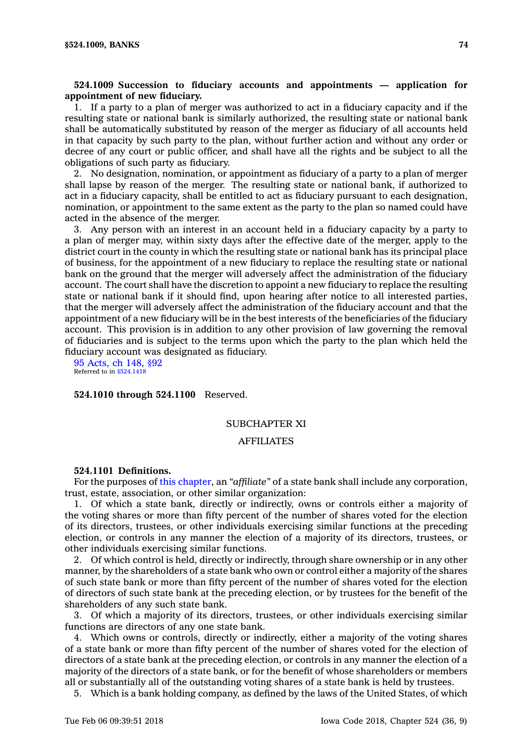# **524.1009 Succession to fiduciary accounts and appointments — application for appointment of new fiduciary.**

1. If <sup>a</sup> party to <sup>a</sup> plan of merger was authorized to act in <sup>a</sup> fiduciary capacity and if the resulting state or national bank is similarly authorized, the resulting state or national bank shall be automatically substituted by reason of the merger as fiduciary of all accounts held in that capacity by such party to the plan, without further action and without any order or decree of any court or public officer, and shall have all the rights and be subject to all the obligations of such party as fiduciary.

2. No designation, nomination, or appointment as fiduciary of <sup>a</sup> party to <sup>a</sup> plan of merger shall lapse by reason of the merger. The resulting state or national bank, if authorized to act in <sup>a</sup> fiduciary capacity, shall be entitled to act as fiduciary pursuant to each designation, nomination, or appointment to the same extent as the party to the plan so named could have acted in the absence of the merger.

3. Any person with an interest in an account held in <sup>a</sup> fiduciary capacity by <sup>a</sup> party to <sup>a</sup> plan of merger may, within sixty days after the effective date of the merger, apply to the district court in the county in which the resulting state or national bank has its principal place of business, for the appointment of <sup>a</sup> new fiduciary to replace the resulting state or national bank on the ground that the merger will adversely affect the administration of the fiduciary account. The court shall have the discretion to appoint <sup>a</sup> new fiduciary to replace the resulting state or national bank if it should find, upon hearing after notice to all interested parties, that the merger will adversely affect the administration of the fiduciary account and that the appointment of <sup>a</sup> new fiduciary will be in the best interests of the beneficiaries of the fiduciary account. This provision is in addition to any other provision of law governing the removal of fiduciaries and is subject to the terms upon which the party to the plan which held the fiduciary account was designated as fiduciary.

95 [Acts,](https://www.legis.iowa.gov/docs/acts/1995/CH0148.pdf) ch 148, §92 Referred to in \$524,1418

## **524.1010 through 524.1100** Reserved.

## SUBCHAPTER XI

## AFFILIATES

#### **524.1101 Definitions.**

For the purposes of this [chapter](https://www.legis.iowa.gov/docs/code//524.pdf), an *"affiliate"* of <sup>a</sup> state bank shall include any corporation, trust, estate, association, or other similar organization:

1. Of which <sup>a</sup> state bank, directly or indirectly, owns or controls either <sup>a</sup> majority of the voting shares or more than fifty percent of the number of shares voted for the election of its directors, trustees, or other individuals exercising similar functions at the preceding election, or controls in any manner the election of <sup>a</sup> majority of its directors, trustees, or other individuals exercising similar functions.

2. Of which control is held, directly or indirectly, through share ownership or in any other manner, by the shareholders of <sup>a</sup> state bank who own or control either <sup>a</sup> majority of the shares of such state bank or more than fifty percent of the number of shares voted for the election of directors of such state bank at the preceding election, or by trustees for the benefit of the shareholders of any such state bank.

3. Of which <sup>a</sup> majority of its directors, trustees, or other individuals exercising similar functions are directors of any one state bank.

4. Which owns or controls, directly or indirectly, either <sup>a</sup> majority of the voting shares of <sup>a</sup> state bank or more than fifty percent of the number of shares voted for the election of directors of <sup>a</sup> state bank at the preceding election, or controls in any manner the election of <sup>a</sup> majority of the directors of <sup>a</sup> state bank, or for the benefit of whose shareholders or members all or substantially all of the outstanding voting shares of <sup>a</sup> state bank is held by trustees.

5. Which is <sup>a</sup> bank holding company, as defined by the laws of the United States, of which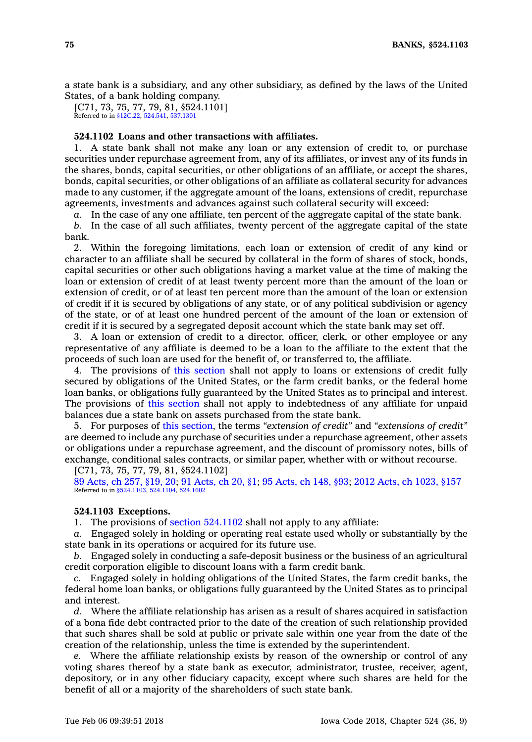<sup>a</sup> state bank is <sup>a</sup> subsidiary, and any other subsidiary, as defined by the laws of the United States, of <sup>a</sup> bank holding company.

[C71, 73, 75, 77, 79, 81, §524.1101] Referred to in [§12C.22,](https://www.legis.iowa.gov/docs/code/12C.22.pdf) [524.541](https://www.legis.iowa.gov/docs/code/524.541.pdf), [537.1301](https://www.legis.iowa.gov/docs/code/537.1301.pdf)

## **524.1102 Loans and other transactions with affiliates.**

1. A state bank shall not make any loan or any extension of credit to, or purchase securities under repurchase agreement from, any of its affiliates, or invest any of its funds in the shares, bonds, capital securities, or other obligations of an affiliate, or accept the shares, bonds, capital securities, or other obligations of an affiliate as collateral security for advances made to any customer, if the aggregate amount of the loans, extensions of credit, repurchase agreements, investments and advances against such collateral security will exceed:

*a.* In the case of any one affiliate, ten percent of the aggregate capital of the state bank.

*b.* In the case of all such affiliates, twenty percent of the aggregate capital of the state bank.

2. Within the foregoing limitations, each loan or extension of credit of any kind or character to an affiliate shall be secured by collateral in the form of shares of stock, bonds, capital securities or other such obligations having <sup>a</sup> market value at the time of making the loan or extension of credit of at least twenty percent more than the amount of the loan or extension of credit, or of at least ten percent more than the amount of the loan or extension of credit if it is secured by obligations of any state, or of any political subdivision or agency of the state, or of at least one hundred percent of the amount of the loan or extension of credit if it is secured by <sup>a</sup> segregated deposit account which the state bank may set off.

3. A loan or extension of credit to <sup>a</sup> director, officer, clerk, or other employee or any representative of any affiliate is deemed to be <sup>a</sup> loan to the affiliate to the extent that the proceeds of such loan are used for the benefit of, or transferred to, the affiliate.

4. The provisions of this [section](https://www.legis.iowa.gov/docs/code/524.1102.pdf) shall not apply to loans or extensions of credit fully secured by obligations of the United States, or the farm credit banks, or the federal home loan banks, or obligations fully guaranteed by the United States as to principal and interest. The provisions of this [section](https://www.legis.iowa.gov/docs/code/524.1102.pdf) shall not apply to indebtedness of any affiliate for unpaid balances due <sup>a</sup> state bank on assets purchased from the state bank.

5. For purposes of this [section](https://www.legis.iowa.gov/docs/code/524.1102.pdf), the terms *"extension of credit"* and *"extensions of credit"* are deemed to include any purchase of securities under <sup>a</sup> repurchase agreement, other assets or obligations under <sup>a</sup> repurchase agreement, and the discount of promissory notes, bills of exchange, conditional sales contracts, or similar paper, whether with or without recourse.

[C71, 73, 75, 77, 79, 81, §524.1102]

89 [Acts,](https://www.legis.iowa.gov/docs/acts/89/CH0257.pdf) ch 257, §19, 20; 91 [Acts,](https://www.legis.iowa.gov/docs/acts/91/CH0020.pdf) ch 20, §1; 95 [Acts,](https://www.legis.iowa.gov/docs/acts/95/CH0148.pdf) ch 148, §93; 2012 Acts, ch [1023,](https://www.legis.iowa.gov/docs/acts/2012/CH1023.pdf) §157 Referred to in [§524.1103](https://www.legis.iowa.gov/docs/code/524.1103.pdf), [524.1104,](https://www.legis.iowa.gov/docs/code/524.1104.pdf) [524.1602](https://www.legis.iowa.gov/docs/code/524.1602.pdf)

### **524.1103 Exceptions.**

1. The provisions of section [524.1102](https://www.legis.iowa.gov/docs/code/524.1102.pdf) shall not apply to any affiliate:

*a.* Engaged solely in holding or operating real estate used wholly or substantially by the state bank in its operations or acquired for its future use.

*b.* Engaged solely in conducting <sup>a</sup> safe-deposit business or the business of an agricultural credit corporation eligible to discount loans with <sup>a</sup> farm credit bank.

*c.* Engaged solely in holding obligations of the United States, the farm credit banks, the federal home loan banks, or obligations fully guaranteed by the United States as to principal and interest.

*d.* Where the affiliate relationship has arisen as <sup>a</sup> result of shares acquired in satisfaction of <sup>a</sup> bona fide debt contracted prior to the date of the creation of such relationship provided that such shares shall be sold at public or private sale within one year from the date of the creation of the relationship, unless the time is extended by the superintendent.

*e.* Where the affiliate relationship exists by reason of the ownership or control of any voting shares thereof by <sup>a</sup> state bank as executor, administrator, trustee, receiver, agent, depository, or in any other fiduciary capacity, except where such shares are held for the benefit of all or <sup>a</sup> majority of the shareholders of such state bank.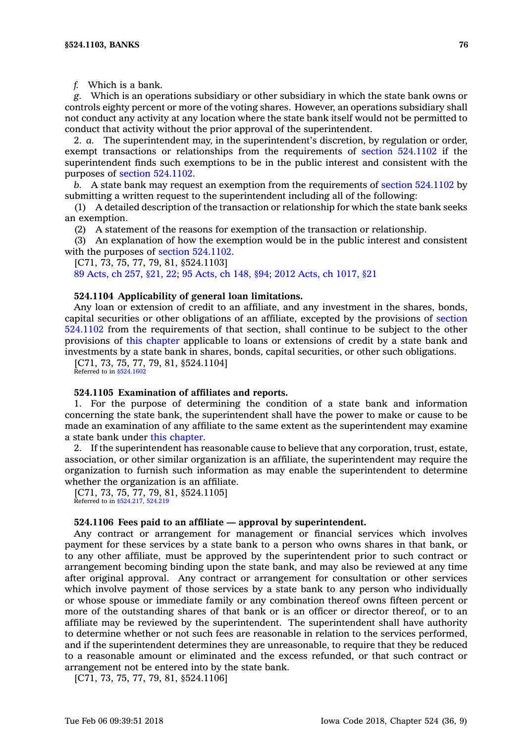*f.* Which is <sup>a</sup> bank.

*g.* Which is an operations subsidiary or other subsidiary in which the state bank owns or controls eighty percent or more of the voting shares. However, an operations subsidiary shall not conduct any activity at any location where the state bank itself would not be permitted to conduct that activity without the prior approval of the superintendent.

2. *a.* The superintendent may, in the superintendent's discretion, by regulation or order, exempt transactions or relationships from the requirements of section [524.1102](https://www.legis.iowa.gov/docs/code/524.1102.pdf) if the superintendent finds such exemptions to be in the public interest and consistent with the purposes of section [524.1102](https://www.legis.iowa.gov/docs/code/524.1102.pdf).

*b.* A state bank may request an exemption from the requirements of section [524.1102](https://www.legis.iowa.gov/docs/code/524.1102.pdf) by submitting <sup>a</sup> written request to the superintendent including all of the following:

(1) A detailed description of the transaction or relationship for which the state bank seeks an exemption.

(2) A statement of the reasons for exemption of the transaction or relationship.

(3) An explanation of how the exemption would be in the public interest and consistent with the purposes of section 524,1102.

[C71, 73, 75, 77, 79, 81, §524.1103]

89 [Acts,](https://www.legis.iowa.gov/docs/acts/89/CH0257.pdf) ch 257, §21, 22; 95 [Acts,](https://www.legis.iowa.gov/docs/acts/95/CH0148.pdf) ch 148, §94; 2012 Acts, ch [1017,](https://www.legis.iowa.gov/docs/acts/2012/CH1017.pdf) §21

### **524.1104 Applicability of general loan limitations.**

Any loan or extension of credit to an affiliate, and any investment in the shares, bonds, capital securities or other obligations of an affiliate, excepted by the provisions of [section](https://www.legis.iowa.gov/docs/code/524.1102.pdf) [524.1102](https://www.legis.iowa.gov/docs/code/524.1102.pdf) from the requirements of that section, shall continue to be subject to the other provisions of this [chapter](https://www.legis.iowa.gov/docs/code//524.pdf) applicable to loans or extensions of credit by <sup>a</sup> state bank and investments by <sup>a</sup> state bank in shares, bonds, capital securities, or other such obligations.

[C71, 73, 75, 77, 79, 81, §524.1104] Referred to in [§524.1602](https://www.legis.iowa.gov/docs/code/524.1602.pdf)

#### **524.1105 Examination of affiliates and reports.**

1. For the purpose of determining the condition of <sup>a</sup> state bank and information concerning the state bank, the superintendent shall have the power to make or cause to be made an examination of any affiliate to the same extent as the superintendent may examine <sup>a</sup> state bank under this [chapter](https://www.legis.iowa.gov/docs/code//524.pdf).

2. If the superintendent has reasonable cause to believe that any corporation, trust, estate, association, or other similar organization is an affiliate, the superintendent may require the organization to furnish such information as may enable the superintendent to determine whether the organization is an affiliate.

[C71, 73, 75, 77, 79, 81, §524.1105] Referred to in [§524.217](https://www.legis.iowa.gov/docs/code/524.217.pdf), [524.219](https://www.legis.iowa.gov/docs/code/524.219.pdf)

#### **524.1106 Fees paid to an affiliate — approval by superintendent.**

Any contract or arrangement for management or financial services which involves payment for these services by <sup>a</sup> state bank to <sup>a</sup> person who owns shares in that bank, or to any other affiliate, must be approved by the superintendent prior to such contract or arrangement becoming binding upon the state bank, and may also be reviewed at any time after original approval. Any contract or arrangement for consultation or other services which involve payment of those services by <sup>a</sup> state bank to any person who individually or whose spouse or immediate family or any combination thereof owns fifteen percent or more of the outstanding shares of that bank or is an officer or director thereof, or to an affiliate may be reviewed by the superintendent. The superintendent shall have authority to determine whether or not such fees are reasonable in relation to the services performed, and if the superintendent determines they are unreasonable, to require that they be reduced to <sup>a</sup> reasonable amount or eliminated and the excess refunded, or that such contract or arrangement not be entered into by the state bank.

[C71, 73, 75, 77, 79, 81, §524.1106]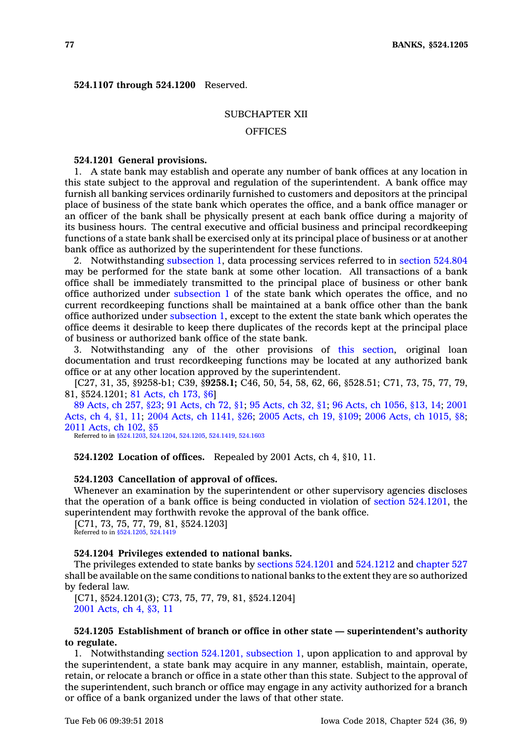**524.1107 through 524.1200** Reserved.

## SUBCHAPTER XII

## **OFFICES**

## **524.1201 General provisions.**

1. A state bank may establish and operate any number of bank offices at any location in this state subject to the approval and regulation of the superintendent. A bank office may furnish all banking services ordinarily furnished to customers and depositors at the principal place of business of the state bank which operates the office, and <sup>a</sup> bank office manager or an officer of the bank shall be physically present at each bank office during <sup>a</sup> majority of its business hours. The central executive and official business and principal recordkeeping functions of <sup>a</sup> state bank shall be exercised only at its principal place of business or at another bank office as authorized by the superintendent for these functions.

2. Notwithstanding [subsection](https://www.legis.iowa.gov/docs/code/524.1201.pdf) 1, data processing services referred to in section [524.804](https://www.legis.iowa.gov/docs/code/524.804.pdf) may be performed for the state bank at some other location. All transactions of <sup>a</sup> bank office shall be immediately transmitted to the principal place of business or other bank office authorized under [subsection](https://www.legis.iowa.gov/docs/code/524.1201.pdf) 1 of the state bank which operates the office, and no current recordkeeping functions shall be maintained at <sup>a</sup> bank office other than the bank office authorized under [subsection](https://www.legis.iowa.gov/docs/code/524.1201.pdf) 1, except to the extent the state bank which operates the office deems it desirable to keep there duplicates of the records kept at the principal place of business or authorized bank office of the state bank.

3. Notwithstanding any of the other provisions of this [section](https://www.legis.iowa.gov/docs/code/524.1201.pdf), original loan documentation and trust recordkeeping functions may be located at any authorized bank office or at any other location approved by the superintendent.

[C27, 31, 35, §9258-b1; C39, §**9258.1;** C46, 50, 54, 58, 62, 66, §528.51; C71, 73, 75, 77, 79, 81, §524.1201; 81 [Acts,](https://www.legis.iowa.gov/docs/acts/1981/CH0173.pdf) ch 173, §6]

89 [Acts,](https://www.legis.iowa.gov/docs/acts/89/CH0257.pdf) ch 257, §23; 91 [Acts,](https://www.legis.iowa.gov/docs/acts/91/CH0072.pdf) ch 72, §1; 95 [Acts,](https://www.legis.iowa.gov/docs/acts/95/CH0032.pdf) ch 32, §1; 96 Acts, ch [1056,](https://www.legis.iowa.gov/docs/acts/96/CH1056.pdf) §13, 14; [2001](https://www.legis.iowa.gov/docs/acts/2001/CH0004.pdf) [Acts,](https://www.legis.iowa.gov/docs/acts/2001/CH0004.pdf) ch 4, §1, 11; 2004 Acts, ch [1141,](https://www.legis.iowa.gov/docs/acts/2004/CH1141.pdf) §26; 2005 [Acts,](https://www.legis.iowa.gov/docs/acts/2005/CH0019.pdf) ch 19, §109; 2006 Acts, ch [1015,](https://www.legis.iowa.gov/docs/acts/2006/CH1015.pdf) §8; 2011 [Acts,](https://www.legis.iowa.gov/docs/acts/2011/CH0102.pdf) ch 102, §5

Referred to in [§524.1203](https://www.legis.iowa.gov/docs/code/524.1203.pdf), [524.1204](https://www.legis.iowa.gov/docs/code/524.1204.pdf), [524.1205,](https://www.legis.iowa.gov/docs/code/524.1205.pdf) [524.1419](https://www.legis.iowa.gov/docs/code/524.1419.pdf), [524.1603](https://www.legis.iowa.gov/docs/code/524.1603.pdf)

### **524.1202 Location of offices.** Repealed by 2001 Acts, ch 4, §10, 11.

### **524.1203 Cancellation of approval of offices.**

Whenever an examination by the superintendent or other supervisory agencies discloses that the operation of <sup>a</sup> bank office is being conducted in violation of section [524.1201](https://www.legis.iowa.gov/docs/code/524.1201.pdf), the superintendent may forthwith revoke the approval of the bank office.

[C71, 73, 75, 77, 79, 81, §524.1203] Referred to in [§524.1205](https://www.legis.iowa.gov/docs/code/524.1205.pdf), [524.1419](https://www.legis.iowa.gov/docs/code/524.1419.pdf)

#### **524.1204 Privileges extended to national banks.**

The privileges extended to state banks by sections [524.1201](https://www.legis.iowa.gov/docs/code/524.1201.pdf) and [524.1212](https://www.legis.iowa.gov/docs/code/524.1212.pdf) and [chapter](https://www.legis.iowa.gov/docs/code//527.pdf) 527 shall be available on the same conditions to national banks to the extent they are so authorized by federal law.

[C71, §524.1201(3); C73, 75, 77, 79, 81, §524.1204] 2001 [Acts,](https://www.legis.iowa.gov/docs/acts/2001/CH0004.pdf) ch 4, §3, 11

# **524.1205 Establishment of branch or office in other state — superintendent's authority to regulate.**

1. Notwithstanding section [524.1201,](https://www.legis.iowa.gov/docs/code/524.1201.pdf) subsection 1, upon application to and approval by the superintendent, <sup>a</sup> state bank may acquire in any manner, establish, maintain, operate, retain, or relocate <sup>a</sup> branch or office in <sup>a</sup> state other than this state. Subject to the approval of the superintendent, such branch or office may engage in any activity authorized for <sup>a</sup> branch or office of <sup>a</sup> bank organized under the laws of that other state.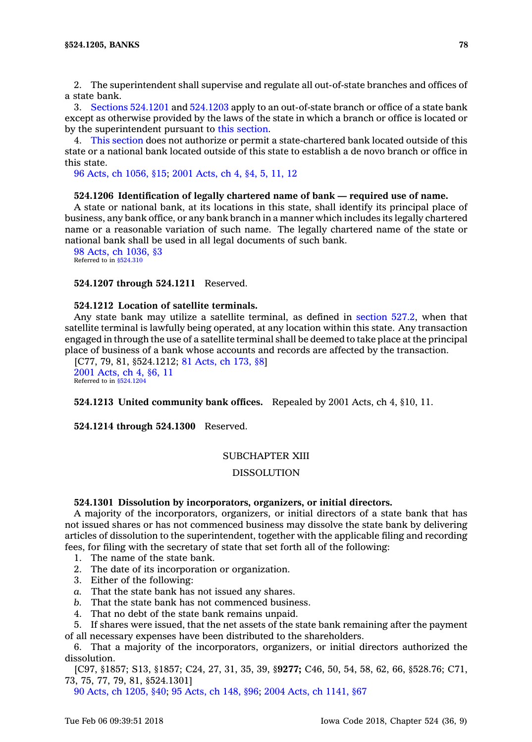2. The superintendent shall supervise and regulate all out-of-state branches and offices of <sup>a</sup> state bank.

3. Sections [524.1201](https://www.legis.iowa.gov/docs/code/524.1201.pdf) and [524.1203](https://www.legis.iowa.gov/docs/code/524.1203.pdf) apply to an out-of-state branch or office of <sup>a</sup> state bank except as otherwise provided by the laws of the state in which <sup>a</sup> branch or office is located or by the superintendent pursuant to this [section](https://www.legis.iowa.gov/docs/code/524.1205.pdf).

4. This [section](https://www.legis.iowa.gov/docs/code/524.1205.pdf) does not authorize or permit <sup>a</sup> state-chartered bank located outside of this state or <sup>a</sup> national bank located outside of this state to establish <sup>a</sup> de novo branch or office in this state.

96 Acts, ch [1056,](https://www.legis.iowa.gov/docs/acts/1996/CH1056.pdf) §15; 2001 [Acts,](https://www.legis.iowa.gov/docs/acts/2001/CH0004.pdf) ch 4, §4, 5, 11, 12

#### **524.1206 Identification of legally chartered name of bank — required use of name.**

A state or national bank, at its locations in this state, shall identify its principal place of business, any bank office, or any bank branch in <sup>a</sup> manner which includes its legally chartered name or <sup>a</sup> reasonable variation of such name. The legally chartered name of the state or national bank shall be used in all legal documents of such bank.

98 Acts, ch [1036,](https://www.legis.iowa.gov/docs/acts/1998/CH1036.pdf) §3 Referred to in [§524.310](https://www.legis.iowa.gov/docs/code/524.310.pdf)

### **524.1207 through 524.1211** Reserved.

# **524.1212 Location of satellite terminals.**

Any state bank may utilize <sup>a</sup> satellite terminal, as defined in [section](https://www.legis.iowa.gov/docs/code/527.2.pdf) 527.2, when that satellite terminal is lawfully being operated, at any location within this state. Any transaction engaged in through the use of <sup>a</sup> satellite terminal shall be deemed to take place at the principal place of business of <sup>a</sup> bank whose accounts and records are affected by the transaction.

[C77, 79, 81, §524.1212; 81 [Acts,](https://www.legis.iowa.gov/docs/acts/1981/CH0173.pdf) ch 173, §8] 2001 [Acts,](https://www.legis.iowa.gov/docs/acts/2001/CH0004.pdf) ch 4, §6, 11 Referred to in [§524.1204](https://www.legis.iowa.gov/docs/code/524.1204.pdf)

**524.1213 United community bank offices.** Repealed by 2001 Acts, ch 4, §10, 11.

**524.1214 through 524.1300** Reserved.

## SUBCHAPTER XIII

# DISSOLUTION

### **524.1301 Dissolution by incorporators, organizers, or initial directors.**

A majority of the incorporators, organizers, or initial directors of <sup>a</sup> state bank that has not issued shares or has not commenced business may dissolve the state bank by delivering articles of dissolution to the superintendent, together with the applicable filing and recording fees, for filing with the secretary of state that set forth all of the following:

- 1. The name of the state bank.
- 2. The date of its incorporation or organization.
- 3. Either of the following:
- *a.* That the state bank has not issued any shares.
- *b.* That the state bank has not commenced business.
- 4. That no debt of the state bank remains unpaid.

5. If shares were issued, that the net assets of the state bank remaining after the payment of all necessary expenses have been distributed to the shareholders.

6. That <sup>a</sup> majority of the incorporators, organizers, or initial directors authorized the dissolution.

[C97, §1857; S13, §1857; C24, 27, 31, 35, 39, §**9277;** C46, 50, 54, 58, 62, 66, §528.76; C71, 73, 75, 77, 79, 81, §524.1301]

90 Acts, ch [1205,](https://www.legis.iowa.gov/docs/acts/1990/CH1205.pdf) §40; 95 [Acts,](https://www.legis.iowa.gov/docs/acts/1995/CH0148.pdf) ch 148, §96; 2004 Acts, ch [1141,](https://www.legis.iowa.gov/docs/acts/2004/CH1141.pdf) §67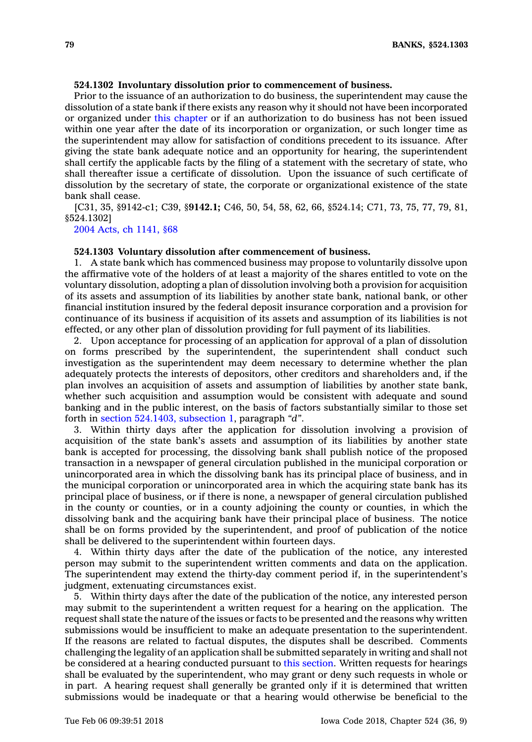# **524.1302 Involuntary dissolution prior to commencement of business.**

Prior to the issuance of an authorization to do business, the superintendent may cause the dissolution of <sup>a</sup> state bank if there exists any reason why it should not have been incorporated or organized under this [chapter](https://www.legis.iowa.gov/docs/code//524.pdf) or if an authorization to do business has not been issued within one year after the date of its incorporation or organization, or such longer time as the superintendent may allow for satisfaction of conditions precedent to its issuance. After giving the state bank adequate notice and an opportunity for hearing, the superintendent shall certify the applicable facts by the filing of <sup>a</sup> statement with the secretary of state, who shall thereafter issue <sup>a</sup> certificate of dissolution. Upon the issuance of such certificate of dissolution by the secretary of state, the corporate or organizational existence of the state bank shall cease.

[C31, 35, §9142-c1; C39, §**9142.1;** C46, 50, 54, 58, 62, 66, §524.14; C71, 73, 75, 77, 79, 81, §524.1302]

2004 Acts, ch [1141,](https://www.legis.iowa.gov/docs/acts/2004/CH1141.pdf) §68

#### **524.1303 Voluntary dissolution after commencement of business.**

1. A state bank which has commenced business may propose to voluntarily dissolve upon the affirmative vote of the holders of at least <sup>a</sup> majority of the shares entitled to vote on the voluntary dissolution, adopting <sup>a</sup> plan of dissolution involving both <sup>a</sup> provision for acquisition of its assets and assumption of its liabilities by another state bank, national bank, or other financial institution insured by the federal deposit insurance corporation and <sup>a</sup> provision for continuance of its business if acquisition of its assets and assumption of its liabilities is not effected, or any other plan of dissolution providing for full payment of its liabilities.

2. Upon acceptance for processing of an application for approval of <sup>a</sup> plan of dissolution on forms prescribed by the superintendent, the superintendent shall conduct such investigation as the superintendent may deem necessary to determine whether the plan adequately protects the interests of depositors, other creditors and shareholders and, if the plan involves an acquisition of assets and assumption of liabilities by another state bank, whether such acquisition and assumption would be consistent with adequate and sound banking and in the public interest, on the basis of factors substantially similar to those set forth in section [524.1403,](https://www.legis.iowa.gov/docs/code/524.1403.pdf) subsection 1, paragraph *"d"*.

3. Within thirty days after the application for dissolution involving <sup>a</sup> provision of acquisition of the state bank's assets and assumption of its liabilities by another state bank is accepted for processing, the dissolving bank shall publish notice of the proposed transaction in <sup>a</sup> newspaper of general circulation published in the municipal corporation or unincorporated area in which the dissolving bank has its principal place of business, and in the municipal corporation or unincorporated area in which the acquiring state bank has its principal place of business, or if there is none, <sup>a</sup> newspaper of general circulation published in the county or counties, or in <sup>a</sup> county adjoining the county or counties, in which the dissolving bank and the acquiring bank have their principal place of business. The notice shall be on forms provided by the superintendent, and proof of publication of the notice shall be delivered to the superintendent within fourteen days.

4. Within thirty days after the date of the publication of the notice, any interested person may submit to the superintendent written comments and data on the application. The superintendent may extend the thirty-day comment period if, in the superintendent's judgment, extenuating circumstances exist.

5. Within thirty days after the date of the publication of the notice, any interested person may submit to the superintendent <sup>a</sup> written request for <sup>a</sup> hearing on the application. The request shall state the nature of the issues or facts to be presented and the reasons why written submissions would be insufficient to make an adequate presentation to the superintendent. If the reasons are related to factual disputes, the disputes shall be described. Comments challenging the legality of an application shall be submitted separately in writing and shall not be considered at <sup>a</sup> hearing conducted pursuant to this [section](https://www.legis.iowa.gov/docs/code/524.1303.pdf). Written requests for hearings shall be evaluated by the superintendent, who may grant or deny such requests in whole or in part. A hearing request shall generally be granted only if it is determined that written submissions would be inadequate or that <sup>a</sup> hearing would otherwise be beneficial to the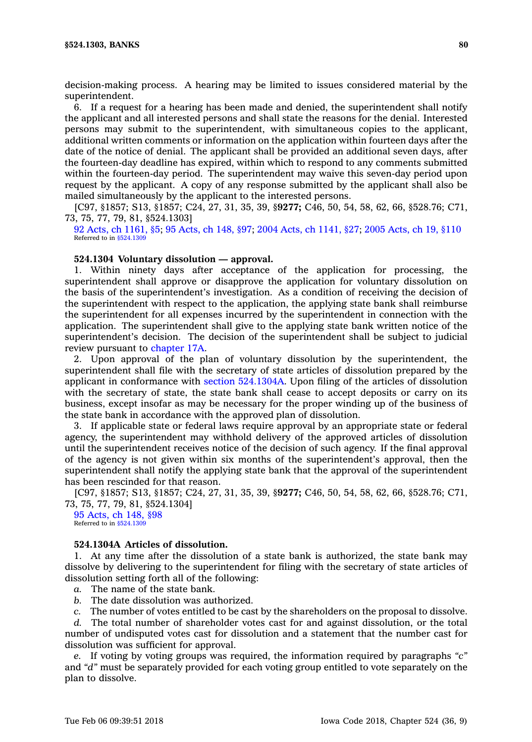decision-making process. A hearing may be limited to issues considered material by the superintendent.

6. If <sup>a</sup> request for <sup>a</sup> hearing has been made and denied, the superintendent shall notify the applicant and all interested persons and shall state the reasons for the denial. Interested persons may submit to the superintendent, with simultaneous copies to the applicant, additional written comments or information on the application within fourteen days after the date of the notice of denial. The applicant shall be provided an additional seven days, after the fourteen-day deadline has expired, within which to respond to any comments submitted within the fourteen-day period. The superintendent may waive this seven-day period upon request by the applicant. A copy of any response submitted by the applicant shall also be mailed simultaneously by the applicant to the interested persons.

[C97, §1857; S13, §1857; C24, 27, 31, 35, 39, §**9277;** C46, 50, 54, 58, 62, 66, §528.76; C71, 73, 75, 77, 79, 81, §524.1303]

92 Acts, ch [1161,](https://www.legis.iowa.gov/docs/acts/1992/CH1161.pdf) §5; 95 [Acts,](https://www.legis.iowa.gov/docs/acts/1995/CH0148.pdf) ch 148, §97; 2004 Acts, ch [1141,](https://www.legis.iowa.gov/docs/acts/2004/CH1141.pdf) §27; 2005 [Acts,](https://www.legis.iowa.gov/docs/acts/2005/CH0019.pdf) ch 19, §110 Referred to in [§524.1309](https://www.legis.iowa.gov/docs/code/524.1309.pdf)

### **524.1304 Voluntary dissolution — approval.**

1. Within ninety days after acceptance of the application for processing, the superintendent shall approve or disapprove the application for voluntary dissolution on the basis of the superintendent's investigation. As <sup>a</sup> condition of receiving the decision of the superintendent with respect to the application, the applying state bank shall reimburse the superintendent for all expenses incurred by the superintendent in connection with the application. The superintendent shall give to the applying state bank written notice of the superintendent's decision. The decision of the superintendent shall be subject to judicial review pursuant to [chapter](https://www.legis.iowa.gov/docs/code//17A.pdf) 17A.

2. Upon approval of the plan of voluntary dissolution by the superintendent, the superintendent shall file with the secretary of state articles of dissolution prepared by the applicant in conformance with section [524.1304A](https://www.legis.iowa.gov/docs/code/524.1304A.pdf). Upon filing of the articles of dissolution with the secretary of state, the state bank shall cease to accept deposits or carry on its business, except insofar as may be necessary for the proper winding up of the business of the state bank in accordance with the approved plan of dissolution.

3. If applicable state or federal laws require approval by an appropriate state or federal agency, the superintendent may withhold delivery of the approved articles of dissolution until the superintendent receives notice of the decision of such agency. If the final approval of the agency is not given within six months of the superintendent's approval, then the superintendent shall notify the applying state bank that the approval of the superintendent has been rescinded for that reason.

[C97, §1857; S13, §1857; C24, 27, 31, 35, 39, §**9277;** C46, 50, 54, 58, 62, 66, §528.76; C71, 73, 75, 77, 79, 81, §524.1304]

95 [Acts,](https://www.legis.iowa.gov/docs/acts/1995/CH0148.pdf) ch 148, §98 Referred to in  $$524.130$ 

# **524.1304A Articles of dissolution.**

1. At any time after the dissolution of <sup>a</sup> state bank is authorized, the state bank may dissolve by delivering to the superintendent for filing with the secretary of state articles of dissolution setting forth all of the following:

- *a.* The name of the state bank.
- *b.* The date dissolution was authorized.
- *c.* The number of votes entitled to be cast by the shareholders on the proposal to dissolve.

*d.* The total number of shareholder votes cast for and against dissolution, or the total number of undisputed votes cast for dissolution and <sup>a</sup> statement that the number cast for dissolution was sufficient for approval.

*e.* If voting by voting groups was required, the information required by paragraphs *"c"* and *"d"* must be separately provided for each voting group entitled to vote separately on the plan to dissolve.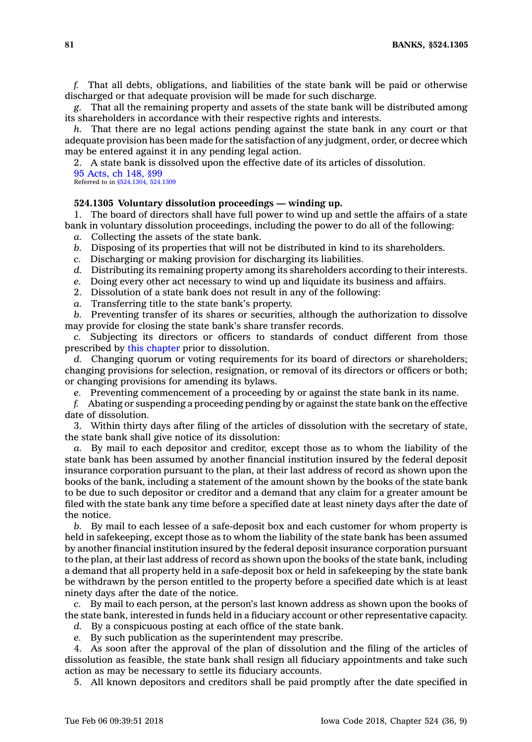**81 BANKS, §524.1305**

*f.* That all debts, obligations, and liabilities of the state bank will be paid or otherwise discharged or that adequate provision will be made for such discharge.

*g.* That all the remaining property and assets of the state bank will be distributed among its shareholders in accordance with their respective rights and interests.

*h.* That there are no legal actions pending against the state bank in any court or that adequate provision has been made for the satisfaction of any judgment, order, or decree which may be entered against it in any pending legal action.

2. A state bank is dissolved upon the effective date of its articles of dissolution. 95 [Acts,](https://www.legis.iowa.gov/docs/acts/1995/CH0148.pdf) ch 148, §99

Referred to in [§524.1304](https://www.legis.iowa.gov/docs/code/524.1304.pdf), [524.1309](https://www.legis.iowa.gov/docs/code/524.1309.pdf)

# **524.1305 Voluntary dissolution proceedings — winding up.**

1. The board of directors shall have full power to wind up and settle the affairs of <sup>a</sup> state bank in voluntary dissolution proceedings, including the power to do all of the following:

- *a.* Collecting the assets of the state bank.
- *b.* Disposing of its properties that will not be distributed in kind to its shareholders.
- *c.* Discharging or making provision for discharging its liabilities.
- *d.* Distributing its remaining property among its shareholders according to their interests.
- *e.* Doing every other act necessary to wind up and liquidate its business and affairs.
- 2. Dissolution of <sup>a</sup> state bank does not result in any of the following:
- *a.* Transferring title to the state bank's property.

*b.* Preventing transfer of its shares or securities, although the authorization to dissolve may provide for closing the state bank's share transfer records.

*c.* Subjecting its directors or officers to standards of conduct different from those prescribed by this [chapter](https://www.legis.iowa.gov/docs/code//524.pdf) prior to dissolution.

*d.* Changing quorum or voting requirements for its board of directors or shareholders; changing provisions for selection, resignation, or removal of its directors or officers or both; or changing provisions for amending its bylaws.

*e.* Preventing commencement of <sup>a</sup> proceeding by or against the state bank in its name.

*f.* Abating or suspending <sup>a</sup> proceeding pending by or against the state bank on the effective date of dissolution.

3. Within thirty days after filing of the articles of dissolution with the secretary of state, the state bank shall give notice of its dissolution:

*a.* By mail to each depositor and creditor, except those as to whom the liability of the state bank has been assumed by another financial institution insured by the federal deposit insurance corporation pursuant to the plan, at their last address of record as shown upon the books of the bank, including <sup>a</sup> statement of the amount shown by the books of the state bank to be due to such depositor or creditor and <sup>a</sup> demand that any claim for <sup>a</sup> greater amount be filed with the state bank any time before <sup>a</sup> specified date at least ninety days after the date of the notice.

*b.* By mail to each lessee of <sup>a</sup> safe-deposit box and each customer for whom property is held in safekeeping, except those as to whom the liability of the state bank has been assumed by another financial institution insured by the federal deposit insurance corporation pursuant to the plan, at their last address of record as shown upon the books of the state bank, including <sup>a</sup> demand that all property held in <sup>a</sup> safe-deposit box or held in safekeeping by the state bank be withdrawn by the person entitled to the property before <sup>a</sup> specified date which is at least ninety days after the date of the notice.

*c.* By mail to each person, at the person's last known address as shown upon the books of the state bank, interested in funds held in <sup>a</sup> fiduciary account or other representative capacity.

*d.* By <sup>a</sup> conspicuous posting at each office of the state bank.

*e.* By such publication as the superintendent may prescribe.

4. As soon after the approval of the plan of dissolution and the filing of the articles of dissolution as feasible, the state bank shall resign all fiduciary appointments and take such action as may be necessary to settle its fiduciary accounts.

5. All known depositors and creditors shall be paid promptly after the date specified in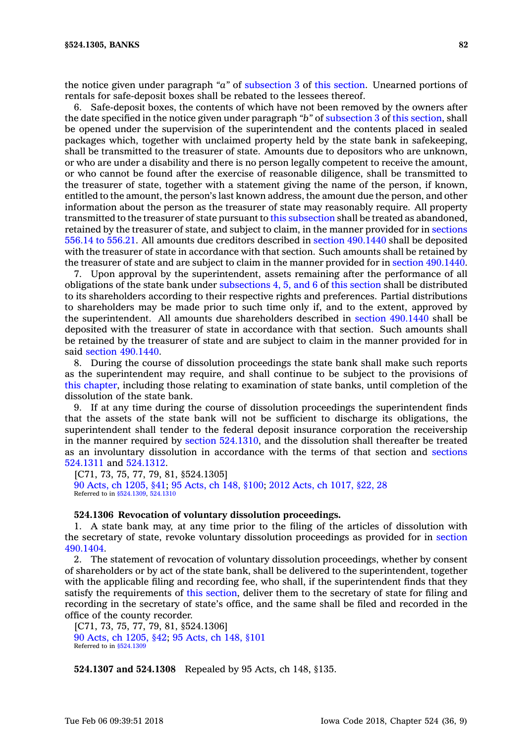the notice given under paragraph *"a"* of [subsection](https://www.legis.iowa.gov/docs/code/524.1305.pdf) 3 of this [section](https://www.legis.iowa.gov/docs/code/524.1305.pdf). Unearned portions of rentals for safe-deposit boxes shall be rebated to the lessees thereof.

6. Safe-deposit boxes, the contents of which have not been removed by the owners after the date specified in the notice given under paragraph *"b"* of [subsection](https://www.legis.iowa.gov/docs/code/524.1305.pdf) 3 of this [section](https://www.legis.iowa.gov/docs/code/524.1305.pdf), shall be opened under the supervision of the superintendent and the contents placed in sealed packages which, together with unclaimed property held by the state bank in safekeeping, shall be transmitted to the treasurer of state. Amounts due to depositors who are unknown, or who are under <sup>a</sup> disability and there is no person legally competent to receive the amount, or who cannot be found after the exercise of reasonable diligence, shall be transmitted to the treasurer of state, together with <sup>a</sup> statement giving the name of the person, if known, entitled to the amount, the person's last known address, the amount due the person, and other information about the person as the treasurer of state may reasonably require. All property transmitted to the treasurer of state pursuant to this [subsection](https://www.legis.iowa.gov/docs/code/524.1305.pdf) shall be treated as abandoned, retained by the treasurer of state, and subject to claim, in the manner provided for in [sections](https://www.legis.iowa.gov/docs/code/556.14.pdf) 556.14 to [556.21](https://www.legis.iowa.gov/docs/code/556.14.pdf). All amounts due creditors described in section [490.1440](https://www.legis.iowa.gov/docs/code/490.1440.pdf) shall be deposited with the treasurer of state in accordance with that section. Such amounts shall be retained by the treasurer of state and are subject to claim in the manner provided for in section [490.1440](https://www.legis.iowa.gov/docs/code/490.1440.pdf).

7. Upon approval by the superintendent, assets remaining after the performance of all obligations of the state bank under [subsections](https://www.legis.iowa.gov/docs/code/524.1305.pdf) 4, 5, and 6 of this [section](https://www.legis.iowa.gov/docs/code/524.1305.pdf) shall be distributed to its shareholders according to their respective rights and preferences. Partial distributions to shareholders may be made prior to such time only if, and to the extent, approved by the superintendent. All amounts due shareholders described in section [490.1440](https://www.legis.iowa.gov/docs/code/490.1440.pdf) shall be deposited with the treasurer of state in accordance with that section. Such amounts shall be retained by the treasurer of state and are subject to claim in the manner provided for in said section [490.1440](https://www.legis.iowa.gov/docs/code/490.1440.pdf).

8. During the course of dissolution proceedings the state bank shall make such reports as the superintendent may require, and shall continue to be subject to the provisions of this [chapter](https://www.legis.iowa.gov/docs/code//524.pdf), including those relating to examination of state banks, until completion of the dissolution of the state bank.

9. If at any time during the course of dissolution proceedings the superintendent finds that the assets of the state bank will not be sufficient to discharge its obligations, the superintendent shall tender to the federal deposit insurance corporation the receivership in the manner required by section [524.1310](https://www.legis.iowa.gov/docs/code/524.1310.pdf), and the dissolution shall thereafter be treated as an involuntary dissolution in accordance with the terms of that section and [sections](https://www.legis.iowa.gov/docs/code/524.1311.pdf) [524.1311](https://www.legis.iowa.gov/docs/code/524.1311.pdf) and [524.1312](https://www.legis.iowa.gov/docs/code/524.1312.pdf).

[C71, 73, 75, 77, 79, 81, §524.1305] 90 Acts, ch [1205,](https://www.legis.iowa.gov/docs/acts/90/CH1205.pdf) §41; 95 [Acts,](https://www.legis.iowa.gov/docs/acts/95/CH0148.pdf) ch 148, §100; 2012 Acts, ch [1017,](https://www.legis.iowa.gov/docs/acts/2012/CH1017.pdf) §22, 28 Referred to in [§524.1309](https://www.legis.iowa.gov/docs/code/524.1309.pdf), [524.1310](https://www.legis.iowa.gov/docs/code/524.1310.pdf)

#### **524.1306 Revocation of voluntary dissolution proceedings.**

1. A state bank may, at any time prior to the filing of the articles of dissolution with the secretary of state, revoke voluntary dissolution proceedings as provided for in [section](https://www.legis.iowa.gov/docs/code/490.1404.pdf) [490.1404](https://www.legis.iowa.gov/docs/code/490.1404.pdf).

2. The statement of revocation of voluntary dissolution proceedings, whether by consent of shareholders or by act of the state bank, shall be delivered to the superintendent, together with the applicable filing and recording fee, who shall, if the superintendent finds that they satisfy the requirements of this [section](https://www.legis.iowa.gov/docs/code/524.1306.pdf), deliver them to the secretary of state for filing and recording in the secretary of state's office, and the same shall be filed and recorded in the office of the county recorder.

[C71, 73, 75, 77, 79, 81, §524.1306] 90 Acts, ch [1205,](https://www.legis.iowa.gov/docs/acts/1990/CH1205.pdf) §42; 95 [Acts,](https://www.legis.iowa.gov/docs/acts/1995/CH0148.pdf) ch 148, §101 Referred to in [§524.1309](https://www.legis.iowa.gov/docs/code/524.1309.pdf)

**524.1307 and 524.1308** Repealed by 95 Acts, ch 148, §135.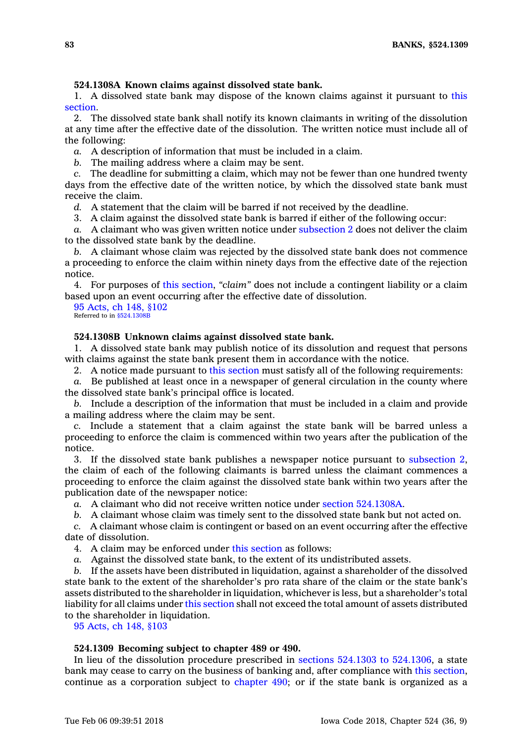# **524.1308A Known claims against dissolved state bank.**

1. A dissolved state bank may dispose of the known claims against it pursuant to [this](https://www.legis.iowa.gov/docs/code/524.1308A.pdf) [section](https://www.legis.iowa.gov/docs/code/524.1308A.pdf).

2. The dissolved state bank shall notify its known claimants in writing of the dissolution at any time after the effective date of the dissolution. The written notice must include all of the following:

*a.* A description of information that must be included in <sup>a</sup> claim.

*b.* The mailing address where <sup>a</sup> claim may be sent.

*c.* The deadline for submitting <sup>a</sup> claim, which may not be fewer than one hundred twenty days from the effective date of the written notice, by which the dissolved state bank must receive the claim.

*d.* A statement that the claim will be barred if not received by the deadline.

3. A claim against the dissolved state bank is barred if either of the following occur:

*a.* A claimant who was given written notice under [subsection](https://www.legis.iowa.gov/docs/code/524.1308A.pdf) 2 does not deliver the claim to the dissolved state bank by the deadline.

*b.* A claimant whose claim was rejected by the dissolved state bank does not commence <sup>a</sup> proceeding to enforce the claim within ninety days from the effective date of the rejection notice.

4. For purposes of this [section](https://www.legis.iowa.gov/docs/code/524.1308A.pdf), *"claim"* does not include <sup>a</sup> contingent liability or <sup>a</sup> claim based upon an event occurring after the effective date of dissolution.

95 [Acts,](https://www.legis.iowa.gov/docs/acts/1995/CH0148.pdf) ch 148, §102 Referred to in [§524.1308B](https://www.legis.iowa.gov/docs/code/524.1308B.pdf)

## **524.1308B Unknown claims against dissolved state bank.**

1. A dissolved state bank may publish notice of its dissolution and request that persons with claims against the state bank present them in accordance with the notice.

2. A notice made pursuant to this [section](https://www.legis.iowa.gov/docs/code/524.1308B.pdf) must satisfy all of the following requirements:

*a.* Be published at least once in <sup>a</sup> newspaper of general circulation in the county where the dissolved state bank's principal office is located.

*b.* Include <sup>a</sup> description of the information that must be included in <sup>a</sup> claim and provide <sup>a</sup> mailing address where the claim may be sent.

*c.* Include <sup>a</sup> statement that <sup>a</sup> claim against the state bank will be barred unless <sup>a</sup> proceeding to enforce the claim is commenced within two years after the publication of the notice.

3. If the dissolved state bank publishes <sup>a</sup> newspaper notice pursuant to [subsection](https://www.legis.iowa.gov/docs/code/524.1308B.pdf) 2, the claim of each of the following claimants is barred unless the claimant commences <sup>a</sup> proceeding to enforce the claim against the dissolved state bank within two years after the publication date of the newspaper notice:

*a.* A claimant who did not receive written notice under section [524.1308A](https://www.legis.iowa.gov/docs/code/524.1308A.pdf).

*b.* A claimant whose claim was timely sent to the dissolved state bank but not acted on.

*c.* A claimant whose claim is contingent or based on an event occurring after the effective date of dissolution.

4. A claim may be enforced under this [section](https://www.legis.iowa.gov/docs/code/524.1308B.pdf) as follows:

*a.* Against the dissolved state bank, to the extent of its undistributed assets.

*b.* If the assets have been distributed in liquidation, against <sup>a</sup> shareholder of the dissolved state bank to the extent of the shareholder's pro rata share of the claim or the state bank's assets distributed to the shareholder in liquidation, whichever is less, but <sup>a</sup> shareholder's total liability for all claims under this [section](https://www.legis.iowa.gov/docs/code/524.1308B.pdf) shall not exceed the total amount of assets distributed to the shareholder in liquidation.

95 [Acts,](https://www.legis.iowa.gov/docs/acts/1995/CH0148.pdf) ch 148, §103

# **524.1309 Becoming subject to chapter 489 or 490.**

In lieu of the dissolution procedure prescribed in sections 524.1303 to [524.1306](https://www.legis.iowa.gov/docs/code/524.1303.pdf), <sup>a</sup> state bank may cease to carry on the business of banking and, after compliance with this [section](https://www.legis.iowa.gov/docs/code/524.1309.pdf), continue as <sup>a</sup> corporation subject to [chapter](https://www.legis.iowa.gov/docs/code//490.pdf) 490; or if the state bank is organized as <sup>a</sup>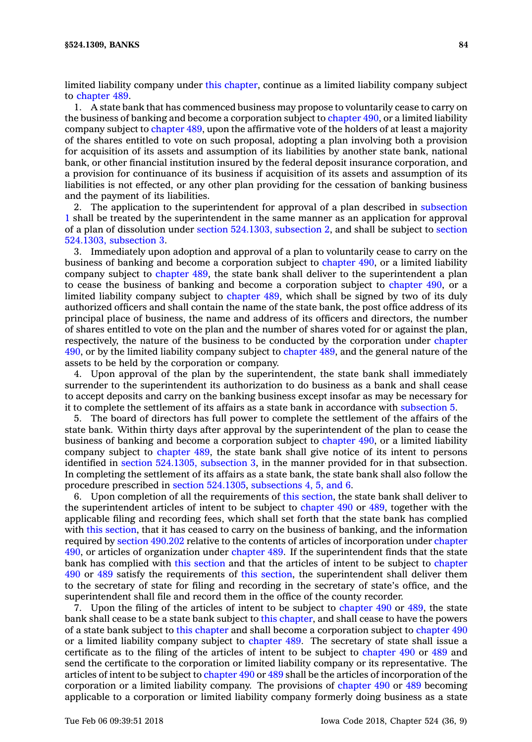limited liability company under this [chapter](https://www.legis.iowa.gov/docs/code//524.pdf), continue as a limited liability company subject to [chapter](https://www.legis.iowa.gov/docs/code//489.pdf) 489.

1. A state bank that has commenced business may propose to voluntarily cease to carry on the business of banking and become <sup>a</sup> corporation subject to [chapter](https://www.legis.iowa.gov/docs/code//490.pdf) 490, or <sup>a</sup> limited liability company subject to [chapter](https://www.legis.iowa.gov/docs/code//489.pdf) 489, upon the affirmative vote of the holders of at least <sup>a</sup> majority of the shares entitled to vote on such proposal, adopting <sup>a</sup> plan involving both <sup>a</sup> provision for acquisition of its assets and assumption of its liabilities by another state bank, national bank, or other financial institution insured by the federal deposit insurance corporation, and <sup>a</sup> provision for continuance of its business if acquisition of its assets and assumption of its liabilities is not effected, or any other plan providing for the cessation of banking business and the payment of its liabilities.

2. The application to the superintendent for approval of <sup>a</sup> plan described in [subsection](https://www.legis.iowa.gov/docs/code/524.1309.pdf) [1](https://www.legis.iowa.gov/docs/code/524.1309.pdf) shall be treated by the superintendent in the same manner as an application for approval of <sup>a</sup> plan of dissolution under section [524.1303,](https://www.legis.iowa.gov/docs/code/524.1303.pdf) subsection 2, and shall be subject to [section](https://www.legis.iowa.gov/docs/code/524.1303.pdf) [524.1303,](https://www.legis.iowa.gov/docs/code/524.1303.pdf) subsection 3.

3. Immediately upon adoption and approval of <sup>a</sup> plan to voluntarily cease to carry on the business of banking and become <sup>a</sup> corporation subject to [chapter](https://www.legis.iowa.gov/docs/code//490.pdf) 490, or <sup>a</sup> limited liability company subject to [chapter](https://www.legis.iowa.gov/docs/code//489.pdf) 489, the state bank shall deliver to the superintendent <sup>a</sup> plan to cease the business of banking and become <sup>a</sup> corporation subject to [chapter](https://www.legis.iowa.gov/docs/code//490.pdf) 490, or <sup>a</sup> limited liability company subject to [chapter](https://www.legis.iowa.gov/docs/code//489.pdf) 489, which shall be signed by two of its duly authorized officers and shall contain the name of the state bank, the post office address of its principal place of business, the name and address of its officers and directors, the number of shares entitled to vote on the plan and the number of shares voted for or against the plan, respectively, the nature of the business to be conducted by the corporation under [chapter](https://www.legis.iowa.gov/docs/code//490.pdf) [490](https://www.legis.iowa.gov/docs/code//490.pdf), or by the limited liability company subject to [chapter](https://www.legis.iowa.gov/docs/code//489.pdf) 489, and the general nature of the assets to be held by the corporation or company.

4. Upon approval of the plan by the superintendent, the state bank shall immediately surrender to the superintendent its authorization to do business as <sup>a</sup> bank and shall cease to accept deposits and carry on the banking business except insofar as may be necessary for it to complete the settlement of its affairs as <sup>a</sup> state bank in accordance with [subsection](https://www.legis.iowa.gov/docs/code/524.1309.pdf) 5.

5. The board of directors has full power to complete the settlement of the affairs of the state bank. Within thirty days after approval by the superintendent of the plan to cease the business of banking and become <sup>a</sup> corporation subject to [chapter](https://www.legis.iowa.gov/docs/code//490.pdf) 490, or <sup>a</sup> limited liability company subject to [chapter](https://www.legis.iowa.gov/docs/code//489.pdf) 489, the state bank shall give notice of its intent to persons identified in section [524.1305,](https://www.legis.iowa.gov/docs/code/524.1305.pdf) subsection 3, in the manner provided for in that subsection. In completing the settlement of its affairs as <sup>a</sup> state bank, the state bank shall also follow the procedure prescribed in section [524.1305](https://www.legis.iowa.gov/docs/code/524.1305.pdf), [subsections](https://www.legis.iowa.gov/docs/code/524.1309.pdf) 4, 5, and 6.

6. Upon completion of all the requirements of this [section](https://www.legis.iowa.gov/docs/code/524.1309.pdf), the state bank shall deliver to the superintendent articles of intent to be subject to [chapter](https://www.legis.iowa.gov/docs/code//490.pdf) 490 or [489](https://www.legis.iowa.gov/docs/code//489.pdf), together with the applicable filing and recording fees, which shall set forth that the state bank has complied with this [section](https://www.legis.iowa.gov/docs/code/524.1309.pdf), that it has ceased to carry on the business of banking, and the information required by section [490.202](https://www.legis.iowa.gov/docs/code/490.202.pdf) relative to the contents of articles of incorporation under [chapter](https://www.legis.iowa.gov/docs/code//490.pdf) [490](https://www.legis.iowa.gov/docs/code//490.pdf), or articles of organization under [chapter](https://www.legis.iowa.gov/docs/code//489.pdf) 489. If the superintendent finds that the state bank has complied with this [section](https://www.legis.iowa.gov/docs/code/524.1309.pdf) and that the articles of intent to be subject to [chapter](https://www.legis.iowa.gov/docs/code//490.pdf) [490](https://www.legis.iowa.gov/docs/code//490.pdf) or [489](https://www.legis.iowa.gov/docs/code//489.pdf) satisfy the requirements of this [section](https://www.legis.iowa.gov/docs/code/524.1309.pdf), the superintendent shall deliver them to the secretary of state for filing and recording in the secretary of state's office, and the superintendent shall file and record them in the office of the county recorder.

7. Upon the filing of the articles of intent to be subject to [chapter](https://www.legis.iowa.gov/docs/code//490.pdf) 490 or [489](https://www.legis.iowa.gov/docs/code//489.pdf), the state bank shall cease to be <sup>a</sup> state bank subject to this [chapter](https://www.legis.iowa.gov/docs/code//524.pdf), and shall cease to have the powers of <sup>a</sup> state bank subject to this [chapter](https://www.legis.iowa.gov/docs/code//524.pdf) and shall become <sup>a</sup> corporation subject to [chapter](https://www.legis.iowa.gov/docs/code//490.pdf) 490 or <sup>a</sup> limited liability company subject to [chapter](https://www.legis.iowa.gov/docs/code//489.pdf) 489. The secretary of state shall issue <sup>a</sup> certificate as to the filing of the articles of intent to be subject to [chapter](https://www.legis.iowa.gov/docs/code//490.pdf) 490 or [489](https://www.legis.iowa.gov/docs/code//489.pdf) and send the certificate to the corporation or limited liability company or its representative. The articles of intent to be subject to [chapter](https://www.legis.iowa.gov/docs/code//490.pdf) 490 or [489](https://www.legis.iowa.gov/docs/code//489.pdf) shall be the articles of incorporation of the corporation or <sup>a</sup> limited liability company. The provisions of [chapter](https://www.legis.iowa.gov/docs/code//490.pdf) 490 or [489](https://www.legis.iowa.gov/docs/code//489.pdf) becoming applicable to <sup>a</sup> corporation or limited liability company formerly doing business as <sup>a</sup> state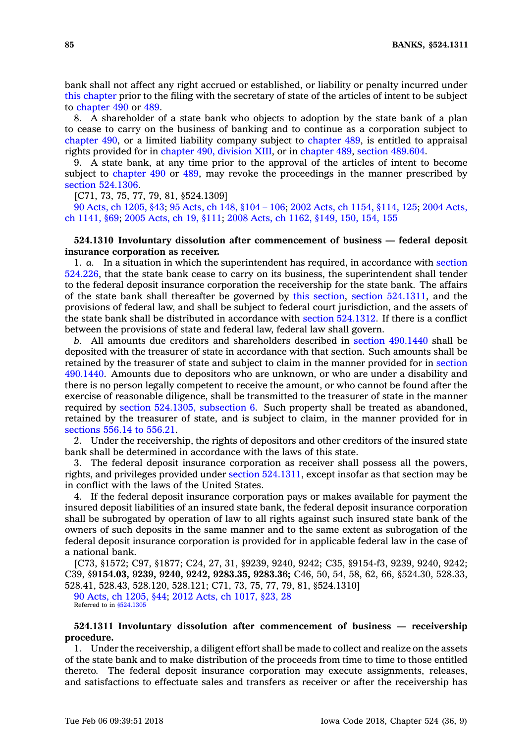bank shall not affect any right accrued or established, or liability or penalty incurred under this [chapter](https://www.legis.iowa.gov/docs/code//524.pdf) prior to the filing with the secretary of state of the articles of intent to be subject to [chapter](https://www.legis.iowa.gov/docs/code//490.pdf) 490 or [489](https://www.legis.iowa.gov/docs/code//489.pdf).

8. A shareholder of <sup>a</sup> state bank who objects to adoption by the state bank of <sup>a</sup> plan to cease to carry on the business of banking and to continue as <sup>a</sup> corporation subject to [chapter](https://www.legis.iowa.gov/docs/code//490.pdf) 490, or <sup>a</sup> limited liability company subject to [chapter](https://www.legis.iowa.gov/docs/code//489.pdf) 489, is entitled to appraisal rights provided for in [chapter](https://www.legis.iowa.gov/docs/code//490.pdf) 490, division XIII, or in [chapter](https://www.legis.iowa.gov/docs/code//489.pdf) 489, section [489.604](https://www.legis.iowa.gov/docs/code/489.604.pdf).

9. A state bank, at any time prior to the approval of the articles of intent to become subject to [chapter](https://www.legis.iowa.gov/docs/code//490.pdf) 490 or [489](https://www.legis.iowa.gov/docs/code//489.pdf), may revoke the proceedings in the manner prescribed by section [524.1306](https://www.legis.iowa.gov/docs/code/524.1306.pdf).

[C71, 73, 75, 77, 79, 81, §524.1309]

90 Acts, ch [1205,](https://www.legis.iowa.gov/docs/acts/90/CH1205.pdf) §43; 95 [Acts,](https://www.legis.iowa.gov/docs/acts/95/CH0148.pdf) ch 148, §104 – 106; 2002 Acts, ch 1154, [§114,](https://www.legis.iowa.gov/docs/acts/2002/CH1154.pdf) 125; 2004 [Acts,](https://www.legis.iowa.gov/docs/acts/2004/CH1141.pdf) ch [1141,](https://www.legis.iowa.gov/docs/acts/2004/CH1141.pdf) §69; 2005 [Acts,](https://www.legis.iowa.gov/docs/acts/2005/CH0019.pdf) ch 19, §111; 2008 Acts, ch 1162, [§149,](https://www.legis.iowa.gov/docs/acts/2008/CH1162.pdf) 150, 154, 155

# **524.1310 Involuntary dissolution after commencement of business — federal deposit insurance corporation as receiver.**

1. *a.* In <sup>a</sup> situation in which the superintendent has required, in accordance with [section](https://www.legis.iowa.gov/docs/code/524.226.pdf) [524.226](https://www.legis.iowa.gov/docs/code/524.226.pdf), that the state bank cease to carry on its business, the superintendent shall tender to the federal deposit insurance corporation the receivership for the state bank. The affairs of the state bank shall thereafter be governed by this [section](https://www.legis.iowa.gov/docs/code/524.1310.pdf), section [524.1311](https://www.legis.iowa.gov/docs/code/524.1311.pdf), and the provisions of federal law, and shall be subject to federal court jurisdiction, and the assets of the state bank shall be distributed in accordance with section [524.1312](https://www.legis.iowa.gov/docs/code/524.1312.pdf). If there is <sup>a</sup> conflict between the provisions of state and federal law, federal law shall govern.

*b.* All amounts due creditors and shareholders described in section [490.1440](https://www.legis.iowa.gov/docs/code/490.1440.pdf) shall be deposited with the treasurer of state in accordance with that section. Such amounts shall be retained by the treasurer of state and subject to claim in the manner provided for in [section](https://www.legis.iowa.gov/docs/code/490.1440.pdf) [490.1440](https://www.legis.iowa.gov/docs/code/490.1440.pdf). Amounts due to depositors who are unknown, or who are under <sup>a</sup> disability and there is no person legally competent to receive the amount, or who cannot be found after the exercise of reasonable diligence, shall be transmitted to the treasurer of state in the manner required by section [524.1305,](https://www.legis.iowa.gov/docs/code/524.1305.pdf) subsection 6. Such property shall be treated as abandoned, retained by the treasurer of state, and is subject to claim, in the manner provided for in [sections](https://www.legis.iowa.gov/docs/code/556.14.pdf) 556.14 to 556.21.

2. Under the receivership, the rights of depositors and other creditors of the insured state bank shall be determined in accordance with the laws of this state.

3. The federal deposit insurance corporation as receiver shall possess all the powers, rights, and privileges provided under section [524.1311](https://www.legis.iowa.gov/docs/code/524.1311.pdf), except insofar as that section may be in conflict with the laws of the United States.

4. If the federal deposit insurance corporation pays or makes available for payment the insured deposit liabilities of an insured state bank, the federal deposit insurance corporation shall be subrogated by operation of law to all rights against such insured state bank of the owners of such deposits in the same manner and to the same extent as subrogation of the federal deposit insurance corporation is provided for in applicable federal law in the case of <sup>a</sup> national bank.

[C73, §1572; C97, §1877; C24, 27, 31, §9239, 9240, 9242; C35, §9154-f3, 9239, 9240, 9242; C39, §**9154.03, 9239, 9240, 9242, 9283.35, 9283.36;** C46, 50, 54, 58, 62, 66, §524.30, 528.33, 528.41, 528.43, 528.120, 528.121; C71, 73, 75, 77, 79, 81, §524.1310] 90 Acts, ch [1205,](https://www.legis.iowa.gov/docs/acts/90/CH1205.pdf) §44; 2012 Acts, ch [1017,](https://www.legis.iowa.gov/docs/acts/2012/CH1017.pdf) §23, 28

Referred to in [§524.1305](https://www.legis.iowa.gov/docs/code/524.1305.pdf)

## **524.1311 Involuntary dissolution after commencement of business — receivership procedure.**

1. Under the receivership, <sup>a</sup> diligent effort shall be made to collect and realize on the assets of the state bank and to make distribution of the proceeds from time to time to those entitled thereto. The federal deposit insurance corporation may execute assignments, releases, and satisfactions to effectuate sales and transfers as receiver or after the receivership has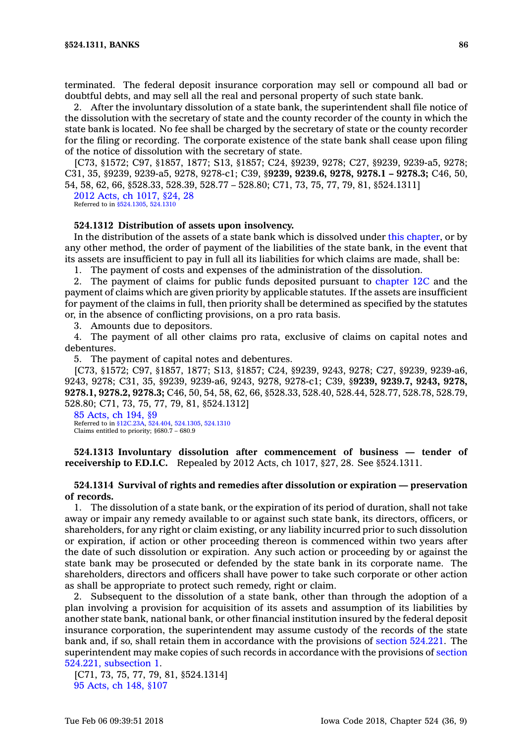terminated. The federal deposit insurance corporation may sell or compound all bad or doubtful debts, and may sell all the real and personal property of such state bank.

2. After the involuntary dissolution of <sup>a</sup> state bank, the superintendent shall file notice of the dissolution with the secretary of state and the county recorder of the county in which the state bank is located. No fee shall be charged by the secretary of state or the county recorder for the filing or recording. The corporate existence of the state bank shall cease upon filing of the notice of dissolution with the secretary of state.

[C73, §1572; C97, §1857, 1877; S13, §1857; C24, §9239, 9278; C27, §9239, 9239-a5, 9278; C31, 35, §9239, 9239-a5, 9278, 9278-c1; C39, §**9239, 9239.6, 9278, 9278.1 – 9278.3;** C46, 50, 54, 58, 62, 66, §528.33, 528.39, 528.77 – 528.80; C71, 73, 75, 77, 79, 81, §524.1311]

2012 Acts, ch [1017,](https://www.legis.iowa.gov/docs/acts/2012/CH1017.pdf) §24, 28 Referred to in [§524.1305](https://www.legis.iowa.gov/docs/code/524.1305.pdf), [524.1310](https://www.legis.iowa.gov/docs/code/524.1310.pdf)

### **524.1312 Distribution of assets upon insolvency.**

In the distribution of the assets of <sup>a</sup> state bank which is dissolved under this [chapter](https://www.legis.iowa.gov/docs/code//524.pdf), or by any other method, the order of payment of the liabilities of the state bank, in the event that its assets are insufficient to pay in full all its liabilities for which claims are made, shall be:

1. The payment of costs and expenses of the administration of the dissolution.

2. The payment of claims for public funds deposited pursuant to [chapter](https://www.legis.iowa.gov/docs/code//12C.pdf) 12C and the payment of claims which are given priority by applicable statutes. If the assets are insufficient for payment of the claims in full, then priority shall be determined as specified by the statutes or, in the absence of conflicting provisions, on <sup>a</sup> pro rata basis.

3. Amounts due to depositors.

4. The payment of all other claims pro rata, exclusive of claims on capital notes and debentures.

5. The payment of capital notes and debentures.

[C73, §1572; C97, §1857, 1877; S13, §1857; C24, §9239, 9243, 9278; C27, §9239, 9239-a6, 9243, 9278; C31, 35, §9239, 9239-a6, 9243, 9278, 9278-c1; C39, §**9239, 9239.7, 9243, 9278, 9278.1, 9278.2, 9278.3;** C46, 50, 54, 58, 62, 66, §528.33, 528.40, 528.44, 528.77, 528.78, 528.79, 528.80; C71, 73, 75, 77, 79, 81, §524.1312]

85 [Acts,](https://www.legis.iowa.gov/docs/acts/1985/CH0194.pdf) ch 194, §9 Referred to in [§12C.23A](https://www.legis.iowa.gov/docs/code/12C.23A.pdf), [524.404](https://www.legis.iowa.gov/docs/code/524.404.pdf), [524.1305](https://www.legis.iowa.gov/docs/code/524.1305.pdf), [524.1310](https://www.legis.iowa.gov/docs/code/524.1310.pdf) Claims entitled to priority; §680.7 – 680.9

**524.1313 Involuntary dissolution after commencement of business — tender of receivership to F.D.I.C.** Repealed by 2012 Acts, ch 1017, §27, 28. See §524.1311.

# **524.1314 Survival of rights and remedies after dissolution or expiration — preservation of records.**

1. The dissolution of <sup>a</sup> state bank, or the expiration of its period of duration, shall not take away or impair any remedy available to or against such state bank, its directors, officers, or shareholders, for any right or claim existing, or any liability incurred prior to such dissolution or expiration, if action or other proceeding thereon is commenced within two years after the date of such dissolution or expiration. Any such action or proceeding by or against the state bank may be prosecuted or defended by the state bank in its corporate name. The shareholders, directors and officers shall have power to take such corporate or other action as shall be appropriate to protect such remedy, right or claim.

2. Subsequent to the dissolution of <sup>a</sup> state bank, other than through the adoption of <sup>a</sup> plan involving <sup>a</sup> provision for acquisition of its assets and assumption of its liabilities by another state bank, national bank, or other financial institution insured by the federal deposit insurance corporation, the superintendent may assume custody of the records of the state bank and, if so, shall retain them in accordance with the provisions of section [524.221](https://www.legis.iowa.gov/docs/code/524.221.pdf). The superintendent may make copies of such records in accordance with the provisions of [section](https://www.legis.iowa.gov/docs/code/524.221.pdf) 524.221, [subsection](https://www.legis.iowa.gov/docs/code/524.221.pdf) 1.

[C71, 73, 75, 77, 79, 81, §524.1314] 95 [Acts,](https://www.legis.iowa.gov/docs/acts/1995/CH0148.pdf) ch 148, §107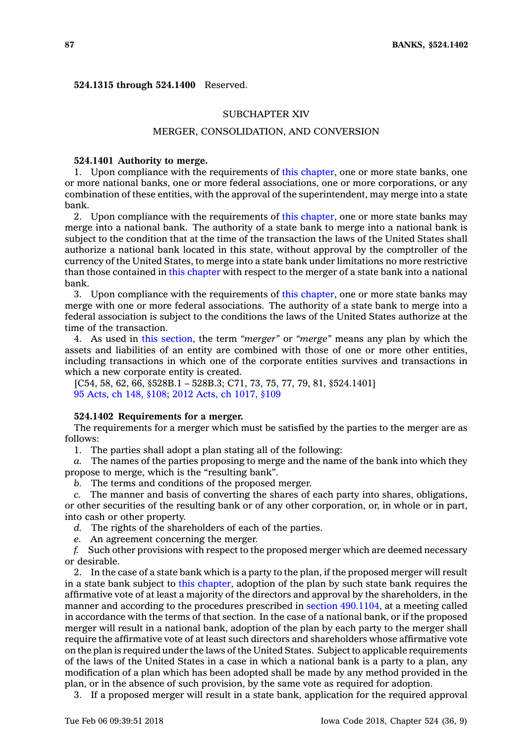### **524.1315 through 524.1400** Reserved.

## SUBCHAPTER XIV

# MERGER, CONSOLIDATION, AND CONVERSION

### **524.1401 Authority to merge.**

1. Upon compliance with the requirements of this [chapter](https://www.legis.iowa.gov/docs/code//524.pdf), one or more state banks, one or more national banks, one or more federal associations, one or more corporations, or any combination of these entities, with the approval of the superintendent, may merge into <sup>a</sup> state bank.

2. Upon compliance with the requirements of this [chapter](https://www.legis.iowa.gov/docs/code//524.pdf), one or more state banks may merge into <sup>a</sup> national bank. The authority of <sup>a</sup> state bank to merge into <sup>a</sup> national bank is subject to the condition that at the time of the transaction the laws of the United States shall authorize <sup>a</sup> national bank located in this state, without approval by the comptroller of the currency of the United States, to merge into <sup>a</sup> state bank under limitations no more restrictive than those contained in this [chapter](https://www.legis.iowa.gov/docs/code//524.pdf) with respect to the merger of <sup>a</sup> state bank into <sup>a</sup> national bank.

3. Upon compliance with the requirements of this [chapter](https://www.legis.iowa.gov/docs/code//524.pdf), one or more state banks may merge with one or more federal associations. The authority of <sup>a</sup> state bank to merge into <sup>a</sup> federal association is subject to the conditions the laws of the United States authorize at the time of the transaction.

4. As used in this [section](https://www.legis.iowa.gov/docs/code/524.1401.pdf), the term *"merger"* or *"merge"* means any plan by which the assets and liabilities of an entity are combined with those of one or more other entities, including transactions in which one of the corporate entities survives and transactions in which <sup>a</sup> new corporate entity is created.

[C54, 58, 62, 66, §528B.1 – 528B.3; C71, 73, 75, 77, 79, 81, §524.1401] 95 [Acts,](https://www.legis.iowa.gov/docs/acts/95/CH0148.pdf) ch 148, §108; 2012 Acts, ch [1017,](https://www.legis.iowa.gov/docs/acts/2012/CH1017.pdf) §109

### **524.1402 Requirements for <sup>a</sup> merger.**

The requirements for <sup>a</sup> merger which must be satisfied by the parties to the merger are as follows:

1. The parties shall adopt <sup>a</sup> plan stating all of the following:

*a.* The names of the parties proposing to merge and the name of the bank into which they propose to merge, which is the "resulting bank".

*b.* The terms and conditions of the proposed merger.

*c.* The manner and basis of converting the shares of each party into shares, obligations, or other securities of the resulting bank or of any other corporation, or, in whole or in part, into cash or other property.

*d.* The rights of the shareholders of each of the parties.

*e.* An agreement concerning the merger.

*f.* Such other provisions with respect to the proposed merger which are deemed necessary or desirable.

2. In the case of <sup>a</sup> state bank which is <sup>a</sup> party to the plan, if the proposed merger will result in <sup>a</sup> state bank subject to this [chapter](https://www.legis.iowa.gov/docs/code//524.pdf), adoption of the plan by such state bank requires the affirmative vote of at least <sup>a</sup> majority of the directors and approval by the shareholders, in the manner and according to the procedures prescribed in section [490.1104](https://www.legis.iowa.gov/docs/code/490.1104.pdf), at <sup>a</sup> meeting called in accordance with the terms of that section. In the case of <sup>a</sup> national bank, or if the proposed merger will result in <sup>a</sup> national bank, adoption of the plan by each party to the merger shall require the affirmative vote of at least such directors and shareholders whose affirmative vote on the plan is required under the laws of the United States. Subject to applicable requirements of the laws of the United States in <sup>a</sup> case in which <sup>a</sup> national bank is <sup>a</sup> party to <sup>a</sup> plan, any modification of <sup>a</sup> plan which has been adopted shall be made by any method provided in the plan, or in the absence of such provision, by the same vote as required for adoption.

3. If <sup>a</sup> proposed merger will result in <sup>a</sup> state bank, application for the required approval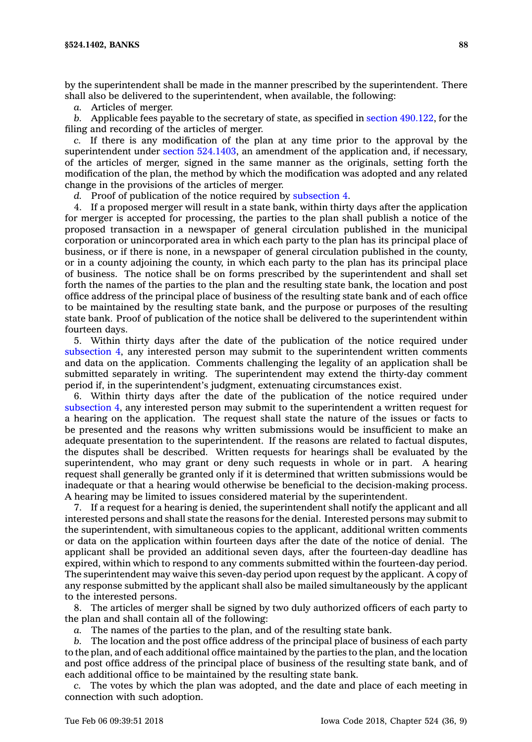by the superintendent shall be made in the manner prescribed by the superintendent. There shall also be delivered to the superintendent, when available, the following:

*a.* Articles of merger.

*b.* Applicable fees payable to the secretary of state, as specified in section [490.122](https://www.legis.iowa.gov/docs/code/490.122.pdf), for the filing and recording of the articles of merger.

*c.* If there is any modification of the plan at any time prior to the approval by the superintendent under section [524.1403](https://www.legis.iowa.gov/docs/code/524.1403.pdf), an amendment of the application and, if necessary, of the articles of merger, signed in the same manner as the originals, setting forth the modification of the plan, the method by which the modification was adopted and any related change in the provisions of the articles of merger.

*d.* Proof of publication of the notice required by [subsection](https://www.legis.iowa.gov/docs/code/524.1402.pdf) 4.

4. If <sup>a</sup> proposed merger will result in <sup>a</sup> state bank, within thirty days after the application for merger is accepted for processing, the parties to the plan shall publish <sup>a</sup> notice of the proposed transaction in <sup>a</sup> newspaper of general circulation published in the municipal corporation or unincorporated area in which each party to the plan has its principal place of business, or if there is none, in <sup>a</sup> newspaper of general circulation published in the county, or in <sup>a</sup> county adjoining the county, in which each party to the plan has its principal place of business. The notice shall be on forms prescribed by the superintendent and shall set forth the names of the parties to the plan and the resulting state bank, the location and post office address of the principal place of business of the resulting state bank and of each office to be maintained by the resulting state bank, and the purpose or purposes of the resulting state bank. Proof of publication of the notice shall be delivered to the superintendent within fourteen days.

5. Within thirty days after the date of the publication of the notice required under [subsection](https://www.legis.iowa.gov/docs/code/524.1402.pdf) 4, any interested person may submit to the superintendent written comments and data on the application. Comments challenging the legality of an application shall be submitted separately in writing. The superintendent may extend the thirty-day comment period if, in the superintendent's judgment, extenuating circumstances exist.

6. Within thirty days after the date of the publication of the notice required under [subsection](https://www.legis.iowa.gov/docs/code/524.1402.pdf) 4, any interested person may submit to the superintendent <sup>a</sup> written request for <sup>a</sup> hearing on the application. The request shall state the nature of the issues or facts to be presented and the reasons why written submissions would be insufficient to make an adequate presentation to the superintendent. If the reasons are related to factual disputes, the disputes shall be described. Written requests for hearings shall be evaluated by the superintendent, who may grant or deny such requests in whole or in part. A hearing request shall generally be granted only if it is determined that written submissions would be inadequate or that <sup>a</sup> hearing would otherwise be beneficial to the decision-making process. A hearing may be limited to issues considered material by the superintendent.

7. If <sup>a</sup> request for <sup>a</sup> hearing is denied, the superintendent shall notify the applicant and all interested persons and shall state the reasons for the denial. Interested persons may submit to the superintendent, with simultaneous copies to the applicant, additional written comments or data on the application within fourteen days after the date of the notice of denial. The applicant shall be provided an additional seven days, after the fourteen-day deadline has expired, within which to respond to any comments submitted within the fourteen-day period. The superintendent may waive this seven-day period upon request by the applicant. A copy of any response submitted by the applicant shall also be mailed simultaneously by the applicant to the interested persons.

8. The articles of merger shall be signed by two duly authorized officers of each party to the plan and shall contain all of the following:

*a.* The names of the parties to the plan, and of the resulting state bank.

*b.* The location and the post office address of the principal place of business of each party to the plan, and of each additional office maintained by the parties to the plan, and the location and post office address of the principal place of business of the resulting state bank, and of each additional office to be maintained by the resulting state bank.

*c.* The votes by which the plan was adopted, and the date and place of each meeting in connection with such adoption.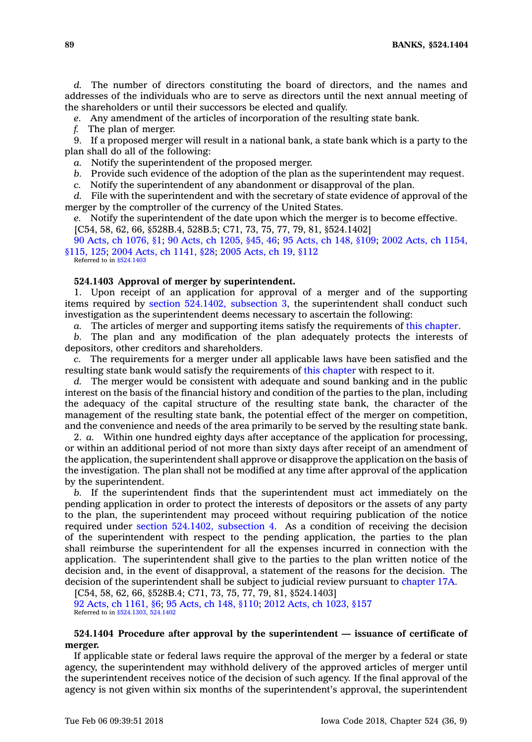**89 BANKS, §524.1404**

*d.* The number of directors constituting the board of directors, and the names and addresses of the individuals who are to serve as directors until the next annual meeting of the shareholders or until their successors be elected and qualify.

*e.* Any amendment of the articles of incorporation of the resulting state bank.

*f.* The plan of merger.

9. If <sup>a</sup> proposed merger will result in <sup>a</sup> national bank, <sup>a</sup> state bank which is <sup>a</sup> party to the plan shall do all of the following:

*a.* Notify the superintendent of the proposed merger.

*b.* Provide such evidence of the adoption of the plan as the superintendent may request.

*c.* Notify the superintendent of any abandonment or disapproval of the plan.

*d.* File with the superintendent and with the secretary of state evidence of approval of the merger by the comptroller of the currency of the United States.

*e.* Notify the superintendent of the date upon which the merger is to become effective. [C54, 58, 62, 66, §528B.4, 528B.5; C71, 73, 75, 77, 79, 81, §524.1402]

90 Acts, ch [1076,](https://www.legis.iowa.gov/docs/acts/1990/CH1076.pdf) §1; 90 Acts, ch [1205,](https://www.legis.iowa.gov/docs/acts/1990/CH1205.pdf) §45, 46; 95 [Acts,](https://www.legis.iowa.gov/docs/acts/1995/CH0148.pdf) ch 148, §109; 2002 Acts, ch [1154,](https://www.legis.iowa.gov/docs/acts/2002/CH1154.pdf) [§115,](https://www.legis.iowa.gov/docs/acts/2002/CH1154.pdf) 125; 2004 Acts, ch [1141,](https://www.legis.iowa.gov/docs/acts/2004/CH1141.pdf) §28; 2005 [Acts,](https://www.legis.iowa.gov/docs/acts/2005/CH0019.pdf) ch 19, §112 Referred to in [§524.1403](https://www.legis.iowa.gov/docs/code/524.1403.pdf)

#### **524.1403 Approval of merger by superintendent.**

1. Upon receipt of an application for approval of <sup>a</sup> merger and of the supporting items required by section [524.1402,](https://www.legis.iowa.gov/docs/code/524.1402.pdf) subsection 3, the superintendent shall conduct such investigation as the superintendent deems necessary to ascertain the following:

*a.* The articles of merger and supporting items satisfy the requirements of this [chapter](https://www.legis.iowa.gov/docs/code//524.pdf).

*b.* The plan and any modification of the plan adequately protects the interests of depositors, other creditors and shareholders.

*c.* The requirements for <sup>a</sup> merger under all applicable laws have been satisfied and the resulting state bank would satisfy the requirements of this [chapter](https://www.legis.iowa.gov/docs/code//524.pdf) with respect to it.

*d.* The merger would be consistent with adequate and sound banking and in the public interest on the basis of the financial history and condition of the parties to the plan, including the adequacy of the capital structure of the resulting state bank, the character of the management of the resulting state bank, the potential effect of the merger on competition, and the convenience and needs of the area primarily to be served by the resulting state bank.

2. *a.* Within one hundred eighty days after acceptance of the application for processing, or within an additional period of not more than sixty days after receipt of an amendment of the application, the superintendent shall approve or disapprove the application on the basis of the investigation. The plan shall not be modified at any time after approval of the application by the superintendent.

*b.* If the superintendent finds that the superintendent must act immediately on the pending application in order to protect the interests of depositors or the assets of any party to the plan, the superintendent may proceed without requiring publication of the notice required under section [524.1402,](https://www.legis.iowa.gov/docs/code/524.1402.pdf) subsection 4. As <sup>a</sup> condition of receiving the decision of the superintendent with respect to the pending application, the parties to the plan shall reimburse the superintendent for all the expenses incurred in connection with the application. The superintendent shall give to the parties to the plan written notice of the decision and, in the event of disapproval, <sup>a</sup> statement of the reasons for the decision. The decision of the superintendent shall be subject to judicial review pursuant to [chapter](https://www.legis.iowa.gov/docs/code//17A.pdf) 17A.

[C54, 58, 62, 66, §528B.4; C71, 73, 75, 77, 79, 81, §524.1403] 92 Acts, ch [1161,](https://www.legis.iowa.gov/docs/acts/92/CH1161.pdf) §6; 95 [Acts,](https://www.legis.iowa.gov/docs/acts/95/CH0148.pdf) ch 148, §110; 2012 Acts, ch [1023,](https://www.legis.iowa.gov/docs/acts/2012/CH1023.pdf) §157 Referred to in [§524.1303](https://www.legis.iowa.gov/docs/code/524.1303.pdf), [524.1402](https://www.legis.iowa.gov/docs/code/524.1402.pdf)

## **524.1404 Procedure after approval by the superintendent — issuance of certificate of merger.**

If applicable state or federal laws require the approval of the merger by <sup>a</sup> federal or state agency, the superintendent may withhold delivery of the approved articles of merger until the superintendent receives notice of the decision of such agency. If the final approval of the agency is not given within six months of the superintendent's approval, the superintendent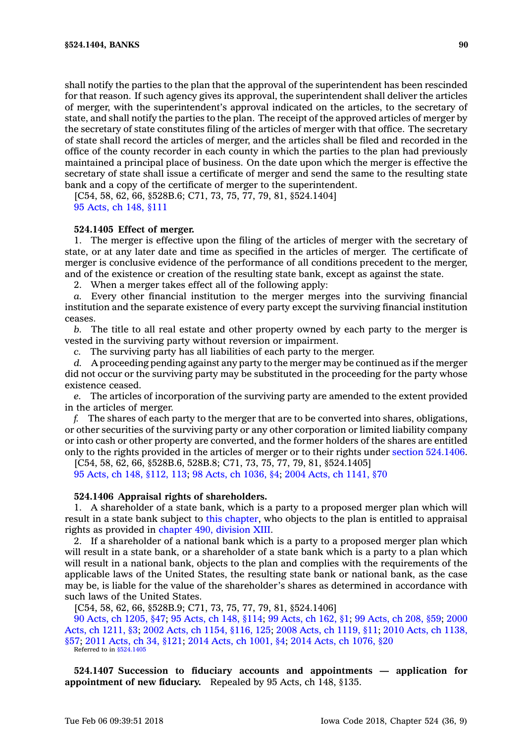shall notify the parties to the plan that the approval of the superintendent has been rescinded for that reason. If such agency gives its approval, the superintendent shall deliver the articles of merger, with the superintendent's approval indicated on the articles, to the secretary of state, and shall notify the parties to the plan. The receipt of the approved articles of merger by the secretary of state constitutes filing of the articles of merger with that office. The secretary of state shall record the articles of merger, and the articles shall be filed and recorded in the office of the county recorder in each county in which the parties to the plan had previously maintained <sup>a</sup> principal place of business. On the date upon which the merger is effective the secretary of state shall issue <sup>a</sup> certificate of merger and send the same to the resulting state bank and <sup>a</sup> copy of the certificate of merger to the superintendent.

[C54, 58, 62, 66, §528B.6; C71, 73, 75, 77, 79, 81, §524.1404] 95 [Acts,](https://www.legis.iowa.gov/docs/acts/1995/CH0148.pdf) ch 148, §111

## **524.1405 Effect of merger.**

1. The merger is effective upon the filing of the articles of merger with the secretary of state, or at any later date and time as specified in the articles of merger. The certificate of merger is conclusive evidence of the performance of all conditions precedent to the merger, and of the existence or creation of the resulting state bank, except as against the state.

2. When <sup>a</sup> merger takes effect all of the following apply:

*a.* Every other financial institution to the merger merges into the surviving financial institution and the separate existence of every party except the surviving financial institution ceases.

*b.* The title to all real estate and other property owned by each party to the merger is vested in the surviving party without reversion or impairment.

*c.* The surviving party has all liabilities of each party to the merger.

*d.* A proceeding pending against any party to the merger may be continued as if the merger did not occur or the surviving party may be substituted in the proceeding for the party whose existence ceased.

*e.* The articles of incorporation of the surviving party are amended to the extent provided in the articles of merger.

*f.* The shares of each party to the merger that are to be converted into shares, obligations, or other securities of the surviving party or any other corporation or limited liability company or into cash or other property are converted, and the former holders of the shares are entitled only to the rights provided in the articles of merger or to their rights under section [524.1406](https://www.legis.iowa.gov/docs/code/524.1406.pdf).

[C54, 58, 62, 66, §528B.6, 528B.8; C71, 73, 75, 77, 79, 81, §524.1405]

95 Acts, ch 148, [§112,](https://www.legis.iowa.gov/docs/acts/1995/CH0148.pdf) 113; 98 Acts, ch [1036,](https://www.legis.iowa.gov/docs/acts/1998/CH1036.pdf) §4; 2004 Acts, ch [1141,](https://www.legis.iowa.gov/docs/acts/2004/CH1141.pdf) §70

### **524.1406 Appraisal rights of shareholders.**

1. A shareholder of <sup>a</sup> state bank, which is <sup>a</sup> party to <sup>a</sup> proposed merger plan which will result in <sup>a</sup> state bank subject to this [chapter](https://www.legis.iowa.gov/docs/code//524.pdf), who objects to the plan is entitled to appraisal rights as provided in [chapter](https://www.legis.iowa.gov/docs/code//490.pdf) 490, division XIII.

2. If <sup>a</sup> shareholder of <sup>a</sup> national bank which is <sup>a</sup> party to <sup>a</sup> proposed merger plan which will result in <sup>a</sup> state bank, or <sup>a</sup> shareholder of <sup>a</sup> state bank which is <sup>a</sup> party to <sup>a</sup> plan which will result in <sup>a</sup> national bank, objects to the plan and complies with the requirements of the applicable laws of the United States, the resulting state bank or national bank, as the case may be, is liable for the value of the shareholder's shares as determined in accordance with such laws of the United States.

[C54, 58, 62, 66, §528B.9; C71, 73, 75, 77, 79, 81, §524.1406]

90 Acts, ch [1205,](https://www.legis.iowa.gov/docs/acts/90/CH1205.pdf) §47; 95 [Acts,](https://www.legis.iowa.gov/docs/acts/95/CH0148.pdf) ch 148, §114; 99 [Acts,](https://www.legis.iowa.gov/docs/acts/99/CH0162.pdf) ch 162, §1; 99 [Acts,](https://www.legis.iowa.gov/docs/acts/99/CH0208.pdf) ch 208, §59; [2000](https://www.legis.iowa.gov/docs/acts/2000/CH1211.pdf) Acts, ch [1211,](https://www.legis.iowa.gov/docs/acts/2000/CH1211.pdf) §3; 2002 Acts, ch 1154, [§116,](https://www.legis.iowa.gov/docs/acts/2002/CH1154.pdf) 125; 2008 Acts, ch [1119,](https://www.legis.iowa.gov/docs/acts/2008/CH1119.pdf) §11; 2010 Acts, ch [1138,](https://www.legis.iowa.gov/docs/acts/2010/CH1138.pdf) [§57](https://www.legis.iowa.gov/docs/acts/2010/CH1138.pdf); 2011 [Acts,](https://www.legis.iowa.gov/docs/acts/2011/CH0034.pdf) ch 34, §121; 2014 Acts, ch [1001,](https://www.legis.iowa.gov/docs/acts/2014/CH1001.pdf) §4; 2014 Acts, ch [1076,](https://www.legis.iowa.gov/docs/acts/2014/CH1076.pdf) §20 Referred to in [§524.1405](https://www.legis.iowa.gov/docs/code/524.1405.pdf)

**524.1407 Succession to fiduciary accounts and appointments — application for appointment of new fiduciary.** Repealed by 95 Acts, ch 148, §135.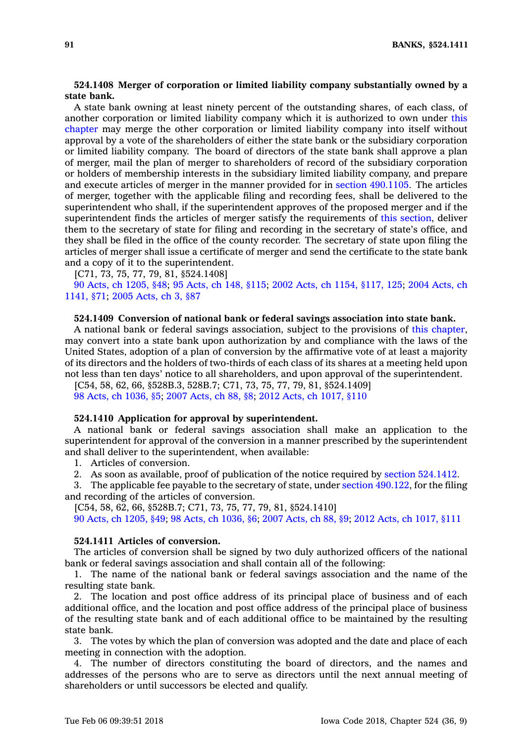# **524.1408 Merger of corporation or limited liability company substantially owned by <sup>a</sup> state bank.**

A state bank owning at least ninety percent of the outstanding shares, of each class, of another corporation or limited liability company which it is authorized to own under [this](https://www.legis.iowa.gov/docs/code//524.pdf) [chapter](https://www.legis.iowa.gov/docs/code//524.pdf) may merge the other corporation or limited liability company into itself without approval by <sup>a</sup> vote of the shareholders of either the state bank or the subsidiary corporation or limited liability company. The board of directors of the state bank shall approve <sup>a</sup> plan of merger, mail the plan of merger to shareholders of record of the subsidiary corporation or holders of membership interests in the subsidiary limited liability company, and prepare and execute articles of merger in the manner provided for in section [490.1105](https://www.legis.iowa.gov/docs/code/490.1105.pdf). The articles of merger, together with the applicable filing and recording fees, shall be delivered to the superintendent who shall, if the superintendent approves of the proposed merger and if the superintendent finds the articles of merger satisfy the requirements of this [section](https://www.legis.iowa.gov/docs/code/524.1408.pdf), deliver them to the secretary of state for filing and recording in the secretary of state's office, and they shall be filed in the office of the county recorder. The secretary of state upon filing the articles of merger shall issue <sup>a</sup> certificate of merger and send the certificate to the state bank and <sup>a</sup> copy of it to the superintendent.

[C71, 73, 75, 77, 79, 81, §524.1408]

90 Acts, ch [1205,](https://www.legis.iowa.gov/docs/acts/1990/CH1205.pdf) §48; 95 [Acts,](https://www.legis.iowa.gov/docs/acts/1995/CH0148.pdf) ch 148, §115; 2002 Acts, ch 1154, [§117,](https://www.legis.iowa.gov/docs/acts/2002/CH1154.pdf) 125; 2004 [Acts,](https://www.legis.iowa.gov/docs/acts/2004/CH1141.pdf) ch [1141,](https://www.legis.iowa.gov/docs/acts/2004/CH1141.pdf) §71; 2005 [Acts,](https://www.legis.iowa.gov/docs/acts/2005/CH0003.pdf) ch 3, §87

# **524.1409 Conversion of national bank or federal savings association into state bank.**

A national bank or federal savings association, subject to the provisions of this [chapter](https://www.legis.iowa.gov/docs/code//524.pdf), may convert into <sup>a</sup> state bank upon authorization by and compliance with the laws of the United States, adoption of <sup>a</sup> plan of conversion by the affirmative vote of at least <sup>a</sup> majority of its directors and the holders of two-thirds of each class of its shares at <sup>a</sup> meeting held upon not less than ten days' notice to all shareholders, and upon approval of the superintendent.

[C54, 58, 62, 66, §528B.3, 528B.7; C71, 73, 75, 77, 79, 81, §524.1409] 98 Acts, ch [1036,](https://www.legis.iowa.gov/docs/acts/98/CH1036.pdf) §5; 2007 [Acts,](https://www.legis.iowa.gov/docs/acts/2007/CH0088.pdf) ch 88, §8; 2012 Acts, ch [1017,](https://www.legis.iowa.gov/docs/acts/2012/CH1017.pdf) §110

### **524.1410 Application for approval by superintendent.**

A national bank or federal savings association shall make an application to the superintendent for approval of the conversion in <sup>a</sup> manner prescribed by the superintendent and shall deliver to the superintendent, when available:

1. Articles of conversion.

2. As soon as available, proof of publication of the notice required by section [524.1412](https://www.legis.iowa.gov/docs/code/524.1412.pdf).

3. The applicable fee payable to the secretary of state, under section [490.122](https://www.legis.iowa.gov/docs/code/490.122.pdf), for the filing and recording of the articles of conversion.

[C54, 58, 62, 66, §528B.7; C71, 73, 75, 77, 79, 81, §524.1410]

90 Acts, ch [1205,](https://www.legis.iowa.gov/docs/acts/90/CH1205.pdf) §49; 98 Acts, ch [1036,](https://www.legis.iowa.gov/docs/acts/98/CH1036.pdf) §6; 2007 [Acts,](https://www.legis.iowa.gov/docs/acts/2007/CH0088.pdf) ch 88, §9; 2012 Acts, ch [1017,](https://www.legis.iowa.gov/docs/acts/2012/CH1017.pdf) §111

## **524.1411 Articles of conversion.**

The articles of conversion shall be signed by two duly authorized officers of the national bank or federal savings association and shall contain all of the following:

1. The name of the national bank or federal savings association and the name of the resulting state bank.

2. The location and post office address of its principal place of business and of each additional office, and the location and post office address of the principal place of business of the resulting state bank and of each additional office to be maintained by the resulting state bank.

3. The votes by which the plan of conversion was adopted and the date and place of each meeting in connection with the adoption.

4. The number of directors constituting the board of directors, and the names and addresses of the persons who are to serve as directors until the next annual meeting of shareholders or until successors be elected and qualify.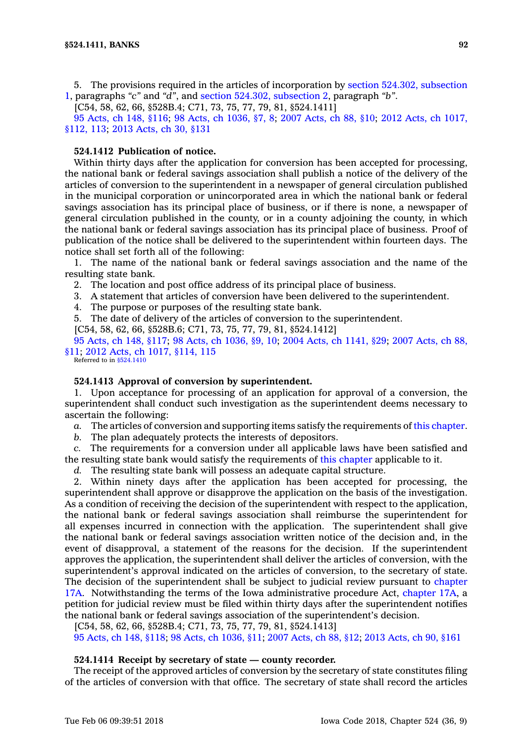5. The provisions required in the articles of incorporation by section 524.302, [subsection](https://www.legis.iowa.gov/docs/code/524.302.pdf) [1](https://www.legis.iowa.gov/docs/code/524.302.pdf), paragraphs *"c"* and *"d"*, and section 524.302, [subsection](https://www.legis.iowa.gov/docs/code/524.302.pdf) 2, paragraph *"b"*.

[C54, 58, 62, 66, §528B.4; C71, 73, 75, 77, 79, 81, §524.1411]

95 [Acts,](https://www.legis.iowa.gov/docs/acts/95/CH0148.pdf) ch 148, §116; 98 Acts, ch [1036,](https://www.legis.iowa.gov/docs/acts/98/CH1036.pdf) §7, 8; 2007 [Acts,](https://www.legis.iowa.gov/docs/acts/2007/CH0088.pdf) ch 88, §10; 2012 Acts, ch [1017,](https://www.legis.iowa.gov/docs/acts/2012/CH1017.pdf) [§112,](https://www.legis.iowa.gov/docs/acts/2012/CH1017.pdf) 113; 2013 [Acts,](https://www.legis.iowa.gov/docs/acts/2013/CH0030.pdf) ch 30, §131

# **524.1412 Publication of notice.**

Within thirty days after the application for conversion has been accepted for processing, the national bank or federal savings association shall publish <sup>a</sup> notice of the delivery of the articles of conversion to the superintendent in <sup>a</sup> newspaper of general circulation published in the municipal corporation or unincorporated area in which the national bank or federal savings association has its principal place of business, or if there is none, <sup>a</sup> newspaper of general circulation published in the county, or in <sup>a</sup> county adjoining the county, in which the national bank or federal savings association has its principal place of business. Proof of publication of the notice shall be delivered to the superintendent within fourteen days. The notice shall set forth all of the following:

1. The name of the national bank or federal savings association and the name of the resulting state bank.

2. The location and post office address of its principal place of business.

3. A statement that articles of conversion have been delivered to the superintendent.

4. The purpose or purposes of the resulting state bank.

5. The date of delivery of the articles of conversion to the superintendent.

[C54, 58, 62, 66, §528B.6; C71, 73, 75, 77, 79, 81, §524.1412]

95 [Acts,](https://www.legis.iowa.gov/docs/acts/95/CH0148.pdf) ch 148, §117; 98 Acts, ch [1036,](https://www.legis.iowa.gov/docs/acts/98/CH1036.pdf) §9, 10; 2004 Acts, ch [1141,](https://www.legis.iowa.gov/docs/acts/2004/CH1141.pdf) §29; 2007 [Acts,](https://www.legis.iowa.gov/docs/acts/2007/CH0088.pdf) ch 88, [§11](https://www.legis.iowa.gov/docs/acts/2007/CH0088.pdf); 2012 Acts, ch 1017, [§114,](https://www.legis.iowa.gov/docs/acts/2012/CH1017.pdf) 115 Referred to in [§524.1410](https://www.legis.iowa.gov/docs/code/524.1410.pdf)

# **524.1413 Approval of conversion by superintendent.**

1. Upon acceptance for processing of an application for approval of <sup>a</sup> conversion, the superintendent shall conduct such investigation as the superintendent deems necessary to ascertain the following:

*a.* The articles of conversion and supporting items satisfy the requirements of this [chapter](https://www.legis.iowa.gov/docs/code//524.pdf).

*b.* The plan adequately protects the interests of depositors.

*c.* The requirements for <sup>a</sup> conversion under all applicable laws have been satisfied and the resulting state bank would satisfy the requirements of this [chapter](https://www.legis.iowa.gov/docs/code//524.pdf) applicable to it.

*d.* The resulting state bank will possess an adequate capital structure.

2. Within ninety days after the application has been accepted for processing, the superintendent shall approve or disapprove the application on the basis of the investigation. As <sup>a</sup> condition of receiving the decision of the superintendent with respect to the application, the national bank or federal savings association shall reimburse the superintendent for all expenses incurred in connection with the application. The superintendent shall give the national bank or federal savings association written notice of the decision and, in the event of disapproval, <sup>a</sup> statement of the reasons for the decision. If the superintendent approves the application, the superintendent shall deliver the articles of conversion, with the superintendent's approval indicated on the articles of conversion, to the secretary of state. The decision of the superintendent shall be subject to judicial review pursuant to [chapter](https://www.legis.iowa.gov/docs/code//17A.pdf) [17A](https://www.legis.iowa.gov/docs/code//17A.pdf). Notwithstanding the terms of the Iowa administrative procedure Act, [chapter](https://www.legis.iowa.gov/docs/code//17A.pdf) 17A, <sup>a</sup> petition for judicial review must be filed within thirty days after the superintendent notifies the national bank or federal savings association of the superintendent's decision.

[C54, 58, 62, 66, §528B.4; C71, 73, 75, 77, 79, 81, §524.1413]

95 [Acts,](https://www.legis.iowa.gov/docs/acts/95/CH0148.pdf) ch 148, §118; 98 Acts, ch [1036,](https://www.legis.iowa.gov/docs/acts/98/CH1036.pdf) §11; 2007 [Acts,](https://www.legis.iowa.gov/docs/acts/2007/CH0088.pdf) ch 88, §12; 2013 [Acts,](https://www.legis.iowa.gov/docs/acts/2013/CH0090.pdf) ch 90, §161

## **524.1414 Receipt by secretary of state — county recorder.**

The receipt of the approved articles of conversion by the secretary of state constitutes filing of the articles of conversion with that office. The secretary of state shall record the articles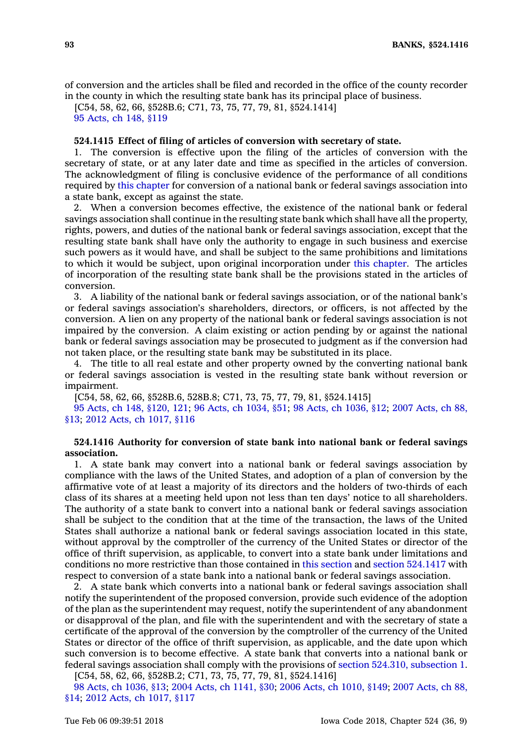of conversion and the articles shall be filed and recorded in the office of the county recorder in the county in which the resulting state bank has its principal place of business.

[C54, 58, 62, 66, §528B.6; C71, 73, 75, 77, 79, 81, §524.1414] 95 [Acts,](https://www.legis.iowa.gov/docs/acts/1995/CH0148.pdf) ch 148, §119

### **524.1415 Effect of filing of articles of conversion with secretary of state.**

1. The conversion is effective upon the filing of the articles of conversion with the secretary of state, or at any later date and time as specified in the articles of conversion. The acknowledgment of filing is conclusive evidence of the performance of all conditions required by this [chapter](https://www.legis.iowa.gov/docs/code//524.pdf) for conversion of <sup>a</sup> national bank or federal savings association into <sup>a</sup> state bank, except as against the state.

2. When <sup>a</sup> conversion becomes effective, the existence of the national bank or federal savings association shall continue in the resulting state bank which shall have all the property, rights, powers, and duties of the national bank or federal savings association, except that the resulting state bank shall have only the authority to engage in such business and exercise such powers as it would have, and shall be subject to the same prohibitions and limitations to which it would be subject, upon original incorporation under this [chapter](https://www.legis.iowa.gov/docs/code//524.pdf). The articles of incorporation of the resulting state bank shall be the provisions stated in the articles of conversion.

3. A liability of the national bank or federal savings association, or of the national bank's or federal savings association's shareholders, directors, or officers, is not affected by the conversion. A lien on any property of the national bank or federal savings association is not impaired by the conversion. A claim existing or action pending by or against the national bank or federal savings association may be prosecuted to judgment as if the conversion had not taken place, or the resulting state bank may be substituted in its place.

4. The title to all real estate and other property owned by the converting national bank or federal savings association is vested in the resulting state bank without reversion or impairment.

[C54, 58, 62, 66, §528B.6, 528B.8; C71, 73, 75, 77, 79, 81, §524.1415]

95 Acts, ch 148, [§120,](https://www.legis.iowa.gov/docs/acts/95/CH0148.pdf) 121; 96 Acts, ch [1034,](https://www.legis.iowa.gov/docs/acts/96/CH1034.pdf) §51; 98 Acts, ch [1036,](https://www.legis.iowa.gov/docs/acts/98/CH1036.pdf) §12; 2007 [Acts,](https://www.legis.iowa.gov/docs/acts/2007/CH0088.pdf) ch 88, [§13](https://www.legis.iowa.gov/docs/acts/2007/CH0088.pdf); 2012 Acts, ch [1017,](https://www.legis.iowa.gov/docs/acts/2012/CH1017.pdf) §116

# **524.1416 Authority for conversion of state bank into national bank or federal savings association.**

1. A state bank may convert into <sup>a</sup> national bank or federal savings association by compliance with the laws of the United States, and adoption of <sup>a</sup> plan of conversion by the affirmative vote of at least <sup>a</sup> majority of its directors and the holders of two-thirds of each class of its shares at <sup>a</sup> meeting held upon not less than ten days' notice to all shareholders. The authority of <sup>a</sup> state bank to convert into <sup>a</sup> national bank or federal savings association shall be subject to the condition that at the time of the transaction, the laws of the United States shall authorize <sup>a</sup> national bank or federal savings association located in this state, without approval by the comptroller of the currency of the United States or director of the office of thrift supervision, as applicable, to convert into <sup>a</sup> state bank under limitations and conditions no more restrictive than those contained in this [section](https://www.legis.iowa.gov/docs/code/524.1416.pdf) and section [524.1417](https://www.legis.iowa.gov/docs/code/524.1417.pdf) with respect to conversion of <sup>a</sup> state bank into <sup>a</sup> national bank or federal savings association.

2. A state bank which converts into <sup>a</sup> national bank or federal savings association shall notify the superintendent of the proposed conversion, provide such evidence of the adoption of the plan as the superintendent may request, notify the superintendent of any abandonment or disapproval of the plan, and file with the superintendent and with the secretary of state <sup>a</sup> certificate of the approval of the conversion by the comptroller of the currency of the United States or director of the office of thrift supervision, as applicable, and the date upon which such conversion is to become effective. A state bank that converts into <sup>a</sup> national bank or federal savings association shall comply with the provisions of section 524.310, [subsection](https://www.legis.iowa.gov/docs/code/524.310.pdf) 1.

[C54, 58, 62, 66, §528B.2; C71, 73, 75, 77, 79, 81, §524.1416]

98 Acts, ch [1036,](https://www.legis.iowa.gov/docs/acts/98/CH1036.pdf) §13; 2004 Acts, ch [1141,](https://www.legis.iowa.gov/docs/acts/2004/CH1141.pdf) §30; 2006 Acts, ch [1010,](https://www.legis.iowa.gov/docs/acts/2006/CH1010.pdf) §149; 2007 [Acts,](https://www.legis.iowa.gov/docs/acts/2007/CH0088.pdf) ch 88, [§14](https://www.legis.iowa.gov/docs/acts/2007/CH0088.pdf); 2012 Acts, ch [1017,](https://www.legis.iowa.gov/docs/acts/2012/CH1017.pdf) §117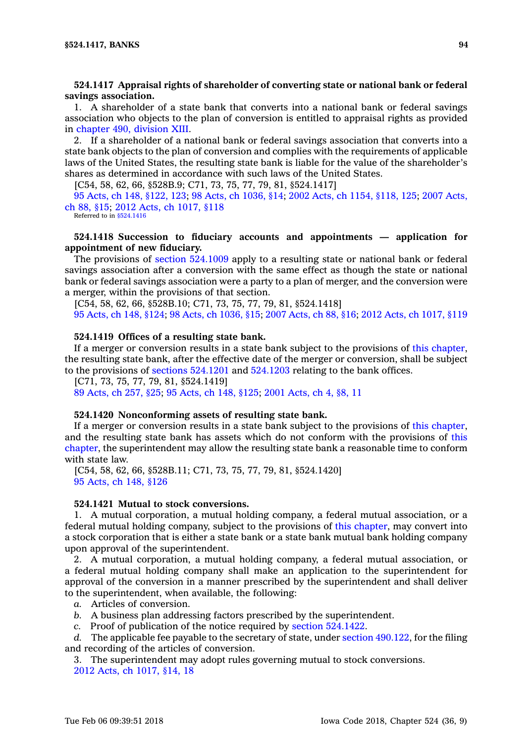# **524.1417 Appraisal rights of shareholder of converting state or national bank or federal savings association.**

1. A shareholder of <sup>a</sup> state bank that converts into <sup>a</sup> national bank or federal savings association who objects to the plan of conversion is entitled to appraisal rights as provided in [chapter](https://www.legis.iowa.gov/docs/code//490.pdf) 490, division XIII.

2. If <sup>a</sup> shareholder of <sup>a</sup> national bank or federal savings association that converts into <sup>a</sup> state bank objects to the plan of conversion and complies with the requirements of applicable laws of the United States, the resulting state bank is liable for the value of the shareholder's shares as determined in accordance with such laws of the United States.

[C54, 58, 62, 66, §528B.9; C71, 73, 75, 77, 79, 81, §524.1417]

95 Acts, ch 148, [§122,](https://www.legis.iowa.gov/docs/acts/95/CH0148.pdf) 123; 98 Acts, ch [1036,](https://www.legis.iowa.gov/docs/acts/98/CH1036.pdf) §14; 2002 Acts, ch 1154, [§118,](https://www.legis.iowa.gov/docs/acts/2002/CH1154.pdf) 125; 2007 [Acts,](https://www.legis.iowa.gov/docs/acts/2007/CH0088.pdf) ch 88, [§15](https://www.legis.iowa.gov/docs/acts/2007/CH0088.pdf); 2012 Acts, ch [1017,](https://www.legis.iowa.gov/docs/acts/2012/CH1017.pdf) §118

Referred to in [§524.1416](https://www.legis.iowa.gov/docs/code/524.1416.pdf)

# **524.1418 Succession to fiduciary accounts and appointments — application for appointment of new fiduciary.**

The provisions of section [524.1009](https://www.legis.iowa.gov/docs/code/524.1009.pdf) apply to <sup>a</sup> resulting state or national bank or federal savings association after <sup>a</sup> conversion with the same effect as though the state or national bank or federal savings association were <sup>a</sup> party to <sup>a</sup> plan of merger, and the conversion were <sup>a</sup> merger, within the provisions of that section.

[C54, 58, 62, 66, §528B.10; C71, 73, 75, 77, 79, 81, §524.1418] 95 [Acts,](https://www.legis.iowa.gov/docs/acts/95/CH0148.pdf) ch 148, §124; 98 Acts, ch [1036,](https://www.legis.iowa.gov/docs/acts/98/CH1036.pdf) §15; 2007 [Acts,](https://www.legis.iowa.gov/docs/acts/2007/CH0088.pdf) ch 88, §16; 2012 Acts, ch [1017,](https://www.legis.iowa.gov/docs/acts/2012/CH1017.pdf) §119

#### **524.1419 Offices of <sup>a</sup> resulting state bank.**

If <sup>a</sup> merger or conversion results in <sup>a</sup> state bank subject to the provisions of this [chapter](https://www.legis.iowa.gov/docs/code//524.pdf), the resulting state bank, after the effective date of the merger or conversion, shall be subject to the provisions of sections [524.1201](https://www.legis.iowa.gov/docs/code/524.1201.pdf) and [524.1203](https://www.legis.iowa.gov/docs/code/524.1203.pdf) relating to the bank offices.

[C71, 73, 75, 77, 79, 81, §524.1419]

89 [Acts,](https://www.legis.iowa.gov/docs/acts/1989/CH0257.pdf) ch 257, §25; 95 [Acts,](https://www.legis.iowa.gov/docs/acts/1995/CH0148.pdf) ch 148, §125; 2001 [Acts,](https://www.legis.iowa.gov/docs/acts/2001/CH0004.pdf) ch 4, §8, 11

### **524.1420 Nonconforming assets of resulting state bank.**

If <sup>a</sup> merger or conversion results in <sup>a</sup> state bank subject to the provisions of this [chapter](https://www.legis.iowa.gov/docs/code//524.pdf), and the resulting state bank has assets which do not conform with the provisions of [this](https://www.legis.iowa.gov/docs/code//524.pdf) [chapter](https://www.legis.iowa.gov/docs/code//524.pdf), the superintendent may allow the resulting state bank <sup>a</sup> reasonable time to conform with state law.

[C54, 58, 62, 66, §528B.11; C71, 73, 75, 77, 79, 81, §524.1420] 95 [Acts,](https://www.legis.iowa.gov/docs/acts/1995/CH0148.pdf) ch 148, §126

## **524.1421 Mutual to stock conversions.**

1. A mutual corporation, <sup>a</sup> mutual holding company, <sup>a</sup> federal mutual association, or <sup>a</sup> federal mutual holding company, subject to the provisions of this [chapter](https://www.legis.iowa.gov/docs/code//524.pdf), may convert into <sup>a</sup> stock corporation that is either <sup>a</sup> state bank or <sup>a</sup> state bank mutual bank holding company upon approval of the superintendent.

2. A mutual corporation, <sup>a</sup> mutual holding company, <sup>a</sup> federal mutual association, or <sup>a</sup> federal mutual holding company shall make an application to the superintendent for approval of the conversion in <sup>a</sup> manner prescribed by the superintendent and shall deliver to the superintendent, when available, the following:

- *a.* Articles of conversion.
- *b.* A business plan addressing factors prescribed by the superintendent.
- *c.* Proof of publication of the notice required by section [524.1422](https://www.legis.iowa.gov/docs/code/524.1422.pdf).

*d.* The applicable fee payable to the secretary of state, under section [490.122](https://www.legis.iowa.gov/docs/code/490.122.pdf), for the filing and recording of the articles of conversion.

3. The superintendent may adopt rules governing mutual to stock conversions. 2012 Acts, ch [1017,](https://www.legis.iowa.gov/docs/acts/2012/CH1017.pdf) §14, 18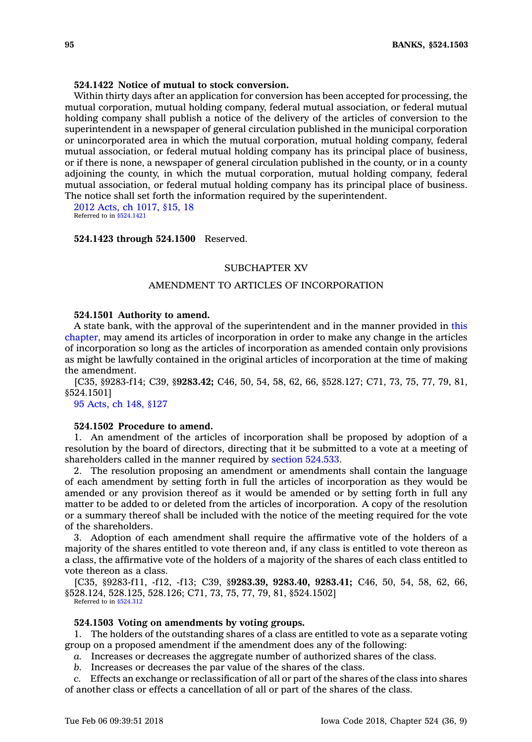## **524.1422 Notice of mutual to stock conversion.**

Within thirty days after an application for conversion has been accepted for processing, the mutual corporation, mutual holding company, federal mutual association, or federal mutual holding company shall publish <sup>a</sup> notice of the delivery of the articles of conversion to the superintendent in <sup>a</sup> newspaper of general circulation published in the municipal corporation or unincorporated area in which the mutual corporation, mutual holding company, federal mutual association, or federal mutual holding company has its principal place of business, or if there is none, <sup>a</sup> newspaper of general circulation published in the county, or in <sup>a</sup> county adjoining the county, in which the mutual corporation, mutual holding company, federal mutual association, or federal mutual holding company has its principal place of business. The notice shall set forth the information required by the superintendent.

2012 Acts, ch [1017,](https://www.legis.iowa.gov/docs/acts/2012/CH1017.pdf) §15, 18 Referred to in [§524.1421](https://www.legis.iowa.gov/docs/code/524.1421.pdf)

#### **524.1423 through 524.1500** Reserved.

## SUBCHAPTER XV

# AMENDMENT TO ARTICLES OF INCORPORATION

## **524.1501 Authority to amend.**

A state bank, with the approval of the superintendent and in the manner provided in [this](https://www.legis.iowa.gov/docs/code//524.pdf) [chapter](https://www.legis.iowa.gov/docs/code//524.pdf), may amend its articles of incorporation in order to make any change in the articles of incorporation so long as the articles of incorporation as amended contain only provisions as might be lawfully contained in the original articles of incorporation at the time of making the amendment.

[C35, §9283-f14; C39, §**9283.42;** C46, 50, 54, 58, 62, 66, §528.127; C71, 73, 75, 77, 79, 81, §524.1501]

95 [Acts,](https://www.legis.iowa.gov/docs/acts/1995/CH0148.pdf) ch 148, §127

## **524.1502 Procedure to amend.**

1. An amendment of the articles of incorporation shall be proposed by adoption of <sup>a</sup> resolution by the board of directors, directing that it be submitted to <sup>a</sup> vote at <sup>a</sup> meeting of shareholders called in the manner required by section [524.533](https://www.legis.iowa.gov/docs/code/524.533.pdf).

2. The resolution proposing an amendment or amendments shall contain the language of each amendment by setting forth in full the articles of incorporation as they would be amended or any provision thereof as it would be amended or by setting forth in full any matter to be added to or deleted from the articles of incorporation. A copy of the resolution or <sup>a</sup> summary thereof shall be included with the notice of the meeting required for the vote of the shareholders.

3. Adoption of each amendment shall require the affirmative vote of the holders of <sup>a</sup> majority of the shares entitled to vote thereon and, if any class is entitled to vote thereon as <sup>a</sup> class, the affirmative vote of the holders of <sup>a</sup> majority of the shares of each class entitled to vote thereon as <sup>a</sup> class.

[C35, §9283-f11, -f12, -f13; C39, §**9283.39, 9283.40, 9283.41;** C46, 50, 54, 58, 62, 66, §528.124, 528.125, 528.126; C71, 73, 75, 77, 79, 81, §524.1502] Referred to in [§524.312](https://www.legis.iowa.gov/docs/code/524.312.pdf)

#### **524.1503 Voting on amendments by voting groups.**

1. The holders of the outstanding shares of <sup>a</sup> class are entitled to vote as <sup>a</sup> separate voting group on <sup>a</sup> proposed amendment if the amendment does any of the following:

*a.* Increases or decreases the aggregate number of authorized shares of the class.

*b.* Increases or decreases the par value of the shares of the class.

*c.* Effects an exchange or reclassification of all or part of the shares of the class into shares of another class or effects <sup>a</sup> cancellation of all or part of the shares of the class.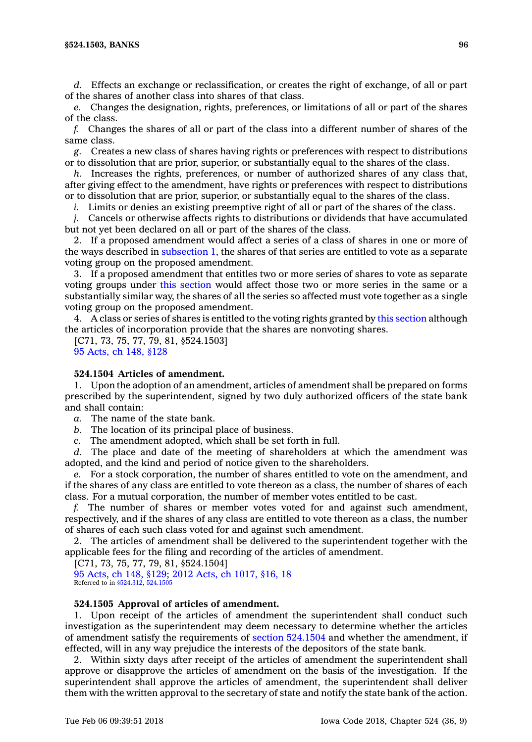*d.* Effects an exchange or reclassification, or creates the right of exchange, of all or part of the shares of another class into shares of that class.

*e.* Changes the designation, rights, preferences, or limitations of all or part of the shares of the class.

*f.* Changes the shares of all or part of the class into <sup>a</sup> different number of shares of the same class.

*g.* Creates <sup>a</sup> new class of shares having rights or preferences with respect to distributions or to dissolution that are prior, superior, or substantially equal to the shares of the class.

*h.* Increases the rights, preferences, or number of authorized shares of any class that, after giving effect to the amendment, have rights or preferences with respect to distributions or to dissolution that are prior, superior, or substantially equal to the shares of the class.

*i.* Limits or denies an existing preemptive right of all or part of the shares of the class.

*j.* Cancels or otherwise affects rights to distributions or dividends that have accumulated but not yet been declared on all or part of the shares of the class.

2. If <sup>a</sup> proposed amendment would affect <sup>a</sup> series of <sup>a</sup> class of shares in one or more of the ways described in [subsection](https://www.legis.iowa.gov/docs/code/524.1503.pdf) 1, the shares of that series are entitled to vote as <sup>a</sup> separate voting group on the proposed amendment.

3. If <sup>a</sup> proposed amendment that entitles two or more series of shares to vote as separate voting groups under this [section](https://www.legis.iowa.gov/docs/code/524.1503.pdf) would affect those two or more series in the same or <sup>a</sup> substantially similar way, the shares of all the series so affected must vote together as <sup>a</sup> single voting group on the proposed amendment.

4. A class or series of shares is entitled to the voting rights granted by this [section](https://www.legis.iowa.gov/docs/code/524.1503.pdf) although the articles of incorporation provide that the shares are nonvoting shares.

[C71, 73, 75, 77, 79, 81, §524.1503] 95 [Acts,](https://www.legis.iowa.gov/docs/acts/1995/CH0148.pdf) ch 148, §128

# **524.1504 Articles of amendment.**

1. Upon the adoption of an amendment, articles of amendment shall be prepared on forms prescribed by the superintendent, signed by two duly authorized officers of the state bank and shall contain:

*a.* The name of the state bank.

*b.* The location of its principal place of business.

*c.* The amendment adopted, which shall be set forth in full.

*d.* The place and date of the meeting of shareholders at which the amendment was adopted, and the kind and period of notice given to the shareholders.

*e.* For <sup>a</sup> stock corporation, the number of shares entitled to vote on the amendment, and if the shares of any class are entitled to vote thereon as <sup>a</sup> class, the number of shares of each class. For <sup>a</sup> mutual corporation, the number of member votes entitled to be cast.

*f.* The number of shares or member votes voted for and against such amendment, respectively, and if the shares of any class are entitled to vote thereon as <sup>a</sup> class, the number of shares of each such class voted for and against such amendment.

2. The articles of amendment shall be delivered to the superintendent together with the applicable fees for the filing and recording of the articles of amendment.

[C71, 73, 75, 77, 79, 81, §524.1504]

95 [Acts,](https://www.legis.iowa.gov/docs/acts/95/CH0148.pdf) ch 148, §129; 2012 Acts, ch [1017,](https://www.legis.iowa.gov/docs/acts/2012/CH1017.pdf) §16, 18 Referred to in [§524.312](https://www.legis.iowa.gov/docs/code/524.312.pdf), [524.1505](https://www.legis.iowa.gov/docs/code/524.1505.pdf)

## **524.1505 Approval of articles of amendment.**

1. Upon receipt of the articles of amendment the superintendent shall conduct such investigation as the superintendent may deem necessary to determine whether the articles of amendment satisfy the requirements of section [524.1504](https://www.legis.iowa.gov/docs/code/524.1504.pdf) and whether the amendment, if effected, will in any way prejudice the interests of the depositors of the state bank.

2. Within sixty days after receipt of the articles of amendment the superintendent shall approve or disapprove the articles of amendment on the basis of the investigation. If the superintendent shall approve the articles of amendment, the superintendent shall deliver them with the written approval to the secretary of state and notify the state bank of the action.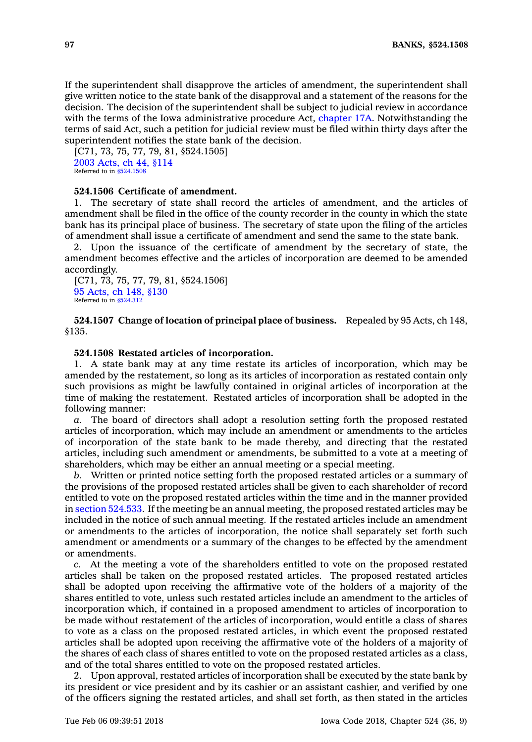If the superintendent shall disapprove the articles of amendment, the superintendent shall give written notice to the state bank of the disapproval and <sup>a</sup> statement of the reasons for the decision. The decision of the superintendent shall be subject to judicial review in accordance with the terms of the Iowa administrative procedure Act, [chapter](https://www.legis.iowa.gov/docs/code//17A.pdf) 17A. Notwithstanding the terms of said Act, such <sup>a</sup> petition for judicial review must be filed within thirty days after the superintendent notifies the state bank of the decision.

[C71, 73, 75, 77, 79, 81, \$524.1505] 2003 [Acts,](https://www.legis.iowa.gov/docs/acts/2003/CH0044.pdf) ch 44, §114 Referred to in [§524.1508](https://www.legis.iowa.gov/docs/code/524.1508.pdf)

## **524.1506 Certificate of amendment.**

1. The secretary of state shall record the articles of amendment, and the articles of amendment shall be filed in the office of the county recorder in the county in which the state bank has its principal place of business. The secretary of state upon the filing of the articles of amendment shall issue <sup>a</sup> certificate of amendment and send the same to the state bank.

2. Upon the issuance of the certificate of amendment by the secretary of state, the amendment becomes effective and the articles of incorporation are deemed to be amended accordingly.

[C71, 73, 75, 77, 79, 81, §524.1506] 95 [Acts,](https://www.legis.iowa.gov/docs/acts/1995/CH0148.pdf) ch 148, §130 Referred to in [§524.312](https://www.legis.iowa.gov/docs/code/524.312.pdf)

**524.1507 Change of location of principal place of business.** Repealed by 95 Acts, ch 148, §135.

## **524.1508 Restated articles of incorporation.**

1. A state bank may at any time restate its articles of incorporation, which may be amended by the restatement, so long as its articles of incorporation as restated contain only such provisions as might be lawfully contained in original articles of incorporation at the time of making the restatement. Restated articles of incorporation shall be adopted in the following manner:

*a.* The board of directors shall adopt <sup>a</sup> resolution setting forth the proposed restated articles of incorporation, which may include an amendment or amendments to the articles of incorporation of the state bank to be made thereby, and directing that the restated articles, including such amendment or amendments, be submitted to <sup>a</sup> vote at <sup>a</sup> meeting of shareholders, which may be either an annual meeting or a special meeting.

*b.* Written or printed notice setting forth the proposed restated articles or <sup>a</sup> summary of the provisions of the proposed restated articles shall be given to each shareholder of record entitled to vote on the proposed restated articles within the time and in the manner provided in section [524.533](https://www.legis.iowa.gov/docs/code/524.533.pdf). If the meeting be an annual meeting, the proposed restated articles may be included in the notice of such annual meeting. If the restated articles include an amendment or amendments to the articles of incorporation, the notice shall separately set forth such amendment or amendments or <sup>a</sup> summary of the changes to be effected by the amendment or amendments.

*c.* At the meeting <sup>a</sup> vote of the shareholders entitled to vote on the proposed restated articles shall be taken on the proposed restated articles. The proposed restated articles shall be adopted upon receiving the affirmative vote of the holders of <sup>a</sup> majority of the shares entitled to vote, unless such restated articles include an amendment to the articles of incorporation which, if contained in <sup>a</sup> proposed amendment to articles of incorporation to be made without restatement of the articles of incorporation, would entitle <sup>a</sup> class of shares to vote as <sup>a</sup> class on the proposed restated articles, in which event the proposed restated articles shall be adopted upon receiving the affirmative vote of the holders of <sup>a</sup> majority of the shares of each class of shares entitled to vote on the proposed restated articles as <sup>a</sup> class, and of the total shares entitled to vote on the proposed restated articles.

2. Upon approval, restated articles of incorporation shall be executed by the state bank by its president or vice president and by its cashier or an assistant cashier, and verified by one of the officers signing the restated articles, and shall set forth, as then stated in the articles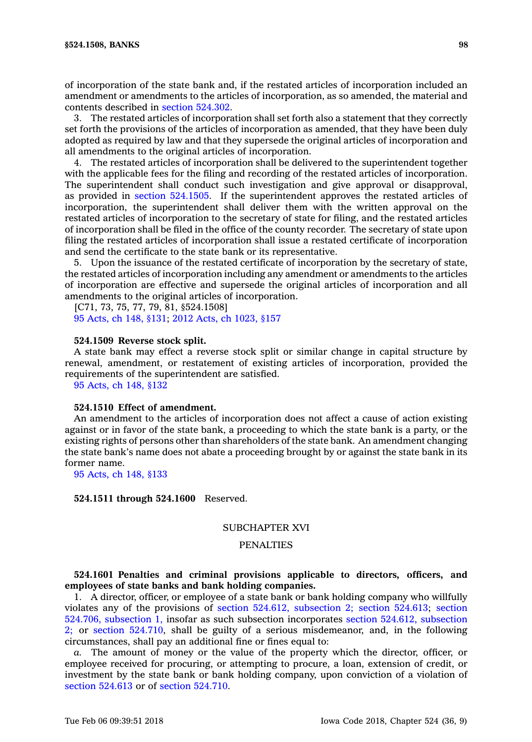of incorporation of the state bank and, if the restated articles of incorporation included an amendment or amendments to the articles of incorporation, as so amended, the material and contents described in section [524.302](https://www.legis.iowa.gov/docs/code/524.302.pdf).

3. The restated articles of incorporation shall set forth also <sup>a</sup> statement that they correctly set forth the provisions of the articles of incorporation as amended, that they have been duly adopted as required by law and that they supersede the original articles of incorporation and all amendments to the original articles of incorporation.

4. The restated articles of incorporation shall be delivered to the superintendent together with the applicable fees for the filing and recording of the restated articles of incorporation. The superintendent shall conduct such investigation and give approval or disapproval, as provided in section [524.1505](https://www.legis.iowa.gov/docs/code/524.1505.pdf). If the superintendent approves the restated articles of incorporation, the superintendent shall deliver them with the written approval on the restated articles of incorporation to the secretary of state for filing, and the restated articles of incorporation shall be filed in the office of the county recorder. The secretary of state upon filing the restated articles of incorporation shall issue <sup>a</sup> restated certificate of incorporation and send the certificate to the state bank or its representative.

5. Upon the issuance of the restated certificate of incorporation by the secretary of state, the restated articles of incorporation including any amendment or amendments to the articles of incorporation are effective and supersede the original articles of incorporation and all amendments to the original articles of incorporation.

[C71, 73, 75, 77, 79, 81, §524.1508] 95 [Acts,](https://www.legis.iowa.gov/docs/acts/95/CH0148.pdf) ch 148, §131; 2012 Acts, ch [1023,](https://www.legis.iowa.gov/docs/acts/2012/CH1023.pdf) §157

## **524.1509 Reverse stock split.**

A state bank may effect <sup>a</sup> reverse stock split or similar change in capital structure by renewal, amendment, or restatement of existing articles of incorporation, provided the requirements of the superintendent are satisfied.

95 [Acts,](https://www.legis.iowa.gov/docs/acts/1995/CH0148.pdf) ch 148, §132

#### **524.1510 Effect of amendment.**

An amendment to the articles of incorporation does not affect <sup>a</sup> cause of action existing against or in favor of the state bank, <sup>a</sup> proceeding to which the state bank is <sup>a</sup> party, or the existing rights of persons other than shareholders of the state bank. An amendment changing the state bank's name does not abate <sup>a</sup> proceeding brought by or against the state bank in its former name.

95 [Acts,](https://www.legis.iowa.gov/docs/acts/1995/CH0148.pdf) ch 148, §133

## **524.1511 through 524.1600** Reserved.

# SUBCHAPTER XVI

# **PENALTIES**

## **524.1601 Penalties and criminal provisions applicable to directors, officers, and employees of state banks and bank holding companies.**

1. A director, officer, or employee of <sup>a</sup> state bank or bank holding company who willfully violates any of the provisions of section 524.612, [subsection](https://www.legis.iowa.gov/docs/code/524.612.pdf) 2; section [524.613](https://www.legis.iowa.gov/docs/code/524.613.pdf); [section](https://www.legis.iowa.gov/docs/code/524.706.pdf) 524.706, [subsection](https://www.legis.iowa.gov/docs/code/524.706.pdf) 1, insofar as such subsection incorporates section 524.612, [subsection](https://www.legis.iowa.gov/docs/code/524.612.pdf) [2;](https://www.legis.iowa.gov/docs/code/524.612.pdf) or section [524.710](https://www.legis.iowa.gov/docs/code/524.710.pdf), shall be guilty of <sup>a</sup> serious misdemeanor, and, in the following circumstances, shall pay an additional fine or fines equal to:

*a.* The amount of money or the value of the property which the director, officer, or employee received for procuring, or attempting to procure, <sup>a</sup> loan, extension of credit, or investment by the state bank or bank holding company, upon conviction of <sup>a</sup> violation of section [524.613](https://www.legis.iowa.gov/docs/code/524.613.pdf) or of section [524.710](https://www.legis.iowa.gov/docs/code/524.710.pdf).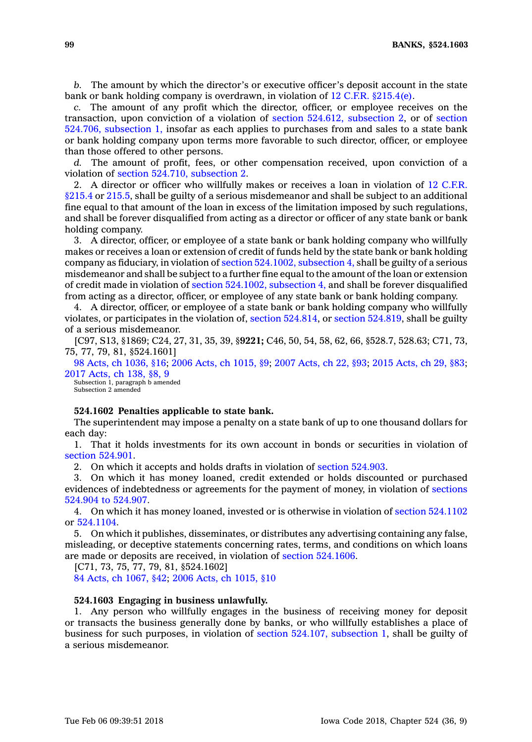*b.* The amount by which the director's or executive officer's deposit account in the state bank or bank holding company is overdrawn, in violation of  $12 \text{ C.F.R. }$  \$215.4(e).

*c.* The amount of any profit which the director, officer, or employee receives on the transaction, upon conviction of <sup>a</sup> violation of section 524.612, [subsection](https://www.legis.iowa.gov/docs/code/524.612.pdf) 2, or of [section](https://www.legis.iowa.gov/docs/code/524.706.pdf) 524.706, [subsection](https://www.legis.iowa.gov/docs/code/524.706.pdf) 1, insofar as each applies to purchases from and sales to <sup>a</sup> state bank or bank holding company upon terms more favorable to such director, officer, or employee than those offered to other persons.

*d.* The amount of profit, fees, or other compensation received, upon conviction of <sup>a</sup> violation of section 524.710, [subsection](https://www.legis.iowa.gov/docs/code/524.710.pdf) 2.

2. A director or officer who willfully makes or receives <sup>a</sup> loan in violation of 12 [C.F.R.](https://www.law.cornell.edu/cfr/text/12/215.4) [§215.4](https://www.law.cornell.edu/cfr/text/12/215.4) or [215.5](https://www.law.cornell.edu/cfr/text/12/215.5), shall be guilty of <sup>a</sup> serious misdemeanor and shall be subject to an additional fine equal to that amount of the loan in excess of the limitation imposed by such regulations, and shall be forever disqualified from acting as <sup>a</sup> director or officer of any state bank or bank holding company.

3. A director, officer, or employee of <sup>a</sup> state bank or bank holding company who willfully makes or receives <sup>a</sup> loan or extension of credit of funds held by the state bank or bank holding company as fiduciary, in violation of section [524.1002,](https://www.legis.iowa.gov/docs/code/524.1002.pdf) subsection 4, shall be guilty of <sup>a</sup> serious misdemeanor and shall be subject to <sup>a</sup> further fine equal to the amount of the loan or extension of credit made in violation of section [524.1002,](https://www.legis.iowa.gov/docs/code/524.1002.pdf) subsection 4, and shall be forever disqualified from acting as <sup>a</sup> director, officer, or employee of any state bank or bank holding company.

4. A director, officer, or employee of <sup>a</sup> state bank or bank holding company who willfully violates, or participates in the violation of, section [524.814](https://www.legis.iowa.gov/docs/code/524.814.pdf), or section [524.819](https://www.legis.iowa.gov/docs/code/524.819.pdf), shall be guilty of <sup>a</sup> serious misdemeanor.

[C97, S13, §1869; C24, 27, 31, 35, 39, §**9221;** C46, 50, 54, 58, 62, 66, §528.7, 528.63; C71, 73, 75, 77, 79, 81, §524.1601]

98 Acts, ch [1036,](https://www.legis.iowa.gov/docs/acts/98/CH1036.pdf) §16; 2006 Acts, ch [1015,](https://www.legis.iowa.gov/docs/acts/2006/CH1015.pdf) §9; 2007 [Acts,](https://www.legis.iowa.gov/docs/acts/2007/CH0022.pdf) ch 22, §93; 2015 [Acts,](https://www.legis.iowa.gov/docs/acts/2015/CH0029.pdf) ch 29, §83; 2017 [Acts,](https://www.legis.iowa.gov/docs/acts/2017/CH0138.pdf) ch 138, §8, 9

Subsection 1, paragraph b amended Subsection 2 amended

#### **524.1602 Penalties applicable to state bank.**

The superintendent may impose <sup>a</sup> penalty on <sup>a</sup> state bank of up to one thousand dollars for each day:

1. That it holds investments for its own account in bonds or securities in violation of section [524.901](https://www.legis.iowa.gov/docs/code/524.901.pdf).

2. On which it accepts and holds drafts in violation of section [524.903](https://www.legis.iowa.gov/docs/code/524.903.pdf).

3. On which it has money loaned, credit extended or holds discounted or purchased evidences of indebtedness or agreements for the payment of money, in violation of [sections](https://www.legis.iowa.gov/docs/code/524.904.pdf) [524.904](https://www.legis.iowa.gov/docs/code/524.904.pdf) to 524.907.

4. On which it has money loaned, invested or is otherwise in violation of section [524.1102](https://www.legis.iowa.gov/docs/code/524.1102.pdf) or [524.1104](https://www.legis.iowa.gov/docs/code/524.1104.pdf).

5. On which it publishes, disseminates, or distributes any advertising containing any false, misleading, or deceptive statements concerning rates, terms, and conditions on which loans are made or deposits are received, in violation of section [524.1606](https://www.legis.iowa.gov/docs/code/524.1606.pdf).

[C71, 73, 75, 77, 79, 81, §524.1602]

84 Acts, ch [1067,](https://www.legis.iowa.gov/docs/acts/1984/CH1067.pdf) §42; 2006 Acts, ch [1015,](https://www.legis.iowa.gov/docs/acts/2006/CH1015.pdf) §10

#### **524.1603 Engaging in business unlawfully.**

1. Any person who willfully engages in the business of receiving money for deposit or transacts the business generally done by banks, or who willfully establishes <sup>a</sup> place of business for such purposes, in violation of section 524.107, [subsection](https://www.legis.iowa.gov/docs/code/524.107.pdf) 1, shall be guilty of <sup>a</sup> serious misdemeanor.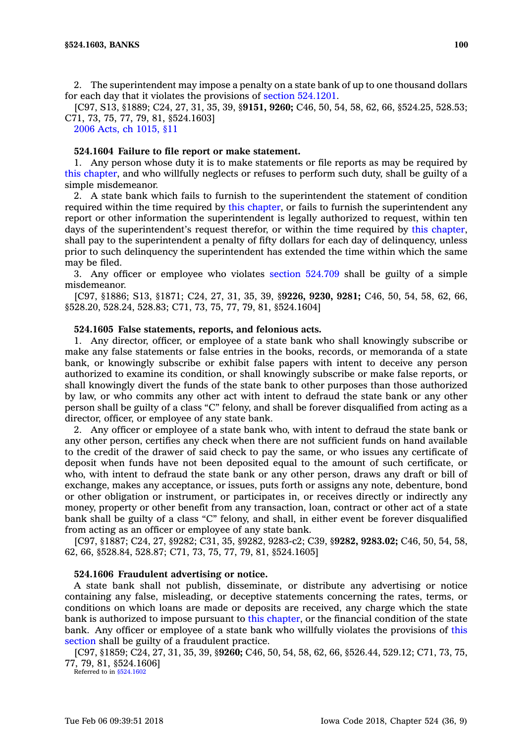2. The superintendent may impose <sup>a</sup> penalty on <sup>a</sup> state bank of up to one thousand dollars for each day that it violates the provisions of section [524.1201](https://www.legis.iowa.gov/docs/code/524.1201.pdf).

[C97, S13, §1889; C24, 27, 31, 35, 39, §**9151, 9260;** C46, 50, 54, 58, 62, 66, §524.25, 528.53; C71, 73, 75, 77, 79, 81, §524.1603]

2006 Acts, ch [1015,](https://www.legis.iowa.gov/docs/acts/2006/CH1015.pdf) §11

# **524.1604 Failure to file report or make statement.**

1. Any person whose duty it is to make statements or file reports as may be required by this [chapter](https://www.legis.iowa.gov/docs/code//524.pdf), and who willfully neglects or refuses to perform such duty, shall be guilty of <sup>a</sup> simple misdemeanor.

2. A state bank which fails to furnish to the superintendent the statement of condition required within the time required by this [chapter](https://www.legis.iowa.gov/docs/code//524.pdf), or fails to furnish the superintendent any report or other information the superintendent is legally authorized to request, within ten days of the superintendent's request therefor, or within the time required by this [chapter](https://www.legis.iowa.gov/docs/code//524.pdf), shall pay to the superintendent <sup>a</sup> penalty of fifty dollars for each day of delinquency, unless prior to such delinquency the superintendent has extended the time within which the same may be filed.

3. Any officer or employee who violates section [524.709](https://www.legis.iowa.gov/docs/code/524.709.pdf) shall be guilty of <sup>a</sup> simple misdemeanor.

[C97, §1886; S13, §1871; C24, 27, 31, 35, 39, §**9226, 9230, 9281;** C46, 50, 54, 58, 62, 66, §528.20, 528.24, 528.83; C71, 73, 75, 77, 79, 81, §524.1604]

#### **524.1605 False statements, reports, and felonious acts.**

1. Any director, officer, or employee of <sup>a</sup> state bank who shall knowingly subscribe or make any false statements or false entries in the books, records, or memoranda of <sup>a</sup> state bank, or knowingly subscribe or exhibit false papers with intent to deceive any person authorized to examine its condition, or shall knowingly subscribe or make false reports, or shall knowingly divert the funds of the state bank to other purposes than those authorized by law, or who commits any other act with intent to defraud the state bank or any other person shall be guilty of <sup>a</sup> class "C" felony, and shall be forever disqualified from acting as <sup>a</sup> director, officer, or employee of any state bank.

2. Any officer or employee of <sup>a</sup> state bank who, with intent to defraud the state bank or any other person, certifies any check when there are not sufficient funds on hand available to the credit of the drawer of said check to pay the same, or who issues any certificate of deposit when funds have not been deposited equal to the amount of such certificate, or who, with intent to defraud the state bank or any other person, draws any draft or bill of exchange, makes any acceptance, or issues, puts forth or assigns any note, debenture, bond or other obligation or instrument, or participates in, or receives directly or indirectly any money, property or other benefit from any transaction, loan, contract or other act of <sup>a</sup> state bank shall be guilty of <sup>a</sup> class "C" felony, and shall, in either event be forever disqualified from acting as an officer or employee of any state bank.

[C97, §1887; C24, 27, §9282; C31, 35, §9282, 9283-c2; C39, §**9282, 9283.02;** C46, 50, 54, 58, 62, 66, §528.84, 528.87; C71, 73, 75, 77, 79, 81, §524.1605]

#### **524.1606 Fraudulent advertising or notice.**

A state bank shall not publish, disseminate, or distribute any advertising or notice containing any false, misleading, or deceptive statements concerning the rates, terms, or conditions on which loans are made or deposits are received, any charge which the state bank is authorized to impose pursuant to this [chapter](https://www.legis.iowa.gov/docs/code//524.pdf), or the financial condition of the state bank. Any officer or employee of <sup>a</sup> state bank who willfully violates the provisions of [this](https://www.legis.iowa.gov/docs/code/524.1606.pdf) [section](https://www.legis.iowa.gov/docs/code/524.1606.pdf) shall be guilty of <sup>a</sup> fraudulent practice.

[C97, §1859; C24, 27, 31, 35, 39, §**9260;** C46, 50, 54, 58, 62, 66, §526.44, 529.12; C71, 73, 75, 77, 79, 81, §524.1606]

Referred to in [§524.1602](https://www.legis.iowa.gov/docs/code/524.1602.pdf)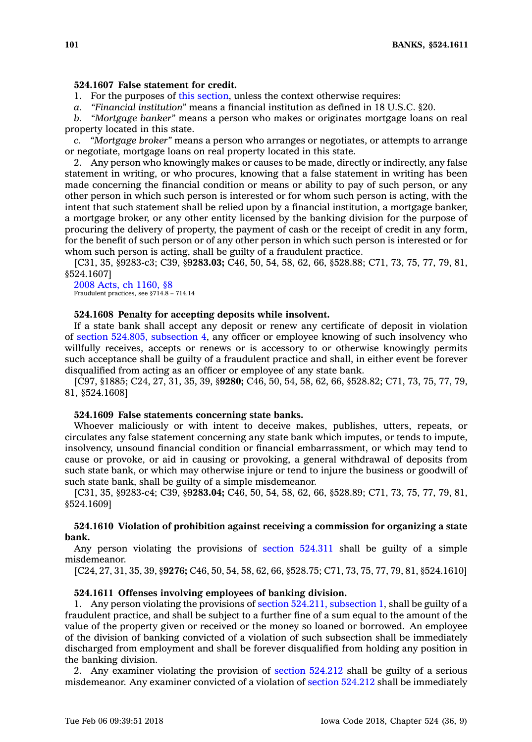## **524.1607 False statement for credit.**

1. For the purposes of this [section](https://www.legis.iowa.gov/docs/code/524.1607.pdf), unless the context otherwise requires:

*a. "Financial institution"* means <sup>a</sup> financial institution as defined in 18 U.S.C. §20.

*b. "Mortgage banker"* means <sup>a</sup> person who makes or originates mortgage loans on real property located in this state.

*c. "Mortgage broker"* means <sup>a</sup> person who arranges or negotiates, or attempts to arrange or negotiate, mortgage loans on real property located in this state.

2. Any person who knowingly makes or causes to be made, directly or indirectly, any false statement in writing, or who procures, knowing that <sup>a</sup> false statement in writing has been made concerning the financial condition or means or ability to pay of such person, or any other person in which such person is interested or for whom such person is acting, with the intent that such statement shall be relied upon by <sup>a</sup> financial institution, <sup>a</sup> mortgage banker, <sup>a</sup> mortgage broker, or any other entity licensed by the banking division for the purpose of procuring the delivery of property, the payment of cash or the receipt of credit in any form, for the benefit of such person or of any other person in which such person is interested or for whom such person is acting, shall be guilty of <sup>a</sup> fraudulent practice.

[C31, 35, §9283-c3; C39, §**9283.03;** C46, 50, 54, 58, 62, 66, §528.88; C71, 73, 75, 77, 79, 81, §524.1607]

#### 2008 Acts, ch [1160,](https://www.legis.iowa.gov/docs/acts/2008/CH1160.pdf) §8 Fraudulent practices, see §714.8 – 714.14

## **524.1608 Penalty for accepting deposits while insolvent.**

If <sup>a</sup> state bank shall accept any deposit or renew any certificate of deposit in violation of section 524.805, [subsection](https://www.legis.iowa.gov/docs/code/524.805.pdf) 4, any officer or employee knowing of such insolvency who willfully receives, accepts or renews or is accessory to or otherwise knowingly permits such acceptance shall be guilty of <sup>a</sup> fraudulent practice and shall, in either event be forever disqualified from acting as an officer or employee of any state bank.

[C97, §1885; C24, 27, 31, 35, 39, §**9280;** C46, 50, 54, 58, 62, 66, §528.82; C71, 73, 75, 77, 79, 81, §524.1608]

#### **524.1609 False statements concerning state banks.**

Whoever maliciously or with intent to deceive makes, publishes, utters, repeats, or circulates any false statement concerning any state bank which imputes, or tends to impute, insolvency, unsound financial condition or financial embarrassment, or which may tend to cause or provoke, or aid in causing or provoking, <sup>a</sup> general withdrawal of deposits from such state bank, or which may otherwise injure or tend to injure the business or goodwill of such state bank, shall be guilty of <sup>a</sup> simple misdemeanor.

[C31, 35, §9283-c4; C39, §**9283.04;** C46, 50, 54, 58, 62, 66, §528.89; C71, 73, 75, 77, 79, 81, §524.1609]

## **524.1610 Violation of prohibition against receiving <sup>a</sup> commission for organizing <sup>a</sup> state bank.**

Any person violating the provisions of section [524.311](https://www.legis.iowa.gov/docs/code/524.311.pdf) shall be guilty of <sup>a</sup> simple misdemeanor.

[C24, 27, 31, 35, 39, §**9276;** C46, 50, 54, 58, 62, 66, §528.75; C71, 73, 75, 77, 79, 81, §524.1610]

### **524.1611 Offenses involving employees of banking division.**

1. Any person violating the provisions of section 524.211, [subsection](https://www.legis.iowa.gov/docs/code/524.211.pdf) 1, shall be guilty of <sup>a</sup> fraudulent practice, and shall be subject to <sup>a</sup> further fine of <sup>a</sup> sum equal to the amount of the value of the property given or received or the money so loaned or borrowed. An employee of the division of banking convicted of <sup>a</sup> violation of such subsection shall be immediately discharged from employment and shall be forever disqualified from holding any position in the banking division.

2. Any examiner violating the provision of section [524.212](https://www.legis.iowa.gov/docs/code/524.212.pdf) shall be guilty of <sup>a</sup> serious misdemeanor. Any examiner convicted of <sup>a</sup> violation of section [524.212](https://www.legis.iowa.gov/docs/code/524.212.pdf) shall be immediately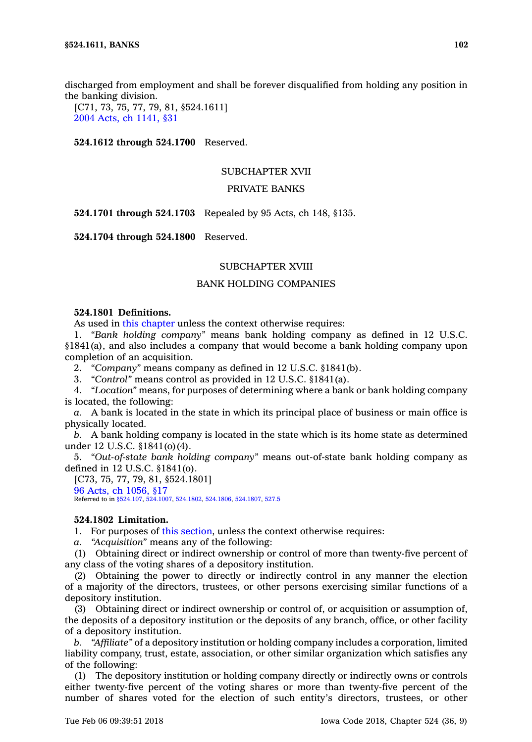discharged from employment and shall be forever disqualified from holding any position in the banking division.

[C71, 73, 75, 77, 79, 81, §524.1611] 2004 Acts, ch [1141,](https://www.legis.iowa.gov/docs/acts/2004/CH1141.pdf) §31

**524.1612 through 524.1700** Reserved.

## SUBCHAPTER XVII

# PRIVATE BANKS

**524.1701 through 524.1703** Repealed by 95 Acts, ch 148, §135.

**524.1704 through 524.1800** Reserved.

## SUBCHAPTER XVIII

# BANK HOLDING COMPANIES

# **524.1801 Definitions.**

As used in this [chapter](https://www.legis.iowa.gov/docs/code//524.pdf) unless the context otherwise requires:

1. *"Bank holding company"* means bank holding company as defined in 12 U.S.C. §1841(a), and also includes <sup>a</sup> company that would become <sup>a</sup> bank holding company upon completion of an acquisition.

2. *"Company"* means company as defined in 12 U.S.C. §1841(b).

3. *"Control"* means control as provided in 12 U.S.C. §1841(a).

4. *"Location"* means, for purposes of determining where <sup>a</sup> bank or bank holding company is located, the following:

*a.* A bank is located in the state in which its principal place of business or main office is physically located.

*b.* A bank holding company is located in the state which is its home state as determined under 12 U.S.C. §1841(o)(4).

5. *"Out-of-state bank holding company"* means out-of-state bank holding company as defined in 12 U.S.C. §1841(o).

[C73, 75, 77, 79, 81, §524.1801] 96 Acts, ch [1056,](https://www.legis.iowa.gov/docs/acts/1996/CH1056.pdf) §17 Referred to in [§524.107](https://www.legis.iowa.gov/docs/code/524.107.pdf), [524.1007](https://www.legis.iowa.gov/docs/code/524.1007.pdf), [524.1802](https://www.legis.iowa.gov/docs/code/524.1802.pdf), [524.1806](https://www.legis.iowa.gov/docs/code/524.1806.pdf), [524.1807](https://www.legis.iowa.gov/docs/code/524.1807.pdf), [527.5](https://www.legis.iowa.gov/docs/code/527.5.pdf)

## **524.1802 Limitation.**

1. For purposes of this [section](https://www.legis.iowa.gov/docs/code/524.1802.pdf), unless the context otherwise requires:

*a. "Acquisition"* means any of the following:

(1) Obtaining direct or indirect ownership or control of more than twenty-five percent of any class of the voting shares of <sup>a</sup> depository institution.

(2) Obtaining the power to directly or indirectly control in any manner the election of <sup>a</sup> majority of the directors, trustees, or other persons exercising similar functions of <sup>a</sup> depository institution.

(3) Obtaining direct or indirect ownership or control of, or acquisition or assumption of, the deposits of <sup>a</sup> depository institution or the deposits of any branch, office, or other facility of <sup>a</sup> depository institution.

*b. "Affiliate"* of <sup>a</sup> depository institution or holding company includes <sup>a</sup> corporation, limited liability company, trust, estate, association, or other similar organization which satisfies any of the following:

(1) The depository institution or holding company directly or indirectly owns or controls either twenty-five percent of the voting shares or more than twenty-five percent of the number of shares voted for the election of such entity's directors, trustees, or other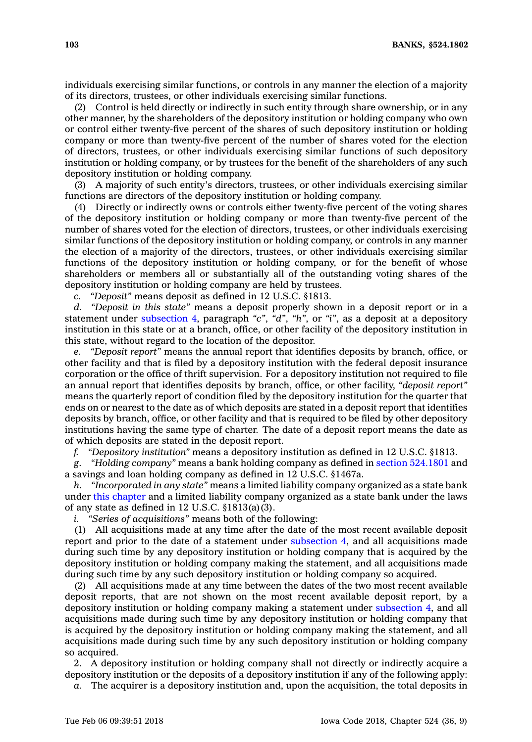individuals exercising similar functions, or controls in any manner the election of <sup>a</sup> majority of its directors, trustees, or other individuals exercising similar functions.

(2) Control is held directly or indirectly in such entity through share ownership, or in any other manner, by the shareholders of the depository institution or holding company who own or control either twenty-five percent of the shares of such depository institution or holding company or more than twenty-five percent of the number of shares voted for the election of directors, trustees, or other individuals exercising similar functions of such depository institution or holding company, or by trustees for the benefit of the shareholders of any such depository institution or holding company.

(3) A majority of such entity's directors, trustees, or other individuals exercising similar functions are directors of the depository institution or holding company.

(4) Directly or indirectly owns or controls either twenty-five percent of the voting shares of the depository institution or holding company or more than twenty-five percent of the number of shares voted for the election of directors, trustees, or other individuals exercising similar functions of the depository institution or holding company, or controls in any manner the election of <sup>a</sup> majority of the directors, trustees, or other individuals exercising similar functions of the depository institution or holding company, or for the benefit of whose shareholders or members all or substantially all of the outstanding voting shares of the depository institution or holding company are held by trustees.

*c. "Deposit"* means deposit as defined in 12 U.S.C. §1813.

*d. "Deposit in this state"* means <sup>a</sup> deposit properly shown in <sup>a</sup> deposit report or in <sup>a</sup> statement under [subsection](https://www.legis.iowa.gov/docs/code/524.1802.pdf) 4, paragraph *"c"*, *"d"*, *"h"*, or *"i"*, as <sup>a</sup> deposit at <sup>a</sup> depository institution in this state or at <sup>a</sup> branch, office, or other facility of the depository institution in this state, without regard to the location of the depositor.

*e. "Deposit report"* means the annual report that identifies deposits by branch, office, or other facility and that is filed by <sup>a</sup> depository institution with the federal deposit insurance corporation or the office of thrift supervision. For <sup>a</sup> depository institution not required to file an annual report that identifies deposits by branch, office, or other facility, *"deposit report"* means the quarterly report of condition filed by the depository institution for the quarter that ends on or nearest to the date as of which deposits are stated in <sup>a</sup> deposit report that identifies deposits by branch, office, or other facility and that is required to be filed by other depository institutions having the same type of charter. The date of <sup>a</sup> deposit report means the date as of which deposits are stated in the deposit report.

*f. "Depository institution"* means <sup>a</sup> depository institution as defined in 12 U.S.C. §1813.

*g. "Holding company"* means <sup>a</sup> bank holding company as defined in section [524.1801](https://www.legis.iowa.gov/docs/code/524.1801.pdf) and <sup>a</sup> savings and loan holding company as defined in 12 U.S.C. §1467a.

*h. "Incorporated in any state"* means <sup>a</sup> limited liability company organized as <sup>a</sup> state bank under this [chapter](https://www.legis.iowa.gov/docs/code//524.pdf) and <sup>a</sup> limited liability company organized as <sup>a</sup> state bank under the laws of any state as defined in 12 U.S.C. §1813(a)(3).

*i. "Series of acquisitions"* means both of the following:

(1) All acquisitions made at any time after the date of the most recent available deposit report and prior to the date of <sup>a</sup> statement under [subsection](https://www.legis.iowa.gov/docs/code/524.1802.pdf) 4, and all acquisitions made during such time by any depository institution or holding company that is acquired by the depository institution or holding company making the statement, and all acquisitions made during such time by any such depository institution or holding company so acquired.

(2) All acquisitions made at any time between the dates of the two most recent available deposit reports, that are not shown on the most recent available deposit report, by <sup>a</sup> depository institution or holding company making <sup>a</sup> statement under [subsection](https://www.legis.iowa.gov/docs/code/524.1802.pdf) 4, and all acquisitions made during such time by any depository institution or holding company that is acquired by the depository institution or holding company making the statement, and all acquisitions made during such time by any such depository institution or holding company so acquired.

2. A depository institution or holding company shall not directly or indirectly acquire <sup>a</sup> depository institution or the deposits of <sup>a</sup> depository institution if any of the following apply:

*a.* The acquirer is <sup>a</sup> depository institution and, upon the acquisition, the total deposits in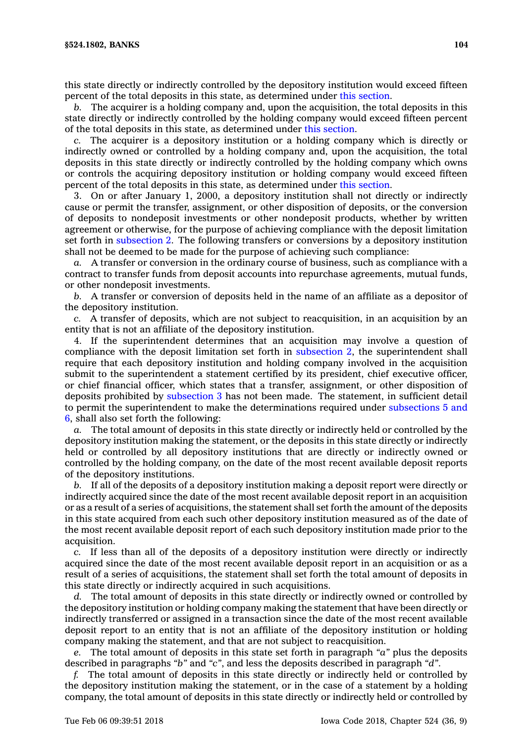this state directly or indirectly controlled by the depository institution would exceed fifteen percent of the total deposits in this state, as determined under this [section](https://www.legis.iowa.gov/docs/code/524.1802.pdf).

*b.* The acquirer is <sup>a</sup> holding company and, upon the acquisition, the total deposits in this state directly or indirectly controlled by the holding company would exceed fifteen percent of the total deposits in this state, as determined under this [section](https://www.legis.iowa.gov/docs/code/524.1802.pdf).

*c.* The acquirer is <sup>a</sup> depository institution or <sup>a</sup> holding company which is directly or indirectly owned or controlled by <sup>a</sup> holding company and, upon the acquisition, the total deposits in this state directly or indirectly controlled by the holding company which owns or controls the acquiring depository institution or holding company would exceed fifteen percent of the total deposits in this state, as determined under this [section](https://www.legis.iowa.gov/docs/code/524.1802.pdf).

3. On or after January 1, 2000, <sup>a</sup> depository institution shall not directly or indirectly cause or permit the transfer, assignment, or other disposition of deposits, or the conversion of deposits to nondeposit investments or other nondeposit products, whether by written agreement or otherwise, for the purpose of achieving compliance with the deposit limitation set forth in [subsection](https://www.legis.iowa.gov/docs/code/524.1802.pdf) 2. The following transfers or conversions by <sup>a</sup> depository institution shall not be deemed to be made for the purpose of achieving such compliance:

*a.* A transfer or conversion in the ordinary course of business, such as compliance with <sup>a</sup> contract to transfer funds from deposit accounts into repurchase agreements, mutual funds, or other nondeposit investments.

*b.* A transfer or conversion of deposits held in the name of an affiliate as <sup>a</sup> depositor of the depository institution.

*c.* A transfer of deposits, which are not subject to reacquisition, in an acquisition by an entity that is not an affiliate of the depository institution.

4. If the superintendent determines that an acquisition may involve <sup>a</sup> question of compliance with the deposit limitation set forth in [subsection](https://www.legis.iowa.gov/docs/code/524.1802.pdf) 2, the superintendent shall require that each depository institution and holding company involved in the acquisition submit to the superintendent <sup>a</sup> statement certified by its president, chief executive officer, or chief financial officer, which states that <sup>a</sup> transfer, assignment, or other disposition of deposits prohibited by [subsection](https://www.legis.iowa.gov/docs/code/524.1802.pdf) 3 has not been made. The statement, in sufficient detail to permit the superintendent to make the determinations required under [subsections](https://www.legis.iowa.gov/docs/code/524.1802.pdf) 5 and [6](https://www.legis.iowa.gov/docs/code/524.1802.pdf), shall also set forth the following:

*a.* The total amount of deposits in this state directly or indirectly held or controlled by the depository institution making the statement, or the deposits in this state directly or indirectly held or controlled by all depository institutions that are directly or indirectly owned or controlled by the holding company, on the date of the most recent available deposit reports of the depository institutions.

*b.* If all of the deposits of <sup>a</sup> depository institution making <sup>a</sup> deposit report were directly or indirectly acquired since the date of the most recent available deposit report in an acquisition or as <sup>a</sup> result of <sup>a</sup> series of acquisitions, the statement shall set forth the amount of the deposits in this state acquired from each such other depository institution measured as of the date of the most recent available deposit report of each such depository institution made prior to the acquisition.

*c.* If less than all of the deposits of <sup>a</sup> depository institution were directly or indirectly acquired since the date of the most recent available deposit report in an acquisition or as <sup>a</sup> result of <sup>a</sup> series of acquisitions, the statement shall set forth the total amount of deposits in this state directly or indirectly acquired in such acquisitions.

*d.* The total amount of deposits in this state directly or indirectly owned or controlled by the depository institution or holding company making the statement that have been directly or indirectly transferred or assigned in <sup>a</sup> transaction since the date of the most recent available deposit report to an entity that is not an affiliate of the depository institution or holding company making the statement, and that are not subject to reacquisition.

*e.* The total amount of deposits in this state set forth in paragraph *"a"* plus the deposits described in paragraphs *"b"* and *"c"*, and less the deposits described in paragraph *"d"*.

*f.* The total amount of deposits in this state directly or indirectly held or controlled by the depository institution making the statement, or in the case of <sup>a</sup> statement by <sup>a</sup> holding company, the total amount of deposits in this state directly or indirectly held or controlled by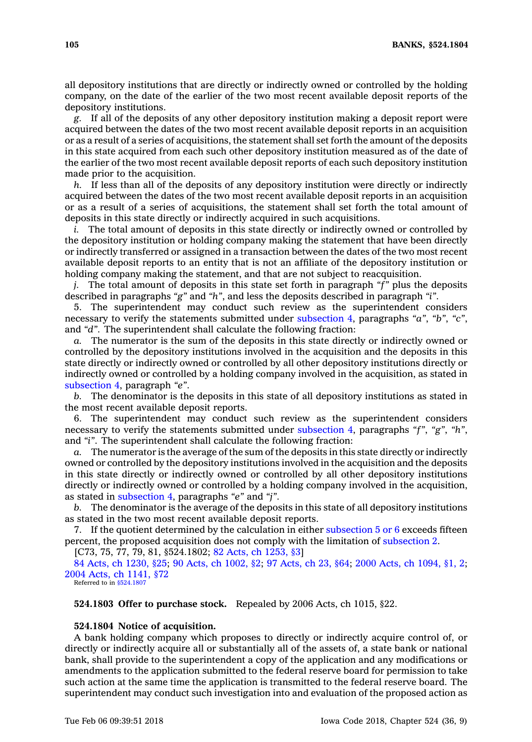all depository institutions that are directly or indirectly owned or controlled by the holding company, on the date of the earlier of the two most recent available deposit reports of the depository institutions.

*g.* If all of the deposits of any other depository institution making <sup>a</sup> deposit report were acquired between the dates of the two most recent available deposit reports in an acquisition or as <sup>a</sup> result of <sup>a</sup> series of acquisitions, the statement shall set forth the amount of the deposits in this state acquired from each such other depository institution measured as of the date of the earlier of the two most recent available deposit reports of each such depository institution made prior to the acquisition.

*h.* If less than all of the deposits of any depository institution were directly or indirectly acquired between the dates of the two most recent available deposit reports in an acquisition or as <sup>a</sup> result of <sup>a</sup> series of acquisitions, the statement shall set forth the total amount of deposits in this state directly or indirectly acquired in such acquisitions.

*i.* The total amount of deposits in this state directly or indirectly owned or controlled by the depository institution or holding company making the statement that have been directly or indirectly transferred or assigned in <sup>a</sup> transaction between the dates of the two most recent available deposit reports to an entity that is not an affiliate of the depository institution or holding company making the statement, and that are not subject to reacquisition.

*j.* The total amount of deposits in this state set forth in paragraph *"f"* plus the deposits described in paragraphs *"g"* and *"h"*, and less the deposits described in paragraph *"i"*.

5. The superintendent may conduct such review as the superintendent considers necessary to verify the statements submitted under [subsection](https://www.legis.iowa.gov/docs/code/524.1802.pdf) 4, paragraphs *"a"*, *"b"*, *"c"*, and *"d"*. The superintendent shall calculate the following fraction:

*a.* The numerator is the sum of the deposits in this state directly or indirectly owned or controlled by the depository institutions involved in the acquisition and the deposits in this state directly or indirectly owned or controlled by all other depository institutions directly or indirectly owned or controlled by <sup>a</sup> holding company involved in the acquisition, as stated in [subsection](https://www.legis.iowa.gov/docs/code/524.1802.pdf) 4, paragraph *"e"*.

*b.* The denominator is the deposits in this state of all depository institutions as stated in the most recent available deposit reports.

6. The superintendent may conduct such review as the superintendent considers necessary to verify the statements submitted under [subsection](https://www.legis.iowa.gov/docs/code/524.1802.pdf) 4, paragraphs *"f"*, *"g"*, *"h"*, and *"i"*. The superintendent shall calculate the following fraction:

The numerator is the average of the sum of the deposits in this state directly or indirectly owned or controlled by the depository institutions involved in the acquisition and the deposits in this state directly or indirectly owned or controlled by all other depository institutions directly or indirectly owned or controlled by <sup>a</sup> holding company involved in the acquisition, as stated in [subsection](https://www.legis.iowa.gov/docs/code/524.1802.pdf) 4, paragraphs *"e"* and *"j"*.

*b.* The denominator is the average of the deposits in this state of all depository institutions as stated in the two most recent available deposit reports.

7. If the quotient determined by the calculation in either [subsection](https://www.legis.iowa.gov/docs/code/524.1802.pdf)  $5$  or  $6$  exceeds fifteen percent, the proposed acquisition does not comply with the limitation of [subsection](https://www.legis.iowa.gov/docs/code/524.1802.pdf) 2.

[C73, 75, 77, 79, 81, §524.1802; 82 Acts, ch [1253,](https://www.legis.iowa.gov/docs/acts/1982/CH1253.pdf) §3]

84 Acts, ch [1230,](https://www.legis.iowa.gov/docs/acts/1984/CH1230.pdf) §25; 90 Acts, ch [1002,](https://www.legis.iowa.gov/docs/acts/1990/CH1002.pdf) §2; 97 [Acts,](https://www.legis.iowa.gov/docs/acts/1997/CH0023.pdf) ch 23, §64; 2000 Acts, ch [1094,](https://www.legis.iowa.gov/docs/acts/2000/CH1094.pdf) §1, 2; 2004 Acts, ch [1141,](https://www.legis.iowa.gov/docs/acts/2004/CH1141.pdf) §72 Referred to in [§524.1807](https://www.legis.iowa.gov/docs/code/524.1807.pdf)

**524.1803 Offer to purchase stock.** Repealed by 2006 Acts, ch 1015, §22.

### **524.1804 Notice of acquisition.**

A bank holding company which proposes to directly or indirectly acquire control of, or directly or indirectly acquire all or substantially all of the assets of, <sup>a</sup> state bank or national bank, shall provide to the superintendent <sup>a</sup> copy of the application and any modifications or amendments to the application submitted to the federal reserve board for permission to take such action at the same time the application is transmitted to the federal reserve board. The superintendent may conduct such investigation into and evaluation of the proposed action as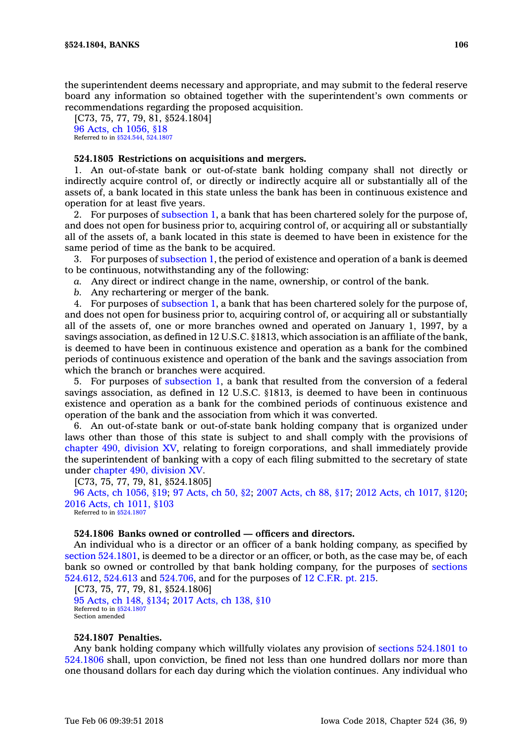the superintendent deems necessary and appropriate, and may submit to the federal reserve board any information so obtained together with the superintendent's own comments or recommendations regarding the proposed acquisition.

[C73, 75, 77, 79, 81, §524.1804] 96 Acts, ch [1056,](https://www.legis.iowa.gov/docs/acts/1996/CH1056.pdf) §18 Referred to in [§524.544](https://www.legis.iowa.gov/docs/code/524.544.pdf), [524.1807](https://www.legis.iowa.gov/docs/code/524.1807.pdf)

### **524.1805 Restrictions on acquisitions and mergers.**

1. An out-of-state bank or out-of-state bank holding company shall not directly or indirectly acquire control of, or directly or indirectly acquire all or substantially all of the assets of, <sup>a</sup> bank located in this state unless the bank has been in continuous existence and operation for at least five years.

2. For purposes of [subsection](https://www.legis.iowa.gov/docs/code/524.1805.pdf) 1, <sup>a</sup> bank that has been chartered solely for the purpose of, and does not open for business prior to, acquiring control of, or acquiring all or substantially all of the assets of, <sup>a</sup> bank located in this state is deemed to have been in existence for the same period of time as the bank to be acquired.

3. For purposes of [subsection](https://www.legis.iowa.gov/docs/code/524.1805.pdf) 1, the period of existence and operation of <sup>a</sup> bank is deemed to be continuous, notwithstanding any of the following:

*a.* Any direct or indirect change in the name, ownership, or control of the bank.

*b.* Any rechartering or merger of the bank.

4. For purposes of [subsection](https://www.legis.iowa.gov/docs/code/524.1805.pdf) 1, <sup>a</sup> bank that has been chartered solely for the purpose of, and does not open for business prior to, acquiring control of, or acquiring all or substantially all of the assets of, one or more branches owned and operated on January 1, 1997, by <sup>a</sup> savings association, as defined in 12 U.S.C. §1813, which association is an affiliate of the bank, is deemed to have been in continuous existence and operation as <sup>a</sup> bank for the combined periods of continuous existence and operation of the bank and the savings association from which the branch or branches were acquired.

5. For purposes of [subsection](https://www.legis.iowa.gov/docs/code/524.1805.pdf) 1, <sup>a</sup> bank that resulted from the conversion of <sup>a</sup> federal savings association, as defined in 12 U.S.C. §1813, is deemed to have been in continuous existence and operation as <sup>a</sup> bank for the combined periods of continuous existence and operation of the bank and the association from which it was converted.

6. An out-of-state bank or out-of-state bank holding company that is organized under laws other than those of this state is subject to and shall comply with the provisions of [chapter](https://www.legis.iowa.gov/docs/code//490.pdf) 490, division XV, relating to foreign corporations, and shall immediately provide the superintendent of banking with <sup>a</sup> copy of each filing submitted to the secretary of state under [chapter](https://www.legis.iowa.gov/docs/code//490.pdf) 490, division XV.

[C73, 75, 77, 79, 81, §524.1805]

96 Acts, ch [1056,](https://www.legis.iowa.gov/docs/acts/96/CH1056.pdf) §19; 97 [Acts,](https://www.legis.iowa.gov/docs/acts/97/CH0050.pdf) ch 50, §2; 2007 [Acts,](https://www.legis.iowa.gov/docs/acts/2007/CH0088.pdf) ch 88, §17; 2012 Acts, ch [1017,](https://www.legis.iowa.gov/docs/acts/2012/CH1017.pdf) §120; 2016 Acts, ch [1011,](https://www.legis.iowa.gov/docs/acts/2016/CH1011.pdf) §103

Referred to in [§524.1807](https://www.legis.iowa.gov/docs/code/524.1807.pdf)

## **524.1806 Banks owned or controlled — officers and directors.**

An individual who is <sup>a</sup> director or an officer of <sup>a</sup> bank holding company, as specified by section [524.1801](https://www.legis.iowa.gov/docs/code/524.1801.pdf), is deemed to be <sup>a</sup> director or an officer, or both, as the case may be, of each bank so owned or controlled by that bank holding company, for the purposes of [sections](https://www.legis.iowa.gov/docs/code/524.612.pdf) [524.612](https://www.legis.iowa.gov/docs/code/524.612.pdf), [524.613](https://www.legis.iowa.gov/docs/code/524.613.pdf) and [524.706](https://www.legis.iowa.gov/docs/code/524.706.pdf), and for the purposes of 12 [C.F.R.](https://www.law.cornell.edu/cfr/text/12/part-215) pt. 215.

[C73, 75, 77, 79, 81, §524.1806] 95 [Acts,](https://www.legis.iowa.gov/docs/acts/95/CH0148.pdf) ch 148, §134; 2017 [Acts,](https://www.legis.iowa.gov/docs/acts/2017/CH0138.pdf) ch 138, §10 Referred to in \$524.1807 Section amended

# **524.1807 Penalties.**

Any bank holding company which willfully violates any provision of sections [524.1801](https://www.legis.iowa.gov/docs/code/524.1801.pdf) to [524.1806](https://www.legis.iowa.gov/docs/code/524.1801.pdf) shall, upon conviction, be fined not less than one hundred dollars nor more than one thousand dollars for each day during which the violation continues. Any individual who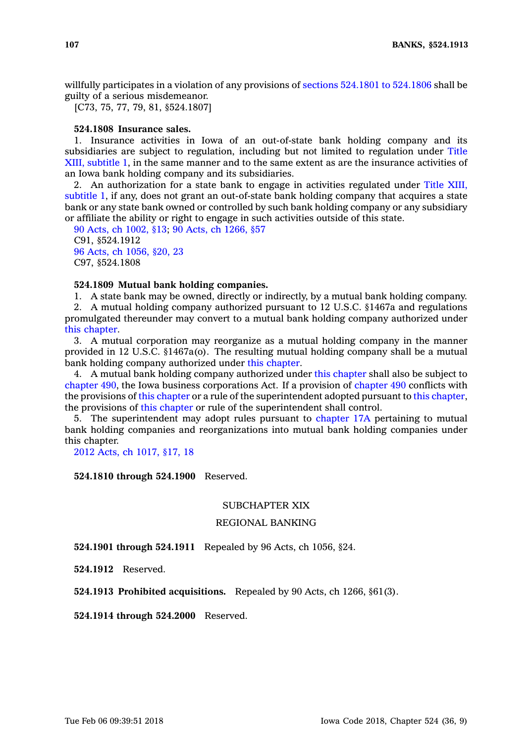willfully participates in <sup>a</sup> violation of any provisions of sections 524.1801 to [524.1806](https://www.legis.iowa.gov/docs/code/524.1801.pdf) shall be guilty of <sup>a</sup> serious misdemeanor.

[C73, 75, 77, 79, 81, §524.1807]

## **524.1808 Insurance sales.**

1. Insurance activities in Iowa of an out-of-state bank holding company and its subsidiaries are subject to regulation, including but not limited to regulation under Title XIII, subtitle 1, in the same manner and to the same extent as are the insurance activities of an Iowa bank holding company and its subsidiaries.

2. An authorization for <sup>a</sup> state bank to engage in activities regulated under Title XIII, subtitle 1, if any, does not grant an out-of-state bank holding company that acquires <sup>a</sup> state bank or any state bank owned or controlled by such bank holding company or any subsidiary or affiliate the ability or right to engage in such activities outside of this state.

90 Acts, ch [1002,](https://www.legis.iowa.gov/docs/acts/1990/CH1002.pdf) §13; 90 Acts, ch [1266,](https://www.legis.iowa.gov/docs/acts/1990/CH1266.pdf) §57 C91, §524.1912 96 Acts, ch [1056,](https://www.legis.iowa.gov/docs/acts/1996/CH1056.pdf) §20, 23 C97, §524.1808

# **524.1809 Mutual bank holding companies.**

1. A state bank may be owned, directly or indirectly, by <sup>a</sup> mutual bank holding company.

2. A mutual holding company authorized pursuant to 12 U.S.C. §1467a and regulations promulgated thereunder may convert to <sup>a</sup> mutual bank holding company authorized under this [chapter](https://www.legis.iowa.gov/docs/code//524.pdf).

3. A mutual corporation may reorganize as <sup>a</sup> mutual holding company in the manner provided in 12 U.S.C. §1467a(o). The resulting mutual holding company shall be <sup>a</sup> mutual bank holding company authorized under this [chapter](https://www.legis.iowa.gov/docs/code//524.pdf).

4. A mutual bank holding company authorized under this [chapter](https://www.legis.iowa.gov/docs/code//524.pdf) shall also be subject to [chapter](https://www.legis.iowa.gov/docs/code//490.pdf) 490, the Iowa business corporations Act. If <sup>a</sup> provision of [chapter](https://www.legis.iowa.gov/docs/code//490.pdf) 490 conflicts with the provisions of this [chapter](https://www.legis.iowa.gov/docs/code//524.pdf) or <sup>a</sup> rule of the superintendent adopted pursuant to this [chapter](https://www.legis.iowa.gov/docs/code//524.pdf), the provisions of this [chapter](https://www.legis.iowa.gov/docs/code//524.pdf) or rule of the superintendent shall control.

5. The superintendent may adopt rules pursuant to [chapter](https://www.legis.iowa.gov/docs/code//17A.pdf) 17A pertaining to mutual bank holding companies and reorganizations into mutual bank holding companies under this chapter.

2012 Acts, ch [1017,](https://www.legis.iowa.gov/docs/acts/2012/CH1017.pdf) §17, 18

**524.1810 through 524.1900** Reserved.

## SUBCHAPTER XIX

# REGIONAL BANKING

**524.1901 through 524.1911** Repealed by 96 Acts, ch 1056, §24.

**524.1912** Reserved.

**524.1913 Prohibited acquisitions.** Repealed by 90 Acts, ch 1266, §61(3).

**524.1914 through 524.2000** Reserved.